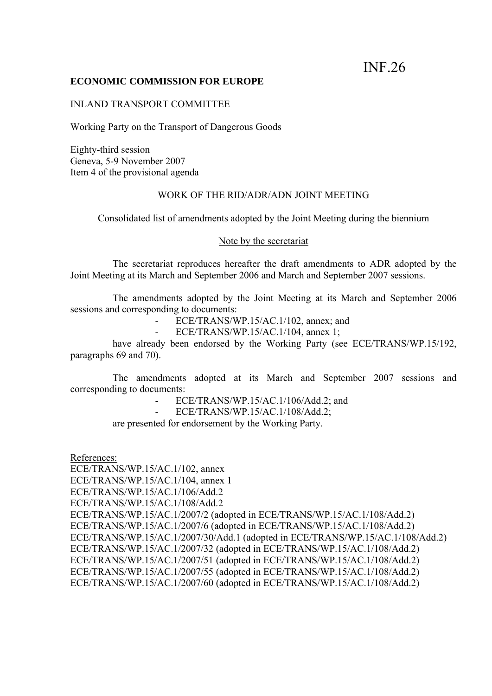# INF.26

#### **ECONOMIC COMMISSION FOR EUROPE**

#### INLAND TRANSPORT COMMITTEE

Working Party on the Transport of Dangerous Goods

Eighty-third session Geneva, 5-9 November 2007 Item 4 of the provisional agenda

#### WORK OF THE RID/ADR/ADN JOINT MEETING

#### Consolidated list of amendments adopted by the Joint Meeting during the biennium

#### Note by the secretariat

 The secretariat reproduces hereafter the draft amendments to ADR adopted by the Joint Meeting at its March and September 2006 and March and September 2007 sessions.

 The amendments adopted by the Joint Meeting at its March and September 2006 sessions and corresponding to documents:

- ECE/TRANS/WP.15/AC.1/102, annex; and
- ECE/TRANS/WP.15/AC.1/104, annex 1;

 have already been endorsed by the Working Party (see ECE/TRANS/WP.15/192, paragraphs 69 and 70).

 The amendments adopted at its March and September 2007 sessions and corresponding to documents:

- ECE/TRANS/WP.15/AC.1/106/Add.2; and
	- ECE/TRANS/WP.15/AC.1/108/Add.2;

are presented for endorsement by the Working Party.

References:

ECE/TRANS/WP.15/AC.1/102, annex ECE/TRANS/WP.15/AC.1/104, annex 1 ECE/TRANS/WP.15/AC.1/106/Add.2 ECE/TRANS/WP.15/AC.1/108/Add.2 ECE/TRANS/WP.15/AC.1/2007/2 (adopted in ECE/TRANS/WP.15/AC.1/108/Add.2) ECE/TRANS/WP.15/AC.1/2007/6 (adopted in ECE/TRANS/WP.15/AC.1/108/Add.2) ECE/TRANS/WP.15/AC.1/2007/30/Add.1 (adopted in ECE/TRANS/WP.15/AC.1/108/Add.2) ECE/TRANS/WP.15/AC.1/2007/32 (adopted in ECE/TRANS/WP.15/AC.1/108/Add.2) ECE/TRANS/WP.15/AC.1/2007/51 (adopted in ECE/TRANS/WP.15/AC.1/108/Add.2) ECE/TRANS/WP.15/AC.1/2007/55 (adopted in ECE/TRANS/WP.15/AC.1/108/Add.2) ECE/TRANS/WP.15/AC.1/2007/60 (adopted in ECE/TRANS/WP.15/AC.1/108/Add.2)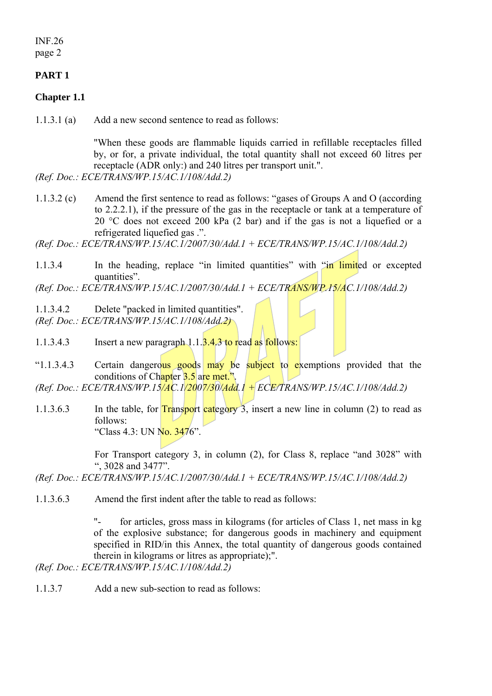## **PART 1**

#### **Chapter 1.1**

1.1.3.1 (a) Add a new second sentence to read as follows:

"When these goods are flammable liquids carried in refillable receptacles filled by, or for, a private individual, the total quantity shall not exceed 60 litres per receptacle (ADR only:) and 240 litres per transport unit.".

*(Ref. Doc.: ECE/TRANS/WP.15/AC.1/108/Add.2)* 

1.1.3.2 (c) Amend the first sentence to read as follows: "gases of Groups A and O (according to 2.2.2.1), if the pressure of the gas in the receptacle or tank at a temperature of 20 °C does not exceed 200 kPa (2 bar) and if the gas is not a liquefied or a refrigerated liquefied gas .".

*(Ref. Doc.: ECE/TRANS/WP.15/AC.1/2007/30/Add.1 + ECE/TRANS/WP.15/AC.1/108/Add.2)* 

1.1.3.4 In the heading, replace "in limited quantities" with "in limited or excepted quantities".

*(Ref. Doc.: ECE/TRANS/WP.15/AC.1/2007/30/Add.1 + ECE/TRANS/WP.15/AC.1/108/Add.2)* 

1.1.3.4.2 Delete "packed in limited quantities". *(Ref. Doc.: ECE/TRANS/WP.15/AC.1/108/Add.2)* 

1.1.3.4.3 Insert a new paragraph  $1.1.\overline{3.4.3}$  to read as follows:

"1.1.3.4.3 Certain dangerous goods may be subject to exemptions provided that the conditions of Chapter 3.5 are met.<sup>7</sup>.

- *(Ref. Doc.: ECE/TRANS/WP.15/AC.1/2007/30/Add.1 + ECE/TRANS/WP.15/AC.1/108/Add.2)*
- 1.1.3.6.3 In the table, for **Transport category** 3, insert a new line in column (2) to read as follows: "Class 4.3: UN No. 3476".

 For Transport category 3, in column (2), for Class 8, replace "and 3028" with ", 3028 and 3477".

*(Ref. Doc.: ECE/TRANS/WP.15/AC.1/2007/30/Add.1 + ECE/TRANS/WP.15/AC.1/108/Add.2)* 

1.1.3.6.3 Amend the first indent after the table to read as follows:

"- for articles, gross mass in kilograms (for articles of Class 1, net mass in kg of the explosive substance; for dangerous goods in machinery and equipment specified in RID/in this Annex, the total quantity of dangerous goods contained therein in kilograms or litres as appropriate);".

*(Ref. Doc.: ECE/TRANS/WP.15/AC.1/108/Add.2)* 

1.1.3.7 Add a new sub-section to read as follows: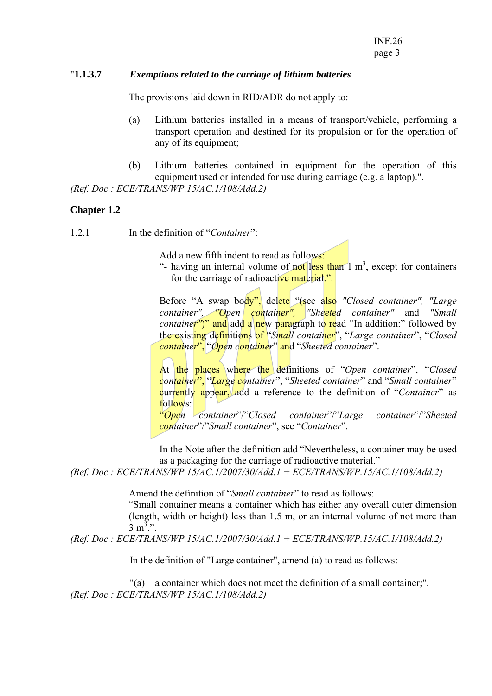#### "**1.1.3.7** *Exemptions related to the carriage of lithium batteries*

The provisions laid down in RID/ADR do not apply to:

- (a) Lithium batteries installed in a means of transport/vehicle, performing a transport operation and destined for its propulsion or for the operation of any of its equipment;
- (b) Lithium batteries contained in equipment for the operation of this equipment used or intended for use during carriage (e.g. a laptop).".

*(Ref. Doc.: ECE/TRANS/WP.15/AC.1/108/Add.2)* 

#### **Chapter 1.2**

1.2.1 In the definition of "*Container*":

Add a new fifth indent to read as follows:

"- having an internal volume of not less than  $1 \text{ m}^3$ , except for containers for the carriage of radioactive material.".

Before "A swap body", delete "(see also *"Closed container", "Large container", "Open container", "Sheeted container"* and *"Small container*")" and add a new paragraph to read "In addition:" followed by the existing definitions of "*Small container*", "*Large container*", "*Closed container*", "*Open container*" and "*Sheeted container*".

At the places where the definitions of "*Open container*", "*Closed container*", "*Large container*", "*Sheeted container*" and "*Small container*" **currently appear, add** a reference to the definition of "*Container*" as follows:

"*Open container*"/"*Closed container*"/"*Large container*"/"*Sheeted container*"/"*Small container*", see "*Container*".

In the Note after the definition add "Nevertheless, a container may be used as a packaging for the carriage of radioactive material."

*(Ref. Doc.: ECE/TRANS/WP.15/AC.1/2007/30/Add.1 + ECE/TRANS/WP.15/AC.1/108/Add.2)* 

Amend the definition of "*Small container*" to read as follows:

 "Small container means a container which has either any overall outer dimension (length, width or height) less than 1.5 m, or an internal volume of not more than  $3 \text{ m}^3$ .".

*(Ref. Doc.: ECE/TRANS/WP.15/AC.1/2007/30/Add.1 + ECE/TRANS/WP.15/AC.1/108/Add.2)* 

In the definition of "Large container", amend (a) to read as follows:

 "(a) a container which does not meet the definition of a small container;". *(Ref. Doc.: ECE/TRANS/WP.15/AC.1/108/Add.2)*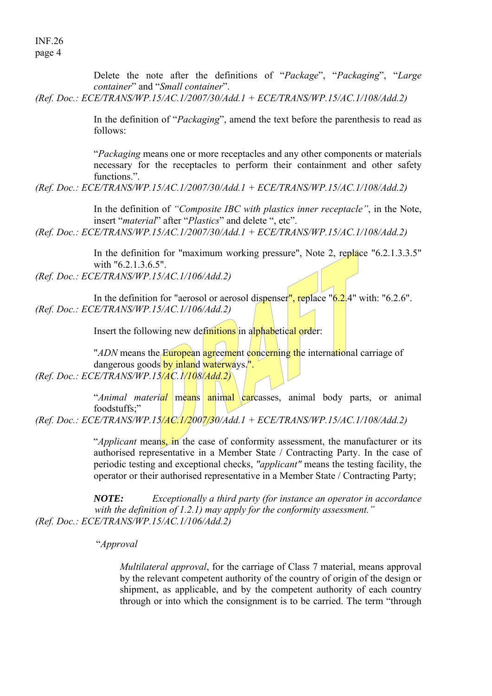> Delete the note after the definitions of "*Package*", "*Packaging*", "*Large container*" and "*Small container*".

*(Ref. Doc.: ECE/TRANS/WP.15/AC.1/2007/30/Add.1 + ECE/TRANS/WP.15/AC.1/108/Add.2)* 

In the definition of "*Packaging*", amend the text before the parenthesis to read as follows:

"*Packaging* means one or more receptacles and any other components or materials necessary for the receptacles to perform their containment and other safety functions.".

*(Ref. Doc.: ECE/TRANS/WP.15/AC.1/2007/30/Add.1 + ECE/TRANS/WP.15/AC.1/108/Add.2)* 

 In the definition of *"Composite IBC with plastics inner receptacle"*, in the Note, insert "*material*" after "*Plastics*" and delete ", etc".

*(Ref. Doc.: ECE/TRANS/WP.15/AC.1/2007/30/Add.1 + ECE/TRANS/WP.15/AC.1/108/Add.2)* 

In the definition for "maximum working pressure", Note 2, replace "6.2.1.3.3.5" with "6.2.1.3.6.5"

*(Ref. Doc.: ECE/TRANS/WP.15/AC.1/106/Add.2)* 

In the definition for "aerosol or aerosol dispenser", replace " $6.2$ .<sup>4"</sup> with: " $6.2.6$ ". *(Ref. Doc.: ECE/TRANS/WP.15/AC.1/106/Add.2)* 

Insert the following new definitions in alphabetical order:

"*ADN* means the European agreement concerning the international carriage of dangerous goods by inland waterways.".

*(Ref. Doc.: ECE/TRANS/WP.15/AC.1/108/Add.2)* 

"*Animal material* means animal carcasses, animal body parts, or animal foodstuffs;"

*(Ref. Doc.: ECE/TRANS/WP.15/AC.1/2007/30/Add.1 + ECE/TRANS/WP.15/AC.1/108/Add.2)* 

"*Applicant* means, in the case of conformity assessment, the manufacturer or its authorised representative in a Member State / Contracting Party. In the case of periodic testing and exceptional checks, *"applicant"* means the testing facility, the operator or their authorised representative in a Member State / Contracting Party;

*NOTE: Exceptionally a third party (for instance an operator in accordance with the definition of 1.2.1) may apply for the conformity assessment." (Ref. Doc.: ECE/TRANS/WP.15/AC.1/106/Add.2)* 

"*Approval* 

*Multilateral approval*, for the carriage of Class 7 material, means approval by the relevant competent authority of the country of origin of the design or shipment, as applicable, and by the competent authority of each country through or into which the consignment is to be carried. The term "through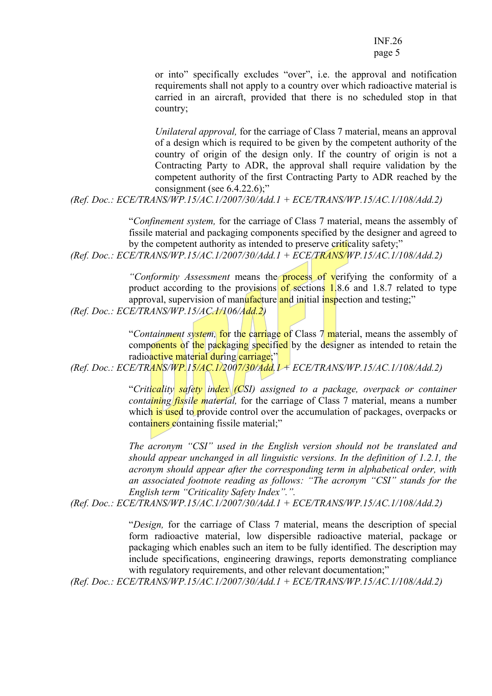or into" specifically excludes "over", i.e. the approval and notification requirements shall not apply to a country over which radioactive material is carried in an aircraft, provided that there is no scheduled stop in that country;

*Unilateral approval,* for the carriage of Class 7 material, means an approval of a design which is required to be given by the competent authority of the country of origin of the design only. If the country of origin is not a Contracting Party to ADR, the approval shall require validation by the competent authority of the first Contracting Party to ADR reached by the consignment (see  $6.4.22.6$ );"

*(Ref. Doc.: ECE/TRANS/WP.15/AC.1/2007/30/Add.1 + ECE/TRANS/WP.15/AC.1/108/Add.2)* 

"*Confinement system,* for the carriage of Class 7 material, means the assembly of fissile material and packaging components specified by the designer and agreed to by the competent authority as intended to preserve criticality safety;"

*(Ref. Doc.: ECE/TRANS/WP.15/AC.1/2007/30/Add.1 + ECE/TRANS/WP.15/AC.1/108/Add.2)* 

*"Conformity Assessment* means the process of verifying the conformity of a product according to the provisions of sections  $1,8.6$  and 1.8.7 related to type approval, supervision of manufacture and initial inspection and testing;"

*(Ref. Doc.: ECE/TRANS/WP.15/AC.1/106/Add.2)* 

"*Containment system,* for the carriage of Class 7 material, means the assembly of components of the packaging specified by the designer as intended to retain the radioactive material during carriage;"

*(Ref. Doc.: ECE/TRANS/WP.15/AC.1/2007/30/Add.1 + ECE/TRANS/WP.15/AC.1/108/Add.2)* 

"*Criticality safety index (CSI) assigned to a package, overpack or container containing fissile material,* for the carriage of Class 7 material, means a number which is used to provide control over the accumulation of packages, overpacks or containers containing fissile material;"

*The acronym "CSI" used in the English version should not be translated and should appear unchanged in all linguistic versions. In the definition of 1.2.1, the acronym should appear after the corresponding term in alphabetical order, with an associated footnote reading as follows: "The acronym "CSI" stands for the English term "Criticality Safety Index".".* 

*(Ref. Doc.: ECE/TRANS/WP.15/AC.1/2007/30/Add.1 + ECE/TRANS/WP.15/AC.1/108/Add.2)* 

"*Design,* for the carriage of Class 7 material, means the description of special form radioactive material, low dispersible radioactive material, package or packaging which enables such an item to be fully identified. The description may include specifications, engineering drawings, reports demonstrating compliance with regulatory requirements, and other relevant documentation;"

*(Ref. Doc.: ECE/TRANS/WP.15/AC.1/2007/30/Add.1 + ECE/TRANS/WP.15/AC.1/108/Add.2)*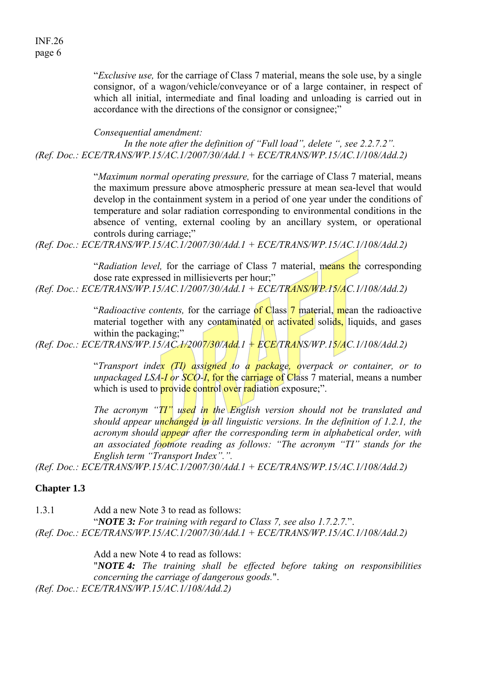"*Exclusive use,* for the carriage of Class 7 material, means the sole use, by a single consignor, of a wagon/vehicle/conveyance or of a large container, in respect of which all initial, intermediate and final loading and unloading is carried out in accordance with the directions of the consignor or consignee;"

*Consequential amendment:* 

*In the note after the definition of "Full load", delete ", see 2.2.7.2". (Ref. Doc.: ECE/TRANS/WP.15/AC.1/2007/30/Add.1 + ECE/TRANS/WP.15/AC.1/108/Add.2)* 

> "*Maximum normal operating pressure,* for the carriage of Class 7 material, means the maximum pressure above atmospheric pressure at mean sea-level that would develop in the containment system in a period of one year under the conditions of temperature and solar radiation corresponding to environmental conditions in the absence of venting, external cooling by an ancillary system, or operational controls during carriage;"

*(Ref. Doc.: ECE/TRANS/WP.15/AC.1/2007/30/Add.1 + ECE/TRANS/WP.15/AC.1/108/Add.2)* 

"*Radiation level,* for the carriage of Class 7 material, means the corresponding dose rate expressed in millisieverts per hour;"

*(Ref. Doc.: ECE/TRANS/WP.15/AC.1/2007/30/Add.1 + ECE/TRANS/WP.15/AC.1/108/Add.2)* 

"*Radioactive contents,* for the carriage of Class 7 material, mean the radioactive material together with any contaminated or activated solids, liquids, and gases within the packaging;"

*(Ref. Doc.: ECE/TRANS/WP.15/AC.1/2007/30/Add.1 + ECE/TRANS/WP.15/AC.1/108/Add.2)* 

"*Transport index (TI) assigned to a package, overpack or container, or to unpackaged LSA-I or SCO-I*, for the carriage of Class 7 material, means a number which is used to **provide control over radiation** exposure;".

*The acronym* "*TI*" used in the English version should not be translated and *should appear unchanged in all linguistic versions. In the definition of 1.2.1, the acronym should appear after the corresponding term in alphabetical order, with an associated footnote reading as follows: "The acronym "TI" stands for the English term "Transport Index".".* 

*(Ref. Doc.: ECE/TRANS/WP.15/AC.1/2007/30/Add.1 + ECE/TRANS/WP.15/AC.1/108/Add.2)* 

#### **Chapter 1.3**

1.3.1 Add a new Note 3 to read as follows:

 "*NOTE 3: For training with regard to Class 7, see also 1.7.2.7.*". *(Ref. Doc.: ECE/TRANS/WP.15/AC.1/2007/30/Add.1 + ECE/TRANS/WP.15/AC.1/108/Add.2)* 

Add a new Note 4 to read as follows:

"*NOTE 4: The training shall be effected before taking on responsibilities concerning the carriage of dangerous goods.*".

*(Ref. Doc.: ECE/TRANS/WP.15/AC.1/108/Add.2)*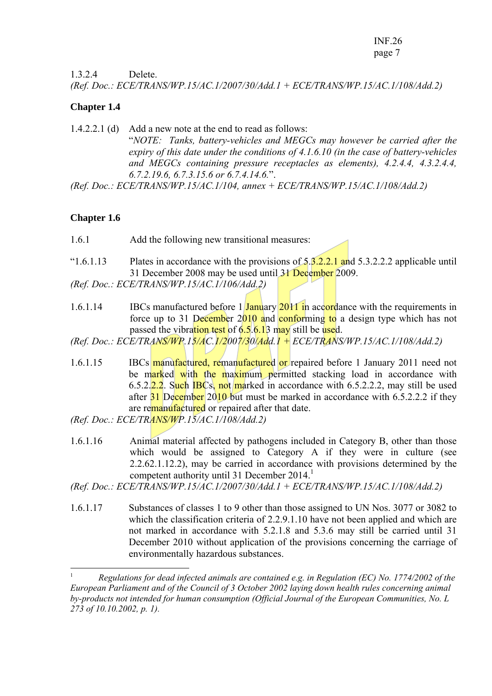1.3.2.4 Delete. *(Ref. Doc.: ECE/TRANS/WP.15/AC.1/2007/30/Add.1 + ECE/TRANS/WP.15/AC.1/108/Add.2)* 

# **Chapter 1.4**

1.4.2.2.1 (d) Add a new note at the end to read as follows: "*NOTE: Tanks, battery-vehicles and MEGCs may however be carried after the expiry of this date under the conditions of 4.1.6.10 (in the case of battery-vehicles and MEGCs containing pressure receptacles as elements), 4.2.4.4, 4.3.2.4.4, 6.7.2.19.6, 6.7.3.15.6 or 6.7.4.14.6.*".

*(Ref. Doc.: ECE/TRANS/WP.15/AC.1/104, annex + ECE/TRANS/WP.15/AC.1/108/Add.2)* 

#### **Chapter 1.6**

1

1.6.1 Add the following new transitional measures:

- "1.6.1.13 Plates in accordance with the provisions of  $\frac{5.3.2.2.1 \text{ and } 5.3.2.2.2 \text{ applicable until}}{5.3.2.2.2}$ 31 December 2008 may be used until 31 December 2009.
- *(Ref. Doc.: ECE/TRANS/WP.15/AC.1/106/Add.2)*
- 1.6.1.14 IBCs manufactured before  $1/$ **January 2011 in accordance** with the requirements in force up to 31 December  $2010$  and conforming to a design type which has not passed the vibration test of  $6.5.6.13$  may still be used.
- *(Ref. Doc.: ECE/TRANS/WP.15/AC.1/2007/30/Add.1 + ECE/TRANS/WP.15/AC.1/108/Add.2)*
- 1.6.1.15 IBCs **manufactured, remanufactured or** repaired before 1 January 2011 need not be marked with the maximum permitted stacking load in accordance with 6.5.2.2.2. Such IBCs, not marked in accordance with  $6.5.2.2.2$ , may still be used after  $31$  December 2010 but must be marked in accordance with 6.5.2.2.2 if they are remanufactured or repaired after that date.

*(Ref. Doc.: ECE/TRANS/WP.15/AC.1/108/Add.2)* 

1.6.1.16 Animal material affected by pathogens included in Category B, other than those which would be assigned to Category A if they were in culture (see 2.2.62.1.12.2), may be carried in accordance with provisions determined by the competent authority until 31 December 2014.<sup>1</sup>

*(Ref. Doc.: ECE/TRANS/WP.15/AC.1/2007/30/Add.1 + ECE/TRANS/WP.15/AC.1/108/Add.2)* 

1.6.1.17 Substances of classes 1 to 9 other than those assigned to UN Nos. 3077 or 3082 to which the classification criteria of 2.2.9.1.10 have not been applied and which are not marked in accordance with 5.2.1.8 and 5.3.6 may still be carried until 31 December 2010 without application of the provisions concerning the carriage of environmentally hazardous substances.

<sup>1</sup> *Regulations for dead infected animals are contained e.g. in Regulation (EC) No. 1774/2002 of the European Parliament and of the Council of 3 October 2002 laying down health rules concerning animal by-products not intended for human consumption (Official Journal of the European Communities, No. L 273 of 10.10.2002, p. 1).*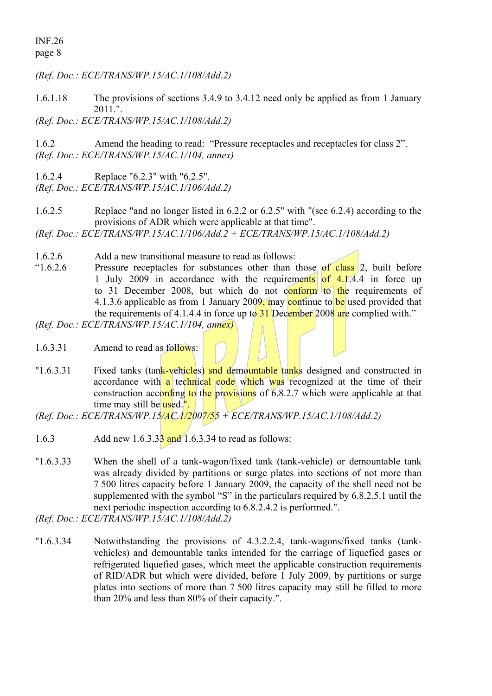*(Ref. Doc.: ECE/TRANS/WP.15/AC.1/108/Add.2)* 

1.6.1.18 The provisions of sections 3.4.9 to 3.4.12 need only be applied as from 1 January 2011.".

*(Ref. Doc.: ECE/TRANS/WP.15/AC.1/108/Add.2)* 

1.6.2 Amend the heading to read: "Pressure receptacles and receptacles for class 2". *(Ref. Doc.: ECE/TRANS/WP.15/AC.1/104, annex)* 

1.6.2.4 Replace "6.2.3" with "6.2.5".

*(Ref. Doc.: ECE/TRANS/WP.15/AC.1/106/Add.2)* 

1.6.2.5 Replace "and no longer listed in 6.2.2 or 6.2.5" with "(see 6.2.4) according to the provisions of ADR which were applicable at that time".

*(Ref. Doc.: ECE/TRANS/WP.15/AC.1/106/Add.2 + ECE/TRANS/WP.15/AC.1/108/Add.2)* 

- 1.6.2.6 Add a new transitional measure to read as follows:
- "1.6.2.6 Pressure receptacles for substances other than those of class 2, built before 1 July 2009 in accordance with the requirements of 4.1.4.4 in force up to 31 December 2008, but which do not conform to the requirements of 4.1.3.6 applicable as from 1 January 2009, may continue to be used provided that the requirements of 4.1.4.4 in force up to  $31$  December 2008 are complied with."

*(Ref. Doc.: ECE/TRANS/WP.15/AC.1/104, annex)* 

- 1.6.3.31 Amend to read as follows:
- "1.6.3.31 Fixed tanks (tank-vehicles) snd demountable tanks designed and constructed in accordance with a technical code which was recognized at the time of their construction according to the provisions of 6.8.2.7 which were applicable at that time may still be used.".

*(Ref. Doc.: ECE/TRANS/WP.15/AC.1/2007/55 + ECE/TRANS/WP.15/AC.1/108/Add.2)* 

- 1.6.3 Add new 1.6.3.3<sup>3</sup> and 1.6.3.34 to read as follows:
- "1.6.3.33 When the shell of a tank-wagon/fixed tank (tank-vehicle) or demountable tank was already divided by partitions or surge plates into sections of not more than 7 500 litres capacity before 1 January 2009, the capacity of the shell need not be supplemented with the symbol "S" in the particulars required by 6.8.2.5.1 until the next periodic inspection according to 6.8.2.4.2 is performed.".
- *(Ref. Doc.: ECE/TRANS/WP.15/AC.1/108/Add.2)*
- "1.6.3.34 Notwithstanding the provisions of 4.3.2.2.4, tank-wagons/fixed tanks (tankvehicles) and demountable tanks intended for the carriage of liquefied gases or refrigerated liquefied gases, which meet the applicable construction requirements of RID/ADR but which were divided, before 1 July 2009, by partitions or surge plates into sections of more than 7 500 litres capacity may still be filled to more than 20% and less than 80% of their capacity.".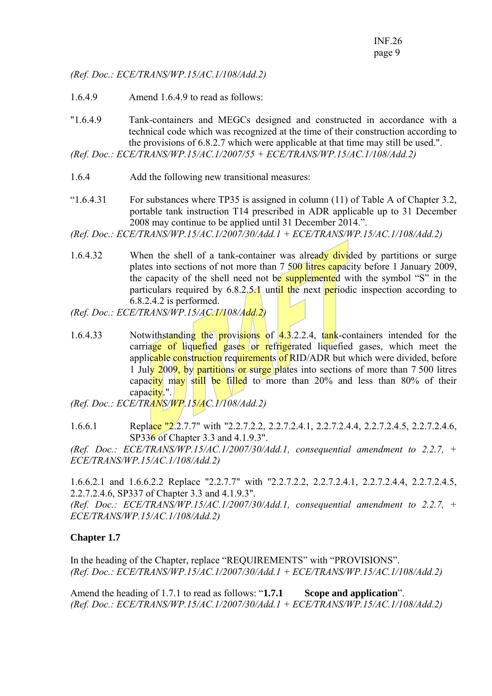*(Ref. Doc.: ECE/TRANS/WP.15/AC.1/108/Add.2)* 

1.6.4.9 Amend 1.6.4.9 to read as follows:

"1.6.4.9 Tank-containers and MEGCs designed and constructed in accordance with a technical code which was recognized at the time of their construction according to the provisions of 6.8.2.7 which were applicable at that time may still be used.". *(Ref. Doc.: ECE/TRANS/WP.15/AC.1/2007/55 + ECE/TRANS/WP.15/AC.1/108/Add.2)* 

- 1.6.4 Add the following new transitional measures:
- "1.6.4.31 For substances where TP35 is assigned in column (11) of Table A of Chapter 3.2, portable tank instruction T14 prescribed in ADR applicable up to 31 December 2008 may continue to be applied until 31 December 2014.".

*(Ref. Doc.: ECE/TRANS/WP.15/AC.1/2007/30/Add.1 + ECE/TRANS/WP.15/AC.1/108/Add.2)* 

1.6.4.32 When the shell of a tank-container was already divided by partitions or surge plates into sections of not more than 7 500 litres capacity before 1 January 2009, the capacity of the shell need not be supplemented with the symbol "S" in the particulars required by 6.8.2.5.1 until the next periodic inspection according to 6.8.2.4.2 is performed.

*(Ref. Doc.: ECE/TRANS/WP.15/AC.1/108/Add.2)* 

- 1.6.4.33 Notwithstanding the provisions of  $4.3$ .2.2.4, tank-containers intended for the carriage of liquefied gases or refrigerated liquefied gases, which meet the applicable construction requirements of RID/ADR but which were divided, before 1 July 2009, by partitions or surge plates into sections of more than 7 500 litres capacity may still be filled to more than 20% and less than 80% of their capacity<sup>"</sup>.
- *(Ref. Doc.: ECE/TRANS/WP.15/AC.1/108/Add.2)*
- 1.6.6.1 Replace "2.2.7.7" with "2.2.7.2.2, 2.2.7.2.4.1, 2.2.7.2.4.4, 2.2.7.2.4.5, 2.2.7.2.4.6, SP336 of Chapter 3.3 and 4.1.9.3".

*(Ref. Doc.: ECE/TRANS/WP.15/AC.1/2007/30/Add.1, consequential amendment to 2.2.7, + ECE/TRANS/WP.15/AC.1/108/Add.2)* 

1.6.6.2.1 and 1.6.6.2.2 Replace "2.2.7.7" with "2.2.7.2.2, 2.2.7.2.4.1, 2.2.7.2.4.4, 2.2.7.2.4.5, 2.2.7.2.4.6, SP337 of Chapter 3.3 and 4.1.9.3".

*(Ref. Doc.: ECE/TRANS/WP.15/AC.1/2007/30/Add.1, consequential amendment to 2.2.7, + ECE/TRANS/WP.15/AC.1/108/Add.2)* 

#### **Chapter 1.7**

In the heading of the Chapter, replace "REQUIREMENTS" with "PROVISIONS". *(Ref. Doc.: ECE/TRANS/WP.15/AC.1/2007/30/Add.1 + ECE/TRANS/WP.15/AC.1/108/Add.2)* 

Amend the heading of 1.7.1 to read as follows: "**1.7.1** Scope and application". *(Ref. Doc.: ECE/TRANS/WP.15/AC.1/2007/30/Add.1 + ECE/TRANS/WP.15/AC.1/108/Add.2)*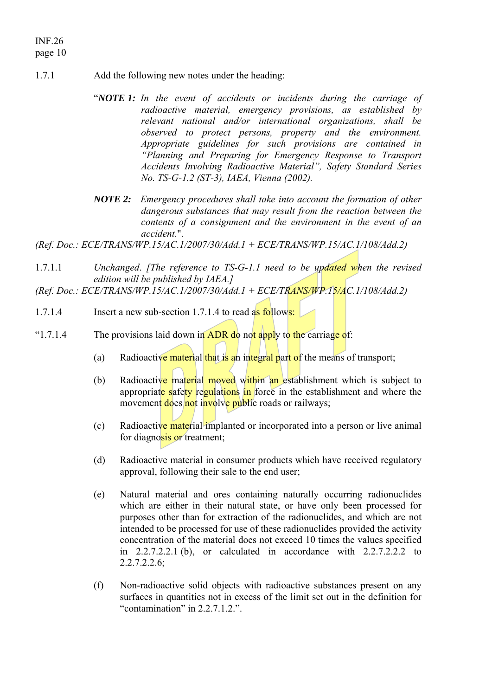- 1.7.1 Add the following new notes under the heading:
	- "*NOTE 1: In the event of accidents or incidents during the carriage of radioactive material, emergency provisions, as established by relevant national and/or international organizations, shall be observed to protect persons, property and the environment. Appropriate guidelines for such provisions are contained in "Planning and Preparing for Emergency Response to Transport Accidents Involving Radioactive Material", Safety Standard Series No. TS-G-1.2 (ST-3), IAEA, Vienna (2002).*
	- *NOTE 2: Emergency procedures shall take into account the formation of other dangerous substances that may result from the reaction between the contents of a consignment and the environment in the event of an accident.*".

*(Ref. Doc.: ECE/TRANS/WP.15/AC.1/2007/30/Add.1 + ECE/TRANS/WP.15/AC.1/108/Add.2)* 

- 1.7.1.1 *Unchanged*. *[The reference to TS-G-1.1 need to be updated when the revised edition will be published by IAEA.]*
- *(Ref. Doc.: ECE/TRANS/WP.15/AC.1/2007/30/Add.1 + ECE/TRANS/WP.15/AC.1/108/Add.2)*
- 1.7.1.4 Insert a new sub-section 1.7.1.4 to read as follows:
- "1.7.1.4 The provisions laid down in **ADR** do not apply to the carriage of:
	- (a) Radioactive material that is an integral part of the means of transport;
	- (b) Radioactive material moved within an establishment which is subject to appropriate safety regulations in force in the establishment and where the movement does not involve public roads or railways;
	- (c) Radioactive material implanted or incorporated into a person or live animal for diagnosis or treatment;
	- (d) Radioactive material in consumer products which have received regulatory approval, following their sale to the end user;
	- (e) Natural material and ores containing naturally occurring radionuclides which are either in their natural state, or have only been processed for purposes other than for extraction of the radionuclides, and which are not intended to be processed for use of these radionuclides provided the activity concentration of the material does not exceed 10 times the values specified in  $2.2.7.2.2.1$  (b), or calculated in accordance with  $2.2.7.2.2.2$  to 2.2.7.2.2.6;
	- (f) Non-radioactive solid objects with radioactive substances present on any surfaces in quantities not in excess of the limit set out in the definition for "contamination" in 2.2.7.1.2.".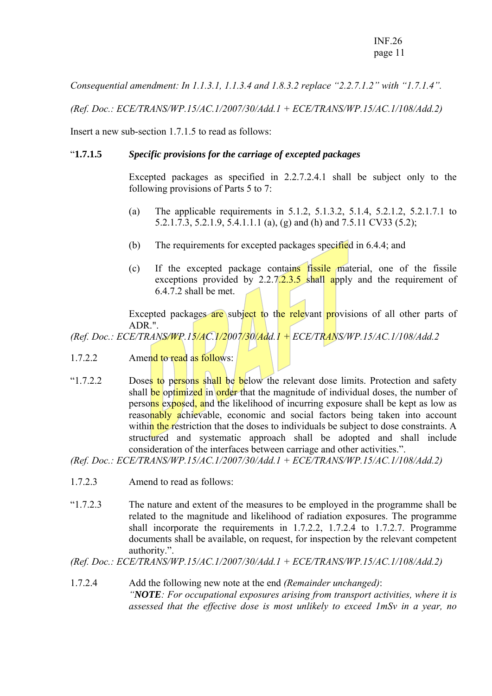*Consequential amendment: In 1.1.3.1, 1.1.3.4 and 1.8.3.2 replace "2.2.7.1.2" with "1.7.1.4".* 

*(Ref. Doc.: ECE/TRANS/WP.15/AC.1/2007/30/Add.1 + ECE/TRANS/WP.15/AC.1/108/Add.2)* 

Insert a new sub-section 1.7.1.5 to read as follows:

#### "**1.7.1.5** *Specific provisions for the carriage of excepted packages*

 Excepted packages as specified in 2.2.7.2.4.1 shall be subject only to the following provisions of Parts 5 to 7:

- (a) The applicable requirements in 5.1.2, 5.1.3.2, 5.1.4, 5.2.1.2, 5.2.1.7.1 to 5.2.1.7.3, 5.2.1.9, 5.4.1.1.1 (a), (g) and (h) and 7.5.11 CV33 (5.2);
- (b) The requirements for excepted packages specified in 6.4.4; and
- (c) If the excepted package contains fissile material, one of the fissile exceptions provided by  $2.2.7.2.3.5$  shall apply and the requirement of 6.4.7.2 shall be met.

Excepted packages are subject to the relevant provisions of all other parts of ADR.". *(Ref. Doc.: ECE/TRANS/WP.15/AC.1/2007/30/Add.1 + ECE/TRANS/WP.15/AC.1/108/Add.2* 

- 1.7.2.2 Amend to read as follows:
- "1.7.2.2 Doses to persons shall be below the relevant dose limits. Protection and safety shall be optimized in order that the magnitude of individual doses, the number of persons exposed, and the likelihood of incurring exposure shall be kept as low as reasonably achievable, economic and social factors being taken into account within the restriction that the doses to individuals be subject to dose constraints. A structured and systematic approach shall be adopted and shall include consideration of the interfaces between carriage and other activities.".

*(Ref. Doc.: ECE/TRANS/WP.15/AC.1/2007/30/Add.1 + ECE/TRANS/WP.15/AC.1/108/Add.2)* 

- 1.7.2.3 Amend to read as follows:
- "1.7.2.3 The nature and extent of the measures to be employed in the programme shall be related to the magnitude and likelihood of radiation exposures. The programme shall incorporate the requirements in 1.7.2.2, 1.7.2.4 to 1.7.2.7. Programme documents shall be available, on request, for inspection by the relevant competent authority.".

*(Ref. Doc.: ECE/TRANS/WP.15/AC.1/2007/30/Add.1 + ECE/TRANS/WP.15/AC.1/108/Add.2)* 

1.7.2.4 Add the following new note at the end *(Remainder unchanged)*: *"NOTE: For occupational exposures arising from transport activities, where it is assessed that the effective dose is most unlikely to exceed 1mSv in a year, no*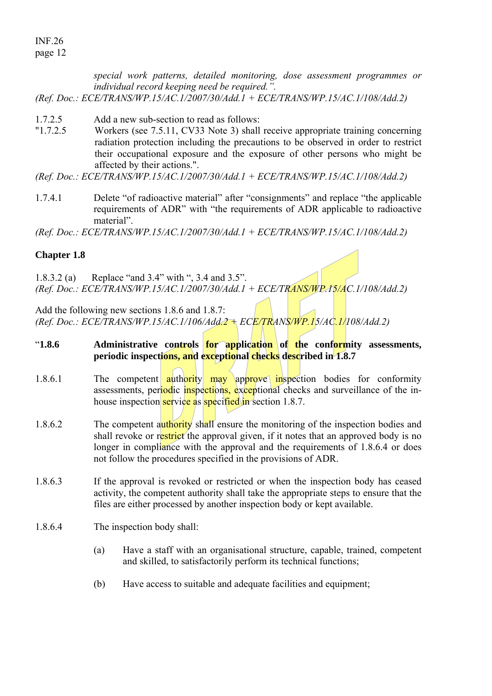*special work patterns, detailed monitoring, dose assessment programmes or individual record keeping need be required.". (Ref. Doc.: ECE/TRANS/WP.15/AC.1/2007/30/Add.1 + ECE/TRANS/WP.15/AC.1/108/Add.2)*  1.7.2.5 Add a new sub-section to read as follows: "1.7.2.5 Workers (see 7.5.11, CV33 Note 3) shall receive appropriate training concerning radiation protection including the precautions to be observed in order to restrict their occupational exposure and the exposure of other persons who might be

affected by their actions.". *(Ref. Doc.: ECE/TRANS/WP.15/AC.1/2007/30/Add.1 + ECE/TRANS/WP.15/AC.1/108/Add.2)* 

1.7.4.1 Delete "of radioactive material" after "consignments" and replace "the applicable requirements of ADR" with "the requirements of ADR applicable to radioactive material".

*(Ref. Doc.: ECE/TRANS/WP.15/AC.1/2007/30/Add.1 + ECE/TRANS/WP.15/AC.1/108/Add.2)* 

## **Chapter 1.8**

1.8.3.2 (a) Replace "and 3.4" with ", 3.4 and 3.5". *(Ref. Doc.: ECE/TRANS/WP.15/AC.1/2007/30/Add.1 + ECE/TRANS/WP.15/AC.1/108/Add.2)* 

Add the following new sections 1.8.6 and 1.8.7: *(Ref. Doc.: ECE/TRANS/WP.15/AC.1/106/Add.2 + ECE/TRANS/WP.15/AC.1/108/Add.2)* 

- "**1.8.6 Administrative controls for application of the conformity assessments, periodic inspections, and exceptional checks described in 1.8.7**
- 1.8.6.1 The competent authority may approve inspection bodies for conformity assessments, periodic inspections, exceptional checks and surveillance of the inhouse inspection service as specified in section 1.8.7.
- 1.8.6.2 The competent authority shall ensure the monitoring of the inspection bodies and shall revoke or restrict the approval given, if it notes that an approved body is no longer in compliance with the approval and the requirements of 1.8.6.4 or does not follow the procedures specified in the provisions of ADR.
- 1.8.6.3 If the approval is revoked or restricted or when the inspection body has ceased activity, the competent authority shall take the appropriate steps to ensure that the files are either processed by another inspection body or kept available.
- 1.8.6.4 The inspection body shall:
	- (a) Have a staff with an organisational structure, capable, trained, competent and skilled, to satisfactorily perform its technical functions;
	- (b) Have access to suitable and adequate facilities and equipment;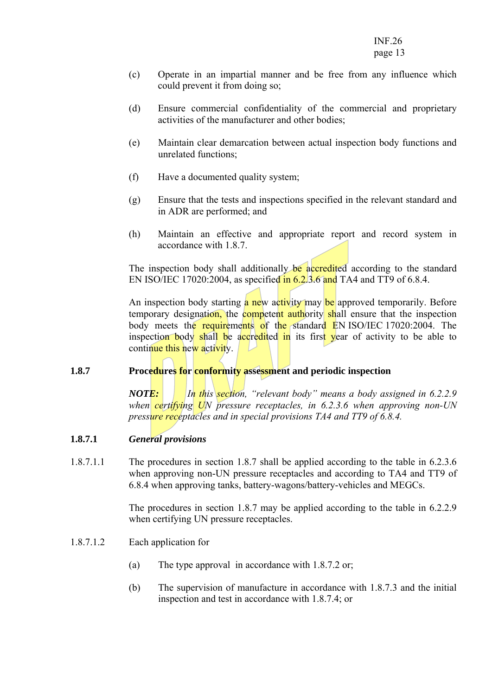- (c) Operate in an impartial manner and be free from any influence which could prevent it from doing so;
- (d) Ensure commercial confidentiality of the commercial and proprietary activities of the manufacturer and other bodies;
- (e) Maintain clear demarcation between actual inspection body functions and unrelated functions;
- (f) Have a documented quality system;
- (g) Ensure that the tests and inspections specified in the relevant standard and in ADR are performed; and
- (h) Maintain an effective and appropriate report and record system in accordance with 1.8.7.

The inspection body shall additionally be accredited according to the standard EN ISO/IEC 17020:2004, as specified in  $6.2.3.6$  and TA4 and TT9 of 6.8.4.

An inspection body starting a new activity may be approved temporarily. Before temporary designation, the competent authority shall ensure that the inspection body meets the requirements of the standard EN ISO/IEC 17020:2004. The inspection body shall be accredited in its first year of activity to be able to continue this new activity.

#### **1.8.7 Procedures for conformity assessment and periodic inspection**

*NOTE: In this section, "relevant body" means a body assigned in 6.2.2.9 when certifying UN pressure receptacles, in 6.2.3.6 when approving non-UN pressure receptacles and in special provisions TA4 and TT9 of 6.8.4.*

#### **1.8.7.1** *General provisions*

1.8.7.1.1 The procedures in section 1.8.7 shall be applied according to the table in 6.2.3.6 when approving non-UN pressure receptacles and according to TA4 and TT9 of 6.8.4 when approving tanks, battery-wagons/battery-vehicles and MEGCs.

> The procedures in section 1.8.7 may be applied according to the table in 6.2.2.9 when certifying UN pressure receptacles.

- 1.8.7.1.2 Each application for
	- (a) The type approval in accordance with 1.8.7.2 or;
	- (b) The supervision of manufacture in accordance with 1.8.7.3 and the initial inspection and test in accordance with 1.8.7.4; or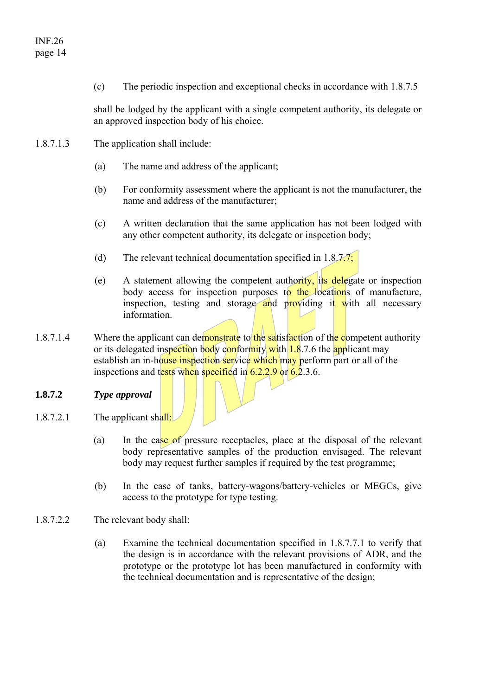(c) The periodic inspection and exceptional checks in accordance with 1.8.7.5

shall be lodged by the applicant with a single competent authority, its delegate or an approved inspection body of his choice.

- 1.8.7.1.3 The application shall include:
	- (a) The name and address of the applicant;
	- (b) For conformity assessment where the applicant is not the manufacturer, the name and address of the manufacturer;
	- (c) A written declaration that the same application has not been lodged with any other competent authority, its delegate or inspection body;
	- (d) The relevant technical documentation specified in  $1.8.7.7$ ;
	- (e) A statement allowing the competent authority, its delegate or inspection body access for inspection purposes to the locations of manufacture, inspection, testing and storage and providing it with all necessary information.
- 1.8.7.1.4 Where the applicant can demonstrate to the satisfaction of the competent authority or its delegated inspection body conformity with  $1.8.7.6$  the applicant may establish an in-house inspection service which may perform part or all of the inspections and tests when specified in  $6.2.2.9$  or  $6.2.3.6$ .

#### **1.8.7.2** *Type approval*

- $1.8.7.2.1$  The applicant shall:
	- (a) In the case of pressure receptacles, place at the disposal of the relevant body representative samples of the production envisaged. The relevant body may request further samples if required by the test programme;
	- (b) In the case of tanks, battery-wagons/battery-vehicles or MEGCs, give access to the prototype for type testing.
- 1.8.7.2.2 The relevant body shall:
	- (a) Examine the technical documentation specified in 1.8.7.7.1 to verify that the design is in accordance with the relevant provisions of ADR, and the prototype or the prototype lot has been manufactured in conformity with the technical documentation and is representative of the design;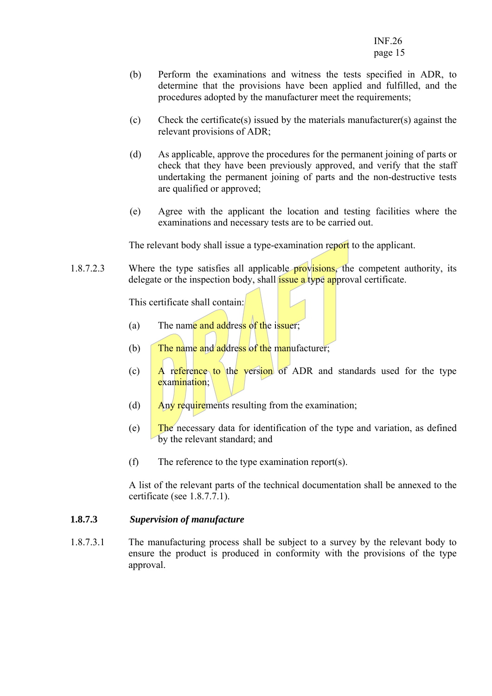- (b) Perform the examinations and witness the tests specified in ADR, to determine that the provisions have been applied and fulfilled, and the procedures adopted by the manufacturer meet the requirements;
- (c) Check the certificate(s) issued by the materials manufacturer(s) against the relevant provisions of ADR;
- (d) As applicable, approve the procedures for the permanent joining of parts or check that they have been previously approved, and verify that the staff undertaking the permanent joining of parts and the non-destructive tests are qualified or approved;
- (e) Agree with the applicant the location and testing facilities where the examinations and necessary tests are to be carried out.

The relevant body shall issue a type-examination report to the applicant.

1.8.7.2.3 Where the type satisfies all applicable **provisions**, the competent authority, its delegate or the inspection body, shall  $\frac{1}{1}$  issue a type approval certificate.

This certificate shall contain:

- (a) The name and address of the issuer;
- (b) The name and address of the manufacturer;
- (c)  $\overrightarrow{A}$  reference to the version of ADR and standards used for the type examination;
- (d) Any requirements resulting from the examination;
- (e) The necessary data for identification of the type and variation, as defined by the relevant standard; and
- (f) The reference to the type examination report(s).

A list of the relevant parts of the technical documentation shall be annexed to the certificate (see 1.8.7.7.1).

#### **1.8.7.3** *Supervision of manufacture*

1.8.7.3.1 The manufacturing process shall be subject to a survey by the relevant body to ensure the product is produced in conformity with the provisions of the type approval.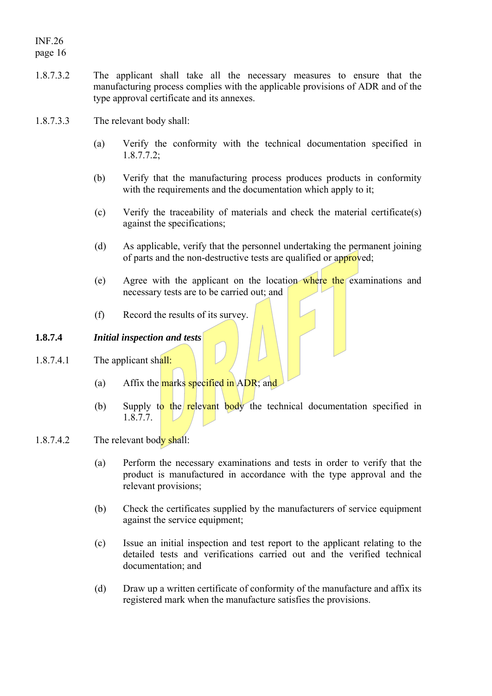- 1.8.7.3.2 The applicant shall take all the necessary measures to ensure that the manufacturing process complies with the applicable provisions of ADR and of the type approval certificate and its annexes.
- 1.8.7.3.3 The relevant body shall:
	- (a) Verify the conformity with the technical documentation specified in 1.8.7.7.2;
	- (b) Verify that the manufacturing process produces products in conformity with the requirements and the documentation which apply to it;
	- (c) Verify the traceability of materials and check the material certificate(s) against the specifications;
	- (d) As applicable, verify that the personnel undertaking the permanent joining of parts and the non-destructive tests are qualified or approved;
	- (e) Agree with the applicant on the location where the examinations and necessary tests are to be carried out; and
	- (f) Record the results of its survey.

#### **1.8.7.4** *Initial inspection and tests*

1.8.7.4.1 The applicant shall:

- (a) Affix the marks specified in ADR; and
- (b) Supply to the relevant body the technical documentation specified in 1.8.7.7.
- 1.8.7.4.2 The relevant body shall:
	- (a) Perform the necessary examinations and tests in order to verify that the product is manufactured in accordance with the type approval and the relevant provisions;
	- (b) Check the certificates supplied by the manufacturers of service equipment against the service equipment;
	- (c) Issue an initial inspection and test report to the applicant relating to the detailed tests and verifications carried out and the verified technical documentation; and
	- (d) Draw up a written certificate of conformity of the manufacture and affix its registered mark when the manufacture satisfies the provisions.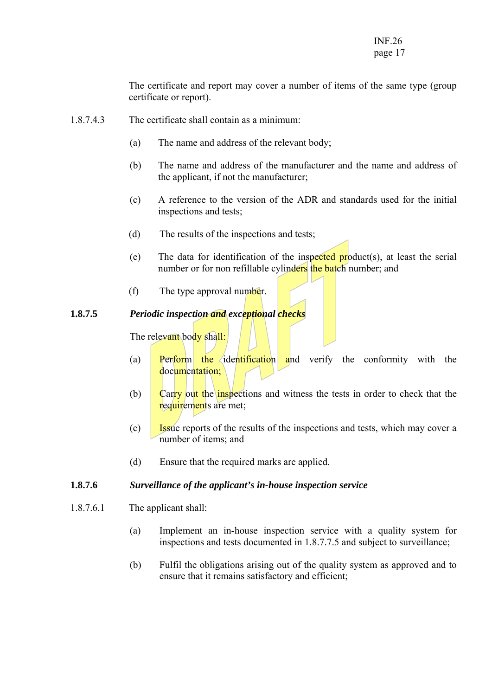The certificate and report may cover a number of items of the same type (group certificate or report).

- 1.8.7.4.3 The certificate shall contain as a minimum:
	- (a) The name and address of the relevant body;
	- (b) The name and address of the manufacturer and the name and address of the applicant, if not the manufacturer;
	- (c) A reference to the version of the ADR and standards used for the initial inspections and tests;
	- (d) The results of the inspections and tests;
	- (e) The data for identification of the inspected product(s), at least the serial number or for non refillable cylinders the batch number; and
	- (f) The type approval number.

#### **1.8.7.5** *Periodic inspection and exceptional checks*

The relevant body shall:

- (a) **Perform** the identification and verify the conformity with the documentation;
- (b) Carry out the inspections and witness the tests in order to check that the requirements are met;
- (c) Issue reports of the results of the inspections and tests, which may cover a number of items; and
- (d) Ensure that the required marks are applied.

#### **1.8.7.6** *Surveillance of the applicant's in-house inspection service*

- 1.8.7.6.1 The applicant shall:
	- (a) Implement an in-house inspection service with a quality system for inspections and tests documented in 1.8.7.7.5 and subject to surveillance;
	- (b) Fulfil the obligations arising out of the quality system as approved and to ensure that it remains satisfactory and efficient;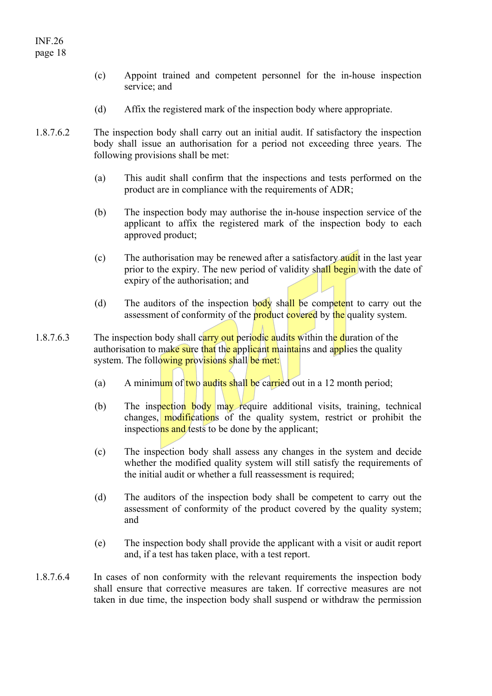- (c) Appoint trained and competent personnel for the in-house inspection service; and
- (d) Affix the registered mark of the inspection body where appropriate.
- 1.8.7.6.2The inspection body shall carry out an initial audit. If satisfactory the inspection body shall issue an authorisation for a period not exceeding three years. The following provisions shall be met:
	- (a) This audit shall confirm that the inspections and tests performed on the product are in compliance with the requirements of ADR;
	- (b) The inspection body may authorise the in-house inspection service of the applicant to affix the registered mark of the inspection body to each approved product;
	- (c) The authorisation may be renewed after a satisfactory audit in the last year prior to the expiry. The new period of validity shall begin with the date of expiry of the authorisation; and
	- (d) The auditors of the inspection  $\frac{\partial u}{\partial x}$  shall be competent to carry out the assessment of conformity of the **product** covered by the quality system.
- 1.8.7.6.3 The inspection body shall carry out periodic audits within the duration of the authorisation to make sure that the applicant maintains and applies the quality system. The following provisions shall be met:
	- (a) A minimum of two audits shall be carried out in a 12 month period;
	- (b) The inspection body may require additional visits, training, technical changes, modifications of the quality system, restrict or prohibit the inspections and tests to be done by the applicant;
	- (c) The inspection body shall assess any changes in the system and decide whether the modified quality system will still satisfy the requirements of the initial audit or whether a full reassessment is required;
	- (d) The auditors of the inspection body shall be competent to carry out the assessment of conformity of the product covered by the quality system; and
	- (e) The inspection body shall provide the applicant with a visit or audit report and, if a test has taken place, with a test report.
- 1.8.7.6.4 In cases of non conformity with the relevant requirements the inspection body shall ensure that corrective measures are taken. If corrective measures are not taken in due time, the inspection body shall suspend or withdraw the permission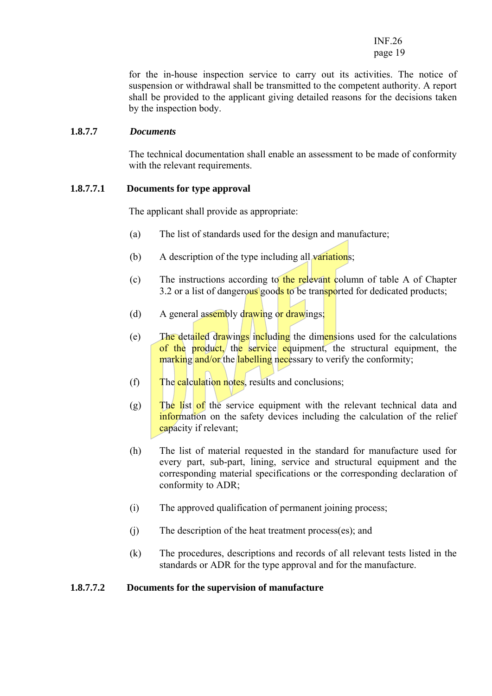for the in-house inspection service to carry out its activities. The notice of suspension or withdrawal shall be transmitted to the competent authority. A report shall be provided to the applicant giving detailed reasons for the decisions taken by the inspection body.

#### **1.8.7.7** *Documents*

The technical documentation shall enable an assessment to be made of conformity with the relevant requirements.

#### **1.8.7.7.1 Documents for type approval**

The applicant shall provide as appropriate:

- (a) The list of standards used for the design and manufacture;
- (b) A description of the type including all variations;
- (c) The instructions according to the relevant column of table A of Chapter 3.2 or a list of dangerous goods to be transported for dedicated products;
- (d) A general assembly drawing or drawings;
- (e) The detailed drawings including the dimensions used for the calculations of the product, the service equipment, the structural equipment, the marking and/or the labelling necessary to verify the conformity;
- (f) The calculation notes, results and conclusions;
- (g) The list of the service equipment with the relevant technical data and information on the safety devices including the calculation of the relief capacity if relevant;
- (h) The list of material requested in the standard for manufacture used for every part, sub-part, lining, service and structural equipment and the corresponding material specifications or the corresponding declaration of conformity to ADR;
- (i) The approved qualification of permanent joining process;
- (j) The description of the heat treatment process(es); and
- (k) The procedures, descriptions and records of all relevant tests listed in the standards or ADR for the type approval and for the manufacture.

#### **1.8.7.7.2 Documents for the supervision of manufacture**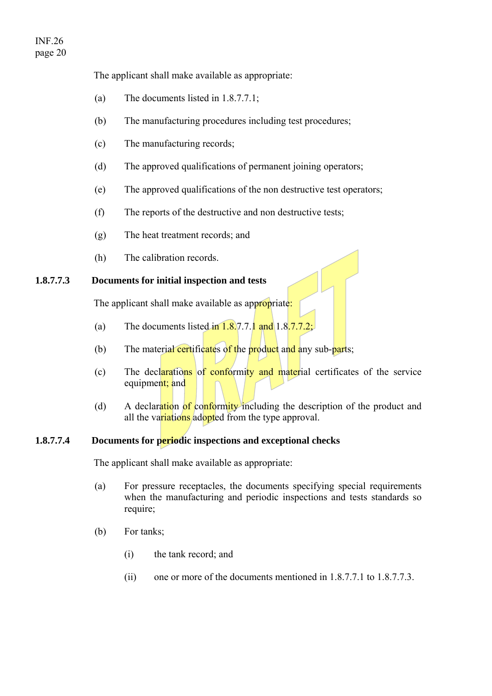The applicant shall make available as appropriate:

- (a) The documents listed in 1.8.7.7.1;
- (b) The manufacturing procedures including test procedures;
- (c) The manufacturing records;
- (d) The approved qualifications of permanent joining operators;
- (e) The approved qualifications of the non destructive test operators;
- (f) The reports of the destructive and non destructive tests;
- (g) The heat treatment records; and
- (h) The calibration records.

#### **1.8.7.7.3 Documents for initial inspection and tests**

The applicant shall make available as appropriate:

- (a) The documents listed in  $1.8.7.7.1$  and  $1.8.7.7.2$ ;
- (b) The material certificates of the product and any sub-parts;
- (c) The declarations of conformity and material certificates of the service equipment; and
- (d) A declaration of conformity including the description of the product and all the variations adopted from the type approval.

### **1.8.7.7.4 Documents for periodic inspections and exceptional checks**

The applicant shall make available as appropriate:

- (a) For pressure receptacles, the documents specifying special requirements when the manufacturing and periodic inspections and tests standards so require;
- (b) For tanks;
	- (i) the tank record; and
	- (ii) one or more of the documents mentioned in 1.8.7.7.1 to 1.8.7.7.3.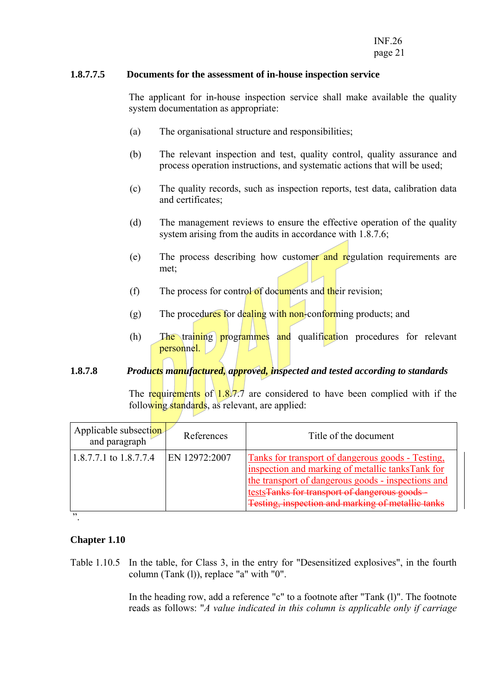#### **1.8.7.7.5 Documents for the assessment of in-house inspection service**

The applicant for in-house inspection service shall make available the quality system documentation as appropriate:

- (a) The organisational structure and responsibilities;
- (b) The relevant inspection and test, quality control, quality assurance and process operation instructions, and systematic actions that will be used;
- (c) The quality records, such as inspection reports, test data, calibration data and certificates;
- (d) The management reviews to ensure the effective operation of the quality system arising from the audits in accordance with 1.8.7.6;
- (e) The process describing how customer and regulation requirements are met;
- (f) The process for control of documents and their revision;
- $(g)$  The procedures for dealing with non-conforming products; and
- (h) The training programmes and qualification procedures for relevant personnel.

#### **1.8.7.8** *Products manufactured, approved, inspected and tested according to standards*

The requirements of  $1.87.7$  are considered to have been complied with if the following standards, as relevant, are applied:

| Applicable subsection<br>and paragraph | References    | Title of the document                                                                                                                                                                                                                                              |
|----------------------------------------|---------------|--------------------------------------------------------------------------------------------------------------------------------------------------------------------------------------------------------------------------------------------------------------------|
| 1.8.7.7.1 to 1.8.7.7.4                 | EN 12972:2007 | Tanks for transport of dangerous goods - Testing,<br>inspection and marking of metallic tanksTank for<br>the transport of dangerous goods - inspections and<br>tests Tanks for transport of dangerous goods -<br>Testing, inspection and marking of metallic tanks |

".

#### **Chapter 1.10**

Table 1.10.5 In the table, for Class 3, in the entry for "Desensitized explosives", in the fourth column (Tank (l)), replace "a" with "0".

> In the heading row, add a reference "c" to a footnote after "Tank (l)". The footnote reads as follows: "*A value indicated in this column is applicable only if carriage*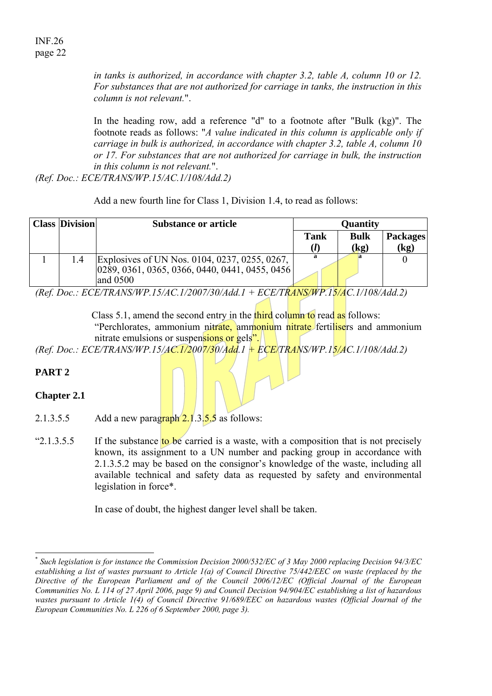*in tanks is authorized, in accordance with chapter 3.2, table A, column 10 or 12. For substances that are not authorized for carriage in tanks, the instruction in this column is not relevant.*".

In the heading row, add a reference "d" to a footnote after "Bulk (kg)". The footnote reads as follows: "*A value indicated in this column is applicable only if carriage in bulk is authorized, in accordance with chapter 3.2, table A, column 10 or 17. For substances that are not authorized for carriage in bulk, the instruction in this column is not relevant.*".

*(Ref. Doc.: ECE/TRANS/WP.15/AC.1/108/Add.2)* 

Add a new fourth line for Class 1, Division 1.4, to read as follows:

| <b>Class Division</b> | <b>Substance or article</b>                                                                                                       |             |             |                 |
|-----------------------|-----------------------------------------------------------------------------------------------------------------------------------|-------------|-------------|-----------------|
|                       |                                                                                                                                   | <b>Tank</b> | <b>Bulk</b> | <b>Packages</b> |
|                       |                                                                                                                                   |             | (kg)        | (kg)            |
| 1.4                   | Explosives of UN Nos. 0104, 0237, 0255, 0267,<br>$[0.0289, 0.0361, 0.0365, 0.0366, 0.0440, 0.0441, 0.0455, 0.0456]$<br>and $0500$ | a           |             |                 |

*(Ref. Doc.: ECE/TRANS/WP.15/AC.1/2007/30/Add.1 + ECE/TRANS/WP.15/AC.1/108/Add.2)* 

Class 5.1, amend the second entry in the third column to read as follows:

"Perchlorates, ammonium nitrate, ammonium nitrate fertilisers and ammonium nitrate emulsions or suspensions or gels".

*(Ref. Doc.: ECE/TRANS/WP.15/AC.1/2007/30/Add.1 + ECE/TRANS/WP.15/AC.1/108/Add.2)* 

# **PART 2**

 $\overline{a}$ 

# **Chapter 2.1**

- 2.1.3.5.5 Add a new paragraph  $2.1.3.5.5$  as follows:
- "2.1.3.5.5 If the substance to be carried is a waste, with a composition that is not precisely known, its assignment to a UN number and packing group in accordance with 2.1.3.5.2 may be based on the consignor's knowledge of the waste, including all available technical and safety data as requested by safety and environmental legislation in force\*.

In case of doubt, the highest danger level shall be taken.

<sup>\*</sup> *Such legislation is for instance the Commission Decision 2000/532/EC of 3 May 2000 replacing Decision 94/3/EC establishing a list of wastes pursuant to Article 1(a) of Council Directive 75/442/EEC on waste (replaced by the Directive of the European Parliament and of the Council 2006/12/EC (Official Journal of the European Communities No. L 114 of 27 April 2006, page 9) and Council Decision 94/904/EC establishing a list of hazardous wastes pursuant to Article 1(4) of Council Directive 91/689/EEC on hazardous wastes (Official Journal of the European Communities No. L 226 of 6 September 2000, page 3).*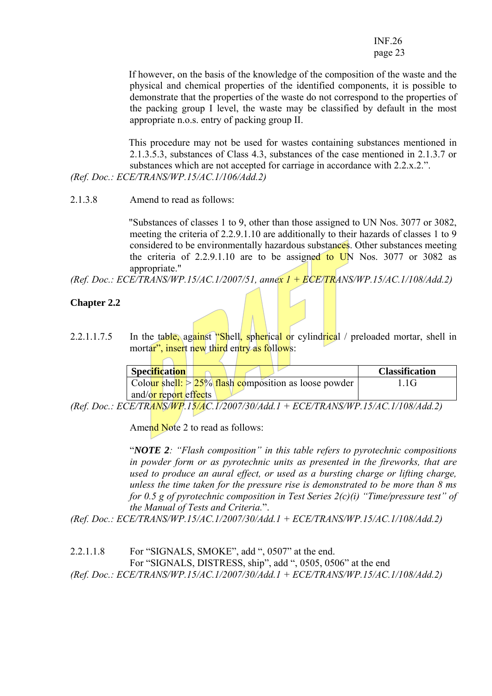If however, on the basis of the knowledge of the composition of the waste and the physical and chemical properties of the identified components, it is possible to demonstrate that the properties of the waste do not correspond to the properties of the packing group I level, the waste may be classified by default in the most appropriate n.o.s. entry of packing group II.

This procedure may not be used for wastes containing substances mentioned in 2.1.3.5.3, substances of Class 4.3, substances of the case mentioned in 2.1.3.7 or substances which are not accepted for carriage in accordance with 2.2.x.2.". *(Ref. Doc.: ECE/TRANS/WP.15/AC.1/106/Add.2)* 

2.1.3.8 Amend to read as follows:

"Substances of classes 1 to 9, other than those assigned to UN Nos. 3077 or 3082, meeting the criteria of 2.2.9.1.10 are additionally to their hazards of classes 1 to 9 considered to be environmentally hazardous substances. Other substances meeting the criteria of  $2.2.9.1.10$  are to be assigned to UN Nos. 3077 or 3082 as appropriate."

*(Ref. Doc.: ECE/TRANS/WP.15/AC.1/2007/51, annex 1 + ECE/TRANS/WP.15/AC.1/108/Add.2)* 

#### **Chapter 2.2**

2.2.1.1.7.5 In the table, against "Shell, spherical or cylindrical / preloaded mortar, shell in mortar", insert new third entry as follows:

| <b>Specification</b>  |                                                          | <b>Classification</b> |
|-----------------------|----------------------------------------------------------|-----------------------|
|                       | Colour shell: $> 25\%$ flash composition as loose powder | .1G                   |
| and/or report effects |                                                          |                       |

*(Ref. Doc.: ECE/TRANS/WP.15/AC.1/2007/30/Add.1 + ECE/TRANS/WP.15/AC.1/108/Add.2)* 

Amend Note 2 to read as follows:

"*NOTE 2: "Flash composition" in this table refers to pyrotechnic compositions in powder form or as pyrotechnic units as presented in the fireworks, that are used to produce an aural effect, or used as a bursting charge or lifting charge, unless the time taken for the pressure rise is demonstrated to be more than 8 ms for 0.5 g of pyrotechnic composition in Test Series 2(c)(i) "Time/pressure test" of the Manual of Tests and Criteria.*".

*(Ref. Doc.: ECE/TRANS/WP.15/AC.1/2007/30/Add.1 + ECE/TRANS/WP.15/AC.1/108/Add.2)* 

2.2.1.1.8 For "SIGNALS, SMOKE", add ", 0507" at the end.

 For "SIGNALS, DISTRESS, ship", add ", 0505, 0506" at the end *(Ref. Doc.: ECE/TRANS/WP.15/AC.1/2007/30/Add.1 + ECE/TRANS/WP.15/AC.1/108/Add.2)*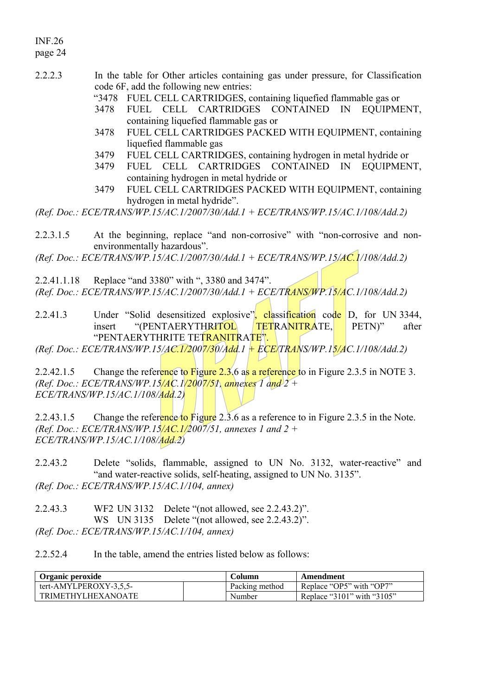INF.26

page 24

- 2.2.2.3 In the table for Other articles containing gas under pressure, for Classification code 6F, add the following new entries:
	- "3478 FUEL CELL CARTRIDGES, containing liquefied flammable gas or
	- 3478 FUEL CELL CARTRIDGES CONTAINED IN EQUIPMENT, containing liquefied flammable gas or
	- 3478 FUEL CELL CARTRIDGES PACKED WITH EQUIPMENT, containing liquefied flammable gas
	- 3479 FUEL CELL CARTRIDGES, containing hydrogen in metal hydride or
	- 3479 FUEL CELL CARTRIDGES CONTAINED IN EQUIPMENT, containing hydrogen in metal hydride or
	- 3479 FUEL CELL CARTRIDGES PACKED WITH EQUIPMENT, containing hydrogen in metal hydride".

*(Ref. Doc.: ECE/TRANS/WP.15/AC.1/2007/30/Add.1 + ECE/TRANS/WP.15/AC.1/108/Add.2)* 

2.2.3.1.5 At the beginning, replace "and non-corrosive" with "non-corrosive and nonenvironmentally hazardous".

*(Ref. Doc.: ECE/TRANS/WP.15/AC.1/2007/30/Add.1 + ECE/TRANS/WP.15/AC.1/108/Add.2)* 

2.2.41.1.18 Replace "and 3380" with ", 3380 and 3474". *(Ref. Doc.: ECE/TRANS/WP.15/AC.1/2007/30/Add.1 + ECE/TRANS/WP.15/AC.1/108/Add.2)* 

2.2.41.3 Under "Solid desensitized explosive", classification code  $D$ , for UN 3344, insert "(PENTAERYTHRITOL) TETRANITRATE, PETN)" after "PENTAERYTHRITE TETRANITRATE".

*(Ref. Doc.: ECE/TRANS/WP.15/AC.1/2007/30/Add.1 + ECE/TRANS/WP.15/AC.1/108/Add.2)* 

2.2.42.1.5 Change the reference to Figure 2.3.6 as a reference to in Figure 2.3.5 in NOTE 3. *(Ref. Doc.: ECE/TRANS/WP.15/AC.1/2007/51, annexes 1 and 2 + ECE/TRANS/WP.15/AC.1/108/Add.2)* 

2.2.43.1.5 Change the reference to Figure 2.3.6 as a reference to in Figure 2.3.5 in the Note. *(Ref. Doc.: ECE/TRANS/WP.15/AC.1/2007/51, annexes 1 and 2 + ECE/TRANS/WP.15/AC.1/108/Add.2)* 

2.2.43.2 Delete "solids, flammable, assigned to UN No. 3132, water-reactive" and "and water-reactive solids, self-heating, assigned to UN No. 3135". *(Ref. Doc.: ECE/TRANS/WP.15/AC.1/104, annex)* 

2.2.43.3 WF2 UN 3132 Delete "(not allowed, see 2.2.43.2)". WS UN 3135 Delete "(not allowed, see 2.2.43.2)".

2.2.52.4 In the table, amend the entries listed below as follows:

| Organic peroxide       | Column         | Amendment                          |
|------------------------|----------------|------------------------------------|
| tert-AMYLPEROXY-3,5,5- | Packing method | Replace "OP5" with "OP7"           |
| TRIMETHYLHEXANOATE     | Number         | Replace " $3101$ " with " $3105$ " |

*<sup>(</sup>Ref. Doc.: ECE/TRANS/WP.15/AC.1/104, annex)*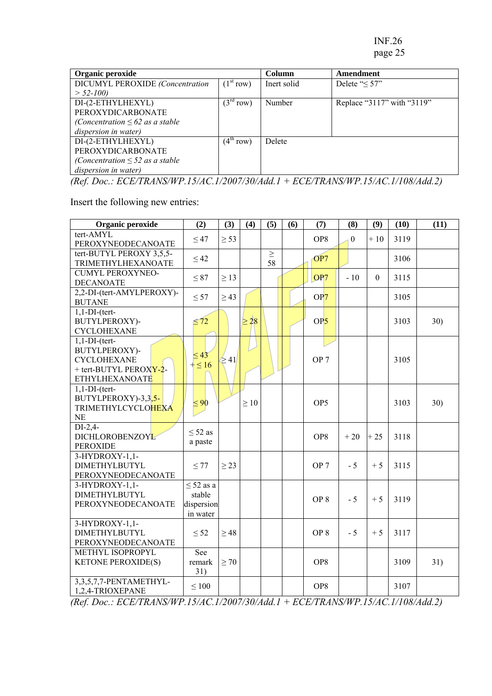| Organic peroxide                     |                       | <b>Column</b> | Amendment                  |
|--------------------------------------|-----------------------|---------------|----------------------------|
| DICUMYL PEROXIDE (Concentration      | (1 <sup>st</sup> row) | Inert solid   | Delete " $\leq 57$ "       |
| $> 52 - 100$                         |                       |               |                            |
| DI-(2-ETHYLHEXYL)                    | $(3^{rd}$ row)        | Number        | Replace "3117" with "3119" |
| PEROXYDICARBONATE                    |                       |               |                            |
| (Concentration $\leq 62$ as a stable |                       |               |                            |
| <i>dispersion in water</i> )         |                       |               |                            |
| DI-(2-ETHYLHEXYL)                    | (4 <sup>th</sup> row) | Delete        |                            |
| PEROXYDICARBONATE                    |                       |               |                            |
| (Concentration $\leq 52$ as a stable |                       |               |                            |
| <i>dispersion in water</i> )         |                       |               |                            |

*(Ref. Doc.: ECE/TRANS/WP.15/AC.1/2007/30/Add.1 + ECE/TRANS/WP.15/AC.1/108/Add.2)* 

Insert the following new entries:

| Organic peroxide                                                                                                  | (2)                                                | (3)       | (4)       | (5)          | (6) | (7)             | (8)              | (9)      | (10) | (11) |
|-------------------------------------------------------------------------------------------------------------------|----------------------------------------------------|-----------|-----------|--------------|-----|-----------------|------------------|----------|------|------|
| tert-AMYL<br>PEROXYNEODECANOATE                                                                                   | $\leq 47$                                          | $\geq$ 53 |           |              |     | OP8             | $\boldsymbol{0}$ | $+10$    | 3119 |      |
| tert-BUTYL PEROXY 3,5,5-<br>TRIMETHYLHEXANOATE                                                                    | $\leq 42$                                          |           |           | $\geq$<br>58 |     | OP7             |                  |          | 3106 |      |
| <b>CUMYL PEROXYNEO-</b><br><b>DECANOATE</b>                                                                       | $\leq 87$                                          | $\geq$ 13 |           |              |     | OP7             | $-10$            | $\theta$ | 3115 |      |
| 2,2-DI-(tert-AMYLPEROXY)-<br><b>BUTANE</b>                                                                        | $\leq 57$                                          | $\geq$ 43 |           |              |     | OP7             |                  |          | 3105 |      |
| $1,1-DI-(tert-$<br>BUTYLPEROXY)-<br><b>CYCLOHEXANE</b>                                                            | $\leq 72$                                          |           | $\geq$ 28 |              |     | OP <sub>5</sub> |                  |          | 3103 | 30)  |
| $1,1-DI-(tert-$<br>BUTYLPEROXY)-<br><b>CYCLOHEXANE</b><br>+ tert-BUTYL PEROX <mark>Y-2</mark> -<br>ETHYLHEXANOATE | $\leq 43$<br>$+\leq 16$                            | $\geq 41$ |           |              |     | OP <sub>7</sub> |                  |          | 3105 |      |
| $1,1-DI-(tert-$<br>BUTYLPEROXY)-3,3,5-<br>TRIMETHYLCYCLO <mark>HEXA</mark><br>NE                                  | $\leq 90$                                          |           | $\geq 10$ |              |     | OP <sub>5</sub> |                  |          | 3103 | 30)  |
| $DI-2,4-$<br><b>DICHLOROBENZOYL</b><br><b>PEROXIDE</b>                                                            | $\leq$ 52 as<br>a paste                            |           |           |              |     | OP8             | $+20$            | $+25$    | 3118 |      |
| 3-HYDROXY-1,1-<br><b>DIMETHYLBUTYL</b><br>PEROXYNEODECANOATE                                                      | $\leq 77$                                          | $\geq$ 23 |           |              |     | OP <sub>7</sub> | $-5$             | $+5$     | 3115 |      |
| 3-HYDROXY-1,1-<br><b>DIMETHYLBUTYL</b><br>PEROXYNEODECANOATE                                                      | $\leq$ 52 as a<br>stable<br>dispersion<br>in water |           |           |              |     | OP <sub>8</sub> | $-5$             | $+5$     | 3119 |      |
| 3-HYDROXY-1,1-<br><b>DIMETHYLBUTYL</b><br>PEROXYNEODECANOATE                                                      | $\leq$ 52                                          | $\geq$ 48 |           |              |     | OP <sub>8</sub> | $-5$             | $+5$     | 3117 |      |
| METHYL ISOPROPYL<br><b>KETONE PEROXIDE(S)</b>                                                                     | See<br>remark<br>31)                               | $\geq$ 70 |           |              |     | OP8             |                  |          | 3109 | 31)  |
| 3,3,5,7,7-PENTAMETHYL-<br>1,2,4-TRIOXEPANE                                                                        | $\leq 100$                                         |           |           |              |     | OP8             |                  |          | 3107 |      |

*(Ref. Doc.: ECE/TRANS/WP.15/AC.1/2007/30/Add.1 + ECE/TRANS/WP.15/AC.1/108/Add.2)*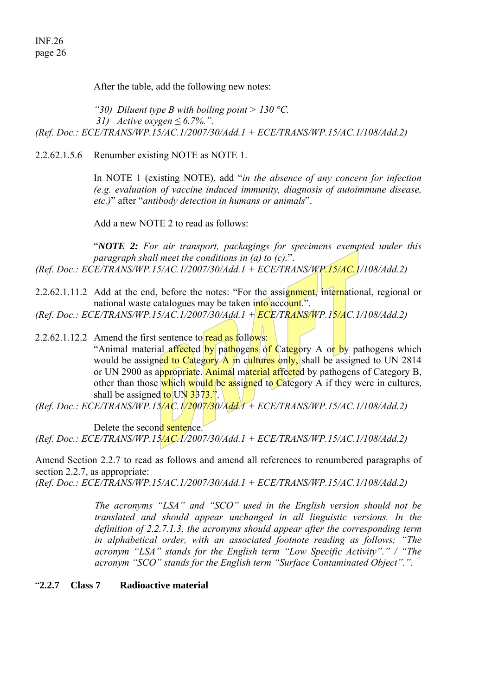After the table, add the following new notes:

 *"30) Diluent type B with boiling point > 130 °C. 31) Active oxygen ≤ 6.7%.". (Ref. Doc.: ECE/TRANS/WP.15/AC.1/2007/30/Add.1 + ECE/TRANS/WP.15/AC.1/108/Add.2)* 

2.2.62.1.5.6 Renumber existing NOTE as NOTE 1.

In NOTE 1 (existing NOTE), add "*in the absence of any concern for infection (e.g. evaluation of vaccine induced immunity, diagnosis of autoimmune disease, etc.)*" after "*antibody detection in humans or animals*".

Add a new NOTE 2 to read as follows:

"*NOTE 2: For air transport, packagings for specimens exempted under this paragraph shall meet the conditions in (a) to (c).*". *(Ref. Doc.: ECE/TRANS/WP.15/AC.1/2007/30/Add.1 + ECE/TRANS/WP.15/AC.1/108/Add.2)* 

2.2.62.1.11.2 Add at the end, before the notes: "For the assignment, international, regional or national waste catalogues may be taken into account.".

*(Ref. Doc.: ECE/TRANS/WP.15/AC.1/2007/30/Add.1 + ECE/TRANS/WP.15/AC.1/108/Add.2)* 

2.2.62.1.12.2 Amend the first sentence to read as follows: "Animal material affected by pathogens of Category A or by pathogens which would be assigned to Category  $\overline{A}$  in cultures only, shall be assigned to UN 2814 or UN 2900 as appropriate. Animal material affected by pathogens of Category B, other than those which would be assigned to Category A if they were in cultures, shall be assigned to UN  $3373$ .".

*(Ref. Doc.: ECE/TRANS/WP.15/AC.1/2007/30/Add.1 + ECE/TRANS/WP.15/AC.1/108/Add.2)* 

Delete the second sentence. *(Ref. Doc.: ECE/TRANS/WP.15/AC.1/2007/30/Add.1 + ECE/TRANS/WP.15/AC.1/108/Add.2)* 

Amend Section 2.2.7 to read as follows and amend all references to renumbered paragraphs of section 2.2.7, as appropriate:

*(Ref. Doc.: ECE/TRANS/WP.15/AC.1/2007/30/Add.1 + ECE/TRANS/WP.15/AC.1/108/Add.2)* 

*The acronyms "LSA" and "SCO" used in the English version should not be translated and should appear unchanged in all linguistic versions. In the definition of 2.2.7.1.3, the acronyms should appear after the corresponding term in alphabetical order, with an associated footnote reading as follows: "The acronym "LSA" stands for the English term "Low Specific Activity"." / "The acronym "SCO" stands for the English term "Surface Contaminated Object".".* 

#### "**2.2.7 Class 7 Radioactive material**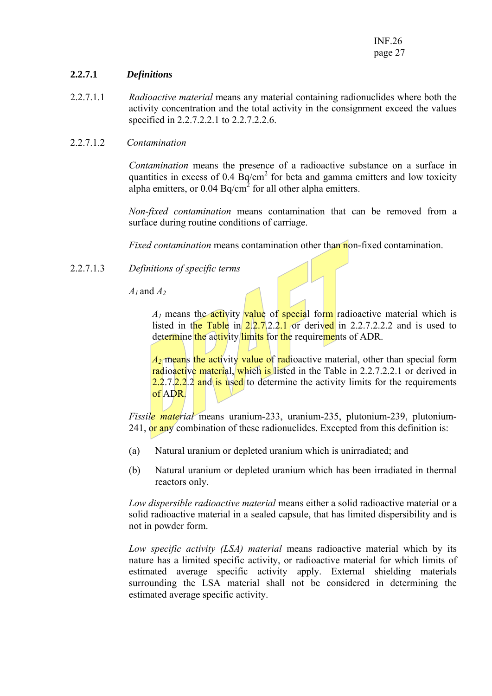## **2.2.7.1** *Definitions*

2.2.7.1.1 *Radioactive material* means any material containing radionuclides where both the activity concentration and the total activity in the consignment exceed the values specified in 2.2.7.2.2.1 to 2.2.7.2.2.6.

#### 2.2.7.1.2 *Contamination*

*Contamination* means the presence of a radioactive substance on a surface in quantities in excess of 0.4  $\text{Bq/cm}^2$  for beta and gamma emitters and low toxicity alpha emitters, or  $0.04$  Bq/cm<sup>2</sup> for all other alpha emitters.

*Non-fixed contamination* means contamination that can be removed from a surface during routine conditions of carriage.

 *Fixed contamination* means contamination other than non-fixed contamination.

2.2.7.1.3 *Definitions of specific terms*

 $A_1$  and  $A_2$ 

 $A_1$  means the **activity** value of special form radioactive material which is listed in the Table in  $2,2.7,2.2.1$  or derived in 2.2.7.2.2.2 and is used to determine the activity limits for the requirements of ADR.

*A<sub>2</sub>* means the activity value of radioactive material, other than special form radioactive material, which is listed in the Table in 2.2.7.2.2.1 or derived in  $2.2.7.2.2.2$  and is used to determine the activity limits for the requirements of ADR.

*Fissile material* means uranium-233, uranium-235, plutonium-239, plutonium-241, or any combination of these radionuclides. Excepted from this definition is:

- (a) Natural uranium or depleted uranium which is unirradiated; and
- (b) Natural uranium or depleted uranium which has been irradiated in thermal reactors only.

*Low dispersible radioactive material* means either a solid radioactive material or a solid radioactive material in a sealed capsule, that has limited dispersibility and is not in powder form.

*Low specific activity (LSA) material* means radioactive material which by its nature has a limited specific activity, or radioactive material for which limits of estimated average specific activity apply. External shielding materials surrounding the LSA material shall not be considered in determining the estimated average specific activity.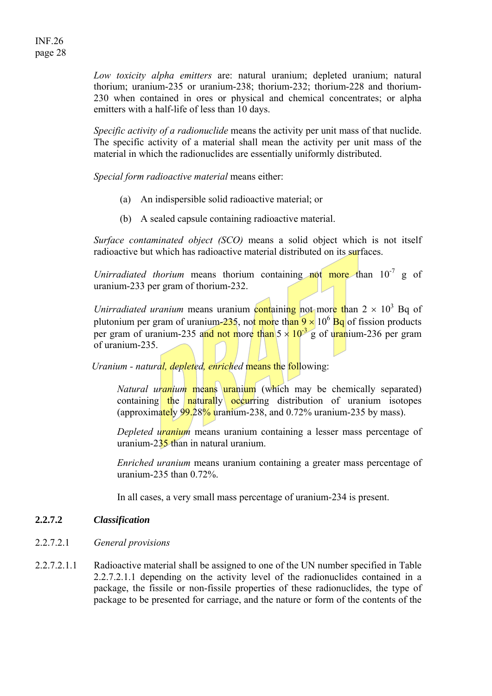*Low toxicity alpha emitters* are: natural uranium; depleted uranium; natural thorium; uranium-235 or uranium-238; thorium-232; thorium-228 and thorium-230 when contained in ores or physical and chemical concentrates; or alpha emitters with a half-life of less than 10 days.

*Specific activity of a radionuclide* means the activity per unit mass of that nuclide. The specific activity of a material shall mean the activity per unit mass of the material in which the radionuclides are essentially uniformly distributed.

*Special form radioactive material* means either:

- (a) An indispersible solid radioactive material; or
- (b) A sealed capsule containing radioactive material.

*Surface contaminated object (SCO)* means a solid object which is not itself radioactive but which has radioactive material distributed on its surfaces.

*Unirradiated thorium* means thorium containing not more than  $10^{-7}$  g of uranium-233 per gram of thorium-232.

*Unirradiated uranium* means uranium **containing** not more than  $2 \times 10^3$  Bq of plutonium per gram of uranium-235, not more than  $9 \times 10^6$  Bq of fission products per gram of uranium-235 and not more than  $5 \times 10^{-3}$  g of uranium-236 per gram of uranium-235.

*Uranium - natural, depleted, enriched* means the following:

*Natural uranium* means uranium (which may be chemically separated) containing the naturally occurring distribution of uranium isotopes (approximately  $99.28\%$  uranium-238, and 0.72% uranium-235 by mass).

*Depleted uranium* means uranium containing a lesser mass percentage of uranium-235 than in natural uranium.

*Enriched uranium* means uranium containing a greater mass percentage of uranium-235 than 0.72%.

In all cases, a very small mass percentage of uranium-234 is present.

#### **2.2.7.2** *Classification*

- 2.2.7.2.1 *General provisions*
- 2.2.7.2.1.1 Radioactive material shall be assigned to one of the UN number specified in Table 2.2.7.2.1.1 depending on the activity level of the radionuclides contained in a package, the fissile or non-fissile properties of these radionuclides, the type of package to be presented for carriage, and the nature or form of the contents of the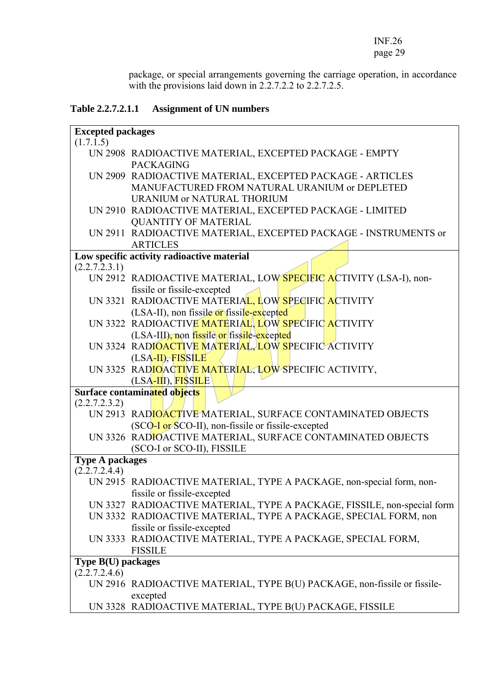package, or special arrangements governing the carriage operation, in accordance with the provisions laid down in 2.2.7.2.2 to 2.2.7.2.5.

# **Table 2.2.7.2.1.1 Assignment of UN numbers**

| <b>Excepted packages</b>            |                                                                            |
|-------------------------------------|----------------------------------------------------------------------------|
| (1.7.1.5)                           |                                                                            |
|                                     | UN 2908 RADIOACTIVE MATERIAL, EXCEPTED PACKAGE - EMPTY<br><b>PACKAGING</b> |
|                                     | UN 2909 RADIOACTIVE MATERIAL, EXCEPTED PACKAGE - ARTICLES                  |
|                                     | MANUFACTURED FROM NATURAL URANIUM or DEPLETED                              |
|                                     | URANIUM or NATURAL THORIUM                                                 |
|                                     | UN 2910 RADIOACTIVE MATERIAL, EXCEPTED PACKAGE - LIMITED                   |
|                                     | <b>QUANTITY OF MATERIAL</b>                                                |
|                                     | UN 2911 RADIOACTIVE MATERIAL, EXCEPTED PACKAGE - INSTRUMENTS or            |
|                                     | <b>ARTICLES</b>                                                            |
|                                     | Low specific activity radioactive material                                 |
| (2.2.7.2.3.1)                       |                                                                            |
|                                     | UN 2912 RADIOACTIVE MATERIAL, LOW SPECIFIC ACTIVITY (LSA-I), non-          |
|                                     | fissile or fissile-excepted                                                |
|                                     | UN 3321 RADIOACTIVE MATERIAL, LOW SPECIFIC ACTIVITY                        |
|                                     | (LSA-II), non fissile or fissile-excepted                                  |
|                                     | UN 3322 RADIOACTIVE MATERIAL, LOW SPECIFIC ACTIVITY                        |
|                                     | (LSA-III), non fissile or fissile-excepted                                 |
|                                     | UN 3324 RADIOACTIVE MATERIAL, LOW SPECIFIC ACTIVITY                        |
|                                     | $(LSA-II)$ , FISSILE                                                       |
|                                     | UN 3325 RADIOACTIVE MATERIAL, LOW SPECIFIC ACTIVITY,                       |
|                                     | (LSA-III), FISSILE                                                         |
|                                     | Surface contaminated objects                                               |
| (2.2.7.2.3.2)                       |                                                                            |
|                                     | UN 2913 RADIOACTIVE MATERIAL, SURFACE CONTAMINATED OBJECTS                 |
|                                     | (SCO-I or SCO-II), non-fissile or fissile-excepted                         |
|                                     | UN 3326 RADIOACTIVE MATERIAL, SURFACE CONTAMINATED OBJECTS                 |
|                                     | (SCO-I or SCO-II), FISSILE                                                 |
| <b>Type A packages</b>              |                                                                            |
| (2.2.7.2.4.4)                       |                                                                            |
|                                     | UN 2915 RADIOACTIVE MATERIAL, TYPE A PACKAGE, non-special form, non-       |
|                                     | fissile or fissile-excepted                                                |
|                                     | UN 3327 RADIOACTIVE MATERIAL, TYPE A PACKAGE, FISSILE, non-special form    |
|                                     | UN 3332 RADIOACTIVE MATERIAL, TYPE A PACKAGE, SPECIAL FORM, non            |
|                                     | fissile or fissile-excepted                                                |
|                                     | UN 3333 RADIOACTIVE MATERIAL, TYPE A PACKAGE, SPECIAL FORM,                |
|                                     | <b>FISSILE</b>                                                             |
| Type B(U) packages<br>(2.2.7.2.4.6) |                                                                            |
|                                     | UN 2916 RADIOACTIVE MATERIAL, TYPE B(U) PACKAGE, non-fissile or fissile-   |
|                                     | excepted                                                                   |
|                                     | UN 3328 RADIOACTIVE MATERIAL, TYPE B(U) PACKAGE, FISSILE                   |
|                                     |                                                                            |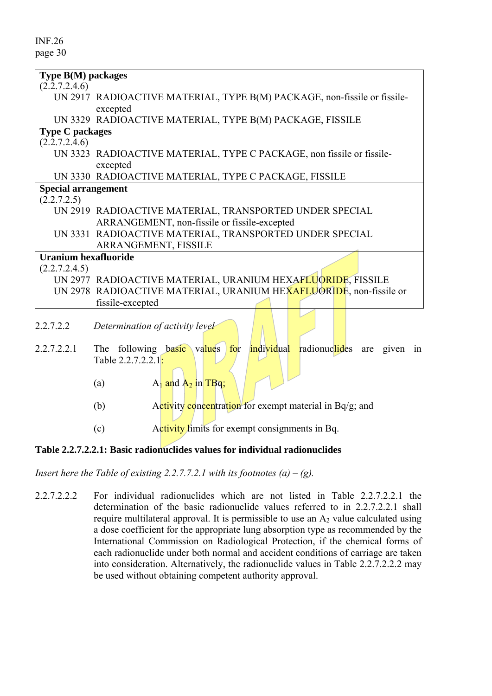| Type B(M) packages          |                                                                                  |
|-----------------------------|----------------------------------------------------------------------------------|
| (2.2.7.2.4.6)               |                                                                                  |
|                             | UN 2917 RADIOACTIVE MATERIAL, TYPE B(M) PACKAGE, non-fissile or fissile-         |
|                             | excepted                                                                         |
|                             | UN 3329 RADIOACTIVE MATERIAL, TYPE B(M) PACKAGE, FISSILE                         |
| <b>Type C packages</b>      |                                                                                  |
| (2.2.7.2.4.6)               |                                                                                  |
|                             | UN 3323 RADIOACTIVE MATERIAL, TYPE C PACKAGE, non fissile or fissile-            |
|                             | excepted                                                                         |
|                             | UN 3330 RADIOACTIVE MATERIAL, TYPE C PACKAGE, FISSILE                            |
| <b>Special arrangement</b>  |                                                                                  |
| (2.2.7.2.5)                 |                                                                                  |
|                             | UN 2919 RADIOACTIVE MATERIAL, TRANSPORTED UNDER SPECIAL                          |
|                             | ARRANGEMENT, non-fissile or fissile-excepted                                     |
|                             | UN 3331 RADIOACTIVE MATERIAL, TRANSPORTED UNDER SPECIAL                          |
|                             | ARRANGEMENT, FISSILE                                                             |
| <b>Uranium hexafluoride</b> |                                                                                  |
| (2.2.7.2.4.5)               |                                                                                  |
|                             | UN 2977 RADIOACTIVE MATERIAL, URANIUM HEXAFLUORIDE, FISSILE                      |
|                             | UN 2978 RADIOACTIVE MATERIAL, URANIUM HEXAFLUORIDE, non-fissile or               |
|                             | fissile-excepted                                                                 |
|                             |                                                                                  |
| 2.2.7.2.2                   | Determination of activity level                                                  |
|                             |                                                                                  |
| 2.2.7.2.2.1                 | individual<br>The following basic<br>radionuclides are given in<br>values<br>for |
|                             | Table 2.2.7.2.2.1                                                                |
|                             |                                                                                  |
|                             | $A_1$ and $A_2$ in TBq;<br>(a)                                                   |
|                             |                                                                                  |
|                             | Activity concentration for exempt material in Bq/g; and<br>(b)                   |
|                             |                                                                                  |

 $\chi$  (c) Activity limits for exempt consignments in Bq.

# **Table 2.2.7.2.2.1: Basic radionuclides values for individual radionuclides**

*Insert here the Table of existing 2.2.7.7.2.1 with its footnotes (a) – (g).* 

2.2.7.2.2.2 For individual radionuclides which are not listed in Table 2.2.7.2.2.1 the determination of the basic radionuclide values referred to in 2.2.7.2.2.1 shall require multilateral approval. It is permissible to use an  $A_2$  value calculated using a dose coefficient for the appropriate lung absorption type as recommended by the International Commission on Radiological Protection, if the chemical forms of each radionuclide under both normal and accident conditions of carriage are taken into consideration. Alternatively, the radionuclide values in Table 2.2.7.2.2.2 may be used without obtaining competent authority approval.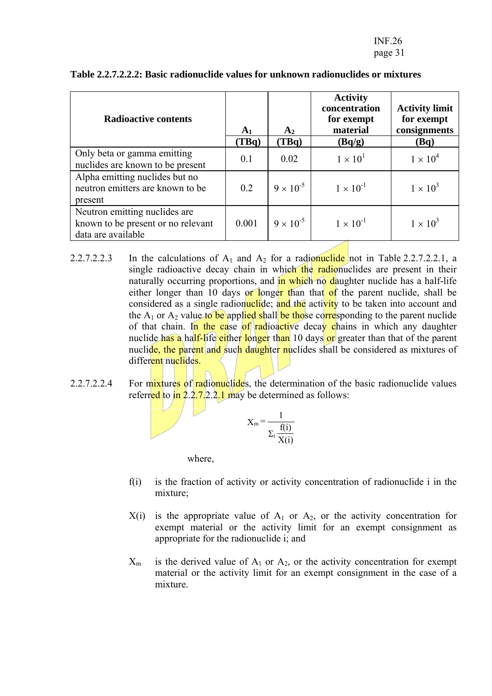| <b>Radioactive contents</b>                                                               | A <sub>1</sub> | A <sub>2</sub>     | <b>Activity</b><br>concentration<br>for exempt<br>material | <b>Activity limit</b><br>for exempt<br>consignments |
|-------------------------------------------------------------------------------------------|----------------|--------------------|------------------------------------------------------------|-----------------------------------------------------|
|                                                                                           | (TBq)          | (TBq)              | (Bq/g)                                                     | (Bq)                                                |
| Only beta or gamma emitting<br>nuclides are known to be present                           | 0.1            | 0.02               | $1 \times 10^{1}$                                          | $1 \times 10^4$                                     |
| Alpha emitting nuclides but no<br>neutron emitters are known to be<br>present             | 0.2            | $9 \times 10^{-5}$ | $1 \times 10^{-1}$                                         | $1 \times 10^3$                                     |
| Neutron emitting nuclides are<br>known to be present or no relevant<br>data are available | 0.001          | $9 \times 10^{-5}$ | $1 \times 10^{-1}$                                         | $1 \times 10^3$                                     |

|  | Table 2.2.7.2.2.2: Basic radionuclide values for unknown radionuclides or mixtures |  |  |  |  |  |
|--|------------------------------------------------------------------------------------|--|--|--|--|--|
|--|------------------------------------------------------------------------------------|--|--|--|--|--|

- 2.2.7.2.2.3 In the calculations of  $A_1$  and  $A_2$  for a radionuclide not in Table 2.2.7.2.2.1, a single radioactive decay chain in which the radionuclides are present in their naturally occurring proportions, and in which no daughter nuclide has a half-life either longer than 10 days or longer than that of the parent nuclide, shall be considered as a single radionuclide; and the activity to be taken into account and the  $A_1$  or  $A_2$  value to be applied shall be those corresponding to the parent nuclide of that chain. In the case of radioactive decay chains in which any daughter nuclide has a half-life either longer than 10 days or greater than that of the parent nuclide, the parent and such daughter nuclides shall be considered as mixtures of different nuclides.
- 2.2.7.2.2.4 For mixtures of radionuclides, the determination of the basic radionuclide values referred to in  $2.2.7.2.2.1$  may be determined as follows:

$$
X_m = \frac{1}{\sum_i \frac{f(i)}{X(i)}}
$$

where,

- f(i) is the fraction of activity or activity concentration of radionuclide i in the mixture;
- $X(i)$  is the appropriate value of  $A_1$  or  $A_2$ , or the activity concentration for exempt material or the activity limit for an exempt consignment as appropriate for the radionuclide i; and
- $X_m$  is the derived value of  $A_1$  or  $A_2$ , or the activity concentration for exempt material or the activity limit for an exempt consignment in the case of a mixture.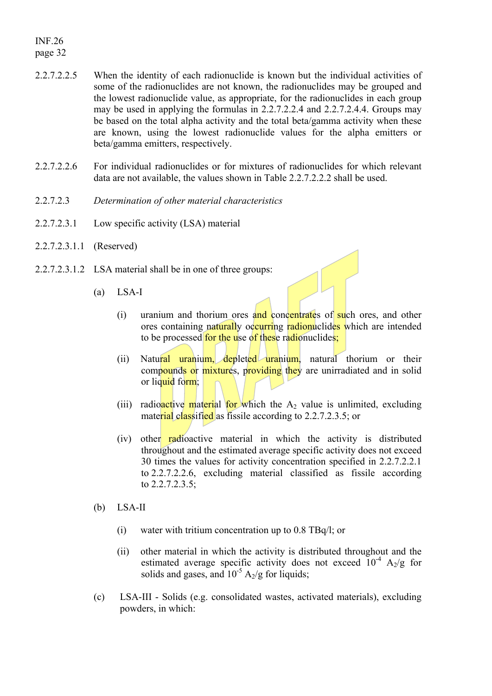- 2.2.7.2.2.5 When the identity of each radionuclide is known but the individual activities of some of the radionuclides are not known, the radionuclides may be grouped and the lowest radionuclide value, as appropriate, for the radionuclides in each group may be used in applying the formulas in 2.2.7.2.2.4 and 2.2.7.2.4.4. Groups may be based on the total alpha activity and the total beta/gamma activity when these are known, using the lowest radionuclide values for the alpha emitters or beta/gamma emitters, respectively.
- 2.2.7.2.2.6 For individual radionuclides or for mixtures of radionuclides for which relevant data are not available, the values shown in Table 2.2.7.2.2.2 shall be used.
- 2.2.7.2.3 *Determination of other material characteristics*
- 2.2.7.2.3.1 Low specific activity (LSA) material
- 2.2.7.2.3.1.1 (Reserved)
- 2.2.7.2.3.1.2 LSA material shall be in one of three groups:
	- (a) LSA-I
		- (i) uranium and thorium ores and concentrates of such ores, and other ores containing naturally occurring radionuclides which are intended to be processed for the use of these radionuclides;
		- (ii) Natural uranium, depleted uranium, natural thorium or their compounds or mixtures, providing they are unirradiated and in solid or liquid form;
		- (iii) radioactive material for which the  $A_2$  value is unlimited, excluding material classified as fissile according to 2.2.7.2.3.5; or
		- (iv) other radioactive material in which the activity is distributed throughout and the estimated average specific activity does not exceed 30 times the values for activity concentration specified in 2.2.7.2.2.1 to 2.2.7.2.2.6, excluding material classified as fissile according to 2.2.7.2.3.5;
	- (b) LSA-II
		- (i) water with tritium concentration up to 0.8 TBq/l; or
		- (ii) other material in which the activity is distributed throughout and the estimated average specific activity does not exceed  $10^{-4}$  A<sub>2</sub>/g for solids and gases, and  $10^{-5}$  A<sub>2</sub>/g for liquids;
	- (c) LSA-III Solids (e.g. consolidated wastes, activated materials), excluding powders, in which: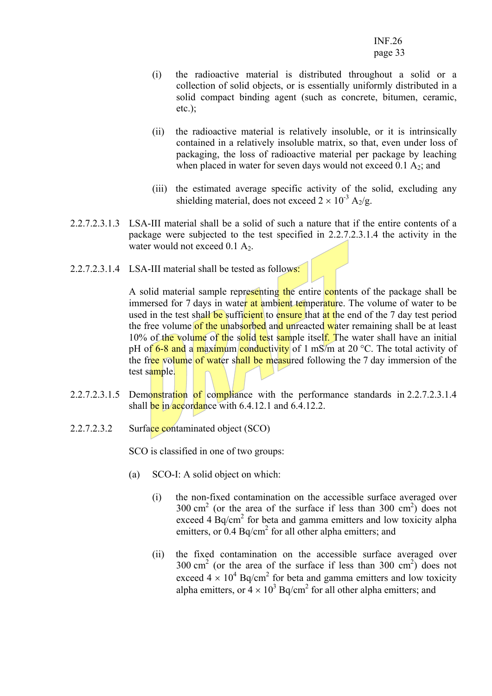- (i) the radioactive material is distributed throughout a solid or a collection of solid objects, or is essentially uniformly distributed in a solid compact binding agent (such as concrete, bitumen, ceramic, etc.);
- (ii) the radioactive material is relatively insoluble, or it is intrinsically contained in a relatively insoluble matrix, so that, even under loss of packaging, the loss of radioactive material per package by leaching when placed in water for seven days would not exceed  $0.1 A<sub>2</sub>$ ; and
- (iii) the estimated average specific activity of the solid, excluding any shielding material, does not exceed  $2 \times 10^{-3}$  A<sub>2</sub>/g.
- 2.2.7.2.3.1.3 LSA-III material shall be a solid of such a nature that if the entire contents of a package were subjected to the test specified in 2.2.7.2.3.1.4 the activity in the water would not exceed  $0.1$  A<sub>2</sub>.
- 2.2.7.2.3.1.4 LSA-III material shall be tested as follows:

A solid material sample representing the entire contents of the package shall be immersed for 7 days in water at ambient temperature. The volume of water to be used in the test shall be sufficient to ensure that at the end of the 7 day test period the free volume of the unabsorbed and unreacted water remaining shall be at least 10% of the volume of the solid test sample itself. The water shall have an initial pH of  $6-8$  and a maximum conductivity of 1 mS/m at 20 °C. The total activity of the free volume of water shall be measured following the 7 day immersion of the test sample.

- 2.2.7.2.3.1.5 Demonstration of compliance with the performance standards in 2.2.7.2.3.1.4 shall be in accordance with  $6.4.12.1$  and  $6.4.12.2$ .
- 2.2.7.2.3.2 Surface contaminated object (SCO)

SCO is classified in one of two groups:

- (a) SCO-I: A solid object on which:
	- (i) the non-fixed contamination on the accessible surface averaged over  $300 \text{ cm}^2$  (or the area of the surface if less than  $300 \text{ cm}^2$ ) does not exceed  $4 \text{ Bq/cm}^2$  for beta and gamma emitters and low toxicity alpha emitters, or  $0.4$  Bq/cm<sup>2</sup> for all other alpha emitters; and
	- (ii) the fixed contamination on the accessible surface averaged over  $300 \text{ cm}^2$  (or the area of the surface if less than  $300 \text{ cm}^2$ ) does not exceed  $4 \times 10^4$  Bq/cm<sup>2</sup> for beta and gamma emitters and low toxicity alpha emitters, or  $4 \times 10^3$  Bq/cm<sup>2</sup> for all other alpha emitters; and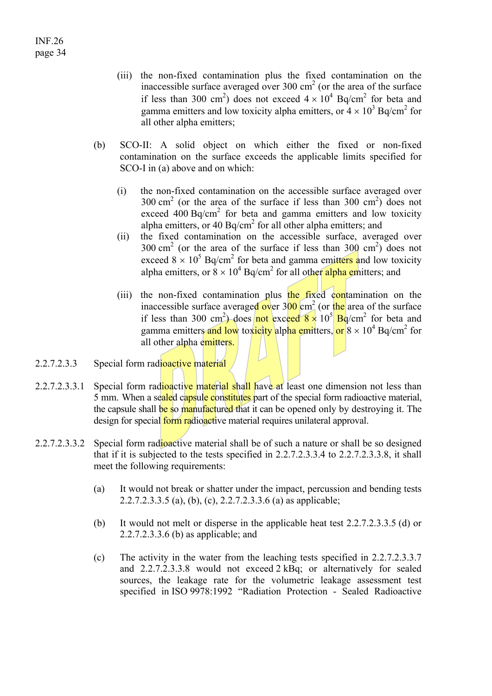- (iii) the non-fixed contamination plus the fixed contamination on the inaccessible surface averaged over 300 cm<sup>2</sup> (or the area of the surface if less than 300 cm<sup>2</sup>) does not exceed  $4 \times 10^4$  Bq/cm<sup>2</sup> for beta and gamma emitters and low toxicity alpha emitters, or  $4 \times 10^3$  Bq/cm<sup>2</sup> for all other alpha emitters;
- (b) SCO-II: A solid object on which either the fixed or non-fixed contamination on the surface exceeds the applicable limits specified for SCO-I in (a) above and on which:
	- (i) the non-fixed contamination on the accessible surface averaged over  $300 \text{ cm}^2$  (or the area of the surface if less than  $300 \text{ cm}^2$ ) does not exceed  $400 \text{ Bq/cm}^2$  for beta and gamma emitters and low toxicity alpha emitters, or 40  $Bq/cm<sup>2</sup>$  for all other alpha emitters; and
	- (ii) the fixed contamination on the accessible surface, averaged over  $300 \text{ cm}^2$  (or the area of the surface if less than  $300 \text{ cm}^2$ ) does not exceed  $8 \times 10^5$  Bq/cm<sup>2</sup> for beta and gamma emitters and low toxicity alpha emitters, or  $8 \times 10^4$  Bq/cm<sup>2</sup> for all other alpha emitters; and
	- (iii) the non-fixed contamination plus the fixed contamination on the inaccessible surface averaged  $overline{ov}$ er  $300 \text{ cm}^2$  (or the area of the surface if less than 300 cm<sup>2</sup>) does not exceed  $8 \times 10^5$  Bq/cm<sup>2</sup> for beta and gamma emitters and low toxicity alpha emitters, or  $8 \times 10^4$  Bq/cm<sup>2</sup> for all other alpha emitters.
- 2.2.7.2.3.3 Special form radioactive material
- 2.2.7.2.3.3.1 Special form radioactive material shall have at least one dimension not less than 5 mm. When a sealed capsule constitutes part of the special form radioactive material, the capsule shall be so manufactured that it can be opened only by destroying it. The design for special **form radioactive** material requires unilateral approval.
- 2.2.7.2.3.3.2 Special form radioactive material shall be of such a nature or shall be so designed that if it is subjected to the tests specified in 2.2.7.2.3.3.4 to 2.2.7.2.3.3.8, it shall meet the following requirements:
	- (a) It would not break or shatter under the impact, percussion and bending tests 2.2.7.2.3.3.5 (a), (b), (c), 2.2.7.2.3.3.6 (a) as applicable;
	- (b) It would not melt or disperse in the applicable heat test 2.2.7.2.3.3.5 (d) or 2.2.7.2.3.3.6 (b) as applicable; and
	- (c) The activity in the water from the leaching tests specified in 2.2.7.2.3.3.7 and 2.2.7.2.3.3.8 would not exceed 2 kBq; or alternatively for sealed sources, the leakage rate for the volumetric leakage assessment test specified in ISO 9978:1992 "Radiation Protection - Sealed Radioactive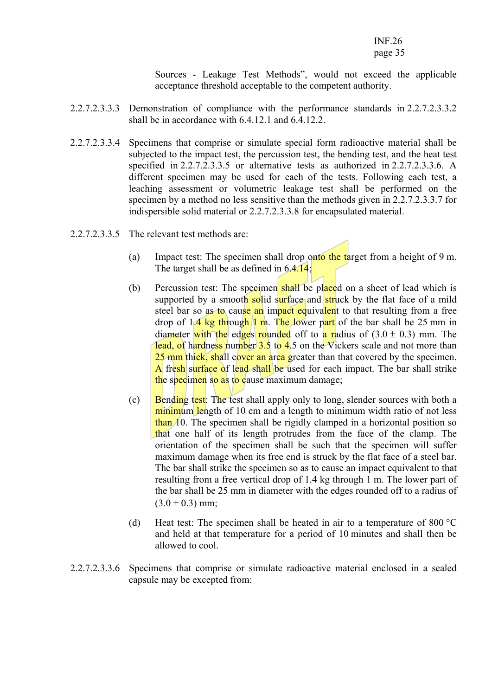Sources - Leakage Test Methods", would not exceed the applicable acceptance threshold acceptable to the competent authority.

- 2.2.7.2.3.3.3 Demonstration of compliance with the performance standards in 2.2.7.2.3.3.2 shall be in accordance with 6.4.12.1 and 6.4.12.2.
- 2.2.7.2.3.3.4 Specimens that comprise or simulate special form radioactive material shall be subjected to the impact test, the percussion test, the bending test, and the heat test specified in 2.2.7.2.3.3.5 or alternative tests as authorized in 2.2.7.2.3.3.6. A different specimen may be used for each of the tests. Following each test, a leaching assessment or volumetric leakage test shall be performed on the specimen by a method no less sensitive than the methods given in 2.2.7.2.3.3.7 for indispersible solid material or 2.2.7.2.3.3.8 for encapsulated material.
- 2.2.7.2.3.3.5 The relevant test methods are:
	- (a) Impact test: The specimen shall drop onto the target from a height of  $9 \text{ m}$ . The target shall be as defined in  $6.4.14$ ;
	- (b) Percussion test: The specimen shall be placed on a sheet of lead which is supported by a smooth solid surface and struck by the flat face of a mild steel bar so as to cause an impact equivalent to that resulting from a free drop of 1.4 kg through 1 m. The lower part of the bar shall be 25 mm in diameter with the edges rounded off to a radius of  $(3.0 \pm 0.3)$  mm. The lead, of hardness number 3.5 to 4.5 on the Vickers scale and not more than 25 mm thick, shall cover an area greater than that covered by the specimen. A fresh surface of lead shall be used for each impact. The bar shall strike the specimen so as to cause maximum damage;
	- (c) Bending test: The test shall apply only to long, slender sources with both a minimum length of 10 cm and a length to minimum width ratio of not less  $\frac{\tan A}{0}$ . The specimen shall be rigidly clamped in a horizontal position so that one half of its length protrudes from the face of the clamp. The orientation of the specimen shall be such that the specimen will suffer maximum damage when its free end is struck by the flat face of a steel bar. The bar shall strike the specimen so as to cause an impact equivalent to that resulting from a free vertical drop of 1.4 kg through 1 m. The lower part of the bar shall be 25 mm in diameter with the edges rounded off to a radius of  $(3.0 \pm 0.3)$  mm;
	- (d) Heat test: The specimen shall be heated in air to a temperature of 800  $^{\circ}$ C and held at that temperature for a period of 10 minutes and shall then be allowed to cool.
- 2.2.7.2.3.3.6 Specimens that comprise or simulate radioactive material enclosed in a sealed capsule may be excepted from: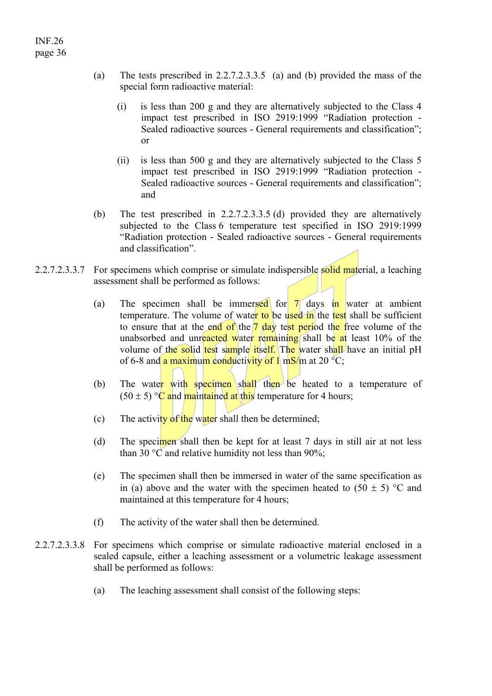- (a) The tests prescribed in 2.2.7.2.3.3.5 (a) and (b) provided the mass of the special form radioactive material:
	- (i) is less than 200 g and they are alternatively subjected to the Class 4 impact test prescribed in ISO 2919:1999 "Radiation protection - Sealed radioactive sources - General requirements and classification"; or
	- (ii) is less than 500 g and they are alternatively subjected to the Class 5 impact test prescribed in ISO 2919:1999 "Radiation protection - Sealed radioactive sources - General requirements and classification"; and
- (b) The test prescribed in 2.2.7.2.3.3.5 (d) provided they are alternatively subjected to the Class 6 temperature test specified in ISO 2919:1999 "Radiation protection - Sealed radioactive sources - General requirements and classification".
- 2.2.7.2.3.3.7 For specimens which comprise or simulate indispersible solid material, a leaching assessment shall be performed as follows:
	- (a) The specimen shall be immersed for  $\frac{7}{1}$  days in water at ambient temperature. The volume of water to be used in the test shall be sufficient to ensure that at the end of the  $7$  day test period the free volume of the unabsorbed and unreacted water remaining shall be at least 10% of the volume of the solid test sample itself. The water shall have an initial pH of 6-8 and a maximum conductivity of 1 mS/m at 20  $\degree$ C;
	- (b) The water with specimen shall then be heated to a temperature of  $(50 \pm 5)$  °C and maintained at this temperature for 4 hours;
	- (c) The activity of the water shall then be determined;
	- (d) The specimen shall then be kept for at least 7 days in still air at not less than 30  $\degree$ C and relative humidity not less than 90%;
	- (e) The specimen shall then be immersed in water of the same specification as in (a) above and the water with the specimen heated to  $(50 \pm 5)$  °C and maintained at this temperature for 4 hours;
	- (f) The activity of the water shall then be determined.
- 2.2.7.2.3.3.8 For specimens which comprise or simulate radioactive material enclosed in a sealed capsule, either a leaching assessment or a volumetric leakage assessment shall be performed as follows:
	- (a) The leaching assessment shall consist of the following steps: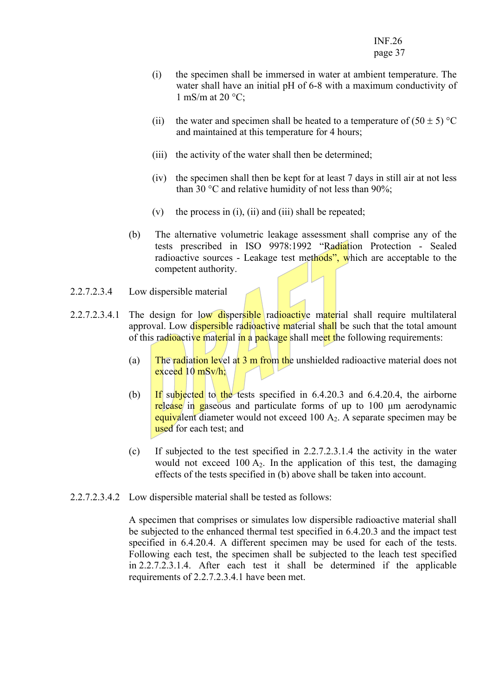- (i) the specimen shall be immersed in water at ambient temperature. The water shall have an initial pH of 6-8 with a maximum conductivity of 1 mS/m at 20  $^{\circ}$ C;
- (ii) the water and specimen shall be heated to a temperature of  $(50 \pm 5)$  °C and maintained at this temperature for 4 hours;
- (iii) the activity of the water shall then be determined;
- (iv) the specimen shall then be kept for at least 7 days in still air at not less than 30 °C and relative humidity of not less than 90%;
- (v) the process in (i), (ii) and (iii) shall be repeated;
- (b) The alternative volumetric leakage assessment shall comprise any of the tests prescribed in ISO 9978:1992 "Radiation Protection - Sealed radioactive sources - Leakage test methods", which are acceptable to the competent authority.
- 2.2.7.2.3.4 Low dispersible material
- 2.2.7.2.3.4.1 The design for low dispersible radioactive material shall require multilateral approval. Low dispersible radioactive material shall be such that the total amount of this radioactive material in a package shall meet the following requirements:
	- (a) The radiation level at 3 m from the unshielded radioactive material does not exceed 10 mSv/h;
	- (b) If subjected to the tests specified in  $6.4.20.3$  and  $6.4.20.4$ , the airborne release in gaseous and particulate forms of up to 100 μm aerodynamic equivalent diameter would not exceed  $100$  A<sub>2</sub>. A separate specimen may be used for each test; and
	- (c) If subjected to the test specified in 2.2.7.2.3.1.4 the activity in the water would not exceed  $100 \text{ A}_2$ . In the application of this test, the damaging effects of the tests specified in (b) above shall be taken into account.
- 2.2.7.2.3.4.2 Low dispersible material shall be tested as follows:

A specimen that comprises or simulates low dispersible radioactive material shall be subjected to the enhanced thermal test specified in 6.4.20.3 and the impact test specified in 6.4.20.4. A different specimen may be used for each of the tests. Following each test, the specimen shall be subjected to the leach test specified in 2.2.7.2.3.1.4. After each test it shall be determined if the applicable requirements of 2.2.7.2.3.4.1 have been met.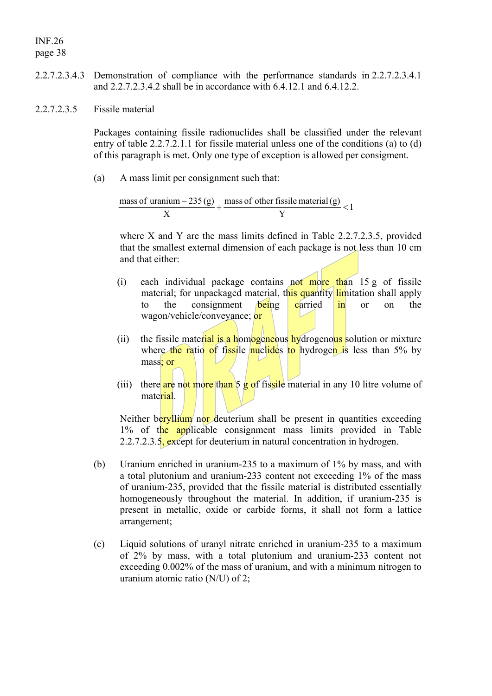- 2.2.7.2.3.4.3 Demonstration of compliance with the performance standards in 2.2.7.2.3.4.1 and 2.2.7.2.3.4.2 shall be in accordance with 6.4.12.1 and 6.4.12.2.
- 2.2.7.2.3.5 Fissile material

Packages containing fissile radionuclides shall be classified under the relevant entry of table 2.2.7.2.1.1 for fissile material unless one of the conditions (a) to (d) of this paragraph is met. Only one type of exception is allowed per consigment.

(a) A mass limit per consignment such that:

$$
\frac{\text{mass of uranium} - 235 (g)}{X} + \frac{\text{mass of other fissile material (g)}}{Y} < 1
$$

 where X and Y are the mass limits defined in Table 2.2.7.2.3.5, provided that the smallest external dimension of each package is not less than 10 cm and that either:

- (i) each individual package contains not more than  $15 g$  of fissile material; for unpackaged material, this quantity limitation shall apply to the consignment being carried in or on the wagon/vehicle/conveyance; or
- (ii) the fissile material is a homogeneous hydrogenous solution or mixture where the ratio of fissile nuclides to hydrogen is less than  $5\%$  by mass; or
- (iii) there are not more than  $\frac{1}{5}$  g of fissile material in any 10 litre volume of material.

Neither beryllium nor deuterium shall be present in quantities exceeding 1% of the applicable consignment mass limits provided in Table 2.2.7.2.3.5, except for deuterium in natural concentration in hydrogen.

- (b) Uranium enriched in uranium-235 to a maximum of 1% by mass, and with a total plutonium and uranium-233 content not exceeding 1% of the mass of uranium-235, provided that the fissile material is distributed essentially homogeneously throughout the material. In addition, if uranium-235 is present in metallic, oxide or carbide forms, it shall not form a lattice arrangement;
- (c) Liquid solutions of uranyl nitrate enriched in uranium-235 to a maximum of 2% by mass, with a total plutonium and uranium-233 content not exceeding 0.002% of the mass of uranium, and with a minimum nitrogen to uranium atomic ratio (N/U) of 2;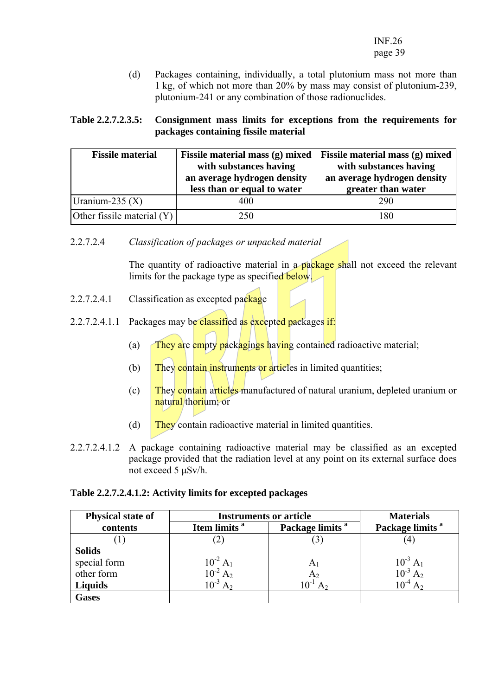(d) Packages containing, individually, a total plutonium mass not more than 1 kg, of which not more than 20% by mass may consist of plutonium-239, plutonium-241 or any combination of those radionuclides.

### **Table 2.2.7.2.3.5: Consignment mass limits for exceptions from the requirements for packages containing fissile material**

| <b>Fissile material</b>    | Fissile material mass (g) mixed<br>with substances having<br>an average hydrogen density<br>less than or equal to water | Fissile material mass (g) mixed<br>with substances having<br>an average hydrogen density<br>greater than water |
|----------------------------|-------------------------------------------------------------------------------------------------------------------------|----------------------------------------------------------------------------------------------------------------|
| Uranium-235 $(X)$          | 400                                                                                                                     | 290                                                                                                            |
| Other fissile material (Y) | 250                                                                                                                     | 180                                                                                                            |

2.2.7.2.4 *Classification of packages or unpacked material*

The quantity of radioactive material in a package shall not exceed the relevant limits for the package type as specified below.

- 2.2.7.2.4.1 Classification as excepted package
- 2.2.7.2.4.1.1 Packages may be classified as excepted packages if:
	- (a) They are empty packagings having contained radioactive material;
	- (b) They contain instruments or articles in limited quantities;
	- (c) They contain articles manufactured of natural uranium, depleted uranium or natural thorium; or
	- (d) They contain radioactive material in limited quantities.
- 2.2.7.2.4.1.2 A package containing radioactive material may be classified as an excepted package provided that the radiation level at any point on its external surface does not exceed 5 μSv/h.

### **Table 2.2.7.2.4.1.2: Activity limits for excepted packages**

| <b>Physical state of</b> | <b>Instruments or article</b>                        | <b>Materials</b>            |                                                      |  |  |
|--------------------------|------------------------------------------------------|-----------------------------|------------------------------------------------------|--|--|
| contents                 | Item limits <sup>a</sup>                             | Package limits <sup>a</sup> | Package limits <sup>a</sup>                          |  |  |
|                          |                                                      |                             |                                                      |  |  |
| <b>Solids</b>            |                                                      |                             |                                                      |  |  |
| special form             | $10^{-2}$ A <sub>1</sub><br>$10^{-2}$ A <sub>2</sub> | A                           |                                                      |  |  |
| other form               |                                                      | A٥                          | $10^{-3}$ A <sub>1</sub><br>$10^{-3}$ A <sub>2</sub> |  |  |
| <b>Liquids</b>           |                                                      |                             |                                                      |  |  |
| <b>Gases</b>             |                                                      |                             |                                                      |  |  |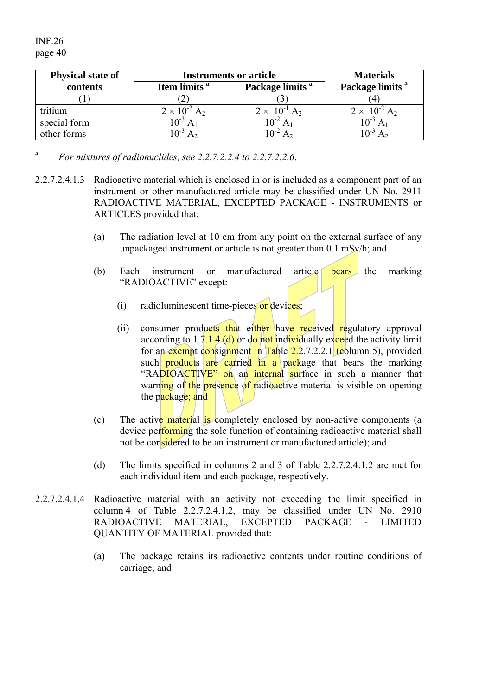| <b>Physical state of</b> | <b>Instruments or article</b>     | <b>Materials</b>                  |                                   |
|--------------------------|-----------------------------------|-----------------------------------|-----------------------------------|
| contents                 | Item limits <sup>a</sup>          | Package limits <sup>a</sup>       | Package limits <sup>a</sup>       |
|                          |                                   |                                   |                                   |
| tritium                  | $2 \times 10^{-2}$ A <sub>2</sub> | $2 \times 10^{-1}$ A <sub>2</sub> | $2 \times 10^{-2}$ A <sub>2</sub> |
| special form             | $10^{-3}$<br>$\mathbf{A}$         | $10^{-2}$                         | $10^{-3}$ A <sub>1</sub>          |
| other forms              | $\sim$ <sup>-3</sup>              |                                   | $\Lambda^{-3}$                    |

**a** *For mixtures of radionuclides, see 2.2.7.2.2.4 to 2.2.7.2.2.6*.

- 2.2.7.2.4.1.3 Radioactive material which is enclosed in or is included as a component part of an instrument or other manufactured article may be classified under UN No. 2911 RADIOACTIVE MATERIAL, EXCEPTED PACKAGE - INSTRUMENTS or ARTICLES provided that:
	- (a) The radiation level at 10 cm from any point on the external surface of any unpackaged instrument or article is not greater than 0.1 mSv/h; and
	- (b) Each instrument or manufactured article bears the marking "RADIOACTIVE" except:
		- (i) radioluminescent time-pieces or devices;
		- (ii) consumer products that either have received regulatory approval according to  $1.7.1.4$  (d) or do not individually exceed the activity limit for an exempt consignment in Table 2.2.7.2.2.1 (column 5), provided such **products** are carried in a package that bears the marking "RADIOACTIVE" on an internal surface in such a manner that warning of the **presence** of radioactive material is visible on opening the package; and
	- (c) The active material is completely enclosed by non-active components (a device performing the sole function of containing radioactive material shall not be considered to be an instrument or manufactured article); and
	- (d) The limits specified in columns 2 and 3 of Table 2.2.7.2.4.1.2 are met for each individual item and each package, respectively.
- 2.2.7.2.4.1.4 Radioactive material with an activity not exceeding the limit specified in column 4 of Table 2.2.7.2.4.1.2, may be classified under UN No. 2910 RADIOACTIVE MATERIAL, EXCEPTED PACKAGE - LIMITED QUANTITY OF MATERIAL provided that:
	- (a) The package retains its radioactive contents under routine conditions of carriage; and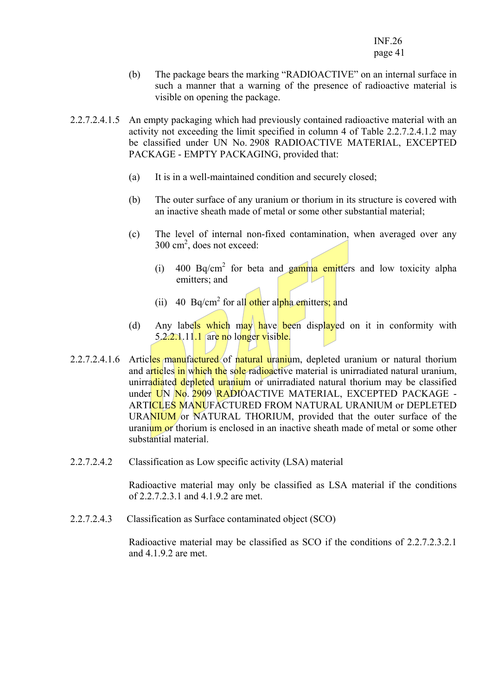- (b) The package bears the marking "RADIOACTIVE" on an internal surface in such a manner that a warning of the presence of radioactive material is visible on opening the package.
- 2.2.7.2.4.1.5 An empty packaging which had previously contained radioactive material with an activity not exceeding the limit specified in column 4 of Table 2.2.7.2.4.1.2 may be classified under UN No. 2908 RADIOACTIVE MATERIAL, EXCEPTED PACKAGE - EMPTY PACKAGING, provided that:
	- (a) It is in a well-maintained condition and securely closed;
	- (b) The outer surface of any uranium or thorium in its structure is covered with an inactive sheath made of metal or some other substantial material;
	- (c) The level of internal non-fixed contamination, when averaged over any  $300 \text{ cm}^2$ , does not exceed:
- (i) 400  $Bq/cm<sup>2</sup>$  for beta and gamma emitters and low toxicity alpha emitters; and
- (ii) 40 Bq/cm<sup>2</sup> for all other alpha emitters; and
	- (d) Any labels which may have been displayed on it in conformity with 5.2.2.1.11.1 are no longer visible.
- 2.2.7.2.4.1.6 Articles manufactured of natural uranium, depleted uranium or natural thorium and articles in which the sole radioactive material is unirradiated natural uranium, unirradiated depleted uranium or unirradiated natural thorium may be classified under UN No. 2909 RADIOACTIVE MATERIAL, EXCEPTED PACKAGE -ARTICLES MANUFACTURED FROM NATURAL URANIUM or DEPLETED URANIUM or NATURAL THORIUM, provided that the outer surface of the uranium or thorium is enclosed in an inactive sheath made of metal or some other substantial material.
- 2.2.7.2.4.2 Classification as Low specific activity (LSA) material

Radioactive material may only be classified as LSA material if the conditions of 2.2.7.2.3.1 and 4.1.9.2 are met.

2.2.7.2.4.3 Classification as Surface contaminated object (SCO)

Radioactive material may be classified as SCO if the conditions of 2.2.7.2.3.2.1 and 4.1.9.2 are met.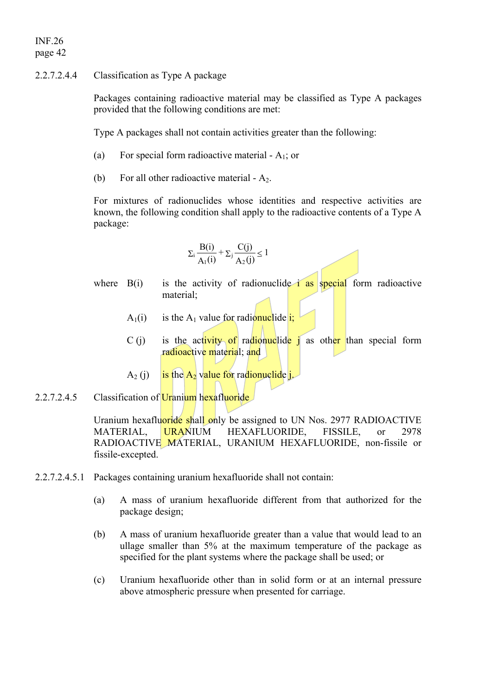## 2.2.7.2.4.4 Classification as Type A package

Packages containing radioactive material may be classified as Type A packages provided that the following conditions are met:

Type A packages shall not contain activities greater than the following:

- (a) For special form radioactive material  $A_1$ ; or
- (b) For all other radioactive material  $-A_2$ .

For mixtures of radionuclides whose identities and respective activities are known, the following condition shall apply to the radioactive contents of a Type A package:

$$
\Sigma_i \frac{B(i)}{A_1(i)} + \Sigma_j \frac{C(j)}{A_2(j)} \le 1
$$

- where  $B(i)$  is the activity of radionuclide i as special form radioactive material;
	- $A_1(i)$  is the  $A_1$  value for radionuclide i;
	- $C(i)$  is the activity of radionuclide j as other than special form radioactive material; and
	- $A_2$  (j) is the  $A_2$  value for radionuclide j.
- 2.2.7.2.4.5 Classification of Uranium hexafluoride

Uranium hexafluoride shall only be assigned to UN Nos. 2977 RADIOACTIVE MATERIAL, URANIUM HEXAFLUORIDE, FISSILE, or 2978 RADIOACTIVE MATERIAL, URANIUM HEXAFLUORIDE, non-fissile or fissile-excepted.

- 2.2.7.2.4.5.1 Packages containing uranium hexafluoride shall not contain:
	- (a) A mass of uranium hexafluoride different from that authorized for the package design;
	- (b) A mass of uranium hexafluoride greater than a value that would lead to an ullage smaller than 5% at the maximum temperature of the package as specified for the plant systems where the package shall be used; or
	- (c) Uranium hexafluoride other than in solid form or at an internal pressure above atmospheric pressure when presented for carriage.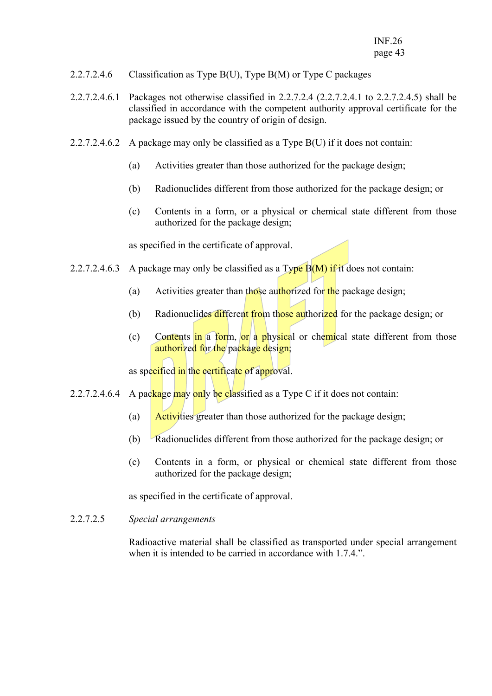- 2.2.7.2.4.6 Classification as Type B(U), Type B(M) or Type C packages
- 2.2.7.2.4.6.1 Packages not otherwise classified in 2.2.7.2.4 (2.2.7.2.4.1 to 2.2.7.2.4.5) shall be classified in accordance with the competent authority approval certificate for the package issued by the country of origin of design.
- 2.2.7.2.4.6.2 A package may only be classified as a Type B(U) if it does not contain:
	- (a) Activities greater than those authorized for the package design;
	- (b) Radionuclides different from those authorized for the package design; or
	- (c) Contents in a form, or a physical or chemical state different from those authorized for the package design;

as specified in the certificate of approval.

- 2.2.7.2.4.6.3 A package may only be classified as a  $Type B(M)$  if it does not contain:
	- (a) Activities greater than those authorized for the package design;
	- (b) Radionuclides different from those authorized for the package design; or
	- (c) Contents in a form, or a physical or chemical state different from those authorized for the package design;

as specified in the certificate of approval.

- 2.2.7.2.4.6.4 A package may only be classified as a Type C if it does not contain:
	- (a) Activities greater than those authorized for the package design;
	- (b) Radionuclides different from those authorized for the package design; or
	- (c) Contents in a form, or physical or chemical state different from those authorized for the package design;

as specified in the certificate of approval.

2.2.7.2.5 *Special arrangements*

Radioactive material shall be classified as transported under special arrangement when it is intended to be carried in accordance with 1.7.4.".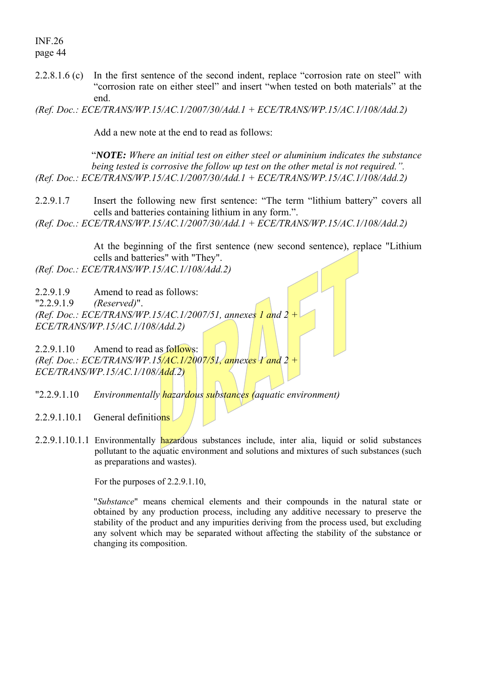2.2.8.1.6 (c) In the first sentence of the second indent, replace "corrosion rate on steel" with "corrosion rate on either steel" and insert "when tested on both materials" at the end.

*(Ref. Doc.: ECE/TRANS/WP.15/AC.1/2007/30/Add.1 + ECE/TRANS/WP.15/AC.1/108/Add.2)* 

Add a new note at the end to read as follows:

 "*NOTE: Where an initial test on either steel or aluminium indicates the substance being tested is corrosive the follow up test on the other metal is not required.". (Ref. Doc.: ECE/TRANS/WP.15/AC.1/2007/30/Add.1 + ECE/TRANS/WP.15/AC.1/108/Add.2)* 

2.2.9.1.7 Insert the following new first sentence: "The term "lithium battery" covers all cells and batteries containing lithium in any form.".

*(Ref. Doc.: ECE/TRANS/WP.15/AC.1/2007/30/Add.1 + ECE/TRANS/WP.15/AC.1/108/Add.2)* 

 At the beginning of the first sentence (new second sentence), replace "Lithium cells and batteries" with "They".

*(Ref. Doc.: ECE/TRANS/WP.15/AC.1/108/Add.2)* 

2.2.9.1.9 Amend to read as follows:

"2.2.9.1.9 *(Reserved)*".

*(Ref. Doc.: ECE/TRANS/WP.15/AC.1/2007/51, annexes 1 and 2 + ECE/TRANS/WP.15/AC.1/108/Add.2)* 

2.2.9.1.10 Amend to read as follows: *(Ref. Doc.: ECE/TRANS/WP.15/AC.1/2007/51, annexes 1 and 2 + ECE/TRANS/WP.15/AC.1/108/Add.2)* 

"2.2.9.1.10 *Environmentally hazardous substances (aquatic environment)*

- 2.2.9.1.10.1 General definitions
- 2.2.9.1.10.1.1 Environmentally hazardous substances include, inter alia, liquid or solid substances pollutant to the aquatic environment and solutions and mixtures of such substances (such as preparations and wastes).

For the purposes of 2.2.9.1.10,

 "*Substance*" means chemical elements and their compounds in the natural state or obtained by any production process, including any additive necessary to preserve the stability of the product and any impurities deriving from the process used, but excluding any solvent which may be separated without affecting the stability of the substance or changing its composition.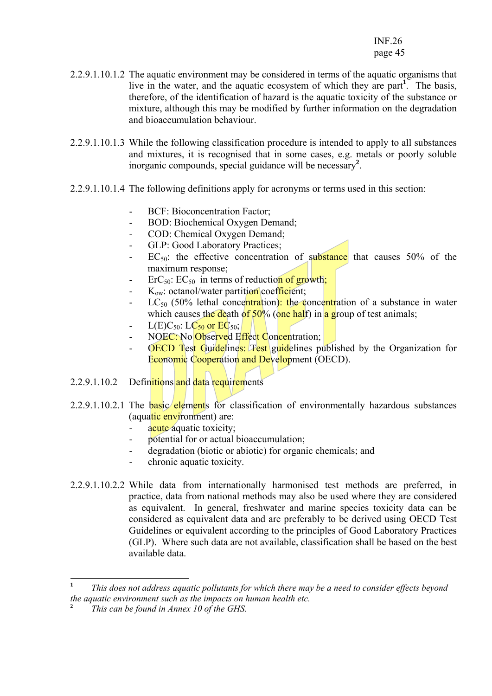- 2.2.9.1.10.1.2 The aquatic environment may be considered in terms of the aquatic organisms that live in the water, and the aquatic ecosystem of which they are part<sup>1</sup>. The basis, therefore, of the identification of hazard is the aquatic toxicity of the substance or mixture, although this may be modified by further information on the degradation and bioaccumulation behaviour.
- 2.2.9.1.10.1.3 While the following classification procedure is intended to apply to all substances and mixtures, it is recognised that in some cases, e.g. metals or poorly soluble inorganic compounds, special guidance will be necessary**<sup>2</sup>** .
- 2.2.9.1.10.1.4 The following definitions apply for acronyms or terms used in this section:
	- BCF: Bioconcentration Factor;
	- BOD: Biochemical Oxygen Demand;
	- COD: Chemical Oxygen Demand;
	- GLP: Good Laboratory Practices;
	- $EC_{50}$ : the effective concentration of substance that causes 50% of the maximum response;
	- ErC<sub>50</sub>: EC<sub>50</sub> in terms of reduction of growth;
	- $-K<sub>ow</sub>$ : octanol/water partition coefficient;
	- LC<sub>50</sub> (50% lethal concentration): the concentration of a substance in water which causes the death of  $50\%$  (one half) in a group of test animals;
	- $L(E)C_{50}$ :  $L\overline{C_{50}}$  or  $EC_{50}$ ;
	- NOEC: No Observed Effect Concentration;
	- **OECD Test Guidelines:** Test guidelines published by the Organization for Economic Cooperation and Development (OECD).
- 2.2.9.1.10.2 Definitions and data requirements
- 2.2.9.1.10.2.1 The **basic element**s for classification of environmentally hazardous substances (aquatic environment) are:
	- acute aquatic toxicity;
	- potential for or actual bioaccumulation;
	- degradation (biotic or abiotic) for organic chemicals; and
	- chronic aquatic toxicity.
- 2.2.9.1.10.2.2 While data from internationally harmonised test methods are preferred, in practice, data from national methods may also be used where they are considered as equivalent. In general, freshwater and marine species toxicity data can be considered as equivalent data and are preferably to be derived using OECD Test Guidelines or equivalent according to the principles of Good Laboratory Practices (GLP). Where such data are not available, classification shall be based on the best available data.

-

**<sup>1</sup>** *This does not address aquatic pollutants for which there may be a need to consider effects beyond the aquatic environment such as the impacts on human health etc.* 

**<sup>2</sup>** *This can be found in Annex 10 of the GHS.*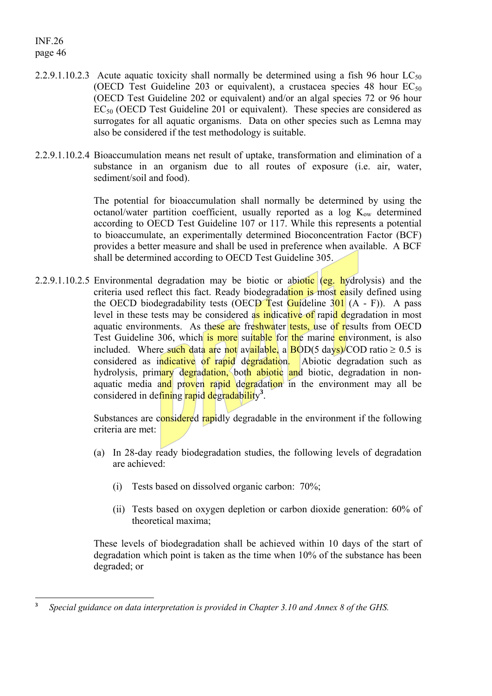- 2.2.9.1.10.2.3 Acute aquatic toxicity shall normally be determined using a fish 96 hour  $LC_{50}$ (OECD Test Guideline 203 or equivalent), a crustacea species 48 hour  $EC_{50}$ (OECD Test Guideline 202 or equivalent) and/or an algal species 72 or 96 hour  $EC_{50}$  (OECD Test Guideline 201 or equivalent). These species are considered as surrogates for all aquatic organisms. Data on other species such as Lemna may also be considered if the test methodology is suitable.
- 2.2.9.1.10.2.4 Bioaccumulation means net result of uptake, transformation and elimination of a substance in an organism due to all routes of exposure (i.e. air, water, sediment/soil and food).

 The potential for bioaccumulation shall normally be determined by using the octanol/water partition coefficient, usually reported as a log  $K_{ow}$  determined according to OECD Test Guideline 107 or 117. While this represents a potential to bioaccumulate, an experimentally determined Bioconcentration Factor (BCF) provides a better measure and shall be used in preference when available. A BCF shall be determined according to OECD Test Guideline 305.

2.2.9.1.10.2.5 Environmental degradation may be biotic or abiotic (eg. hydrolysis) and the criteria used reflect this fact. Ready biodegradation is most easily defined using the OECD biodegradability tests (OECD Test Guideline  $301(A - F)$ ). A pass level in these tests may be considered as indicative of rapid degradation in most aquatic environments. As these are freshwater tests, use of results from OECD Test Guideline 306, which is more suitable for the marine environment, is also included. Where such data are not available, a  $BOD(5 \text{ days})/COD \text{ ratio} \geq 0.5 \text{ is}$ considered as indicative of rapid degradation. Abiotic degradation such as hydrolysis, primary degradation, both abiotic and biotic, degradation in nonaquatic media and proven rapid degradation in the environment may all be considered in defining **rapid degradability<sup>3</sup>**.

> Substances are considered rapidly degradable in the environment if the following criteria are met:

- (a) In 28-day ready biodegradation studies, the following levels of degradation are achieved:
	- (i) Tests based on dissolved organic carbon: 70%;
	- (ii) Tests based on oxygen depletion or carbon dioxide generation: 60% of theoretical maxima;

These levels of biodegradation shall be achieved within 10 days of the start of degradation which point is taken as the time when 10% of the substance has been degraded; or

l **<sup>3</sup>** *Special guidance on data interpretation is provided in Chapter 3.10 and Annex 8 of the GHS.*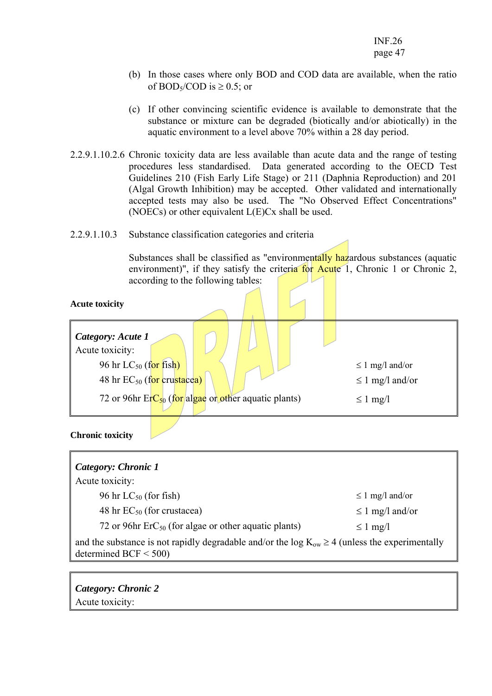- (b) In those cases where only BOD and COD data are available, when the ratio of BOD<sub>5</sub>/COD is  $\geq$  0.5; or
- (c) If other convincing scientific evidence is available to demonstrate that the substance or mixture can be degraded (biotically and/or abiotically) in the aquatic environment to a level above 70% within a 28 day period.
- 2.2.9.1.10.2.6 Chronic toxicity data are less available than acute data and the range of testing procedures less standardised. Data generated according to the OECD Test Guidelines 210 (Fish Early Life Stage) or 211 (Daphnia Reproduction) and 201 (Algal Growth Inhibition) may be accepted. Other validated and internationally accepted tests may also be used. The "No Observed Effect Concentrations" (NOECs) or other equivalent L(E)Cx shall be used.
- 2.2.9.1.10.3 Substance classification categories and criteria

Substances shall be classified as "environmentally hazardous substances (aquatic environment)", if they satisfy the criteria for Acute 1, Chronic 1 or Chronic 2, according to the following tables:

### **Acute toxicity**

| Category: Acute 1<br>Acute toxicity:<br>96 hr $LC_{50}$ (for fish)   | $\leq 1$ mg/l and/or |
|----------------------------------------------------------------------|----------------------|
| 48 hr $EC_{50}$ (for crustacea)                                      | $\leq 1$ mg/l and/or |
| 72 or 96hr $E_{\rm r}C_{\rm s0}$ (for algae or other aquatic plants) | $\leq 1$ mg/l        |

**Chronic toxicity** 

| Category: Chronic 1                                                                                                            |                      |  |  |  |  |  |  |  |
|--------------------------------------------------------------------------------------------------------------------------------|----------------------|--|--|--|--|--|--|--|
| Acute toxicity:                                                                                                                |                      |  |  |  |  |  |  |  |
| 96 hr $LC_{50}$ (for fish)                                                                                                     | $\leq 1$ mg/l and/or |  |  |  |  |  |  |  |
| 48 hr $EC_{50}$ (for crustacea)                                                                                                | $\leq 1$ mg/l and/or |  |  |  |  |  |  |  |
| 72 or 96hr $\text{ErC}_{50}$ (for algae or other aquatic plants)                                                               | $\leq 1$ mg/l        |  |  |  |  |  |  |  |
| and the substance is not rapidly degradable and/or the log $K_{ow} \ge 4$ (unless the experimentally<br>determined $BCF < 500$ |                      |  |  |  |  |  |  |  |

*Category: Chronic 2* 

Acute toxicity: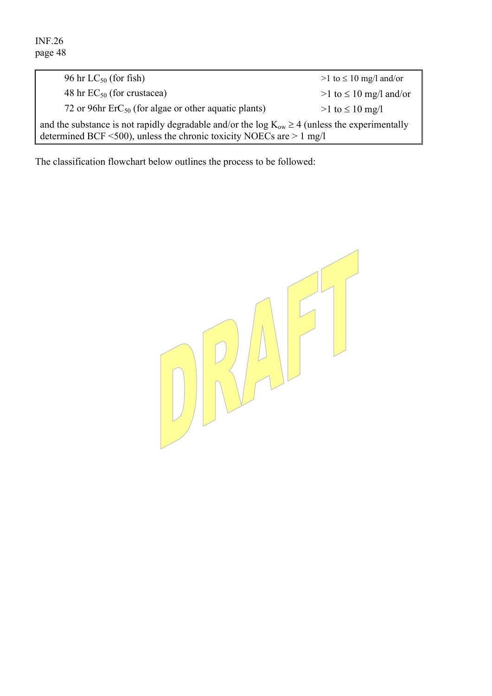| 96 hr $LC_{50}$ (for fish)                                                                                                                                                     | $>1$ to $\leq 10$ mg/l and/or |  |  |  |  |  |  |  |  |
|--------------------------------------------------------------------------------------------------------------------------------------------------------------------------------|-------------------------------|--|--|--|--|--|--|--|--|
| 48 hr $EC_{50}$ (for crustacea)                                                                                                                                                | $>1$ to $\leq 10$ mg/l and/or |  |  |  |  |  |  |  |  |
| 72 or 96hr $\text{ErC}_{50}$ (for algae or other aquatic plants)                                                                                                               | $>1$ to $\leq 10$ mg/l        |  |  |  |  |  |  |  |  |
| and the substance is not rapidly degradable and/or the log $K_{ow} \ge 4$ (unless the experimentally<br>determined BCF <500), unless the chronic toxicity NOECs are $> 1$ mg/l |                               |  |  |  |  |  |  |  |  |

The classification flowchart below outlines the process to be followed:

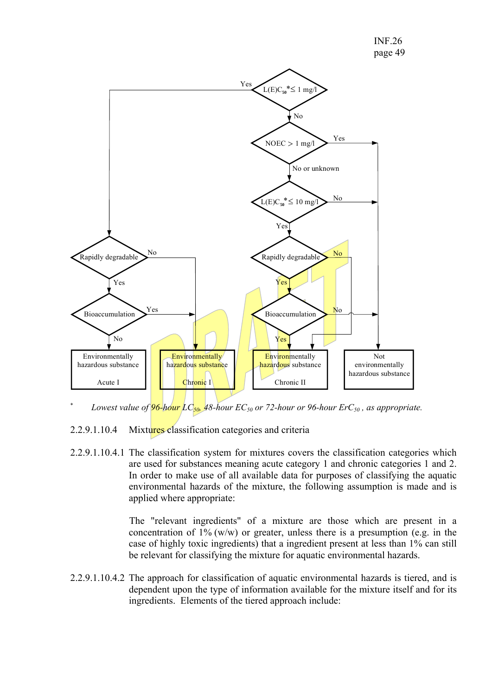

*Lowest value of* 96-hour *LC*<sub>50</sub>, 48-hour *EC*<sub>50</sub> or 72-hour or 96-hour *ErC*<sub>50</sub>, as appropriate.

- 2.2.9.1.10.4 Mixtures classification categories and criteria
- 2.2.9.1.10.4.1 The classification system for mixtures covers the classification categories which are used for substances meaning acute category 1 and chronic categories 1 and 2. In order to make use of all available data for purposes of classifying the aquatic environmental hazards of the mixture, the following assumption is made and is applied where appropriate:

The "relevant ingredients" of a mixture are those which are present in a concentration of  $1\%$  (w/w) or greater, unless there is a presumption (e.g. in the case of highly toxic ingredients) that a ingredient present at less than 1% can still be relevant for classifying the mixture for aquatic environmental hazards.

2.2.9.1.10.4.2 The approach for classification of aquatic environmental hazards is tiered, and is dependent upon the type of information available for the mixture itself and for its ingredients. Elements of the tiered approach include: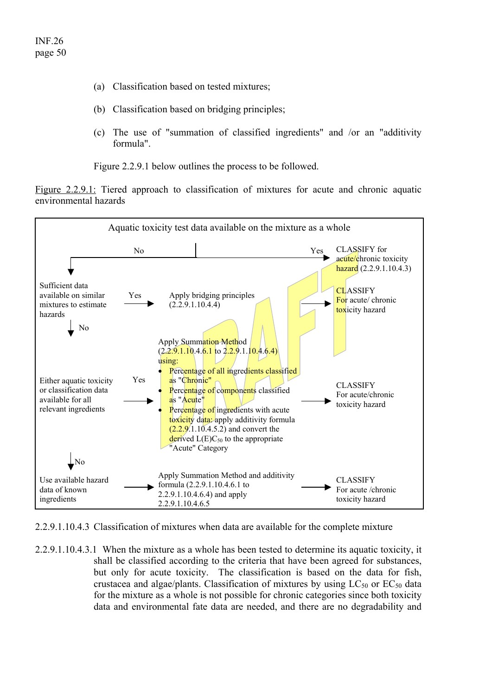- (a) Classification based on tested mixtures;
- (b) Classification based on bridging principles;
- (c) The use of "summation of classified ingredients" and /or an "additivity formula".

Figure 2.2.9.1 below outlines the process to be followed.

Figure 2.2.9.1: Tiered approach to classification of mixtures for acute and chronic aquatic environmental hazards



2.2.9.1.10.4.3 Classification of mixtures when data are available for the complete mixture

2.2.9.1.10.4.3.1 When the mixture as a whole has been tested to determine its aquatic toxicity, it shall be classified according to the criteria that have been agreed for substances, but only for acute toxicity. The classification is based on the data for fish, crustacea and algae/plants. Classification of mixtures by using  $LC_{50}$  or  $EC_{50}$  data for the mixture as a whole is not possible for chronic categories since both toxicity data and environmental fate data are needed, and there are no degradability and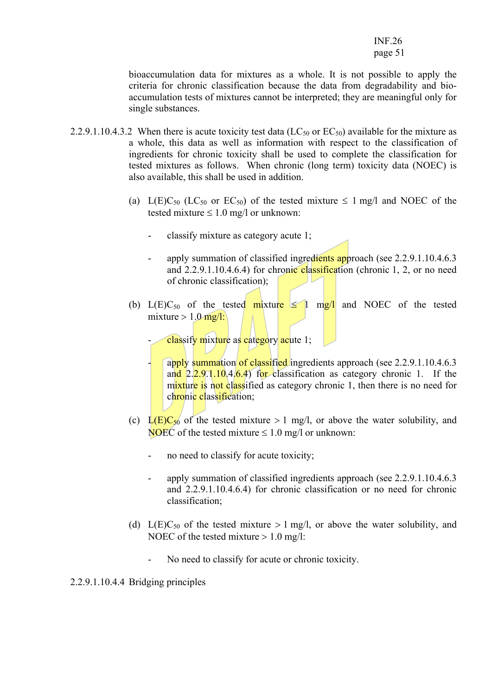bioaccumulation data for mixtures as a whole. It is not possible to apply the criteria for chronic classification because the data from degradability and bioaccumulation tests of mixtures cannot be interpreted; they are meaningful only for single substances.

- 2.2.9.1.10.4.3.2 When there is acute toxicity test data (LC<sub>50</sub> or EC<sub>50</sub>) available for the mixture as a whole, this data as well as information with respect to the classification of ingredients for chronic toxicity shall be used to complete the classification for tested mixtures as follows. When chronic (long term) toxicity data (NOEC) is also available, this shall be used in addition.
	- (a) L(E)C<sub>50</sub> (LC<sub>50</sub> or EC<sub>50</sub>) of the tested mixture  $\leq 1$  mg/l and NOEC of the tested mixture  $\leq 1.0$  mg/l or unknown:
		- classify mixture as category acute 1;
		- apply summation of classified ingredients approach (see  $2.2.9.1.10.4.6.3$ ) and  $2.2.9.1.10.4.6.4$ ) for chronic classification (chronic 1, 2, or no need of chronic classification);
	- (b) L(E)C<sub>50</sub> of the tested mixture  $\leq 1$  mg/l and NOEC of the tested mixture  $> 1.0$  mg/l:

classify mixture as category acute 1:

apply summation of classified ingredients approach (see 2.2.9.1.10.4.6.3) and  $2.2.9.1.10.4.6.4$ ) for classification as category chronic 1. If the mixture is not classified as category chronic 1, then there is no need for chronic classification;

- (c)  $L(E)C_{50}$  of the tested mixture  $> 1$  mg/l, or above the water solubility, and NOEC of the tested mixture  $\leq 1.0$  mg/l or unknown:
	- no need to classify for acute toxicity;
	- apply summation of classified ingredients approach (see 2.2.9.1.10.4.6.3) and 2.2.9.1.10.4.6.4) for chronic classification or no need for chronic classification;
- (d) L(E)C<sub>50</sub> of the tested mixture  $> 1$  mg/l, or above the water solubility, and NOEC of the tested mixture  $> 1.0$  mg/l:
	- No need to classify for acute or chronic toxicity.

2.2.9.1.10.4.4 Bridging principles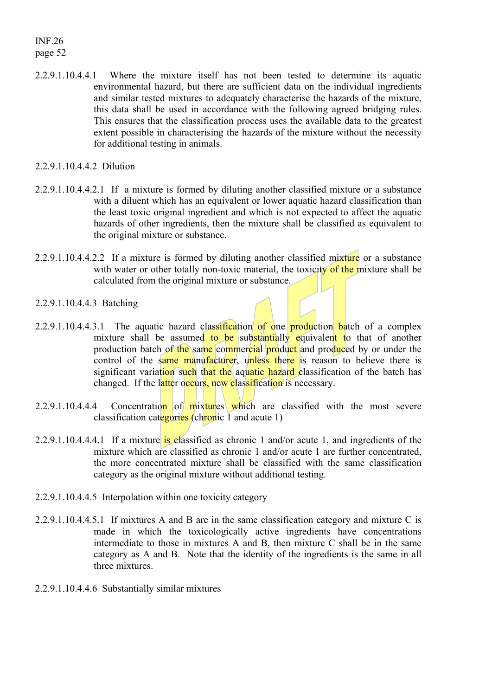- 2.2.9.1.10.4.4.1 Where the mixture itself has not been tested to determine its aquatic environmental hazard, but there are sufficient data on the individual ingredients and similar tested mixtures to adequately characterise the hazards of the mixture, this data shall be used in accordance with the following agreed bridging rules. This ensures that the classification process uses the available data to the greatest extent possible in characterising the hazards of the mixture without the necessity for additional testing in animals.
- 2.2.9.1.10.4.4.2 Dilution
- 2.2.9.1.10.4.4.2.1 If a mixture is formed by diluting another classified mixture or a substance with a diluent which has an equivalent or lower aquatic hazard classification than the least toxic original ingredient and which is not expected to affect the aquatic hazards of other ingredients, then the mixture shall be classified as equivalent to the original mixture or substance.
- 2.2.9.1.10.4.4.2.2 If a mixture is formed by diluting another classified mixture or a substance with water or other totally non-toxic material, the toxicity of the mixture shall be calculated from the original mixture or substance.
- 2.2.9.1.10.4.4.3 Batching
- 2.2.9.1.10.4.4.3.1 The aquatic hazard classification of one production batch of a complex mixture shall be assumed to be substantially equivalent to that of another production batch of the same commercial product and produced by or under the control of the same manufacturer, unless there is reason to believe there is significant variation such that the aquatic hazard classification of the batch has changed. If the latter occurs, new classification is necessary.
- 2.2.9.1.10.4.4.4 Concentration of mixtures which are classified with the most severe classification categories (chronic  $\tilde{1}$  and acute 1)
- 2.2.9.1.10.4.4.4.1 If a mixture is classified as chronic 1 and/or acute 1, and ingredients of the mixture which are classified as chronic 1 and/or acute 1 are further concentrated, the more concentrated mixture shall be classified with the same classification category as the original mixture without additional testing.
- 2.2.9.1.10.4.4.5 Interpolation within one toxicity category
- 2.2.9.1.10.4.4.5.1 If mixtures A and B are in the same classification category and mixture C is made in which the toxicologically active ingredients have concentrations intermediate to those in mixtures A and B, then mixture C shall be in the same category as A and B. Note that the identity of the ingredients is the same in all three mixtures.
- 2.2.9.1.10.4.4.6 Substantially similar mixtures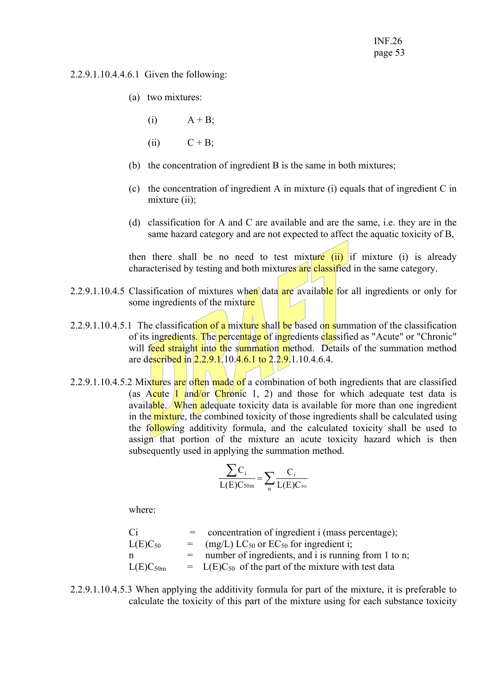### 2.2.9.1.10.4.4.6.1 Given the following:

- (a) two mixtures:
	- (i)  $A + B$ ;
	- (ii)  $C + B$ ;
- (b) the concentration of ingredient B is the same in both mixtures;
- (c) the concentration of ingredient A in mixture (i) equals that of ingredient C in mixture (ii);
- (d) classification for A and C are available and are the same, i.e. they are in the same hazard category and are not expected to affect the aquatic toxicity of B,

then there shall be no need to test mixture (ii) if mixture (i) is already characterised by testing and both mixtures are classified in the same category.

- 2.2.9.1.10.4.5 Classification of mixtures when data are available for all ingredients or only for some ingredients of the mixture
- 2.2.9.1.10.4.5.1 The classification of a mixture shall be based on summation of the classification of its ingredients. The percentage of ingredients classified as "Acute" or "Chronic" will feed straight into the summation method. Details of the summation method are described in  $2.2.9.1/10.4.6.1$  to  $2.2.9.1.10.4.6.4$ .
- 2.2.9.1.10.4.5.2 Mixtures are often made of a combination of both ingredients that are classified (as Acute  $\frac{1}{2}$  and/or Chronic 1, 2) and those for which adequate test data is available. When adequate toxicity data is available for more than one ingredient in the mixture, the combined toxicity of those ingredients shall be calculated using the following additivity formula, and the calculated toxicity shall be used to assign that portion of the mixture an acute toxicity hazard which is then subsequently used in applying the summation method.

$$
\frac{\displaystyle\sum C_i}{L(E) C \text{son}} = \sum_n \frac{C_i}{L(E) C \text{son}}
$$

where:

 $Ci = concentration of ingredient i (mass percentage);$  $L(E)C_{50}$  = (mg/L)  $LC_{50}$  or  $EC_{50}$  for ingredient i;  $n =$  number of ingredients, and i is running from 1 to n;  $L(E)C_{50m}$  =  $L(E)C_{50}$  of the part of the mixture with test data

2.2.9.1.10.4.5.3 When applying the additivity formula for part of the mixture, it is preferable to calculate the toxicity of this part of the mixture using for each substance toxicity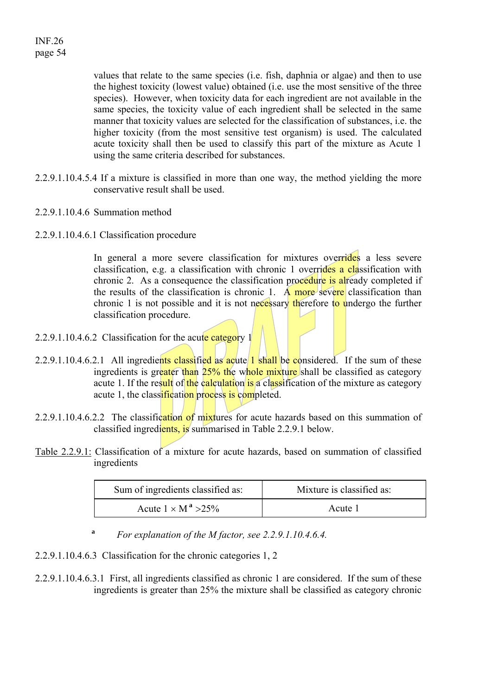values that relate to the same species (i.e. fish, daphnia or algae) and then to use the highest toxicity (lowest value) obtained (i.e. use the most sensitive of the three species). However, when toxicity data for each ingredient are not available in the same species, the toxicity value of each ingredient shall be selected in the same manner that toxicity values are selected for the classification of substances, i.e. the higher toxicity (from the most sensitive test organism) is used. The calculated acute toxicity shall then be used to classify this part of the mixture as Acute 1 using the same criteria described for substances.

- 2.2.9.1.10.4.5.4 If a mixture is classified in more than one way, the method yielding the more conservative result shall be used.
- 2.2.9.1.10.4.6 Summation method
- 2.2.9.1.10.4.6.1 Classification procedure

In general a more severe classification for mixtures overrides a less severe classification, e.g. a classification with chronic 1 overrides a classification with chronic 2. As a consequence the classification procedure is already completed if the results of the classification is chronic 1. A more severe classification than chronic 1 is not possible and it is not necessary therefore to undergo the further classification procedure.

- 2.2.9.1.10.4.6.2 Classification for the acute category 1
- 2.2.9.1.10.4.6.2.1 All ingredients classified as acute 1 shall be considered. If the sum of these ingredients is greater than 25% the whole mixture shall be classified as category acute 1. If the result of the calculation is a classification of the mixture as category acute 1, the classification process is completed.
- 2.2.9.1.10.4.6.2.2 The classification of mixtures for acute hazards based on this summation of classified ingredients, is summarised in Table 2.2.9.1 below.
- Table 2.2.9.1: Classification of a mixture for acute hazards, based on summation of classified ingredients

| Sum of ingredients classified as: | Mixture is classified as: |
|-----------------------------------|---------------------------|
| Acute $1 \times M^2 > 25\%$       | Acute 1                   |

**a** *For explanation of the M factor, see 2.2.9.1.10.4.6.4.* 

2.2.9.1.10.4.6.3 Classification for the chronic categories 1, 2

2.2.9.1.10.4.6.3.1 First, all ingredients classified as chronic 1 are considered. If the sum of these ingredients is greater than 25% the mixture shall be classified as category chronic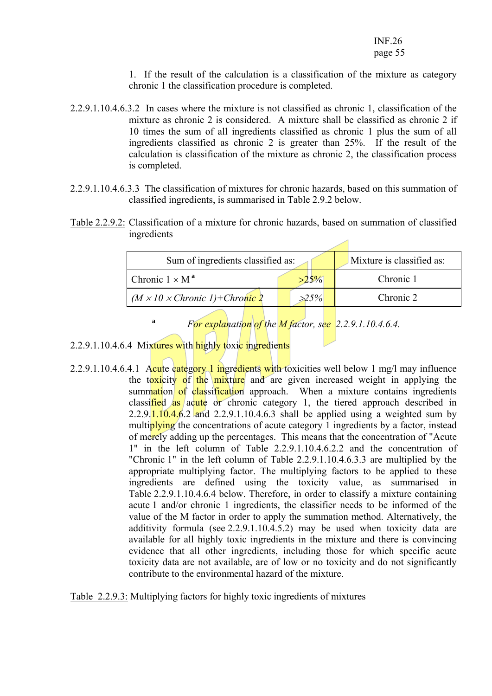1. If the result of the calculation is a classification of the mixture as category chronic 1 the classification procedure is completed.

- 2.2.9.1.10.4.6.3.2 In cases where the mixture is not classified as chronic 1, classification of the mixture as chronic 2 is considered. A mixture shall be classified as chronic 2 if 10 times the sum of all ingredients classified as chronic 1 plus the sum of all ingredients classified as chronic 2 is greater than 25%. If the result of the calculation is classification of the mixture as chronic 2, the classification process is completed.
- 2.2.9.1.10.4.6.3.3 The classification of mixtures for chronic hazards, based on this summation of classified ingredients, is summarised in Table 2.9.2 below.
- Table 2.2.9.2: Classification of a mixture for chronic hazards, based on summation of classified ingredients  $\overline{\phantom{0}}$

| Sum of ingredients classified as:          | Mixture is classified as: |           |
|--------------------------------------------|---------------------------|-----------|
| Chronic $1 \times M^a$                     | >25%                      | Chronic 1 |
| $(M \times 10 \times$ Chronic 1)+Chronic 2 | $\geq 25\%$               | Chronic 2 |
|                                            |                           |           |

**<sup>a</sup>** *For explanation of the M factor, see 2.2.9.1.10.4.6.4.*

- 2.2.9.1.10.4.6.4 Mixtures with highly toxic ingredients
- 2.2.9.1.10.4.6.4.1 Acute category 1 ingredients with toxicities well below 1 mg/l may influence the toxicity of the mixture and are given increased weight in applying the summation of classification approach. When a mixture contains ingredients classified as acute or chronic category 1, the tiered approach described in 2.2.9.1.10.4.6.2 and 2.2.9.1.10.4.6.3 shall be applied using a weighted sum by multiplying the concentrations of acute category 1 ingredients by a factor, instead of merely adding up the percentages. This means that the concentration of "Acute 1" in the left column of Table 2.2.9.1.10.4.6.2.2 and the concentration of "Chronic 1" in the left column of Table 2.2.9.1.10.4.6.3.3 are multiplied by the appropriate multiplying factor. The multiplying factors to be applied to these ingredients are defined using the toxicity value, as summarised in Table 2.2.9.1.10.4.6.4 below. Therefore, in order to classify a mixture containing acute 1 and/or chronic 1 ingredients, the classifier needs to be informed of the value of the M factor in order to apply the summation method. Alternatively, the additivity formula (see 2.2.9.1.10.4.5.2) may be used when toxicity data are available for all highly toxic ingredients in the mixture and there is convincing evidence that all other ingredients, including those for which specific acute toxicity data are not available, are of low or no toxicity and do not significantly contribute to the environmental hazard of the mixture.

Table 2.2.9.3: Multiplying factors for highly toxic ingredients of mixtures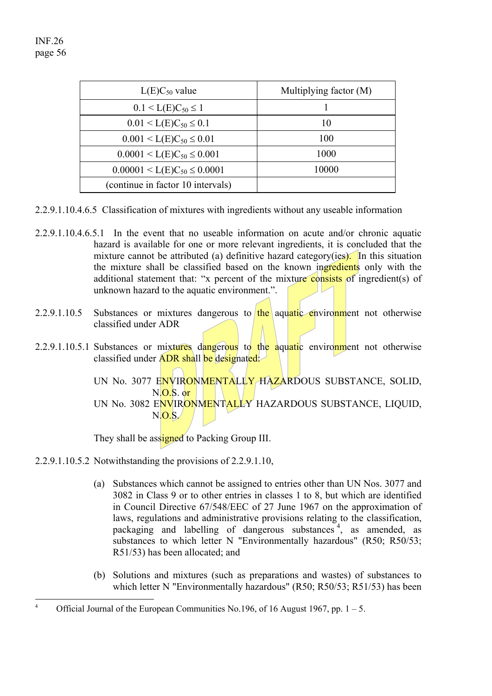| $L(E)C_{50}$ value                  | Multiplying factor (M) |
|-------------------------------------|------------------------|
| $0.1 < L(E)C_{50} \leq 1$           |                        |
| $0.01 < L(E)C_{50} \leq 0.1$        | 10                     |
| $0.001 \le L(E)C_{50} \le 0.01$     | 100                    |
| $0.0001 \le L(E)C_{50} \le 0.001$   | 1000                   |
| $0.00001 \le L(E)C_{50} \le 0.0001$ | 10000                  |
| (continue in factor 10 intervals)   |                        |

- 2.2.9.1.10.4.6.5 Classification of mixtures with ingredients without any useable information
- 2.2.9.1.10.4.6.5.1 In the event that no useable information on acute and/or chronic aquatic hazard is available for one or more relevant ingredients, it is concluded that the mixture cannot be attributed (a) definitive hazard category(ies). In this situation the mixture shall be classified based on the known ingredients only with the additional statement that: "x percent of the mixture consists of ingredient(s) of unknown hazard to the aquatic environment.".
- 2.2.9.1.10.5 Substances or mixtures dangerous to the aquatic environment not otherwise classified under ADR
- 2.2.9.1.10.5.1 Substances or mixtures dangerous to the aquatic environment not otherwise classified under **ADR** shall be designated:
	- UN No. 3077 ENVIRONMENTALLY HAZARDOUS SUBSTANCE, SOLID,  $N.0.5.$  or
	- UN No. 3082 ENVIRONMENTALLY HAZARDOUS SUBSTANCE, LIQUID,  $N.0.5$

They shall be assigned to Packing Group III.

- 2.2.9.1.10.5.2 Notwithstanding the provisions of 2.2.9.1.10,
	- (a) Substances which cannot be assigned to entries other than UN Nos. 3077 and 3082 in Class 9 or to other entries in classes 1 to 8, but which are identified in Council Directive 67/548/EEC of 27 June 1967 on the approximation of laws, regulations and administrative provisions relating to the classification, packaging and labelling of dangerous substances<sup>4</sup>, as amended, as substances to which letter N "Environmentally hazardous" (R50; R50/53; R51/53) has been allocated; and
	- (b) Solutions and mixtures (such as preparations and wastes) of substances to which letter N "Environmentally hazardous" (R50; R50/53; R51/53) has been

 $\frac{1}{4}$ Official Journal of the European Communities No.196, of 16 August 1967, pp.  $1 - 5$ .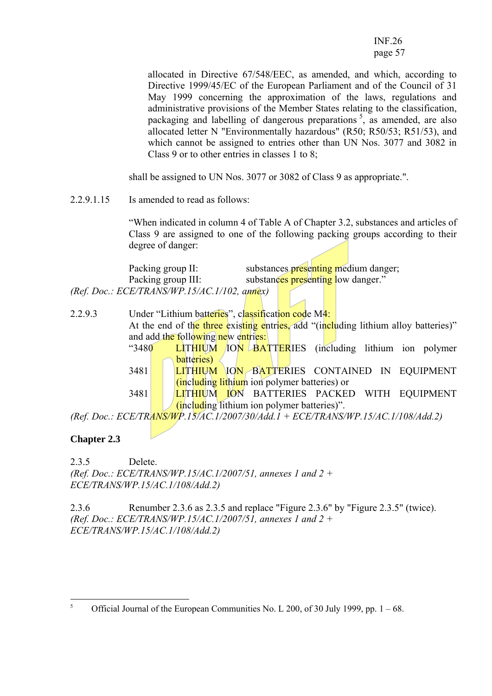allocated in Directive 67/548/EEC, as amended, and which, according to Directive 1999/45/EC of the European Parliament and of the Council of 31 May 1999 concerning the approximation of the laws, regulations and administrative provisions of the Member States relating to the classification, packaging and labelling of dangerous preparations<sup>5</sup>, as amended, are also allocated letter N "Environmentally hazardous" (R50; R50/53; R51/53), and which cannot be assigned to entries other than UN Nos. 3077 and 3082 in Class 9 or to other entries in classes 1 to 8;

shall be assigned to UN Nos. 3077 or 3082 of Class 9 as appropriate.".

2.2.9.1.15 Is amended to read as follows:

 "When indicated in column 4 of Table A of Chapter 3.2, substances and articles of Class 9 are assigned to one of the following packing groups according to their degree of danger:

| Packing group II:  | substances presenting medium danger; |
|--------------------|--------------------------------------|
| Packing group III: | substances presenting low danger."   |

*(Ref. Doc.: ECE/TRANS/WP.15/AC.1/102, annex)* 

| 2.2.9.3 |                                                                                                 |  | Under "Lithium batteries", classification code M4: |  |  |  |  |                                                                                     |
|---------|-------------------------------------------------------------------------------------------------|--|----------------------------------------------------|--|--|--|--|-------------------------------------------------------------------------------------|
|         |                                                                                                 |  |                                                    |  |  |  |  | At the end of the three existing entries, add "(including lithium alloy batteries)" |
|         |                                                                                                 |  | and add the following new entries:                 |  |  |  |  |                                                                                     |
|         | "3480"                                                                                          |  |                                                    |  |  |  |  | <b>LITHIUM</b> ION <b>BATTERIES</b> (including lithium ion polymer                  |
|         |                                                                                                 |  | batteries)                                         |  |  |  |  |                                                                                     |
|         | 3481                                                                                            |  |                                                    |  |  |  |  | LITHIUM ION BATTERIES CONTAINED IN EQUIPMENT                                        |
|         |                                                                                                 |  | (including lithium ion polymer batteries) or       |  |  |  |  |                                                                                     |
|         | 3481                                                                                            |  |                                                    |  |  |  |  | LITHIUM ION BATTERIES PACKED WITH EQUIPMENT                                         |
|         |                                                                                                 |  | (including lithium ion polymer batteries)".        |  |  |  |  |                                                                                     |
|         | (Ref. Doc.: ECE/TR <mark>ANS/WP</mark> .15/AC.1/2007/30/Add.1 + ECE/TRANS/WP.15/AC.1/108/Add.2) |  |                                                    |  |  |  |  |                                                                                     |
|         |                                                                                                 |  |                                                    |  |  |  |  |                                                                                     |

## **Chapter 2.3**

2.3.5 Delete. *(Ref. Doc.: ECE/TRANS/WP.15/AC.1/2007/51, annexes 1 and 2 + ECE/TRANS/WP.15/AC.1/108/Add.2)* 

2.3.6 Renumber 2.3.6 as 2.3.5 and replace "Figure 2.3.6" by "Figure 2.3.5" (twice). *(Ref. Doc.: ECE/TRANS/WP.15/AC.1/2007/51, annexes 1 and 2 + ECE/TRANS/WP.15/AC.1/108/Add.2)* 

 $\frac{1}{5}$ Official Journal of the European Communities No. L 200, of 30 July 1999, pp. 1 – 68.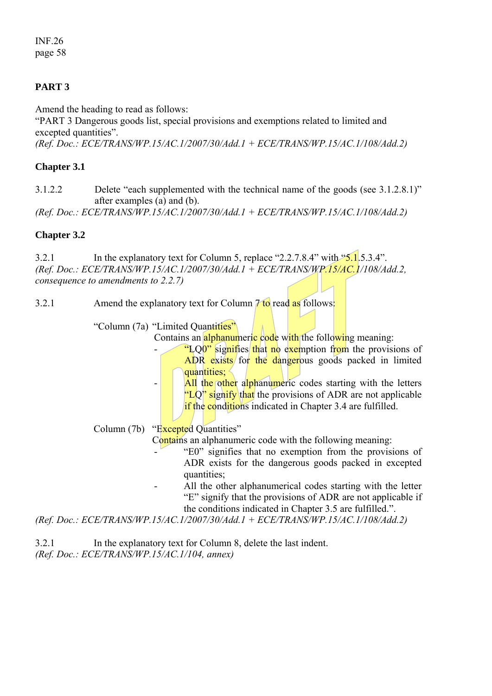# **PART 3**

Amend the heading to read as follows:

"PART 3 Dangerous goods list, special provisions and exemptions related to limited and excepted quantities". *(Ref. Doc.: ECE/TRANS/WP.15/AC.1/2007/30/Add.1 + ECE/TRANS/WP.15/AC.1/108/Add.2)* 

# **Chapter 3.1**

3.1.2.2 Delete "each supplemented with the technical name of the goods (see 3.1.2.8.1)" after examples (a) and (b).

*(Ref. Doc.: ECE/TRANS/WP.15/AC.1/2007/30/Add.1 + ECE/TRANS/WP.15/AC.1/108/Add.2)* 

# **Chapter 3.2**

3.2.1 In the explanatory text for Column 5, replace "2.2.7.8.4" with  $\frac{15.3.4}{5.1.5.3.4}$ ". *(Ref. Doc.: ECE/TRANS/WP.15/AC.1/2007/30/Add.1 + ECE/TRANS/WP.15/AC.1/108/Add.2, consequence to amendments to 2.2.7)* 

3.2.1 Amend the explanatory text for Column  $\frac{7}{10}$  read as follows:

"Column (7a) "Limited Quantities"

Contains an alphanumeric code with the following meaning:

"LO0" signifies that no exemption from the provisions of ADR exists for the dangerous goods packed in limited quantities;

- **All the other alphanumeric** codes starting with the letters  $"LQ"$  signify that the provisions of ADR are not applicable if the conditions indicated in Chapter 3.4 are fulfilled.

Column (7b) "Excepted Quantities"

Contains an alphanumeric code with the following meaning:

- "E0" signifies that no exemption from the provisions of ADR exists for the dangerous goods packed in excepted quantities;
- All the other alphanumerical codes starting with the letter "E" signify that the provisions of ADR are not applicable if the conditions indicated in Chapter 3.5 are fulfilled.".

*(Ref. Doc.: ECE/TRANS/WP.15/AC.1/2007/30/Add.1 + ECE/TRANS/WP.15/AC.1/108/Add.2)* 

3.2.1 In the explanatory text for Column 8, delete the last indent. *(Ref. Doc.: ECE/TRANS/WP.15/AC.1/104, annex)*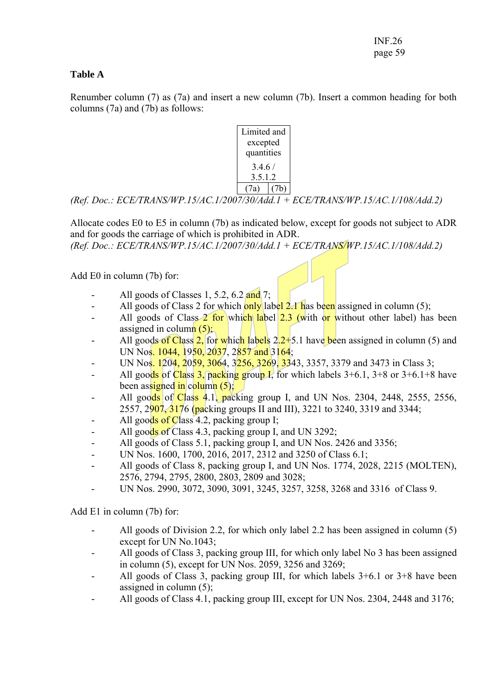## **Table A**

Renumber column (7) as (7a) and insert a new column (7b). Insert a common heading for both columns (7a) and (7b) as follows:



*(Ref. Doc.: ECE/TRANS/WP.15/AC.1/2007/30/Add.1 + ECE/TRANS/WP.15/AC.1/108/Add.2)* 

Allocate codes E0 to E5 in column (7b) as indicated below, except for goods not subject to ADR and for goods the carriage of which is prohibited in ADR. *(Ref. Doc.: ECE/TRANS/WP.15/AC.1/2007/30/Add.1 + ECE/TRANS/WP.15/AC.1/108/Add.2)* 

Add E0 in column (7b) for:

- All goods of Classes 1, 5.2, 6.2 and 7;
- All goods of Class 2 for which only label 2.1 has been assigned in column (5);
- All goods of Class  $2$  for which label 2.3 (with or without other label) has been assigned in column  $(5)$ ;
- All goods of Class 2, for which labels  $2.2+5.1$  have been assigned in column (5) and UN Nos. 1044, 1950, 2037, 2857 and 3164;
- UN Nos. 1204, 2059, 3064, 3256, 3269, 3343, 3357, 3379 and 3473 in Class 3;
- All goods of Class 3, packing group I, for which labels  $3+6.1$ ,  $3+8$  or  $3+6.1+8$  have been assigned in column  $(5)$ ;
- All goods of Class 4.1, packing group I, and UN Nos. 2304, 2448, 2555, 2556, 2557, 2907, 3176 (packing groups II and III), 3221 to 3240, 3319 and 3344;
- All goods of Class 4.2, packing group I;
- All goods of Class 4.3, packing group I, and UN 3292;
- All goods of Class 5.1, packing group I, and UN Nos. 2426 and 3356;
- UN Nos. 1600, 1700, 2016, 2017, 2312 and 3250 of Class 6.1;
- All goods of Class 8, packing group I, and UN Nos. 1774, 2028, 2215 (MOLTEN), 2576, 2794, 2795, 2800, 2803, 2809 and 3028;
- UN Nos. 2990, 3072, 3090, 3091, 3245, 3257, 3258, 3268 and 3316 of Class 9.

Add E1 in column (7b) for:

- All goods of Division 2.2, for which only label 2.2 has been assigned in column (5) except for UN No.1043;
- All goods of Class 3, packing group III, for which only label No 3 has been assigned in column (5), except for UN Nos. 2059, 3256 and 3269;
- All goods of Class 3, packing group III, for which labels  $3+6.1$  or  $3+8$  have been assigned in column (5);
- All goods of Class 4.1, packing group III, except for UN Nos. 2304, 2448 and 3176;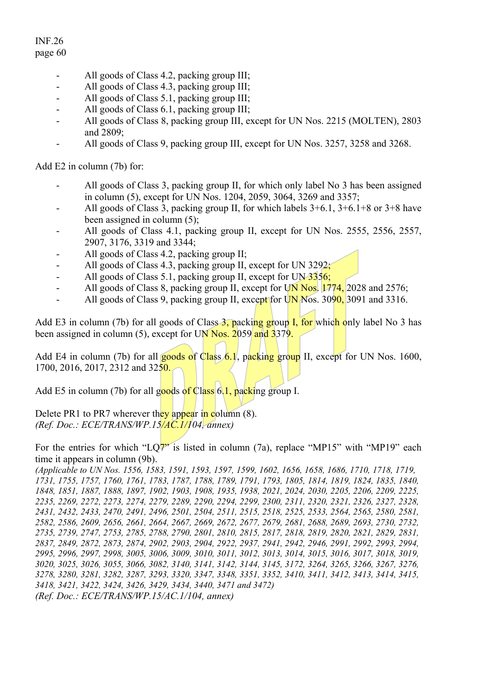- All goods of Class 4.2, packing group III;
- All goods of Class 4.3, packing group III;
- All goods of Class 5.1, packing group III;
- All goods of Class 6.1, packing group III;
- All goods of Class 8, packing group III, except for UN Nos. 2215 (MOLTEN), 2803 and 2809;
- All goods of Class 9, packing group III, except for UN Nos. 3257, 3258 and 3268.

Add E2 in column (7b) for:

- All goods of Class 3, packing group II, for which only label No 3 has been assigned in column (5), except for UN Nos. 1204, 2059, 3064, 3269 and 3357;
- All goods of Class 3, packing group II, for which labels  $3+6.1$ ,  $3+6.1+8$  or  $3+8$  have been assigned in column (5);
- All goods of Class 4.1, packing group II, except for UN Nos. 2555, 2556, 2557, 2907, 3176, 3319 and 3344;
- All goods of Class 4.2, packing group II;
- All goods of Class 4.3, packing group II, except for UN 3292;
- All goods of Class 5.1, packing group II, except for UN  $33\overline{56}$ ;
- All goods of Class 8, packing group II, except for UN Nos. 1774, 2028 and 2576;
- All goods of Class 9, packing group II, except for  $UN$  Nos. 3090, 3091 and 3316.

Add E3 in column (7b) for all goods of Class  $\frac{3}{2}$ , packing group I, for which only label No 3 has been assigned in column (5), except for UN Nos. 2059 and 3379.

Add E4 in column (7b) for all goods of Class 6.1, packing group II, except for UN Nos. 1600, 1700, 2016, 2017, 2312 and 3250.

Add E5 in column (7b) for all goods of Class  $6.1$ , packing group I.

Delete PR1 to PR7 wherever they appear in column  $(8)$ . *(Ref. Doc.: ECE/TRANS/WP.15/AC.1/104, annex)* 

For the entries for which "LQ $\overline{7}$ " is listed in column (7a), replace "MP15" with "MP19" each time it appears in column (9b).

*(Applicable to UN Nos. 1556, 1583, 1591, 1593, 1597, 1599, 1602, 1656, 1658, 1686, 1710, 1718, 1719, 1731, 1755, 1757, 1760, 1761, 1783, 1787, 1788, 1789, 1791, 1793, 1805, 1814, 1819, 1824, 1835, 1840, 1848, 1851, 1887, 1888, 1897, 1902, 1903, 1908, 1935, 1938, 2021, 2024, 2030, 2205, 2206, 2209, 2225, 2235, 2269, 2272, 2273, 2274, 2279, 2289, 2290, 2294, 2299, 2300, 2311, 2320, 2321, 2326, 2327, 2328, 2431, 2432, 2433, 2470, 2491, 2496, 2501, 2504, 2511, 2515, 2518, 2525, 2533, 2564, 2565, 2580, 2581, 2582, 2586, 2609, 2656, 2661, 2664, 2667, 2669, 2672, 2677, 2679, 2681, 2688, 2689, 2693, 2730, 2732, 2735, 2739, 2747, 2753, 2785, 2788, 2790, 2801, 2810, 2815, 2817, 2818, 2819, 2820, 2821, 2829, 2831, 2837, 2849, 2872, 2873, 2874, 2902, 2903, 2904, 2922, 2937, 2941, 2942, 2946, 2991, 2992, 2993, 2994, 2995, 2996, 2997, 2998, 3005, 3006, 3009, 3010, 3011, 3012, 3013, 3014, 3015, 3016, 3017, 3018, 3019, 3020, 3025, 3026, 3055, 3066, 3082, 3140, 3141, 3142, 3144, 3145, 3172, 3264, 3265, 3266, 3267, 3276, 3278, 3280, 3281, 3282, 3287, 3293, 3320, 3347, 3348, 3351, 3352, 3410, 3411, 3412, 3413, 3414, 3415, 3418, 3421, 3422, 3424, 3426, 3429, 3434, 3440, 3471 and 3472) (Ref. Doc.: ECE/TRANS/WP.15/AC.1/104, annex)*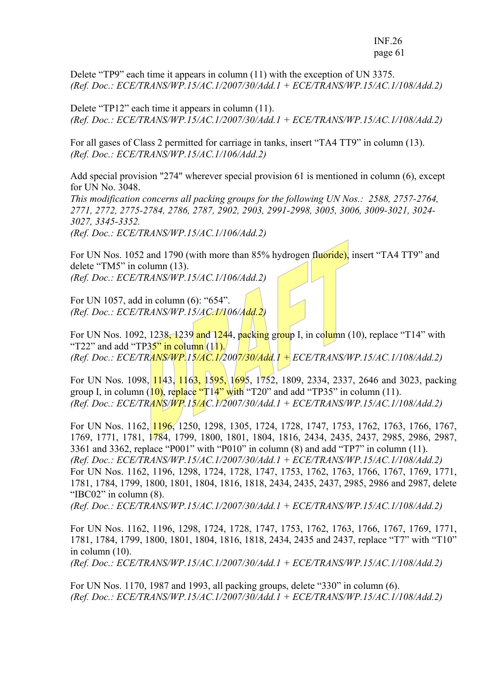Delete "TP9" each time it appears in column (11) with the exception of UN 3375. *(Ref. Doc.: ECE/TRANS/WP.15/AC.1/2007/30/Add.1 + ECE/TRANS/WP.15/AC.1/108/Add.2)* 

Delete "TP12" each time it appears in column (11). *(Ref. Doc.: ECE/TRANS/WP.15/AC.1/2007/30/Add.1 + ECE/TRANS/WP.15/AC.1/108/Add.2)* 

For all gases of Class 2 permitted for carriage in tanks, insert "TA4 TT9" in column (13). *(Ref. Doc.: ECE/TRANS/WP.15/AC.1/106/Add.2)* 

Add special provision "274" wherever special provision 61 is mentioned in column (6), except for UN No. 3048.

*This modification concerns all packing groups for the following UN Nos.: 2588, 2757-2764, 2771, 2772, 2775-2784, 2786, 2787, 2902, 2903, 2991-2998, 3005, 3006, 3009-3021, 3024- 3027, 3345-3352.* 

*(Ref. Doc.: ECE/TRANS/WP.15/AC.1/106/Add.2)* 

For UN Nos. 1052 and 1790 (with more than 85% hydrogen fluoride), insert "TA4 TT9" and delete "TM5" in column (13). *(Ref. Doc.: ECE/TRANS/WP.15/AC.1/106/Add.2)* 

For UN 1057, add in column (6): "654". *(Ref. Doc.: ECE/TRANS/WP.15/AC.1/106/Add.2)* 

For UN Nos. 1092, 1238, 1239 and  $1244$ , packing group I, in column (10), replace "T14" with "T22" and add "TP35" in column  $(1)$ . *(Ref. Doc.: ECE/TRANS/WP.15/AC.1/2007/30/Add.1 + ECE/TRANS/WP.15/AC.1/108/Add.2)* 

For UN Nos. 1098, 1143, 1163, 1595, 1695, 1752, 1809, 2334, 2337, 2646 and 3023, packing group I, in column  $(10)$ , replace "T14" with "T20" and add "TP35" in column (11). *(Ref. Doc.: ECE/TRANS/WP.15/AC.1/2007/30/Add.1 + ECE/TRANS/WP.15/AC.1/108/Add.2)* 

For UN Nos. 1162, 1196, 1250, 1298, 1305, 1724, 1728, 1747, 1753, 1762, 1763, 1766, 1767, 1769, 1771, 1781, 1784, 1799, 1800, 1801, 1804, 1816, 2434, 2435, 2437, 2985, 2986, 2987, 3361 and 3362, replace "P001" with "P010" in column (8) and add "TP7" in column (11). *(Ref. Doc.: ECE/TRANS/WP.15/AC.1/2007/30/Add.1 + ECE/TRANS/WP.15/AC.1/108/Add.2)*  For UN Nos. 1162, 1196, 1298, 1724, 1728, 1747, 1753, 1762, 1763, 1766, 1767, 1769, 1771, 1781, 1784, 1799, 1800, 1801, 1804, 1816, 1818, 2434, 2435, 2437, 2985, 2986 and 2987, delete "IBC02" in column (8).

*(Ref. Doc.: ECE/TRANS/WP.15/AC.1/2007/30/Add.1 + ECE/TRANS/WP.15/AC.1/108/Add.2)* 

For UN Nos. 1162, 1196, 1298, 1724, 1728, 1747, 1753, 1762, 1763, 1766, 1767, 1769, 1771, 1781, 1784, 1799, 1800, 1801, 1804, 1816, 1818, 2434, 2435 and 2437, replace "T7" with "T10" in column (10). *(Ref. Doc.: ECE/TRANS/WP.15/AC.1/2007/30/Add.1 + ECE/TRANS/WP.15/AC.1/108/Add.2)* 

For UN Nos. 1170, 1987 and 1993, all packing groups, delete "330" in column (6). *(Ref. Doc.: ECE/TRANS/WP.15/AC.1/2007/30/Add.1 + ECE/TRANS/WP.15/AC.1/108/Add.2)*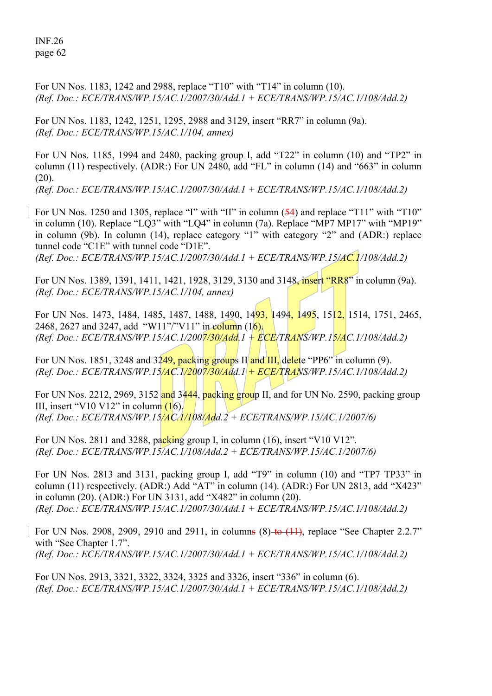For UN Nos. 1183, 1242 and 2988, replace "T10" with "T14" in column (10). *(Ref. Doc.: ECE/TRANS/WP.15/AC.1/2007/30/Add.1 + ECE/TRANS/WP.15/AC.1/108/Add.2)* 

For UN Nos. 1183, 1242, 1251, 1295, 2988 and 3129, insert "RR7" in column (9a). *(Ref. Doc.: ECE/TRANS/WP.15/AC.1/104, annex)* 

For UN Nos. 1185, 1994 and 2480, packing group I, add "T22" in column (10) and "TP2" in column (11) respectively. (ADR:) For UN 2480, add "FL" in column (14) and "663" in column  $(20)$ .

*(Ref. Doc.: ECE/TRANS/WP.15/AC.1/2007/30/Add.1 + ECE/TRANS/WP.15/AC.1/108/Add.2)* 

For UN Nos. 1250 and 1305, replace "I" with "II" in column  $(54)$  and replace "T11" with "T10" in column (10). Replace "LQ3" with "LQ4" in column (7a). Replace "MP7 MP17" with "MP19" in column (9b). In column (14), replace category "1" with category "2" and (ADR:) replace tunnel code "C1E" with tunnel code "D1E".

*(Ref. Doc.: ECE/TRANS/WP.15/AC.1/2007/30/Add.1 + ECE/TRANS/WP.15/AC.1/108/Add.2)* 

For UN Nos. 1389, 1391, 1411, 1421, 1928, 3129, 3130 and 3148, insert "RR8" in column (9a). *(Ref. Doc.: ECE/TRANS/WP.15/AC.1/104, annex)* 

For UN Nos. 1473, 1484, 1485, 1487, 1488, 1490, 1493, 1494, 1495, 1512, 1514, 1751, 2465, 2468, 2627 and 3247, add "W11"/"V11" in column (16). *(Ref. Doc.: ECE/TRANS/WP.15/AC.1/2007/30/Add.1 + ECE/TRANS/WP.15/AC.1/108/Add.2)* 

For UN Nos. 1851, 3248 and 3249, packing groups  $II$  and  $III$ , delete "PP6" in column (9). *(Ref. Doc.: ECE/TRANS/WP.15/AC.1/2007/30/Add.1 + ECE/TRANS/WP.15/AC.1/108/Add.2)* 

For UN Nos. 2212, 2969, 3152 and 3444, packing group II, and for UN No. 2590, packing group III, insert "V10 V12" in column  $(16)$ . *(Ref. Doc.: ECE/TRANS/WP.15/AC.1/108/Add.2 + ECE/TRANS/WP.15/AC.1/2007/6)* 

For UN Nos. 2811 and 3288, packing group I, in column (16), insert "V10 V12". *(Ref. Doc.: ECE/TRANS/WP.15/AC.1/108/Add.2 + ECE/TRANS/WP.15/AC.1/2007/6)* 

For UN Nos. 2813 and 3131, packing group I, add "T9" in column (10) and "TP7 TP33" in column (11) respectively. (ADR:) Add "AT" in column (14). (ADR:) For UN 2813, add "X423" in column (20). (ADR:) For UN 3131, add "X482" in column (20). *(Ref. Doc.: ECE/TRANS/WP.15/AC.1/2007/30/Add.1 + ECE/TRANS/WP.15/AC.1/108/Add.2)* 

For UN Nos. 2908, 2909, 2910 and 2911, in columns (8) to (11), replace "See Chapter 2.2.7" with "See Chapter 1.7". *(Ref. Doc.: ECE/TRANS/WP.15/AC.1/2007/30/Add.1 + ECE/TRANS/WP.15/AC.1/108/Add.2)* 

For UN Nos. 2913, 3321, 3322, 3324, 3325 and 3326, insert "336" in column (6). *(Ref. Doc.: ECE/TRANS/WP.15/AC.1/2007/30/Add.1 + ECE/TRANS/WP.15/AC.1/108/Add.2)*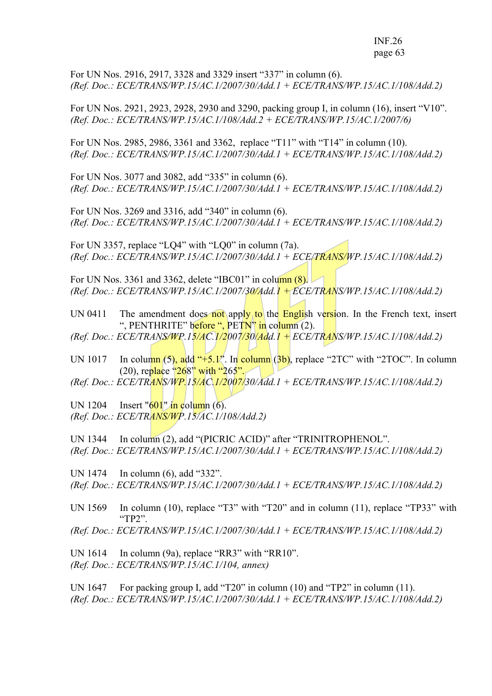For UN Nos. 2916, 2917, 3328 and 3329 insert "337" in column (6). *(Ref. Doc.: ECE/TRANS/WP.15/AC.1/2007/30/Add.1 + ECE/TRANS/WP.15/AC.1/108/Add.2)* 

For UN Nos. 2921, 2923, 2928, 2930 and 3290, packing group I, in column (16), insert "V10". *(Ref. Doc.: ECE/TRANS/WP.15/AC.1/108/Add.2 + ECE/TRANS/WP.15/AC.1/2007/6)* 

For UN Nos. 2985, 2986, 3361 and 3362, replace "T11" with "T14" in column (10). *(Ref. Doc.: ECE/TRANS/WP.15/AC.1/2007/30/Add.1 + ECE/TRANS/WP.15/AC.1/108/Add.2)* 

For UN Nos. 3077 and 3082, add "335" in column (6). *(Ref. Doc.: ECE/TRANS/WP.15/AC.1/2007/30/Add.1 + ECE/TRANS/WP.15/AC.1/108/Add.2)* 

For UN Nos. 3269 and 3316, add "340" in column (6). *(Ref. Doc.: ECE/TRANS/WP.15/AC.1/2007/30/Add.1 + ECE/TRANS/WP.15/AC.1/108/Add.2)* 

For UN 3357, replace "LQ4" with "LQ0" in column (7a). *(Ref. Doc.: ECE/TRANS/WP.15/AC.1/2007/30/Add.1 + ECE/TRANS/WP.15/AC.1/108/Add.2)* 

For UN Nos. 3361 and 3362, delete "IBC01" in column (8). *(Ref. Doc.: ECE/TRANS/WP.15/AC.1/2007/30/Add.1 + ECE/TRANS/WP.15/AC.1/108/Add.2)* 

UN 0411 The amendment does not apply to the English version. In the French text, insert ", PENTHRITE" before ",  $\text{PETN}$ " in column (2).

*(Ref. Doc.: ECE/TRANS/WP.15/AC.1/2007/30/Add.1 + ECE/TRANS/WP.15/AC.1/108/Add.2)* 

UN 1017 In column (5), add "+5.1". In column (3b), replace "2TC" with "2TOC". In column (20), replace  $^{\circ}268$ " with  $^{\circ}265$ ".

*(Ref. Doc.: ECE/TRANS/WP.15/AC.1/2007/30/Add.1 + ECE/TRANS/WP.15/AC.1/108/Add.2)* 

UN 1204 Insert " $\frac{601}{\text{m}}$  column (6).

*(Ref. Doc.: ECE/TRANS/WP.15/AC.1/108/Add.2)* 

UN 1344 In column (2), add "(PICRIC ACID)" after "TRINITROPHENOL".

*(Ref. Doc.: ECE/TRANS/WP.15/AC.1/2007/30/Add.1 + ECE/TRANS/WP.15/AC.1/108/Add.2)* 

UN 1474 In column (6), add "332".

*(Ref. Doc.: ECE/TRANS/WP.15/AC.1/2007/30/Add.1 + ECE/TRANS/WP.15/AC.1/108/Add.2)* 

UN 1569 In column (10), replace "T3" with "T20" and in column (11), replace "TP33" with "TP2".

*(Ref. Doc.: ECE/TRANS/WP.15/AC.1/2007/30/Add.1 + ECE/TRANS/WP.15/AC.1/108/Add.2)* 

UN 1614 In column (9a), replace "RR3" with "RR10".

*(Ref. Doc.: ECE/TRANS/WP.15/AC.1/104, annex)* 

UN 1647 For packing group I, add "T20" in column (10) and "TP2" in column (11). *(Ref. Doc.: ECE/TRANS/WP.15/AC.1/2007/30/Add.1 + ECE/TRANS/WP.15/AC.1/108/Add.2)*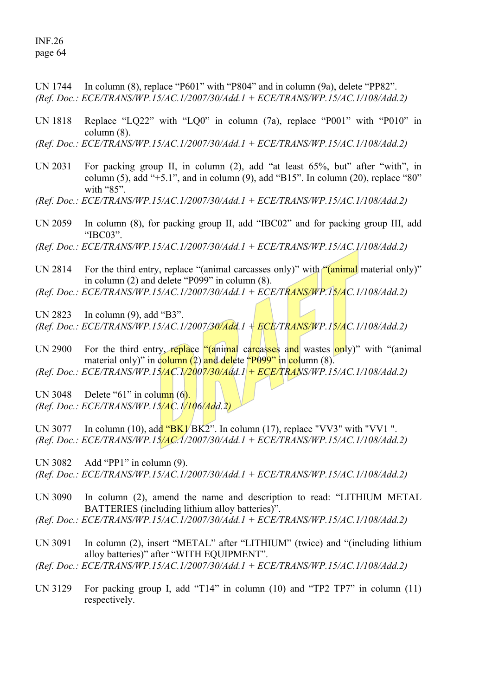UN 1744 In column (8), replace "P601" with "P804" and in column (9a), delete "PP82". *(Ref. Doc.: ECE/TRANS/WP.15/AC.1/2007/30/Add.1 + ECE/TRANS/WP.15/AC.1/108/Add.2)* 

UN 1818 Replace "LQ22" with "LQ0" in column (7a), replace "P001" with "P010" in column (8).

*(Ref. Doc.: ECE/TRANS/WP.15/AC.1/2007/30/Add.1 + ECE/TRANS/WP.15/AC.1/108/Add.2)* 

UN 2031 For packing group II, in column (2), add "at least 65%, but" after "with", in column (5), add "+5.1", and in column (9), add "B15". In column (20), replace "80" with "85".

*(Ref. Doc.: ECE/TRANS/WP.15/AC.1/2007/30/Add.1 + ECE/TRANS/WP.15/AC.1/108/Add.2)* 

UN 2059 In column (8), for packing group II, add "IBC02" and for packing group III, add " $\text{IRC}03$ ".

*(Ref. Doc.: ECE/TRANS/WP.15/AC.1/2007/30/Add.1 + ECE/TRANS/WP.15/AC.1/108/Add.2)* 

- UN 2814 For the third entry, replace "(animal carcasses only)" with "(animal material only)" in column (2) and delete "P099" in column (8).
- *(Ref. Doc.: ECE/TRANS/WP.15/AC.1/2007/30/Add.1 + ECE/TRANS/WP.15/AC.1/108/Add.2)*
- UN 2823 In column (9), add "B3". *(Ref. Doc.: ECE/TRANS/WP.15/AC.1/2007/30/Add.1 + ECE/TRANS/WP.15/AC.1/108/Add.2)*
- UN 2900 For the third entry, replace "(animal carcasses and wastes only)" with "(animal material only)" in column (2) and delete  $P099$ " in column (8).
- *(Ref. Doc.: ECE/TRANS/WP.15/AC.1/2007/30/Add.1 + ECE/TRANS/WP.15/AC.1/108/Add.2)*

UN 3048 Delete "61" in column (6).

*(Ref. Doc.: ECE/TRANS/WP.15/AC.1/106/Add.2)* 

UN 3077 In column (10), add " $B K1/B K2$ ". In column (17), replace "VV3" with "VV1". *(Ref. Doc.: ECE/TRANS/WP.15/AC.1/2007/30/Add.1 + ECE/TRANS/WP.15/AC.1/108/Add.2)* 

- UN 3082 Add "PP1" in column (9). *(Ref. Doc.: ECE/TRANS/WP.15/AC.1/2007/30/Add.1 + ECE/TRANS/WP.15/AC.1/108/Add.2)*
- UN 3090 In column (2), amend the name and description to read: "LITHIUM METAL BATTERIES (including lithium alloy batteries)".
- *(Ref. Doc.: ECE/TRANS/WP.15/AC.1/2007/30/Add.1 + ECE/TRANS/WP.15/AC.1/108/Add.2)*
- UN 3091 In column (2), insert "METAL" after "LITHIUM" (twice) and "(including lithium alloy batteries)" after "WITH EQUIPMENT".
- *(Ref. Doc.: ECE/TRANS/WP.15/AC.1/2007/30/Add.1 + ECE/TRANS/WP.15/AC.1/108/Add.2)*
- UN 3129 For packing group I, add "T14" in column (10) and "TP2 TP7" in column (11) respectively.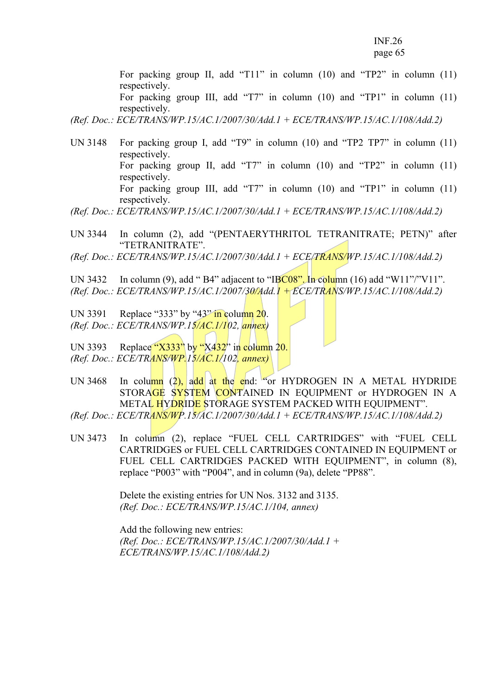For packing group II, add "T11" in column (10) and "TP2" in column (11) respectively.

 For packing group III, add "T7" in column (10) and "TP1" in column (11) respectively.

*(Ref. Doc.: ECE/TRANS/WP.15/AC.1/2007/30/Add.1 + ECE/TRANS/WP.15/AC.1/108/Add.2)* 

- UN 3148 For packing group I, add "T9" in column (10) and "TP2 TP7" in column (11) respectively. For packing group II, add "T7" in column (10) and "TP2" in column (11) respectively. For packing group III, add "T7" in column (10) and "TP1" in column (11) respectively.
- *(Ref. Doc.: ECE/TRANS/WP.15/AC.1/2007/30/Add.1 + ECE/TRANS/WP.15/AC.1/108/Add.2)*

UN 3344 In column (2), add "(PENTAERYTHRITOL TETRANITRATE; PETN)" after "TETRANITRATE".

*(Ref. Doc.: ECE/TRANS/WP.15/AC.1/2007/30/Add.1 + ECE/TRANS/WP.15/AC.1/108/Add.2)* 

UN 3432 In column (9), add "B4" adjacent to "IBC08". In column (16) add "W11"/"V11". *(Ref. Doc.: ECE/TRANS/WP.15/AC.1/2007/30/Add.1 + ECE/TRANS/WP.15/AC.1/108/Add.2)* 

- UN 3391 Replace "333" by "43" in column 20. *(Ref. Doc.: ECE/TRANS/WP.15/AC.1/102, annex)*
- UN 3393 Replace  $X333'$  by "X432" in column 20. *(Ref. Doc.: ECE/TRANS/WP.15/AC.1/102, annex)*

UN 3468 In column  $(2)$ , add at the end: "or HYDROGEN IN A METAL HYDRIDE STORAGE SYSTEM CONTAINED IN EQUIPMENT or HYDROGEN IN A METAL HYDRIDE STORAGE SYSTEM PACKED WITH EOUIPMENT".

- *(Ref. Doc.: ECE/TRANS/WP.15/AC.1/2007/30/Add.1 + ECE/TRANS/WP.15/AC.1/108/Add.2)*
- UN 3473 In column (2), replace "FUEL CELL CARTRIDGES" with "FUEL CELL CARTRIDGES or FUEL CELL CARTRIDGES CONTAINED IN EQUIPMENT or FUEL CELL CARTRIDGES PACKED WITH EQUIPMENT", in column (8), replace "P003" with "P004", and in column (9a), delete "PP88".

Delete the existing entries for UN Nos. 3132 and 3135. *(Ref. Doc.: ECE/TRANS/WP.15/AC.1/104, annex)*

Add the following new entries: *(Ref. Doc.: ECE/TRANS/WP.15/AC.1/2007/30/Add.1 + ECE/TRANS/WP.15/AC.1/108/Add.2)*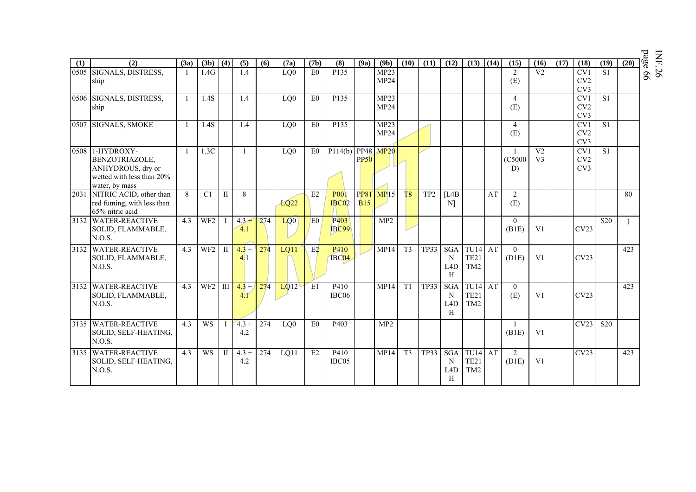| (1)  | (2)                                                                                              | (3a)           | (3b)            | (4)          | (5)            | (6) | (7a)            | (7 <sub>b</sub> ) | (8)                                    | (9a)               | (9 <sub>b</sub> )               | (10)           | (11)            | (12)                                     | (13)                                                  | (14) | (15)                  | (16)                             | (17) | (18)              | (19)            | (20) | age |
|------|--------------------------------------------------------------------------------------------------|----------------|-----------------|--------------|----------------|-----|-----------------|-------------------|----------------------------------------|--------------------|---------------------------------|----------------|-----------------|------------------------------------------|-------------------------------------------------------|------|-----------------------|----------------------------------|------|-------------------|-----------------|------|-----|
| 0505 | SIGNALS, DISTRESS,<br>ship                                                                       |                | 1.4G            |              | 1.4            |     | LQ0             | E <sub>0</sub>    | P135                                   |                    | MP <sub>23</sub><br><b>MP24</b> |                |                 |                                          |                                                       |      | $\overline{c}$<br>(E) | V <sub>2</sub>                   |      | CV1<br>CV2<br>CV3 | S <sub>1</sub>  |      | 99  |
| 0506 | SIGNALS, DISTRESS,<br>ship                                                                       | $\mathbf{1}$   | 1.4S            |              | 1.4            |     | LQ0             | E <sub>0</sub>    | P135                                   |                    | MP <sub>23</sub><br><b>MP24</b> |                |                 |                                          |                                                       |      | $\overline{4}$<br>(E) |                                  |      | CV1<br>CV2<br>CV3 | S <sub>1</sub>  |      |     |
|      | 0507 SIGNALS, SMOKE                                                                              | $\overline{1}$ | 1.4S            |              | 1.4            |     | LQ0             | E <sub>0</sub>    | P135                                   |                    | MP23<br>MP24                    |                |                 |                                          |                                                       |      | $\overline{4}$<br>(E) |                                  |      | CV1<br>CV2<br>CV3 | $\overline{S1}$ |      |     |
| 0508 | 1-HYDROXY-<br>BENZOTRIAZOLE,<br>ANHYDROUS, dry or<br>wetted with less than 20%<br>water, by mass | $\overline{1}$ | 1.3C            |              |                |     | LQ0             | E <sub>0</sub>    | $P114(b)$ PP48 MP20                    | <b>PP50</b>        |                                 |                |                 |                                          |                                                       |      | (C5000<br>D)          | V <sub>2</sub><br>V <sub>3</sub> |      | CV1<br>CV2<br>CV3 | $\overline{S1}$ |      |     |
| 2031 | NITRIC ACID, other than<br>red fuming, with less than<br>65% nitric acid                         | 8              | C <sub>1</sub>  | $\mathbf{I}$ | 8              |     | LQ22            | E2                | P <sub>00</sub> 1<br>IBC0 <sub>2</sub> | <b>PP81</b><br>B15 | MP15                            | T <sub>8</sub> | TP <sub>2</sub> | [L4B<br>$N$ ]                            |                                                       | AT   | 2<br>(E)              |                                  |      |                   |                 | 80   |     |
|      | 3132 WATER-REACTIVE<br>SOLID, FLAMMABLE,<br>N.O.S.                                               | 4.3            | WF <sub>2</sub> |              | $4.3 +$<br>4.1 | 274 | LO <sub>0</sub> | E <sub>0</sub>    | P <sub>403</sub><br><b>IBC99</b>       |                    | MP <sub>2</sub>                 |                |                 |                                          |                                                       |      | $\Omega$<br>(B1E)     | V <sub>1</sub>                   |      | CV23              | S <sub>20</sub> |      |     |
| 3132 | <b>WATER-REACTIVE</b><br>SOLID, FLAMMABLE,<br>N.O.S.                                             | 4.3            | WF <sub>2</sub> | $\mathbf{I}$ | $4.3 +$<br>4.1 | 274 | LQ11            | E2                | P410<br>IBC04                          |                    | MP14                            | T <sub>3</sub> | <b>TP33</b>     | <b>SGA</b><br>N<br>L <sub>4</sub> D<br>H | TU <sub>14</sub> AT<br><b>TE21</b><br>TM <sub>2</sub> |      | $\theta$<br>(D1E)     | V <sub>1</sub>                   |      | CV23              |                 | 423  |     |
|      | 3132 WATER-REACTIVE<br>SOLID, FLAMMABLE,<br>N.O.S.                                               | 4.3            | WF <sub>2</sub> | III          | $4.3 +$<br>4.1 | 274 | LO12            | E1                | P410<br>IBC06                          |                    | MP14                            | T1             | <b>TP33</b>     | SGA<br>N<br>L4D<br>H                     | <b>TU14</b><br><b>TE21</b><br>TM <sub>2</sub>         | AT   | $\Omega$<br>(E)       | V <sub>1</sub>                   |      | CV23              |                 | 423  |     |
|      | 3135 WATER-REACTIVE<br>SOLID, SELF-HEATING,<br>N.O.S.                                            | 4.3            | <b>WS</b>       |              | $4.3 +$<br>4.2 | 274 | LQ0             | E <sub>0</sub>    | P403                                   |                    | MP2                             |                |                 |                                          |                                                       |      | (B1E)                 | V <sub>1</sub>                   |      | CV23              | S <sub>20</sub> |      |     |
|      | 3135 WATER-REACTIVE<br>SOLID, SELF-HEATING,<br>N.O.S.                                            | 4.3            | <b>WS</b>       | $\mathbf{I}$ | $4.3 +$<br>4.2 | 274 | LQ11            | E2                | P410<br>IBC05                          |                    | MP14                            | T <sub>3</sub> | <b>TP33</b>     | <b>SGA</b><br>N<br>L <sub>4</sub> D<br>H | $TUI4$ AT<br><b>TE21</b><br>TM <sub>2</sub>           |      | 2<br>(D1E)            | V <sub>1</sub>                   |      | CV23              |                 | 423  |     |

p INF.26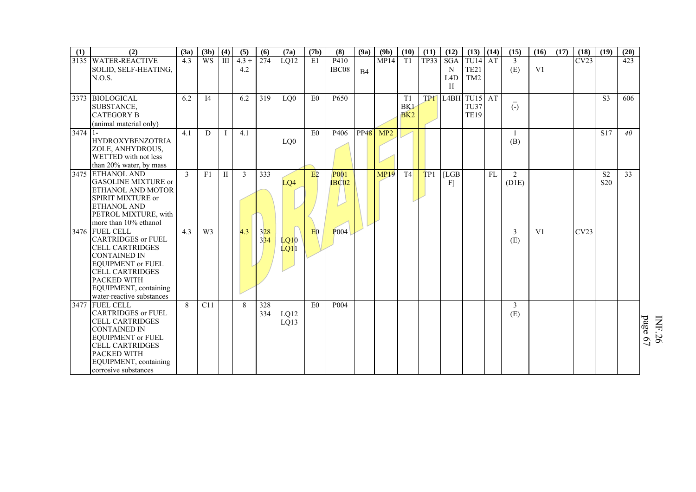| (1)  | (2)                                                                                                                                                                                                                     | (3a)          | (3b)           | (4)          | (5)            | (6)              | (7a)            | (7b)           | (8)                         | (9a)        | (9 <sub>b</sub> ) | (10)                                     | (11)            | (12)                                               | (13)                                               | (14) | (15)                  | (16)           | (17) | (18) | (19)                              | (20) |                          |
|------|-------------------------------------------------------------------------------------------------------------------------------------------------------------------------------------------------------------------------|---------------|----------------|--------------|----------------|------------------|-----------------|----------------|-----------------------------|-------------|-------------------|------------------------------------------|-----------------|----------------------------------------------------|----------------------------------------------------|------|-----------------------|----------------|------|------|-----------------------------------|------|--------------------------|
|      | 3135 WATER-REACTIVE<br>SOLID, SELF-HEATING,<br>N.O.S.                                                                                                                                                                   | 4.3           | <b>WS</b>      | $\rm III$    | $4.3 +$<br>4.2 | 274              | LQ12            | E1             | P410<br>IBC08               | <b>B4</b>   | MP14              | T1                                       | <b>TP33</b>     | <b>SGA</b><br>$\mathbf N$<br>L <sub>4</sub> D<br>H | <b>TU14</b><br>TE <sub>21</sub><br>TM <sub>2</sub> | AT   | 3<br>(E)              | V1             |      | CV23 |                                   | 423  |                          |
|      | 3373 BIOLOGICAL<br>SUBSTANCE,<br><b>CATEGORY B</b><br>(animal material only)                                                                                                                                            | 6.2           | I4             |              | 6.2            | $\overline{319}$ | LO <sub>0</sub> | E <sub>0</sub> | P <sub>650</sub>            |             |                   | T1<br>BK <sub>1</sub><br>BK <sub>2</sub> | <b>TP1</b>      | L4BH                                               | <b>TU15</b><br>TU37<br><b>TE19</b>                 | AT   | $\overline{(\cdot)}$  |                |      |      | S <sub>3</sub>                    | 606  |                          |
| 3474 | <b>HYDROXYBENZOTRIA</b><br>ZOLE, ANHYDROUS,<br>WETTED with not less<br>than 20% water, by mass                                                                                                                          | 4.1           | D              |              | 4.1            |                  | LQ0             | E <sub>0</sub> | P406                        | <b>PP48</b> | MP <sub>2</sub>   |                                          |                 |                                                    |                                                    |      | $\overline{1}$<br>(B) |                |      |      | S <sub>17</sub>                   | 40   |                          |
|      | 3475 ETHANOL AND<br><b>GASOLINE MIXTURE or</b><br>ETHANOL AND MOTOR<br>SPIRIT MIXTURE or<br><b>ETHANOL AND</b><br>PETROL MIXTURE, with<br>more than 10% ethanol                                                         | $\mathcal{E}$ | F1             | $\mathbf{I}$ | $\mathfrak{Z}$ | 333              | LQ4             | E2             | <b>P001</b><br><b>IBC02</b> |             | <b>MP19</b>       | T4                                       | TP <sub>1</sub> | [LGB<br>F                                          |                                                    | FL   | 2<br>(D1E)            |                |      |      | S <sub>2</sub><br>S <sub>20</sub> | 33   |                          |
|      | 3476 FUEL CELL<br><b>CARTRIDGES</b> or FUEL<br><b>CELL CARTRIDGES</b><br><b>CONTAINED IN</b><br><b>EQUIPMENT or FUEL</b><br><b>CELL CARTRIDGES</b><br>PACKED WITH<br>EQUIPMENT, containing<br>water-reactive substances | 4.3           | W <sub>3</sub> |              | 4.3            | 328<br>334       | LQ10<br>LQ11    | E <sub>0</sub> | P <sub>004</sub>            |             |                   |                                          |                 |                                                    |                                                    |      | 3<br>(E)              | V <sub>1</sub> |      | CV23 |                                   |      |                          |
|      | 3477 FUEL CELL<br><b>CARTRIDGES</b> or FUEL<br><b>CELL CARTRIDGES</b><br><b>CONTAINED IN</b><br><b>EQUIPMENT or FUEL</b><br><b>CELL CARTRIDGES</b><br>PACKED WITH<br>EQUIPMENT, containing<br>corrosive substances      | 8             | C11            |              | 8              | 328<br>334       | LQ12<br>LQ13    | E <sub>0</sub> | P <sub>004</sub>            |             |                   |                                          |                 |                                                    |                                                    |      | $\mathfrak{Z}$<br>(E) |                |      |      |                                   |      | page 67<br><b>INF.26</b> |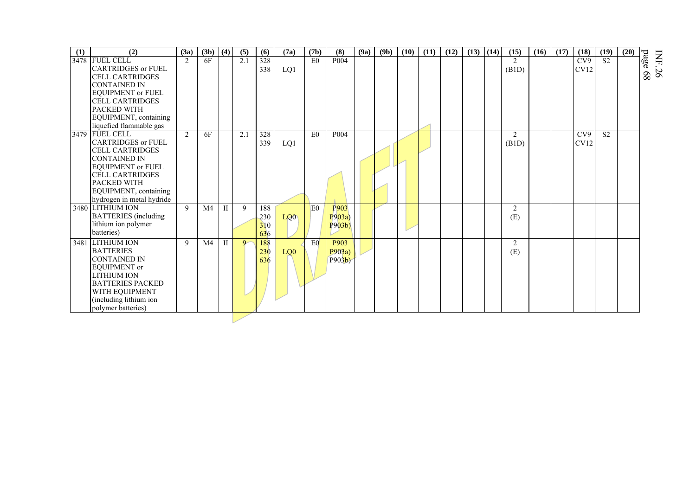| 3478 FUEL CELL<br><b>CARTRIDGES</b> or FUEL<br><b>CELL CARTRIDGES</b>                                                                                                                                                   | 2              | 6F             |              | 2.1          |                          |     |                |                          |  |  |  |                         |  |                    |                 |                             |
|-------------------------------------------------------------------------------------------------------------------------------------------------------------------------------------------------------------------------|----------------|----------------|--------------|--------------|--------------------------|-----|----------------|--------------------------|--|--|--|-------------------------|--|--------------------|-----------------|-----------------------------|
| <b>CONTAINED IN</b><br><b>EQUIPMENT or FUEL</b><br><b>CELL CARTRIDGES</b><br>PACKED WITH<br>EQUIPMENT, containing<br>liquefied flammable gas                                                                            |                |                |              |              | 328<br>338               | LQ1 | E <sub>0</sub> | P <sub>004</sub>         |  |  |  | 2<br>(B1D)              |  | CV9<br><b>CV12</b> | $\overline{S2}$ | page<br><b>INF.26</b><br>89 |
| 3479 FUEL CELL<br><b>CARTRIDGES</b> or FUEL<br><b>CELL CARTRIDGES</b><br><b>CONTAINED IN</b><br><b>EQUIPMENT or FUEL</b><br><b>CELL CARTRIDGES</b><br>PACKED WITH<br>EQUIPMENT, containing<br>hydrogen in metal hydride | $\overline{2}$ | 6F             |              | 2.1          | 328<br>339               | LQ1 | E <sub>0</sub> | P <sub>004</sub>         |  |  |  | $\overline{2}$<br>(B1D) |  | CV9<br>CV12        | S <sub>2</sub>  |                             |
| 3480 LITHIUM ION<br><b>BATTERIES</b> (including<br>lithium ion polymer<br>batteries)                                                                                                                                    | 9              | M <sub>4</sub> | $\mathbf{I}$ | 9            | 188<br>230<br>310<br>636 | LQ0 | E <sub>0</sub> | P903<br>P903a)<br>P903b) |  |  |  | 2<br>(E)                |  |                    |                 |                             |
| 3481 LITHIUM ION<br><b>BATTERIES</b><br><b>CONTAINED IN</b><br><b>EQUIPMENT</b> or<br><b>LITHIUM ION</b><br><b>BATTERIES PACKED</b><br>WITH EQUIPMENT<br>(including lithium ion<br>polymer batteries)                   | $\mathbf Q$    | M <sub>4</sub> | $\mathbf{I}$ | $\mathbf{Q}$ | 188<br>230<br>636        | LQ0 | EO             | P903<br>P903a)<br>P903b  |  |  |  | $\overline{c}$<br>(E)   |  |                    |                 |                             |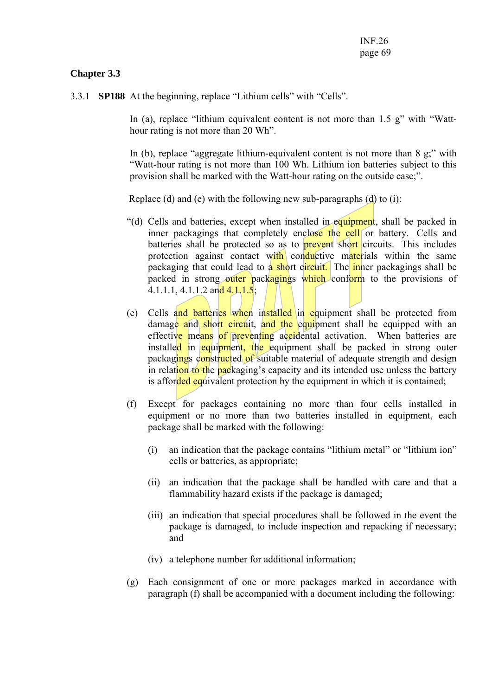# **Chapter 3.3**

3.3.1 **SP188** At the beginning, replace "Lithium cells" with "Cells".

In (a), replace "lithium equivalent content is not more than  $1.5 \text{ g}$ " with "Watthour rating is not more than 20 Wh".

 In (b), replace "aggregate lithium-equivalent content is not more than 8 g;" with "Watt-hour rating is not more than 100 Wh. Lithium ion batteries subject to this provision shall be marked with the Watt-hour rating on the outside case;".

Replace (d) and (e) with the following new sub-paragraphs (d) to (i):

- "(d) Cells and batteries, except when installed in equipment, shall be packed in inner packagings that completely enclose the cell or battery. Cells and batteries shall be protected so as to **prevent** short circuits. This includes protection against contact with conductive materials within the same packaging that could lead to a short circuit. The inner packagings shall be packed in strong outer packagings which conform to the provisions of 4.1.1.1, 4.1.1.2 and  $4.1.1.5$ ;
- (e) Cells and batteries when installed in equipment shall be protected from damage and short circuit, and the equipment shall be equipped with an effective means of preventing accidental activation. When batteries are installed in equipment, the equipment shall be packed in strong outer packagings constructed of suitable material of adequate strength and design in relation to the packaging's capacity and its intended use unless the battery is afforded equivalent protection by the equipment in which it is contained;
- (f) Except for packages containing no more than four cells installed in equipment or no more than two batteries installed in equipment, each package shall be marked with the following:
	- (i) an indication that the package contains "lithium metal" or "lithium ion" cells or batteries, as appropriate;
	- (ii) an indication that the package shall be handled with care and that a flammability hazard exists if the package is damaged;
	- (iii) an indication that special procedures shall be followed in the event the package is damaged, to include inspection and repacking if necessary; and
	- (iv) a telephone number for additional information;
- (g) Each consignment of one or more packages marked in accordance with paragraph (f) shall be accompanied with a document including the following: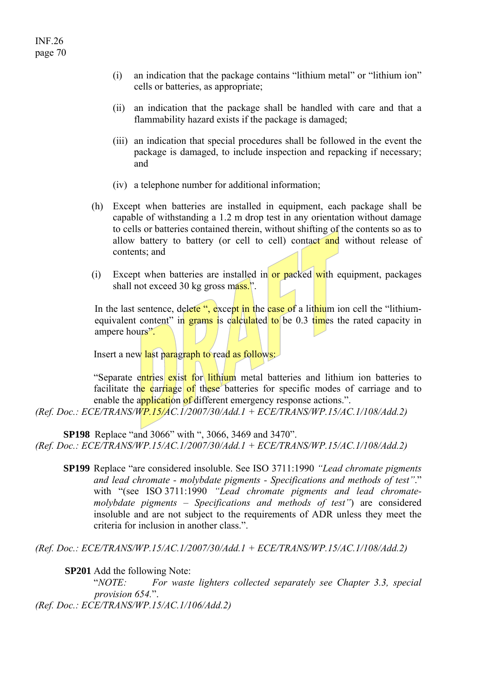- (i) an indication that the package contains "lithium metal" or "lithium ion" cells or batteries, as appropriate;
- (ii) an indication that the package shall be handled with care and that a flammability hazard exists if the package is damaged;
- (iii) an indication that special procedures shall be followed in the event the package is damaged, to include inspection and repacking if necessary; and
- (iv) a telephone number for additional information;
- (h) Except when batteries are installed in equipment, each package shall be capable of withstanding a 1.2 m drop test in any orientation without damage to cells or batteries contained therein, without shifting of the contents so as to allow battery to battery (or cell to cell) contact and without release of contents; and
- (i) Except when batteries are installed in  $or$  packed with equipment, packages shall not exceed 30 kg gross mass.".

In the last sentence, delete ", except in the case of a lithium ion cell the "lithiumequivalent content" in grams is calculated to be 0.3 times the rated capacity in ampere hours".

Insert a new last paragraph to read as follows:

"Separate entries exist for lithium metal batteries and lithium ion batteries to facilitate the carriage of these batteries for specific modes of carriage and to enable the application of different emergency response actions.".

*(Ref. Doc.: ECE/TRANS/WP.15/AC.1/2007/30/Add.1 + ECE/TRANS/WP.15/AC.1/108/Add.2)* 

**SP198** Replace "and 3066" with ", 3066, 3469 and 3470". *(Ref. Doc.: ECE/TRANS/WP.15/AC.1/2007/30/Add.1 + ECE/TRANS/WP.15/AC.1/108/Add.2)* 

**SP199** Replace "are considered insoluble. See ISO 3711:1990 *"Lead chromate pigments and lead chromate - molybdate pigments - Specifications and methods of test"*." with "(see ISO 3711:1990 *"Lead chromate pigments and lead chromatemolybdate pigments – Specifications and methods of test"*) are considered insoluble and are not subject to the requirements of ADR unless they meet the criteria for inclusion in another class.".

*(Ref. Doc.: ECE/TRANS/WP.15/AC.1/2007/30/Add.1 + ECE/TRANS/WP.15/AC.1/108/Add.2)* 

**SP201** Add the following Note:

"*NOTE: For waste lighters collected separately see Chapter 3.3, special provision 654.*".

*(Ref. Doc.: ECE/TRANS/WP.15/AC.1/106/Add.2)*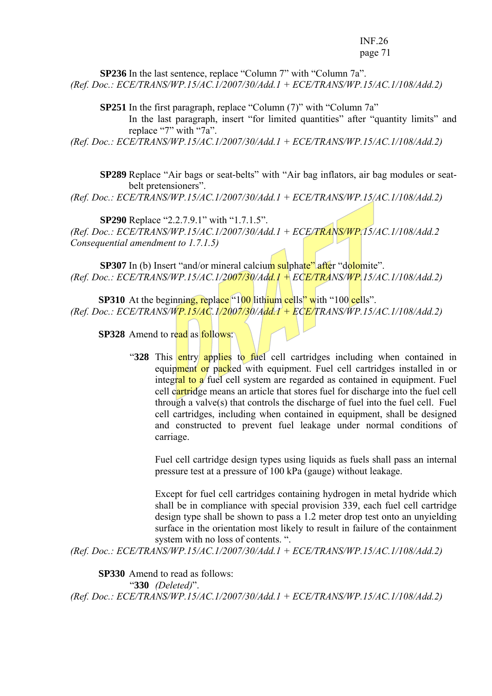**SP236** In the last sentence, replace "Column 7" with "Column 7a". *(Ref. Doc.: ECE/TRANS/WP.15/AC.1/2007/30/Add.1 + ECE/TRANS/WP.15/AC.1/108/Add.2)* 

**SP251** In the first paragraph, replace "Column (7)" with "Column 7a" In the last paragraph, insert "for limited quantities" after "quantity limits" and replace "7" with "7a".

*(Ref. Doc.: ECE/TRANS/WP.15/AC.1/2007/30/Add.1 + ECE/TRANS/WP.15/AC.1/108/Add.2)* 

**SP289** Replace "Air bags or seat-belts" with "Air bag inflators, air bag modules or seatbelt pretensioners".

*(Ref. Doc.: ECE/TRANS/WP.15/AC.1/2007/30/Add.1 + ECE/TRANS/WP.15/AC.1/108/Add.2)* 

**SP290** Replace "2.2.7.9.1" with "1.7.1.5". *(Ref. Doc.: ECE/TRANS/WP.15/AC.1/2007/30/Add.1 + ECE/TRANS/WP.15/AC.1/108/Add.2 Consequential amendment to 1.7.1.5)* 

**SP307** In (b) Insert "and/or mineral calcium sulphate" after "dolomite". *(Ref. Doc.: ECE/TRANS/WP.15/AC.1/2007/30/Add.1 + ECE/TRANS/WP.15/AC.1/108/Add.2)* 

**SP310** At the beginning, replace "100 lithium cells" with "100 cells". *(Ref. Doc.: ECE/TRANS/WP.15/AC.1/2007/30/Add.1 + ECE/TRANS/WP.15/AC.1/108/Add.2)* 

**SP328** Amend to read as **follows**.

"**328** This entry applies to fuel cell cartridges including when contained in equipment or packed with equipment. Fuel cell cartridges installed in or integral to  $a$  fuel cell system are regarded as contained in equipment. Fuel cell cartridge means an article that stores fuel for discharge into the fuel cell through a valve(s) that controls the discharge of fuel into the fuel cell. Fuel cell cartridges, including when contained in equipment, shall be designed and constructed to prevent fuel leakage under normal conditions of carriage.

Fuel cell cartridge design types using liquids as fuels shall pass an internal pressure test at a pressure of 100 kPa (gauge) without leakage.

Except for fuel cell cartridges containing hydrogen in metal hydride which shall be in compliance with special provision 339, each fuel cell cartridge design type shall be shown to pass a 1.2 meter drop test onto an unyielding surface in the orientation most likely to result in failure of the containment system with no loss of contents. ".

*(Ref. Doc.: ECE/TRANS/WP.15/AC.1/2007/30/Add.1 + ECE/TRANS/WP.15/AC.1/108/Add.2)* 

 **SP330** Amend to read as follows:

"**330** *(Deleted)*".

*(Ref. Doc.: ECE/TRANS/WP.15/AC.1/2007/30/Add.1 + ECE/TRANS/WP.15/AC.1/108/Add.2)*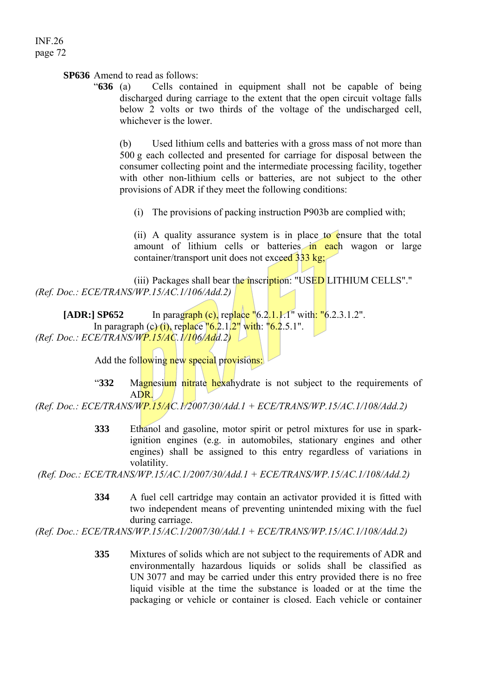### **SP636** Amend to read as follows:

"**636** (a) Cells contained in equipment shall not be capable of being discharged during carriage to the extent that the open circuit voltage falls below 2 volts or two thirds of the voltage of the undischarged cell, whichever is the lower.

(b) Used lithium cells and batteries with a gross mass of not more than 500 g each collected and presented for carriage for disposal between the consumer collecting point and the intermediate processing facility, together with other non-lithium cells or batteries, are not subject to the other provisions of ADR if they meet the following conditions:

(i) The provisions of packing instruction P903b are complied with;

(ii) A quality assurance system is in place to ensure that the total amount of lithium cells or batteries in each wagon or large container/transport unit does not exceed  $333 \text{ kg}$ ;

(iii) Packages shall bear the inscription: "USED LITHIUM CELLS"." *(Ref. Doc.: ECE/TRANS/WP.15/AC.1/106/Add.2)* 

**[ADR:] SP652** In paragraph (c), replace "6.2.1.1.1" with: "6.2.3.1.2". In paragraph (c) (i), replace "6.2.1.2" with: "6.2.5.1". *(Ref. Doc.: ECE/TRANS/WP.15/AC.1/106/Add.2)* 

Add the following new special provisions:

**332** Magnesium nitrate hexally that is not subject to the requirements of  $ADR$ 

*(Ref. Doc.: ECE/TRANS/WP.15/AC.1/2007/30/Add.1 + ECE/TRANS/WP.15/AC.1/108/Add.2)* 

**333** Ethanol and gasoline, motor spirit or petrol mixtures for use in sparkignition engines (e.g. in automobiles, stationary engines and other engines) shall be assigned to this entry regardless of variations in volatility.

 *(Ref. Doc.: ECE/TRANS/WP.15/AC.1/2007/30/Add.1 + ECE/TRANS/WP.15/AC.1/108/Add.2)* 

**334** A fuel cell cartridge may contain an activator provided it is fitted with two independent means of preventing unintended mixing with the fuel during carriage.

*(Ref. Doc.: ECE/TRANS/WP.15/AC.1/2007/30/Add.1 + ECE/TRANS/WP.15/AC.1/108/Add.2)* 

**335** Mixtures of solids which are not subject to the requirements of ADR and environmentally hazardous liquids or solids shall be classified as UN 3077 and may be carried under this entry provided there is no free liquid visible at the time the substance is loaded or at the time the packaging or vehicle or container is closed. Each vehicle or container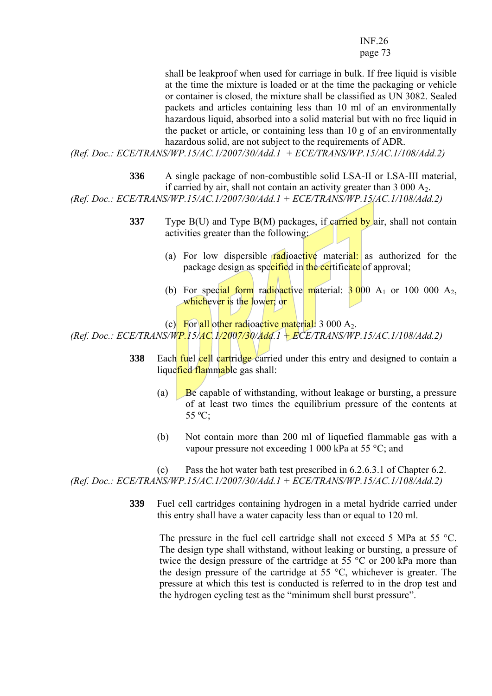shall be leakproof when used for carriage in bulk. If free liquid is visible at the time the mixture is loaded or at the time the packaging or vehicle or container is closed, the mixture shall be classified as UN 3082. Sealed packets and articles containing less than 10 ml of an environmentally hazardous liquid, absorbed into a solid material but with no free liquid in the packet or article, or containing less than 10 g of an environmentally hazardous solid, are not subject to the requirements of ADR.

*(Ref. Doc.: ECE/TRANS/WP.15/AC.1/2007/30/Add.1 + ECE/TRANS/WP.15/AC.1/108/Add.2)* 

**336** A single package of non-combustible solid LSA-II or LSA-III material, if carried by air, shall not contain an activity greater than  $3\ 000\ A_2$ . *(Ref. Doc.: ECE/TRANS/WP.15/AC.1/2007/30/Add.1 + ECE/TRANS/WP.15/AC.1/108/Add.2)* 

- **337** Type B(U) and Type B(M) packages, if carried by air, shall not contain activities greater than the following:
	- (a) For low dispersible **radioactive** material: as authorized for the package design as specified in the certificate of approval;
	- (b) For special form radioactive material:  $3\,000\,$  A<sub>1</sub> or 100 000 A<sub>2</sub>, whichever is the lower; or
	- (c) For all other radioactive material:  $3\ 000\ \text{A}$ .

*(Ref. Doc.: ECE/TRANS/WP.15/AC.1/2007/30/Add.1 + ECE/TRANS/WP.15/AC.1/108/Add.2)* 

- **338** Each fuel cell cartridge carried under this entry and designed to contain a liquefied flammable gas shall:
	- (a) Be capable of withstanding, without leakage or bursting, a pressure of at least two times the equilibrium pressure of the contents at 55 ºC;
	- (b) Not contain more than 200 ml of liquefied flammable gas with a vapour pressure not exceeding 1 000 kPa at 55 °C; and

(c) Pass the hot water bath test prescribed in 6.2.6.3.1 of Chapter 6.2. *(Ref. Doc.: ECE/TRANS/WP.15/AC.1/2007/30/Add.1 + ECE/TRANS/WP.15/AC.1/108/Add.2)* 

> **339** Fuel cell cartridges containing hydrogen in a metal hydride carried under this entry shall have a water capacity less than or equal to 120 ml.

The pressure in the fuel cell cartridge shall not exceed 5 MPa at 55 °C. The design type shall withstand, without leaking or bursting, a pressure of twice the design pressure of the cartridge at 55 °C or 200 kPa more than the design pressure of the cartridge at 55 °C, whichever is greater. The pressure at which this test is conducted is referred to in the drop test and the hydrogen cycling test as the "minimum shell burst pressure".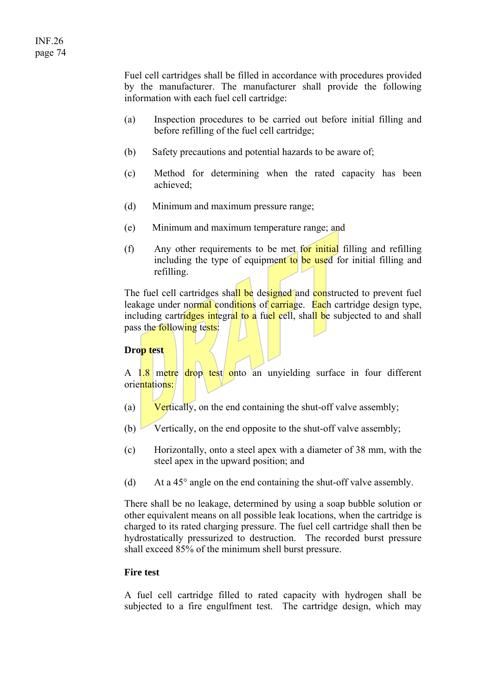Fuel cell cartridges shall be filled in accordance with procedures provided by the manufacturer. The manufacturer shall provide the following information with each fuel cell cartridge:

- (a) Inspection procedures to be carried out before initial filling and before refilling of the fuel cell cartridge;
- (b) Safety precautions and potential hazards to be aware of;
- (c) Method for determining when the rated capacity has been achieved;
- (d) Minimum and maximum pressure range;
- (e) Minimum and maximum temperature range; and
- $(f)$  Any other requirements to be met for initial filling and refilling including the type of equipment to be used for initial filling and refilling.

The fuel cell cartridges shall be designed and constructed to prevent fuel leakage under normal conditions of carriage. Each cartridge design type, including cartridges integral to a fuel cell, shall be subjected to and shall pass the following tests:

#### **Drop test**

A 1.8 metre drop test onto an unyielding surface in four different orientations:

- (a) Vertically, on the end containing the shut-off valve assembly;
- (b) Vertically, on the end opposite to the shut-off valve assembly;
- (c) Horizontally, onto a steel apex with a diameter of 38 mm, with the steel apex in the upward position; and
- (d) At a 45° angle on the end containing the shut-off valve assembly.

There shall be no leakage, determined by using a soap bubble solution or other equivalent means on all possible leak locations, when the cartridge is charged to its rated charging pressure. The fuel cell cartridge shall then be hydrostatically pressurized to destruction. The recorded burst pressure shall exceed 85% of the minimum shell burst pressure.

#### **Fire test**

A fuel cell cartridge filled to rated capacity with hydrogen shall be subjected to a fire engulfment test. The cartridge design, which may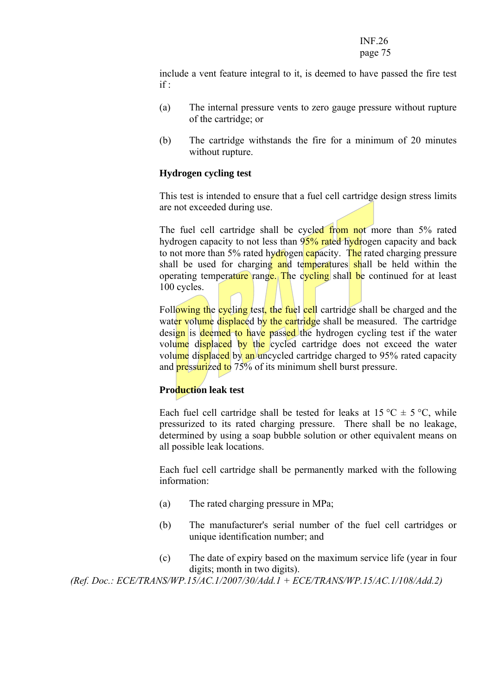include a vent feature integral to it, is deemed to have passed the fire test if :

- (a) The internal pressure vents to zero gauge pressure without rupture of the cartridge; or
- (b) The cartridge withstands the fire for a minimum of 20 minutes without rupture.

## **Hydrogen cycling test**

This test is intended to ensure that a fuel cell cartridge design stress limits are not exceeded during use.

The fuel cell cartridge shall be cycled from not more than 5% rated hydrogen capacity to not less than  $95\%$  rated hydrogen capacity and back to not more than 5% rated hydrogen capacity. The rated charging pressure shall be used for charging and temperatures shall be held within the operating temperature range. The cycling shall be continued for at least 100 cycles.

Following the cycling test, the fuel cell cartridge shall be charged and the water volume displaced by the cartridge shall be measured. The cartridge design is deemed to have passed the hydrogen cycling test if the water volume displaced by the cycled cartridge does not exceed the water volume displaced by an uncycled cartridge charged to 95% rated capacity and **pressurized to** 75% of its minimum shell burst pressure.

# **Production leak test**

Each fuel cell cartridge shall be tested for leaks at  $15 \degree C \pm 5 \degree C$ , while pressurized to its rated charging pressure. There shall be no leakage, determined by using a soap bubble solution or other equivalent means on all possible leak locations.

Each fuel cell cartridge shall be permanently marked with the following information:

- (a) The rated charging pressure in MPa;
- (b) The manufacturer's serial number of the fuel cell cartridges or unique identification number; and
- (c) The date of expiry based on the maximum service life (year in four digits; month in two digits).

*(Ref. Doc.: ECE/TRANS/WP.15/AC.1/2007/30/Add.1 + ECE/TRANS/WP.15/AC.1/108/Add.2)*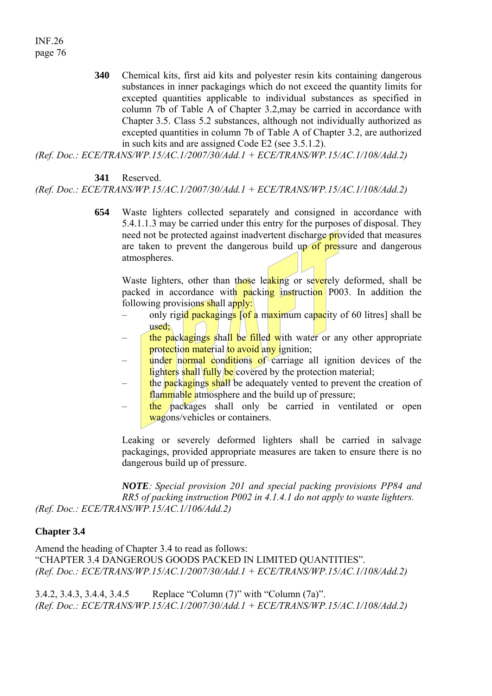**340** Chemical kits, first aid kits and polyester resin kits containing dangerous substances in inner packagings which do not exceed the quantity limits for excepted quantities applicable to individual substances as specified in column 7b of Table A of Chapter 3.2,may be carried in accordance with Chapter 3.5. Class 5.2 substances, although not individually authorized as excepted quantities in column 7b of Table A of Chapter 3.2, are authorized in such kits and are assigned Code E2 (see 3.5.1.2).

*(Ref. Doc.: ECE/TRANS/WP.15/AC.1/2007/30/Add.1 + ECE/TRANS/WP.15/AC.1/108/Add.2)* 

**341** Reserved.

*(Ref. Doc.: ECE/TRANS/WP.15/AC.1/2007/30/Add.1 + ECE/TRANS/WP.15/AC.1/108/Add.2)* 

**654** Waste lighters collected separately and consigned in accordance with 5.4.1.1.3 may be carried under this entry for the purposes of disposal. They need not be protected against inadvertent discharge provided that measures are taken to prevent the dangerous build up of pressure and dangerous atmospheres.

Waste lighters, other than those leaking or severely deformed, shall be packed in accordance with **packing** instruction P003. In addition the following provisions shall apply:

- only rigid packagings  $\int \text{of } a$  maximum capacity of 60 litres] shall be used;
- the packagings shall be filled with water or any other appropriate protection material to avoid any ignition:
- under normal conditions of carriage all ignition devices of the lighters shall fully be covered by the protection material;
- the packagings shall be adequately vented to prevent the creation of flammable atmosphere and the build up of pressure;
- the packages shall only be carried in ventilated or open wagons/vehicles or containers.

Leaking or severely deformed lighters shall be carried in salvage packagings, provided appropriate measures are taken to ensure there is no dangerous build up of pressure.

*NOTE: Special provision 201 and special packing provisions PP84 and RR5 of packing instruction P002 in 4.1.4.1 do not apply to waste lighters. (Ref. Doc.: ECE/TRANS/WP.15/AC.1/106/Add.2)* 

# **Chapter 3.4**

Amend the heading of Chapter 3.4 to read as follows: "CHAPTER 3.4 DANGEROUS GOODS PACKED IN LIMITED QUANTITIES". *(Ref. Doc.: ECE/TRANS/WP.15/AC.1/2007/30/Add.1 + ECE/TRANS/WP.15/AC.1/108/Add.2)* 

3.4.2, 3.4.3, 3.4.4, 3.4.5 Replace "Column (7)" with "Column (7a)". *(Ref. Doc.: ECE/TRANS/WP.15/AC.1/2007/30/Add.1 + ECE/TRANS/WP.15/AC.1/108/Add.2)*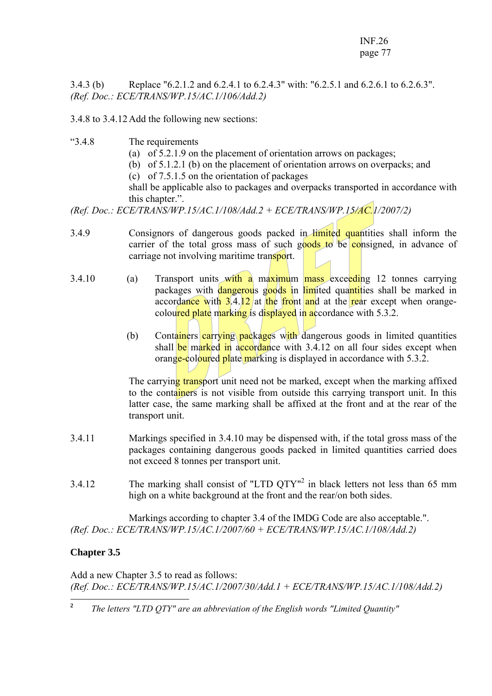3.4.3 (b) Replace "6.2.1.2 and 6.2.4.1 to 6.2.4.3" with: "6.2.5.1 and 6.2.6.1 to 6.2.6.3". *(Ref. Doc.: ECE/TRANS/WP.15/AC.1/106/Add.2)* 

3.4.8 to 3.4.12 Add the following new sections:

- "3.4.8 The requirements
	- (a) of 5.2.1.9 on the placement of orientation arrows on packages;
	- (b) of 5.1.2.1 (b) on the placement of orientation arrows on overpacks; and
	- (c) of 7.5.1.5 on the orientation of packages

shall be applicable also to packages and overpacks transported in accordance with this chapter.".

*(Ref. Doc.: ECE/TRANS/WP.15/AC.1/108/Add.2 + ECE/TRANS/WP.15/AC.1/2007/2)* 

- 3.4.9 Consignors of dangerous goods packed in limited quantities shall inform the carrier of the total gross mass of such goods to be consigned, in advance of carriage not involving maritime transport.
- 3.4.10 (a) Transport units with a maximum mass exceeding 12 tonnes carrying packages with dangerous goods in limited quantities shall be marked in accordance with  $3.4.12$  at the front and at the rear except when orangecoloured plate marking is displayed in accordance with 5.3.2.
	- (b) Containers carrying packages with dangerous goods in limited quantities shall be marked in accordance with 3.4.12 on all four sides except when orange-coloured plate marking is displayed in accordance with 5.3.2.

The carrying transport unit need not be marked, except when the marking affixed to the containers is not visible from outside this carrying transport unit. In this latter case, the same marking shall be affixed at the front and at the rear of the transport unit.

- 3.4.11 Markings specified in 3.4.10 may be dispensed with, if the total gross mass of the packages containing dangerous goods packed in limited quantities carried does not exceed 8 tonnes per transport unit.
- 3.4.12 The marking shall consist of "LTD  $QTY''^2$  in black letters not less than 65 mm high on a white background at the front and the rear/on both sides.

Markings according to chapter 3.4 of the IMDG Code are also acceptable.". *(Ref. Doc.: ECE/TRANS/WP.15/AC.1/2007/60 + ECE/TRANS/WP.15/AC.1/108/Add.2)* 

# **Chapter 3.5**

Add a new Chapter 3.5 to read as follows: *(Ref. Doc.: ECE/TRANS/WP.15/AC.1/2007/30/Add.1 + ECE/TRANS/WP.15/AC.1/108/Add.2)* 

 **2** *The letters "LTD QTY" are an abbreviation of the English words "Limited Quantity"*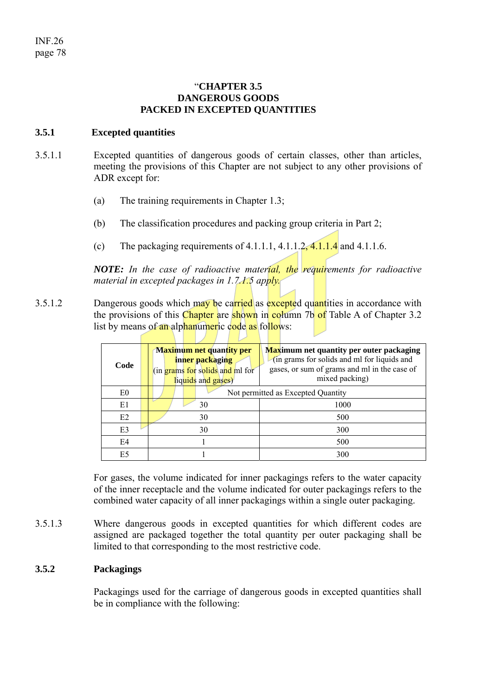### "**CHAPTER 3.5 DANGEROUS GOODS PACKED IN EXCEPTED QUANTITIES**

## **3.5.1 Excepted quantities**

- 3.5.1.1 Excepted quantities of dangerous goods of certain classes, other than articles, meeting the provisions of this Chapter are not subject to any other provisions of ADR except for:
	- (a) The training requirements in Chapter 1.3;
	- (b) The classification procedures and packing group criteria in Part 2;
	- (c) The packaging requirements of  $4.1.1.1$ ,  $4.1.1.2$ ,  $4.1.1.4$  and  $4.1.1.6$ .

*NOTE: In the case of radioactive material, the requirements for radioactive material in excepted packages in 1.7.1.5 apply.* 

3.5.1.2 Dangerous goods which may be carried as excepted quantities in accordance with the provisions of this Chapter are shown in column 7b of Table A of Chapter 3.2 list by means of an alphanumeric code as follows:

| Code           | <b>Maximum net quantity per</b><br>inner packaging<br>(in grams for solids and ml for<br>liquids and gases) | <b>Maximum net quantity per outer packaging</b><br>(in grams for solids and ml for liquids and<br>gases, or sum of grams and ml in the case of<br>mixed packing) |
|----------------|-------------------------------------------------------------------------------------------------------------|------------------------------------------------------------------------------------------------------------------------------------------------------------------|
| E <sub>0</sub> |                                                                                                             | Not permitted as Excepted Quantity                                                                                                                               |
| E1             | 30                                                                                                          | 1000                                                                                                                                                             |
| E2             | 30                                                                                                          | 500                                                                                                                                                              |
| E3             | 30                                                                                                          | 300                                                                                                                                                              |
| E4             |                                                                                                             | 500                                                                                                                                                              |
| E5             |                                                                                                             | 300                                                                                                                                                              |

For gases, the volume indicated for inner packagings refers to the water capacity of the inner receptacle and the volume indicated for outer packagings refers to the combined water capacity of all inner packagings within a single outer packaging.

3.5.1.3 Where dangerous goods in excepted quantities for which different codes are assigned are packaged together the total quantity per outer packaging shall be limited to that corresponding to the most restrictive code.

# **3.5.2 Packagings**

Packagings used for the carriage of dangerous goods in excepted quantities shall be in compliance with the following: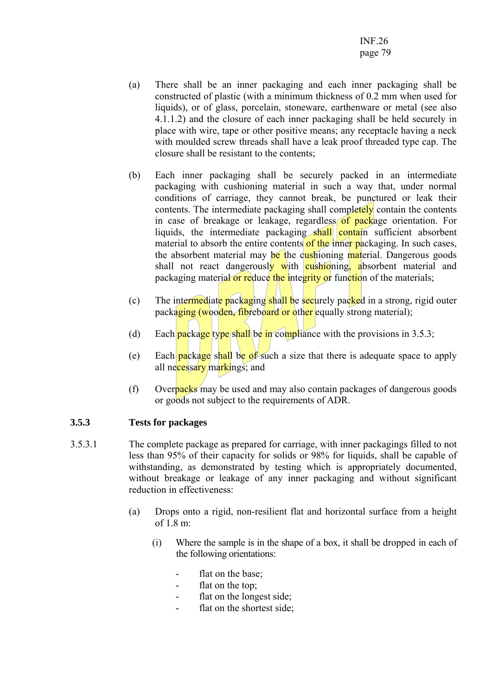- (a) There shall be an inner packaging and each inner packaging shall be constructed of plastic (with a minimum thickness of 0.2 mm when used for liquids), or of glass, porcelain, stoneware, earthenware or metal (see also 4.1.1.2) and the closure of each inner packaging shall be held securely in place with wire, tape or other positive means; any receptacle having a neck with moulded screw threads shall have a leak proof threaded type cap. The closure shall be resistant to the contents;
- (b) Each inner packaging shall be securely packed in an intermediate packaging with cushioning material in such a way that, under normal conditions of carriage, they cannot break, be punctured or leak their contents. The intermediate packaging shall completely contain the contents in case of breakage or leakage, regardless of package orientation. For liquids, the intermediate packaging shall contain sufficient absorbent material to absorb the entire contents of the inner packaging. In such cases, the absorbent material may be the cushioning material. Dangerous goods shall not react dangerously with cushioning, absorbent material and packaging material or reduce the integrity or function of the materials;
- (c) The intermediate packaging shall be securely packed in a strong, rigid outer packaging (wooden, fibreboard or other equally strong material);
- (d) Each **package type shall** be in compliance with the provisions in 3.5.3;
- (e) Each **package** shall be of such a size that there is adequate space to apply all necessary markings; and
- (f) Overpacks may be used and may also contain packages of dangerous goods or goods not subject to the requirements of ADR.

### **3.5.3 Tests for packages**

- 3.5.3.1 The complete package as prepared for carriage, with inner packagings filled to not less than 95% of their capacity for solids or 98% for liquids, shall be capable of withstanding, as demonstrated by testing which is appropriately documented, without breakage or leakage of any inner packaging and without significant reduction in effectiveness:
	- (a) Drops onto a rigid, non-resilient flat and horizontal surface from a height of 1.8 m:
		- (i) Where the sample is in the shape of a box, it shall be dropped in each of the following orientations:
			- flat on the base;
			- flat on the top:
			- flat on the longest side;
			- flat on the shortest side;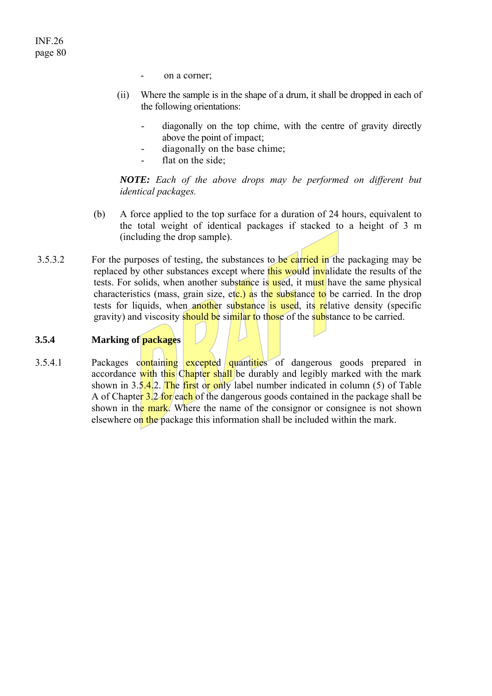- on a corner;
- (ii) Where the sample is in the shape of a drum, it shall be dropped in each of the following orientations:
	- diagonally on the top chime, with the centre of gravity directly above the point of impact;
	- diagonally on the base chime;
	- flat on the side;

 *NOTE: Each of the above drops may be performed on different but identical packages.* 

- (b) A force applied to the top surface for a duration of 24 hours, equivalent to the total weight of identical packages if stacked to a height of 3 m (including the drop sample).
- 3.5.3.2 For the purposes of testing, the substances to be carried in the packaging may be replaced by other substances except where this would invalidate the results of the tests. For solids, when another substance is used, it must have the same physical characteristics (mass, grain size, etc.) as the substance to be carried. In the drop tests for liquids, when another substance is used, its relative density (specific gravity) and viscosity should be similar to those of the substance to be carried.

### **3.5.4 Marking of packages**

3.5.4.1 Packages containing excepted quantities of dangerous goods prepared in accordance with this Chapter shall be durably and legibly marked with the mark shown in  $3.5.4.2$ . The first or only label number indicated in column (5) of Table A of Chapter  $3.2$  for each of the dangerous goods contained in the package shall be shown in the mark. Where the name of the consignor or consignee is not shown elsewhere on the package this information shall be included within the mark.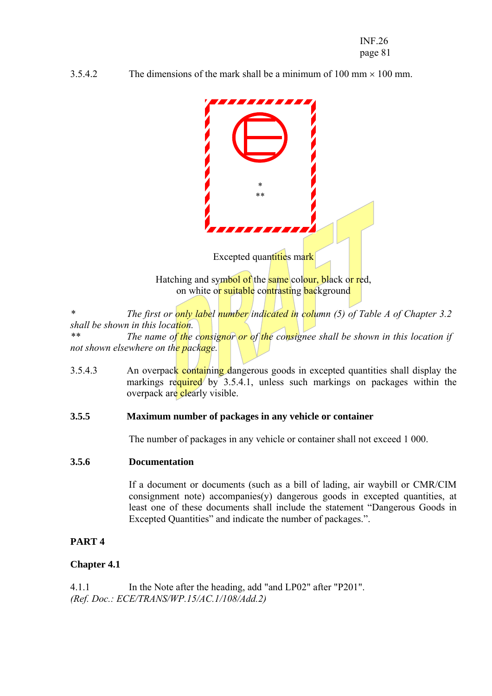# 3.5.4.2 The dimensions of the mark shall be a minimum of 100 mm  $\times$  100 mm.



Hatching and symbol of the same colour, black or red, on white or suitable contrasting background

*\* The first or only label number indicated in column (5) of Table A of Chapter 3.2 shall be shown in this location.* 

*\*\* The name of the consignor or of the consignee shall be shown in this location if not shown elsewhere on the package.* 

3.5.4.3 An overpack containing dangerous goods in excepted quantities shall display the markings required by 3.5.4.1, unless such markings on packages within the overpack are clearly visible.

# **3.5.5 Maximum number of packages in any vehicle or container**

The number of packages in any vehicle or container shall not exceed 1 000.

### **3.5.6 Documentation**

If a document or documents (such as a bill of lading, air waybill or CMR/CIM consignment note) accompanies(y) dangerous goods in excepted quantities, at least one of these documents shall include the statement "Dangerous Goods in Excepted Quantities" and indicate the number of packages.".

# **PART 4**

### **Chapter 4.1**

4.1.1 In the Note after the heading, add "and LP02" after "P201". *(Ref. Doc.: ECE/TRANS/WP.15/AC.1/108/Add.2)*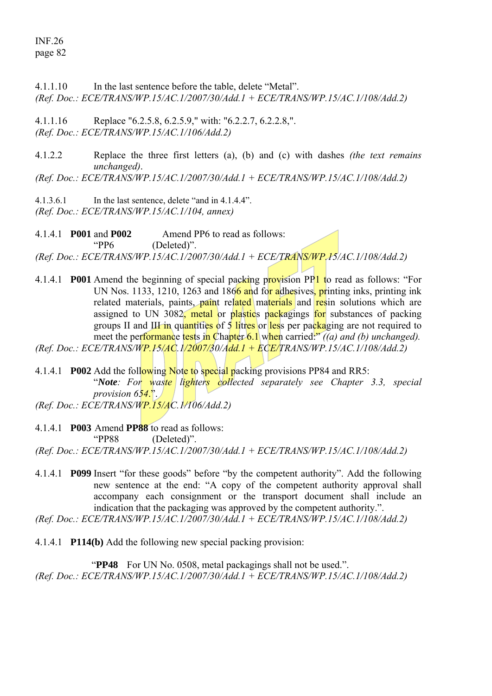4.1.1.10 In the last sentence before the table, delete "Metal". *(Ref. Doc.: ECE/TRANS/WP.15/AC.1/2007/30/Add.1 + ECE/TRANS/WP.15/AC.1/108/Add.2)* 

4.1.1.16 Replace "6.2.5.8, 6.2.5.9," with: "6.2.2.7, 6.2.2.8,". *(Ref. Doc.: ECE/TRANS/WP.15/AC.1/106/Add.2)* 

4.1.2.2 Replace the three first letters (a), (b) and (c) with dashes *(the text remains unchanged)*.

*(Ref. Doc.: ECE/TRANS/WP.15/AC.1/2007/30/Add.1 + ECE/TRANS/WP.15/AC.1/108/Add.2)* 

4.1.3.6.1 In the last sentence, delete "and in 4.1.4.4". *(Ref. Doc.: ECE/TRANS/WP.15/AC.1/104, annex)* 

4.1.4.1 **P001** and **P002** Amend PP6 to read as follows: "PP6 (Deleted)". *(Ref. Doc.: ECE/TRANS/WP.15/AC.1/2007/30/Add.1 + ECE/TRANS/WP.15/AC.1/108/Add.2)* 

4.1.4.1 **P001** Amend the beginning of special packing provision PP1 to read as follows: "For UN Nos. 1133, 1210, 1263 and 1866 and for adhesives, printing inks, printing ink related materials, paints, paint related materials and resin solutions which are assigned to UN 3082, metal or plastics packagings for substances of packing groups II and III in quantities of  $\frac{1}{5}$  litres or less per packaging are not required to meet the performance tests in Chapter 6.1 when carried:" *((a) and (b) unchanged)*.

*(Ref. Doc.: ECE/TRANS/WP.15/AC.1/2007/30/Add.1 + ECE/TRANS/WP.15/AC.1/108/Add.2)* 

- 4.1.4.1 **P002** Add the following Note to special packing provisions PP84 and RR5: "*Note: For waste lighters collected separately see Chapter 3.3, special provision 654*.".
- *(Ref. Doc.: ECE/TRANS/WP.15/AC.1/106/Add.2)*
- 4.1.4.1 **P003** Amend **PP88** to read as follows: "PP88 (Deleted)". *(Ref. Doc.: ECE/TRANS/WP.15/AC.1/2007/30/Add.1 + ECE/TRANS/WP.15/AC.1/108/Add.2)*
- 4.1.4.1 **P099** Insert "for these goods" before "by the competent authority". Add the following new sentence at the end: "A copy of the competent authority approval shall accompany each consignment or the transport document shall include an indication that the packaging was approved by the competent authority.".

*(Ref. Doc.: ECE/TRANS/WP.15/AC.1/2007/30/Add.1 + ECE/TRANS/WP.15/AC.1/108/Add.2)* 

4.1.4.1 **P114(b)** Add the following new special packing provision:

"**PP48** For UN No. 0508, metal packagings shall not be used.". *(Ref. Doc.: ECE/TRANS/WP.15/AC.1/2007/30/Add.1 + ECE/TRANS/WP.15/AC.1/108/Add.2)*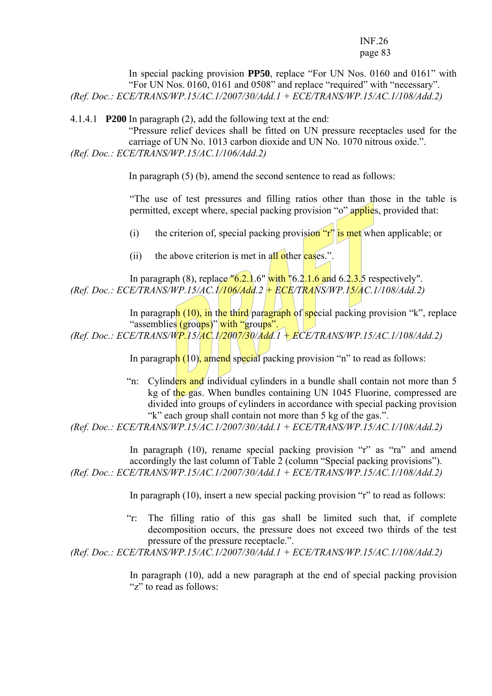In special packing provision **PP50**, replace "For UN Nos. 0160 and 0161" with "For UN Nos. 0160, 0161 and 0508" and replace "required" with "necessary". *(Ref. Doc.: ECE/TRANS/WP.15/AC.1/2007/30/Add.1 + ECE/TRANS/WP.15/AC.1/108/Add.2)* 

4.1.4.1 **P200** In paragraph (2), add the following text at the end:

 "Pressure relief devices shall be fitted on UN pressure receptacles used for the carriage of UN No. 1013 carbon dioxide and UN No. 1070 nitrous oxide.". *(Ref. Doc.: ECE/TRANS/WP.15/AC.1/106/Add.2)* 

In paragraph (5) (b), amend the second sentence to read as follows:

"The use of test pressures and filling ratios other than those in the table is permitted, except where, special packing provision "o" applies, provided that:

- (i) the criterion of, special packing provision "r" is met when applicable; or
- (ii) the above criterion is met in all other cases.".

In paragraph (8), replace  $\frac{16.2.1}{6}$  for with  $\frac{16.2.1}{6}$  and 6.2.3.5 respectively". *(Ref. Doc.: ECE/TRANS/WP.15/AC.1/106/Add.2 + ECE/TRANS/WP.15/AC.1/108/Add.2)* 

> In paragraph  $(10)$ , in the third paragraph of special packing provision "k", replace "assemblies (groups)" with "groups".

*(Ref. Doc.: ECE/TRANS/WP.15/AC.1/2007/30/Add.1 + ECE/TRANS/WP.15/AC.1/108/Add.2)* 

In paragraph  $(10)$ , amend special packing provision "n" to read as follows:

"n: Cylinders and individual cylinders in a bundle shall contain not more than 5 kg of the gas. When bundles containing UN 1045 Fluorine, compressed are divided into groups of cylinders in accordance with special packing provision "k" each group shall contain not more than 5 kg of the gas.".

*(Ref. Doc.: ECE/TRANS/WP.15/AC.1/2007/30/Add.1 + ECE/TRANS/WP.15/AC.1/108/Add.2)* 

In paragraph (10), rename special packing provision "r" as "ra" and amend accordingly the last column of Table 2 (column "Special packing provisions"). *(Ref. Doc.: ECE/TRANS/WP.15/AC.1/2007/30/Add.1 + ECE/TRANS/WP.15/AC.1/108/Add.2)* 

In paragraph (10), insert a new special packing provision "r" to read as follows:

 "r: The filling ratio of this gas shall be limited such that, if complete decomposition occurs, the pressure does not exceed two thirds of the test pressure of the pressure receptacle.".

*(Ref. Doc.: ECE/TRANS/WP.15/AC.1/2007/30/Add.1 + ECE/TRANS/WP.15/AC.1/108/Add.2)* 

In paragraph (10), add a new paragraph at the end of special packing provision "z" to read as follows: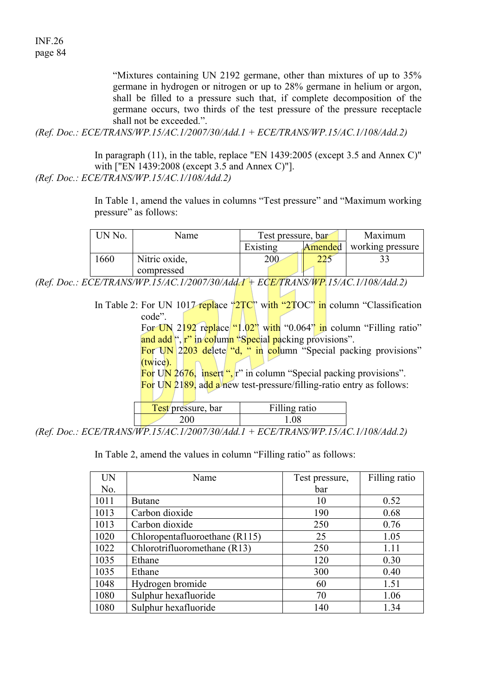"Mixtures containing UN 2192 germane, other than mixtures of up to 35% germane in hydrogen or nitrogen or up to 28% germane in helium or argon, shall be filled to a pressure such that, if complete decomposition of the germane occurs, two thirds of the test pressure of the pressure receptacle shall not be exceeded.".

*(Ref. Doc.: ECE/TRANS/WP.15/AC.1/2007/30/Add.1 + ECE/TRANS/WP.15/AC.1/108/Add.2)* 

In paragraph (11), in the table, replace "EN 1439:2005 (except 3.5 and Annex C)" with ["EN 1439:2008 (except 3.5 and Annex C)"]. *(Ref. Doc.: ECE/TRANS/WP.15/AC.1/108/Add.2)* 

> In Table 1, amend the values in columns "Test pressure" and "Maximum working pressure" as follows:

| JN No. | Name          | Test pressure, bar |         | Maximum          |
|--------|---------------|--------------------|---------|------------------|
|        |               | Existing           | Amended | working pressure |
| 1660   | Nitric oxide, | 200<br>۷U          | LL      |                  |
|        | compressed    |                    |         |                  |

*(Ref. Doc.: ECE/TRANS/WP.15/AC.1/2007/30/Add.1 + ECE/TRANS/WP.15/AC.1/108/Add.2)* 

In Table 2: For UN 1017 replace  $\frac{2TC}{2TC}$  with "2TOC" in column "Classification code".

> For UN 2192 replace "1.02" with "0.064" in column "Filling ratio" and add  $\gamma$ ,  $\mathbf{r}$  in column "Special packing provisions".

> For UN 2203 delete "d, " in column "Special packing provisions" (twice).

For UN 2676, insert ", r" in column "Special packing provisions".

For UN 2189, add a new test-pressure/filling-ratio entry as follows:

|  | <b>Test</b> pressure, bar | Filling ratio |
|--|---------------------------|---------------|
|  | ,,,                       |               |

*(Ref. Doc.: ECE/TRANS/WP.15/AC.1/2007/30/Add.1 + ECE/TRANS/WP.15/AC.1/108/Add.2)* 

In Table 2, amend the values in column "Filling ratio" as follows:

| UN   | Name                           | Test pressure, | Filling ratio |
|------|--------------------------------|----------------|---------------|
| No.  |                                | bar            |               |
| 1011 | <b>Butane</b>                  | 10             | 0.52          |
| 1013 | Carbon dioxide                 | 190            | 0.68          |
| 1013 | Carbon dioxide                 | 250            | 0.76          |
| 1020 | Chloropentafluoroethane (R115) | 25             | 1.05          |
| 1022 | Chlorotrifluoromethane (R13)   | 250            | 1.11          |
| 1035 | Ethane                         | 120            | 0.30          |
| 1035 | Ethane                         | 300            | 0.40          |
| 1048 | Hydrogen bromide               | 60             | 1.51          |
| 1080 | Sulphur hexafluoride           | 70             | 1.06          |
| 1080 | Sulphur hexafluoride           | 140            | 1.34          |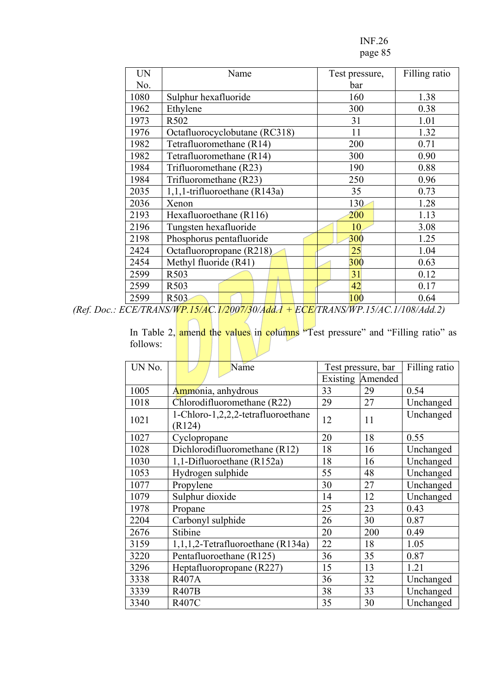| <b>UN</b> | Name                             | Test pressure, | Filling ratio |
|-----------|----------------------------------|----------------|---------------|
| No.       |                                  | bar            |               |
| 1080      | Sulphur hexafluoride             | 160            | 1.38          |
| 1962      | Ethylene                         | 300            | 0.38          |
| 1973      | R502                             | 31             | 1.01          |
| 1976      | Octafluorocyclobutane (RC318)    | 11             | 1.32          |
| 1982      | Tetrafluoromethane (R14)         | 200            | 0.71          |
| 1982      | Tetrafluoromethane (R14)         | 300            | 0.90          |
| 1984      | Trifluoromethane (R23)           | 190            | 0.88          |
| 1984      | Trifluoromethane (R23)           | 250            | 0.96          |
| 2035      | $1,1,1$ -trifluoroethane (R143a) | 35             | 0.73          |
| 2036      | Xenon                            | 130            | 1.28          |
| 2193      | Hexafluoroethane (R116)          | 200            | 1.13          |
| 2196      | Tungsten hexafluoride            | 10             | 3.08          |
| 2198      | Phosphorus pentafluoride         | 300            | 1.25          |
| 2424      | Octafluoropropane (R218)         | 25             | 1.04          |
| 2454      | Methyl fluoride (R41)            | 300            | 0.63          |
| 2599      | R503                             | 31             | 0.12          |
| 2599      | R503                             | 42             | 0.17          |
| 2599      | R503                             | 100            | 0.64          |

 *(Ref. Doc.: ECE/TRANS/WP.15/AC.1/2007/30/Add.1 + ECE/TRANS/WP.15/AC.1/108/Add.2)* 

In Table 2, amend the values in columns "Test pressure" and "Filling ratio" as follows:

| UN No. | Name                                         | Test pressure, bar |                  | Filling ratio |
|--------|----------------------------------------------|--------------------|------------------|---------------|
|        |                                              |                    | Existing Amended |               |
| 1005   | Ammonia, anhydrous                           | 33                 | 29               | 0.54          |
| 1018   | Chlorodifluoromethane (R22)                  | 29                 | 27               | Unchanged     |
| 1021   | 1-Chloro-1,2,2,2-tetrafluoroethane<br>(R124) | 12                 | 11               | Unchanged     |
| 1027   | Cyclopropane                                 | 20                 | 18               | 0.55          |
| 1028   | Dichlorodifluoromethane (R12)                | 18                 | 16               | Unchanged     |
| 1030   | 1,1-Difluoroethane (R152a)                   | 18                 | 16               | Unchanged     |
| 1053   | Hydrogen sulphide                            | 55                 | 48               | Unchanged     |
| 1077   | Propylene                                    | 30                 | 27               | Unchanged     |
| 1079   | Sulphur dioxide                              | 14                 | 12               | Unchanged     |
| 1978   | Propane                                      | 25                 | 23               | 0.43          |
| 2204   | Carbonyl sulphide                            | 26                 | 30               | 0.87          |
| 2676   | <b>Stibine</b>                               | 20                 | 200              | 0.49          |
| 3159   | $1,1,1,2$ -Tetrafluoroethane (R134a)         | 22                 | 18               | 1.05          |
| 3220   | Pentafluoroethane (R125)                     | 36                 | 35               | 0.87          |
| 3296   | Heptafluoropropane (R227)                    | 15                 | 13               | 1.21          |
| 3338   | <b>R407A</b>                                 | 36                 | 32               | Unchanged     |
| 3339   | <b>R407B</b>                                 | 38                 | 33               | Unchanged     |
| 3340   | R407C                                        | 35                 | 30               | Unchanged     |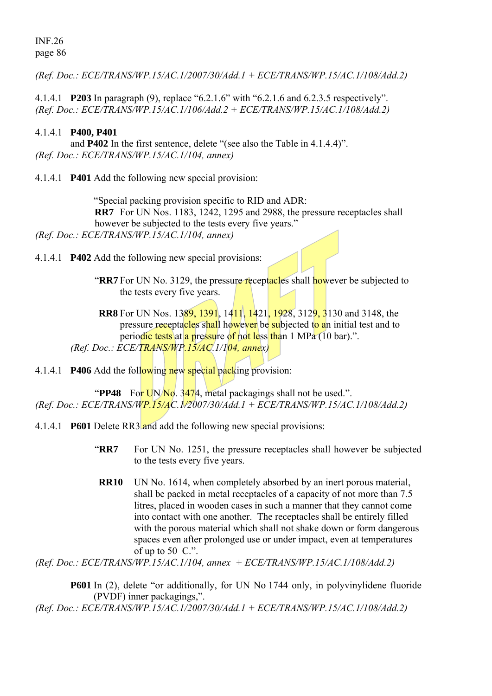*(Ref. Doc.: ECE/TRANS/WP.15/AC.1/2007/30/Add.1 + ECE/TRANS/WP.15/AC.1/108/Add.2)* 

4.1.4.1 **P203** In paragraph (9), replace "6.2.1.6" with "6.2.1.6 and 6.2.3.5 respectively". *(Ref. Doc.: ECE/TRANS/WP.15/AC.1/106/Add.2 + ECE/TRANS/WP.15/AC.1/108/Add.2)* 

# 4.1.4.1 **P400, P401**

and **P402** In the first sentence, delete "(see also the Table in 4.1.4.4)". *(Ref. Doc.: ECE/TRANS/WP.15/AC.1/104, annex)* 

4.1.4.1 **P401** Add the following new special provision:

 "Special packing provision specific to RID and ADR: **RR7** For UN Nos. 1183, 1242, 1295 and 2988, the pressure receptacles shall however be subjected to the tests every five years."

*(Ref. Doc.: ECE/TRANS/WP.15/AC.1/104, annex)* 

4.1.4.1 **P402** Add the following new special provisions:

**"RR7** For UN No. 3129, the pressure receptacles shall however be subjected to the tests every five years.

**RR8** For UN Nos. 1389, 1391, 1411, 1421, 1928, 3129, 3130 and 3148, the pressure receptacles shall however be subjected to an initial test and to periodic tests at a pressure of not less than 1 MPa (10 bar).". *(Ref. Doc.: ECE/TRANS/WP.15/AC.1/104, annex)* 

4.1.4.1 **P406** Add the following new special packing provision:

"**PP48** For UN/No. 3474, metal packagings shall not be used.". *(Ref. Doc.: ECE/TRANS/WP.15/AC.1/2007/30/Add.1 + ECE/TRANS/WP.15/AC.1/108/Add.2)* 

4.1.4.1 **P601** Delete RR3 and add the following new special provisions:

- "**RR7** For UN No. 1251, the pressure receptacles shall however be subjected to the tests every five years.
- **RR10** UN No. 1614, when completely absorbed by an inert porous material, shall be packed in metal receptacles of a capacity of not more than 7.5 litres, placed in wooden cases in such a manner that they cannot come into contact with one another. The receptacles shall be entirely filled with the porous material which shall not shake down or form dangerous spaces even after prolonged use or under impact, even at temperatures of up to 50 C.".

*(Ref. Doc.: ECE/TRANS/WP.15/AC.1/104, annex + ECE/TRANS/WP.15/AC.1/108/Add.2)* 

**P601** In (2), delete "or additionally, for UN No 1744 only, in polyvinylidene fluoride (PVDF) inner packagings,".

*(Ref. Doc.: ECE/TRANS/WP.15/AC.1/2007/30/Add.1 + ECE/TRANS/WP.15/AC.1/108/Add.2)*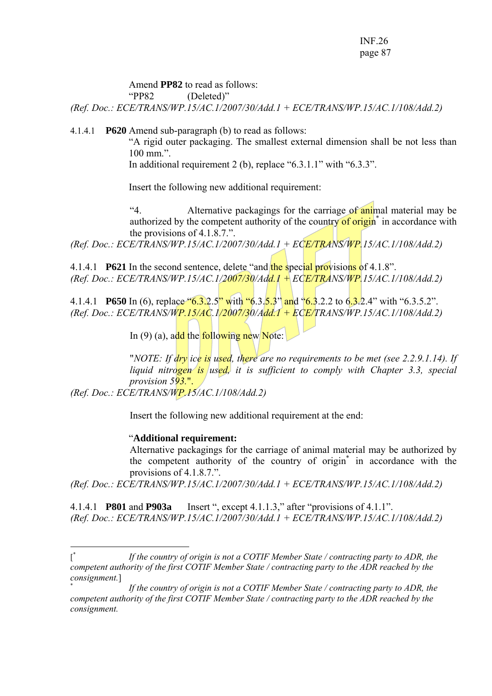Amend **PP82** to read as follows: "PP82 (Deleted)"

*(Ref. Doc.: ECE/TRANS/WP.15/AC.1/2007/30/Add.1 + ECE/TRANS/WP.15/AC.1/108/Add.2)* 

4.1.4.1 **P620** Amend sub-paragraph (b) to read as follows:

"A rigid outer packaging. The smallest external dimension shall be not less than  $100 \text{ mm}$ "

In additional requirement 2 (b), replace "6.3.1.1" with "6.3.3".

Insert the following new additional requirement:

<sup>4</sup>4. Alternative packagings for the carriage of **ani**mal material may be authorized by the competent authority of the country of origin<sup>\*</sup> in accordance with the provisions of 4.1.8.7.".

*(Ref. Doc.: ECE/TRANS/WP.15/AC.1/2007/30/Add.1 + ECE/TRANS/WP.15/AC.1/108/Add.2)* 

4.1.4.1 **P621** In the second sentence, delete "and the special provisions of 4.1.8". *(Ref. Doc.: ECE/TRANS/WP.15/AC.1/2007/30/Add.1 + ECE/TRANS/WP.15/AC.1/108/Add.2)* 

4.1.4.1 **P650** In (6), replace "6.3.2.5" with "6.3.5.3" and "6.3.2.2 to 6.3.2.4" with "6.3.5.2". *(Ref. Doc.: ECE/TRANS/WP.15/AC.1/2007/30/Add.1 + ECE/TRANS/WP.15/AC.1/108/Add.2)* 

In (9) (a), add the following new Note:

"*NOTE: If dry ice is used, there are no requirements to be met (see 2.2.9.1.14). If liquid nitrogen* is used, it is sufficient to comply with Chapter 3.3, special *provision 593.*".

*(Ref. Doc.: ECE/TRANS/WP.15/AC.1/108/Add.2)* 

1

Insert the following new additional requirement at the end:

"**Additional requirement:**

Alternative packagings for the carriage of animal material may be authorized by the competent authority of the country of origin\* in accordance with the provisions of 4.1.8.7.".

*(Ref. Doc.: ECE/TRANS/WP.15/AC.1/2007/30/Add.1 + ECE/TRANS/WP.15/AC.1/108/Add.2)* 

4.1.4.1 **P801** and **P903a** Insert ", except 4.1.1.3," after "provisions of 4.1.1". *(Ref. Doc.: ECE/TRANS/WP.15/AC.1/2007/30/Add.1 + ECE/TRANS/WP.15/AC.1/108/Add.2)* 

 $\overline{[}^*$  *If the country of origin is not a COTIF Member State / contracting party to ADR, the competent authority of the first COTIF Member State / contracting party to the ADR reached by the consignment.*]

<sup>\*</sup> *If the country of origin is not a COTIF Member State / contracting party to ADR, the competent authority of the first COTIF Member State / contracting party to the ADR reached by the consignment.*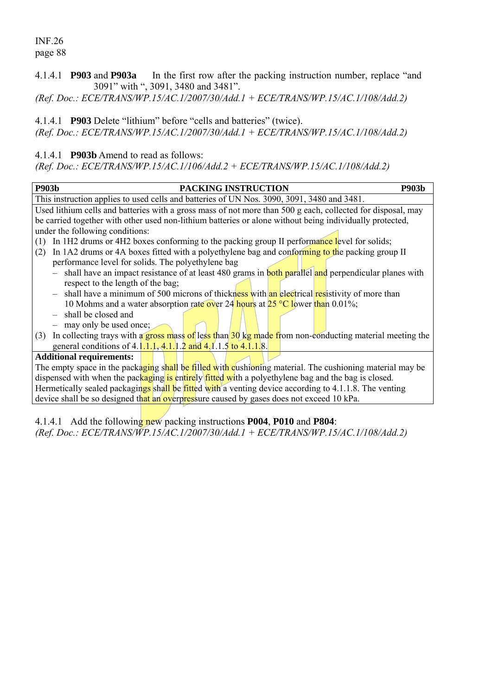4.1.4.1 **P903** and **P903a** In the first row after the packing instruction number, replace "and 3091" with ", 3091, 3480 and 3481".

*(Ref. Doc.: ECE/TRANS/WP.15/AC.1/2007/30/Add.1 + ECE/TRANS/WP.15/AC.1/108/Add.2)* 

# 4.1.4.1 **P903** Delete "lithium" before "cells and batteries" (twice).

*(Ref. Doc.: ECE/TRANS/WP.15/AC.1/2007/30/Add.1 + ECE/TRANS/WP.15/AC.1/108/Add.2)* 

# 4.1.4.1 **P903b** Amend to read as follows:

*(Ref. Doc.: ECE/TRANS/WP.15/AC.1/106/Add.2 + ECE/TRANS/WP.15/AC.1/108/Add.2)* 

| <b>P903b</b><br>PACKING INSTRUCTION                                                                                              |              |
|----------------------------------------------------------------------------------------------------------------------------------|--------------|
|                                                                                                                                  | <b>P903b</b> |
| This instruction applies to used cells and batteries of UN Nos. 3090, 3091, 3480 and 3481.                                       |              |
| Used lithium cells and batteries with a gross mass of not more than 500 g each, collected for disposal, may                      |              |
| be carried together with other used non-lithium batteries or alone without being individually protected,                         |              |
| under the following conditions:                                                                                                  |              |
| In 1H2 drums or 4H2 boxes conforming to the packing group II performance level for solids;<br>(1)                                |              |
| In 1A2 drums or 4A boxes fitted with a polyethylene bag and conforming to the packing group II<br>(2)                            |              |
| performance level for solids. The polyethylene bag                                                                               |              |
| shall have an impact resistance of at least 480 grams in <b>both parallel and</b> perpendicular planes with<br>$\qquad \qquad -$ |              |
| respect to the length of the bag;                                                                                                |              |
| shall have a minimum of 500 microns of thickness with an electrical resistivity of more than<br>$\qquad \qquad -$                |              |
| 10 Mohms and a water absorption rate over 24 hours at $25^{\circ}$ C lower than 0.01%;                                           |              |
| shall be closed and                                                                                                              |              |
| - may only be used once;                                                                                                         |              |
| In collecting trays with a gross mass of less than $30 \text{ kg}$ made from non-conducting material meeting the<br>(3)          |              |
| general conditions of 4.1.1.1, 4.1.1.2 and 4.1.1.5 to 4.1.1.8.                                                                   |              |
| <b>Additional requirements:</b>                                                                                                  |              |
| The empty space in the packaging shall be filled with cushioning material. The cushioning material may be                        |              |
| dispensed with when the packaging is entirely fitted with a polyethylene bag and the bag is closed.                              |              |
| Hermetically sealed packagings shall be fitted with a venting device according to 4.1.1.8. The venting                           |              |

device shall be so designed that an overpressure caused by gases does not exceed 10 kPa.

# 4.1.4.1 Add the following new packing instructions **P004**, **P010** and **P804**:

*(Ref. Doc.: ECE/TRANS/WP.15/AC.1/2007/30/Add.1 + ECE/TRANS/WP.15/AC.1/108/Add.2)*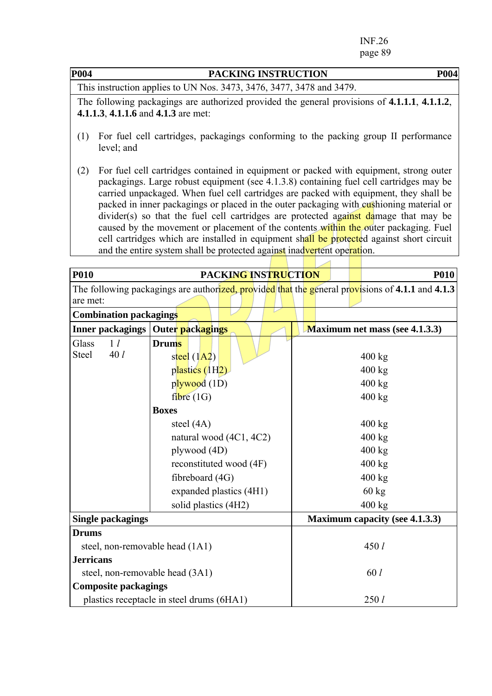INF.26  $p^2$ 

|                       |                                                                                                                                                                                                                                                                                                                                                                                                                                                                                                                                                                                                                                                                                                                                |                                                                                                                                                                         |  | page oz                                                                            |  |
|-----------------------|--------------------------------------------------------------------------------------------------------------------------------------------------------------------------------------------------------------------------------------------------------------------------------------------------------------------------------------------------------------------------------------------------------------------------------------------------------------------------------------------------------------------------------------------------------------------------------------------------------------------------------------------------------------------------------------------------------------------------------|-------------------------------------------------------------------------------------------------------------------------------------------------------------------------|--|------------------------------------------------------------------------------------|--|
| <b>P004</b>           |                                                                                                                                                                                                                                                                                                                                                                                                                                                                                                                                                                                                                                                                                                                                | PACKING INSTRUCTION                                                                                                                                                     |  | <b>P004</b>                                                                        |  |
|                       |                                                                                                                                                                                                                                                                                                                                                                                                                                                                                                                                                                                                                                                                                                                                | This instruction applies to UN Nos. 3473, 3476, 3477, 3478 and 3479.                                                                                                    |  |                                                                                    |  |
|                       |                                                                                                                                                                                                                                                                                                                                                                                                                                                                                                                                                                                                                                                                                                                                | The following packagings are authorized provided the general provisions of 4.1.1.1, 4.1.1.2,<br>4.1.1.3, 4.1.1.6 and 4.1.3 are met:                                     |  |                                                                                    |  |
| (1)                   | level; and                                                                                                                                                                                                                                                                                                                                                                                                                                                                                                                                                                                                                                                                                                                     | For fuel cell cartridges, packagings conforming to the packing group II performance                                                                                     |  |                                                                                    |  |
| (2)                   | For fuel cell cartridges contained in equipment or packed with equipment, strong outer<br>packagings. Large robust equipment (see 4.1.3.8) containing fuel cell cartridges may be<br>carried unpackaged. When fuel cell cartridges are packed with equipment, they shall be<br>packed in inner packagings or placed in the outer packaging with cushioning material or<br>divider(s) so that the fuel cell cartridges are protected against damage that may be<br>caused by the movement or placement of the contents within the outer packaging. Fuel<br>cell cartridges which are installed in equipment shall be protected against short circuit<br>and the entire system shall be protected against inadvertent operation. |                                                                                                                                                                         |  |                                                                                    |  |
| <b>P010</b>           |                                                                                                                                                                                                                                                                                                                                                                                                                                                                                                                                                                                                                                                                                                                                | PACKING INSTRUCTION                                                                                                                                                     |  | <b>P010</b>                                                                        |  |
| are met:              |                                                                                                                                                                                                                                                                                                                                                                                                                                                                                                                                                                                                                                                                                                                                | The following packagings are authorized, provided that the general provisions of 4.1.1 and 4.1.3                                                                        |  |                                                                                    |  |
|                       | <b>Combination packagings</b>                                                                                                                                                                                                                                                                                                                                                                                                                                                                                                                                                                                                                                                                                                  | ⊵                                                                                                                                                                       |  |                                                                                    |  |
|                       | <b>Inner packagings</b>                                                                                                                                                                                                                                                                                                                                                                                                                                                                                                                                                                                                                                                                                                        | Outer packagings                                                                                                                                                        |  | Maximum net mass (see 4.1.3.3)                                                     |  |
| Glass<br><b>Steel</b> | 1 l<br>40 $l$                                                                                                                                                                                                                                                                                                                                                                                                                                                                                                                                                                                                                                                                                                                  | <b>Drums</b><br>steel $(1A2)$<br>plastics (1H <sub>2</sub> )<br>plywood (1D)<br>fibre $(1G)$<br><b>Boxes</b><br>steel $(4A)$<br>natural wood (4C1, 4C2)<br>plywood (4D) |  | $400$ kg<br>$400$ kg<br>400 kg<br>400 kg<br>$400 \text{ kg}$<br>$400$ kg<br>400 kg |  |
|                       |                                                                                                                                                                                                                                                                                                                                                                                                                                                                                                                                                                                                                                                                                                                                | reconstituted wood (4F)                                                                                                                                                 |  | 400 kg                                                                             |  |

|                                           | fibreboard $(4G)$       | $400 \text{ kg}$                      |
|-------------------------------------------|-------------------------|---------------------------------------|
|                                           | expanded plastics (4H1) | $60 \text{ kg}$                       |
|                                           | solid plastics (4H2)    | $400 \text{ kg}$                      |
| <b>Single packagings</b>                  |                         | <b>Maximum capacity (see 4.1.3.3)</b> |
| <b>Drums</b>                              |                         |                                       |
| steel, non-removable head (1A1)           |                         | 450 l                                 |
| <b>Jerricans</b>                          |                         |                                       |
| steel, non-removable head (3A1)           |                         | 60 l                                  |
| <b>Composite packagings</b>               |                         |                                       |
| plastics receptacle in steel drums (6HA1) |                         | 250 $l$                               |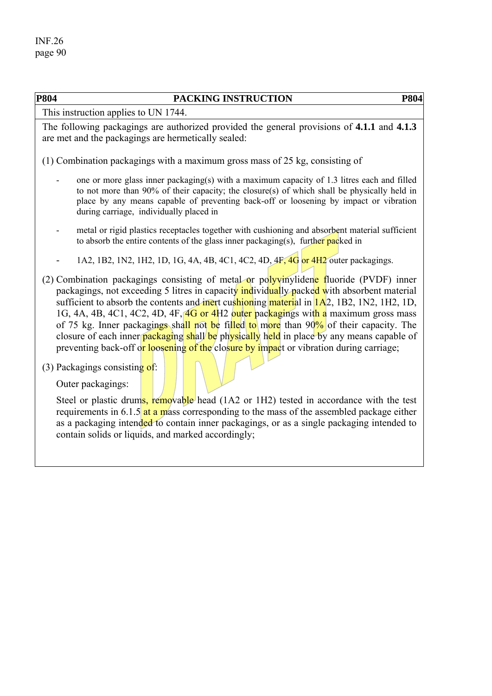| <b>P804</b> | PACKING INSTRUCTION                                                                                                                                                                                                                                                                                                                                                                                                                                                                                                                                                                                                                                                          | <b>P804</b> |
|-------------|------------------------------------------------------------------------------------------------------------------------------------------------------------------------------------------------------------------------------------------------------------------------------------------------------------------------------------------------------------------------------------------------------------------------------------------------------------------------------------------------------------------------------------------------------------------------------------------------------------------------------------------------------------------------------|-------------|
|             | This instruction applies to UN 1744.                                                                                                                                                                                                                                                                                                                                                                                                                                                                                                                                                                                                                                         |             |
|             | The following packagings are authorized provided the general provisions of 4.1.1 and 4.1.3<br>are met and the packagings are hermetically sealed:                                                                                                                                                                                                                                                                                                                                                                                                                                                                                                                            |             |
|             | (1) Combination packagings with a maximum gross mass of 25 kg, consisting of                                                                                                                                                                                                                                                                                                                                                                                                                                                                                                                                                                                                 |             |
|             | one or more glass inner packaging(s) with a maximum capacity of 1.3 litres each and filled<br>to not more than 90% of their capacity; the closure(s) of which shall be physically held in<br>place by any means capable of preventing back-off or loosening by impact or vibration<br>during carriage, individually placed in                                                                                                                                                                                                                                                                                                                                                |             |
|             | metal or rigid plastics receptacles together with cushioning and absorbent material sufficient<br>to absorb the entire contents of the glass inner packaging(s), further packed in                                                                                                                                                                                                                                                                                                                                                                                                                                                                                           |             |
|             | 1A2, 1B2, 1N2, 1H2, 1D, 1G, 4A, 4B, 4C1, 4C2, 4D, 4F, 4G or 4H2 outer packagings.                                                                                                                                                                                                                                                                                                                                                                                                                                                                                                                                                                                            |             |
|             | (2) Combination packagings consisting of metal or polyvinylidene fluoride (PVDF) inner<br>packagings, not exceeding 5 litres in capacity individually packed with absorbent material<br>sufficient to absorb the contents and inert cushioning material in $IA2$ , 1B2, 1N2, 1H2, 1D,<br>1G, 4A, 4B, 4C1, 4C2, 4D, 4F, 4G or 4H <sub>2</sub> outer packagings with a maximum gross mass<br>of 75 kg. Inner packagings shall not be filled to more than $90\%$ of their capacity. The<br>closure of each inner packaging shall be physically held in place by any means capable of<br>preventing back-off or loosening of the closure by impact or vibration during carriage; |             |
|             | $(3)$ Packagings consisting of:                                                                                                                                                                                                                                                                                                                                                                                                                                                                                                                                                                                                                                              |             |
|             | Outer packagings:                                                                                                                                                                                                                                                                                                                                                                                                                                                                                                                                                                                                                                                            |             |
|             | Steel or plastic drums, removable head (1A2 or 1H2) tested in accordance with the test<br>requirements in 6.1.5 at a mass corresponding to the mass of the assembled package either<br>as a packaging intended to contain inner packagings, or as a single packaging intended to<br>contain solids or liquids, and marked accordingly;                                                                                                                                                                                                                                                                                                                                       |             |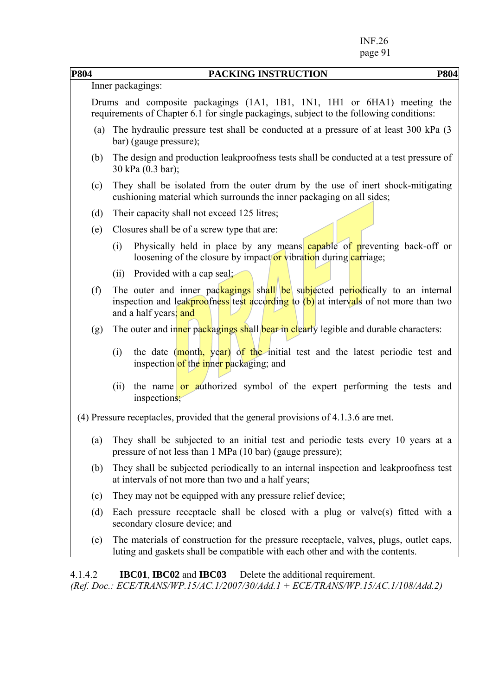| <b>P804</b> | PACKING INSTRUCTION<br><b>P804</b>                                                                                                                                                              |
|-------------|-------------------------------------------------------------------------------------------------------------------------------------------------------------------------------------------------|
|             | Inner packagings:                                                                                                                                                                               |
|             | Drums and composite packagings (1A1, 1B1, 1N1, 1H1 or 6HA1) meeting the<br>requirements of Chapter 6.1 for single packagings, subject to the following conditions:                              |
| (a)         | The hydraulic pressure test shall be conducted at a pressure of at least 300 kPa (3)<br>bar) (gauge pressure);                                                                                  |
| (b)         | The design and production leakproofness tests shall be conducted at a test pressure of<br>30 kPa (0.3 bar);                                                                                     |
| (c)         | They shall be isolated from the outer drum by the use of inert shock-mitigating<br>cushioning material which surrounds the inner packaging on all sides;                                        |
| (d)         | Their capacity shall not exceed 125 litres;                                                                                                                                                     |
| (e)         | Closures shall be of a screw type that are:                                                                                                                                                     |
|             | Physically held in place by any means capable of preventing back-off or<br>(i)<br>loosening of the closure by impact or vibration during carriage;                                              |
|             | $(ii)$ Provided with a cap seal;                                                                                                                                                                |
| (f)         | The outer and inner packagings shall be subjected periodically to an internal<br>inspection and leakproof ness test according to (b) at intervals of not more than two<br>and a half years; and |
| (g)         | The outer and inner packagings shall bear in clearly legible and durable characters:                                                                                                            |
|             | the date (month, year) of the initial test and the latest periodic test and<br>(i)<br>inspection of the inner packaging; and                                                                    |
|             | the name or authorized symbol of the expert performing the tests and<br>(ii)<br>inspections;                                                                                                    |
|             | (4) Pressure receptacles, provided that the general provisions of 4.1.3.6 are met.                                                                                                              |
| (a)         | They shall be subjected to an initial test and periodic tests every 10 years at a<br>pressure of not less than 1 MPa (10 bar) (gauge pressure);                                                 |
| (b)         | They shall be subjected periodically to an internal inspection and leakproofness test<br>at intervals of not more than two and a half years;                                                    |
| (c)         | They may not be equipped with any pressure relief device;                                                                                                                                       |
| (d)         | Each pressure receptacle shall be closed with a plug or valve(s) fitted with a<br>secondary closure device; and                                                                                 |
| (e)         | The materials of construction for the pressure receptacle, valves, plugs, outlet caps,<br>luting and gaskets shall be compatible with each other and with the contents.                         |

4.1.4.2 **IBC01**, **IBC02** and **IBC03** Delete the additional requirement. *(Ref. Doc.: ECE/TRANS/WP.15/AC.1/2007/30/Add.1 + ECE/TRANS/WP.15/AC.1/108/Add.2)*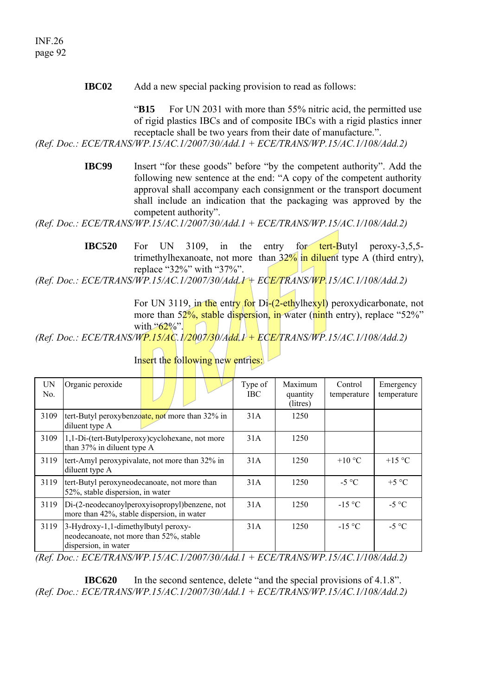**IBC02** Add a new special packing provision to read as follows:

"**B15** For UN 2031 with more than 55% nitric acid, the permitted use of rigid plastics IBCs and of composite IBCs with a rigid plastics inner receptacle shall be two years from their date of manufacture.".

*(Ref. Doc.: ECE/TRANS/WP.15/AC.1/2007/30/Add.1 + ECE/TRANS/WP.15/AC.1/108/Add.2)* 

**IBC99** Insert "for these goods" before "by the competent authority". Add the following new sentence at the end: "A copy of the competent authority approval shall accompany each consignment or the transport document shall include an indication that the packaging was approved by the competent authority".

*(Ref. Doc.: ECE/TRANS/WP.15/AC.1/2007/30/Add.1 + ECE/TRANS/WP.15/AC.1/108/Add.2)* 

**IBC520** For UN 3109, in the entry for tert-Butyl peroxy-3,5,5trimethylhexanoate, not more than  $32\%$  in diluent type A (third entry), replace "32%" with "37%".

*(Ref. Doc.: ECE/TRANS/WP.15/AC.1/2007/30/Add.1 + ECE/TRANS/WP.15/AC.1/108/Add.2)* 

For UN 3119, in the entry for Di-(2-ethylhexyl) peroxydicarbonate, not more than 52%, stable dispersion, in water (ninth entry), replace "52%" with  $"62\%"$ .

*(Ref. Doc.: ECE/TRANS/WP.15/AC.1/2007/30/Add.1 + ECE/TRANS/WP.15/AC.1/108/Add.2)* 

| UN<br>No. | Organic peroxide                                                                                       | Type of<br><b>IBC</b> | Maximum<br>quantity<br>(litres) | Control<br>temperature | Emergency<br>temperature |
|-----------|--------------------------------------------------------------------------------------------------------|-----------------------|---------------------------------|------------------------|--------------------------|
| 3109      | tert-Butyl peroxybenzoate, not more than 32% in<br>diluent type A                                      | 31A                   | 1250                            |                        |                          |
| 3109      | 1,1-Di-(tert-Butylperoxy)cyclohexane, not more<br>than 37% in diluent type A                           | 31A                   | 1250                            |                        |                          |
| 3119      | tert-Amyl peroxypivalate, not more than 32% in<br>diluent type A                                       | 31A                   | 1250                            | $+10\text{ °C}$        | $+15$ °C                 |
| 3119      | tert-Butyl peroxyneodecanoate, not more than<br>52%, stable dispersion, in water                       | 31A                   | 1250                            | $-5$ °C                | $+5$ °C                  |
| 3119      | Di-(2-neodecanoylperoxyisopropyl)benzene, not<br>more than 42%, stable dispersion, in water            | 31A                   | 1250                            | $-15$ °C               | $-5 °C$                  |
| 3119      | 3-Hydroxy-1,1-dimethylbutyl peroxy-<br>neodecanoate, not more than 52%, stable<br>dispersion, in water | 31A                   | 1250                            | $-15\text{ °C}$        | $-5^{\circ}C$            |

Insert the following new entries:

*(Ref. Doc.: ECE/TRANS/WP.15/AC.1/2007/30/Add.1 + ECE/TRANS/WP.15/AC.1/108/Add.2)* 

**IBC620** In the second sentence, delete "and the special provisions of 4.1.8". *(Ref. Doc.: ECE/TRANS/WP.15/AC.1/2007/30/Add.1 + ECE/TRANS/WP.15/AC.1/108/Add.2)*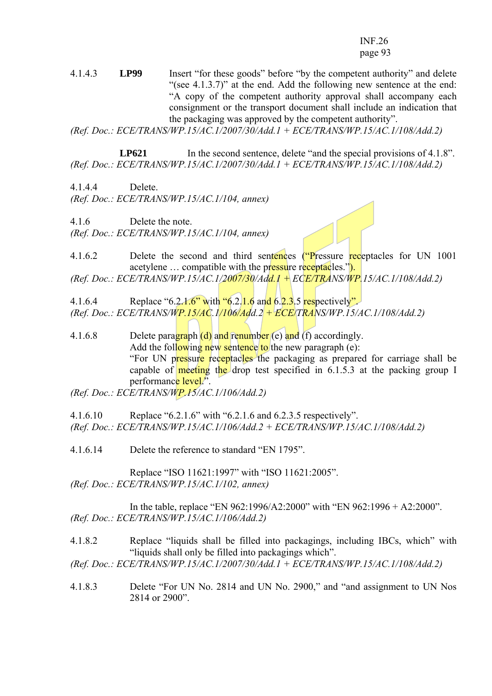4.1.4.3 **LP99** Insert "for these goods" before "by the competent authority" and delete "(see 4.1.3.7)" at the end. Add the following new sentence at the end: "A copy of the competent authority approval shall accompany each consignment or the transport document shall include an indication that the packaging was approved by the competent authority".

*(Ref. Doc.: ECE/TRANS/WP.15/AC.1/2007/30/Add.1 + ECE/TRANS/WP.15/AC.1/108/Add.2)* 

LP621 In the second sentence, delete "and the special provisions of 4.1.8". *(Ref. Doc.: ECE/TRANS/WP.15/AC.1/2007/30/Add.1 + ECE/TRANS/WP.15/AC.1/108/Add.2)* 

4.1.4.4 Delete. *(Ref. Doc.: ECE/TRANS/WP.15/AC.1/104, annex)* 

4.1.6 Delete the note. *(Ref. Doc.: ECE/TRANS/WP.15/AC.1/104, annex)* 

4.1.6.2 Delete the second and third sentences ("Pressure receptacles for UN 1001 acetylene ... compatible with the pressure receptacles."). *(Ref. Doc.: ECE/TRANS/WP.15/AC.1/2007/30/Add.1 + ECE/TRANS/WP.15/AC.1/108/Add.2)* 

4.1.6.4 Replace "6.2.1.6" with "6.2.1.6 and 6.2.3.5 respectively". *(Ref. Doc.: ECE/TRANS/WP.15/AC.1/106/Add.2 + ECE/TRANS/WP.15/AC.1/108/Add.2)* 

4.1.6.8 Delete paragraph  $(d)$  and renumber (e) and (f) accordingly. Add the following new sentence to the new paragraph  $(e)$ : "For UN pressure receptacles the packaging as prepared for carriage shall be capable of **meeting the** drop test specified in 6.1.5.3 at the packing group I performance level.".

*(Ref. Doc.: ECE/TRANS/WP.15/AC.1/106/Add.2)* 

4.1.6.10 Replace "6.2.1.6" with "6.2.1.6 and 6.2.3.5 respectively". *(Ref. Doc.: ECE/TRANS/WP.15/AC.1/106/Add.2 + ECE/TRANS/WP.15/AC.1/108/Add.2)* 

4.1.6.14 Delete the reference to standard "EN 1795".

 Replace "ISO 11621:1997" with "ISO 11621:2005". *(Ref. Doc.: ECE/TRANS/WP.15/AC.1/102, annex)* 

 In the table, replace "EN 962:1996/A2:2000" with "EN 962:1996 + A2:2000". *(Ref. Doc.: ECE/TRANS/WP.15/AC.1/106/Add.2)* 

4.1.8.2 Replace "liquids shall be filled into packagings, including IBCs, which" with "liquids shall only be filled into packagings which".

*(Ref. Doc.: ECE/TRANS/WP.15/AC.1/2007/30/Add.1 + ECE/TRANS/WP.15/AC.1/108/Add.2)* 

4.1.8.3 Delete "For UN No. 2814 and UN No. 2900," and "and assignment to UN Nos 2814 or 2900".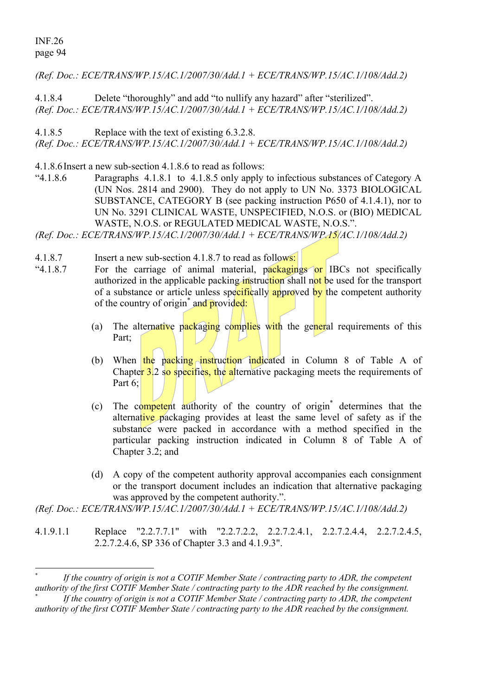l

*(Ref. Doc.: ECE/TRANS/WP.15/AC.1/2007/30/Add.1 + ECE/TRANS/WP.15/AC.1/108/Add.2)* 

4.1.8.4 Delete "thoroughly" and add "to nullify any hazard" after "sterilized".

*(Ref. Doc.: ECE/TRANS/WP.15/AC.1/2007/30/Add.1 + ECE/TRANS/WP.15/AC.1/108/Add.2)* 

4.1.8.5 Replace with the text of existing 6.3.2.8. *(Ref. Doc.: ECE/TRANS/WP.15/AC.1/2007/30/Add.1 + ECE/TRANS/WP.15/AC.1/108/Add.2)* 

4.1.8.6 Insert a new sub-section 4.1.8.6 to read as follows:

"4.1.8.6 Paragraphs 4.1.8.1 to 4.1.8.5 only apply to infectious substances of Category A (UN Nos. 2814 and 2900). They do not apply to UN No. 3373 BIOLOGICAL SUBSTANCE, CATEGORY B (see packing instruction P650 of 4.1.4.1), nor to UN No. 3291 CLINICAL WASTE, UNSPECIFIED, N.O.S. or (BIO) MEDICAL WASTE, N.O.S. or REGULATED MEDICAL WASTE, N.O.S.".

*(Ref. Doc.: ECE/TRANS/WP.15/AC.1/2007/30/Add.1 + ECE/TRANS/WP.15/AC.1/108/Add.2)* 

- 4.1.8.7 Insert a new sub-section 4.1.8.7 to read as follows:
- "4.1.8.7 For the carriage of animal material, packagings or IBCs not specifically authorized in the applicable packing *instruction* shall not be used for the transport of a substance or article unless specifically approved by the competent authority of the country of origin<sup>\*</sup> and provided:
	- (a) The alternative packaging complies with the general requirements of this Part;
	- (b) When the packing instruction indicated in Column 8 of Table A of Chapter 3.2 so specifies, the alternative packaging meets the requirements of Part 6;
	- (c) The competent authority of the country of origin<sup>\*</sup> determines that the alternative packaging provides at least the same level of safety as if the substance were packed in accordance with a method specified in the particular packing instruction indicated in Column 8 of Table A of Chapter 3.2; and
	- (d) A copy of the competent authority approval accompanies each consignment or the transport document includes an indication that alternative packaging was approved by the competent authority.".

*(Ref. Doc.: ECE/TRANS/WP.15/AC.1/2007/30/Add.1 + ECE/TRANS/WP.15/AC.1/108/Add.2)* 

4.1.9.1.1 Replace "2.2.7.7.1" with "2.2.7.2.2, 2.2.7.2.4.1, 2.2.7.2.4.4, 2.2.7.2.4.5, 2.2.7.2.4.6, SP 336 of Chapter 3.3 and 4.1.9.3".

<sup>\*</sup> *If the country of origin is not a COTIF Member State / contracting party to ADR, the competent authority of the first COTIF Member State / contracting party to the ADR reached by the consignment.* \*

*If the country of origin is not a COTIF Member State / contracting party to ADR, the competent authority of the first COTIF Member State / contracting party to the ADR reached by the consignment.*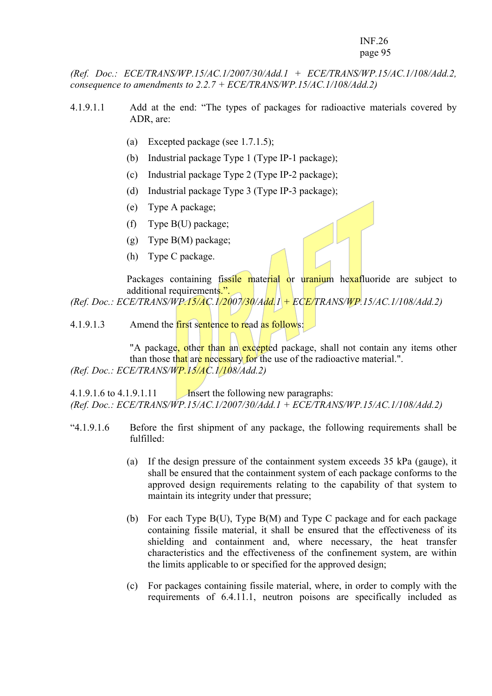*(Ref. Doc.: ECE/TRANS/WP.15/AC.1/2007/30/Add.1 + ECE/TRANS/WP.15/AC.1/108/Add.2, consequence to amendments to 2.2.7 + ECE/TRANS/WP.15/AC.1/108/Add.2)* 

- 4.1.9.1.1 Add at the end: "The types of packages for radioactive materials covered by ADR, are:
	- (a) Excepted package (see 1.7.1.5);
	- (b) Industrial package Type 1 (Type IP-1 package);
	- (c) Industrial package Type 2 (Type IP-2 package);
	- (d) Industrial package Type 3 (Type IP-3 package);
	- (e) Type A package;
	- (f) Type B(U) package;
	- (g) Type B(M) package;
	- (h) Type C package.

Packages containing fissile material or uranium hexafluoride are subject to additional requirements.".

*(Ref. Doc.: ECE/TRANS/WP.15/AC.1/2007/30/Add.1 + ECE/TRANS/WP.15/AC.1/108/Add.2)* 

4.1.9.1.3 Amend the **first sentence to read as follows:** 

"A package, other than an excepted package, shall not contain any items other than those that are necessary for the use of the radioactive material.". *(Ref. Doc.: ECE/TRANS/WP.15/AC.1/108/Add.2)* 

 $4.1.9.1.6$  to  $4.1.9.1.11$  Insert the following new paragraphs: *(Ref. Doc.: ECE/TRANS/WP.15/AC.1/2007/30/Add.1 + ECE/TRANS/WP.15/AC.1/108/Add.2)* 

- "4.1.9.1.6 Before the first shipment of any package, the following requirements shall be fulfilled:
	- (a) If the design pressure of the containment system exceeds 35 kPa (gauge), it shall be ensured that the containment system of each package conforms to the approved design requirements relating to the capability of that system to maintain its integrity under that pressure;
	- (b) For each Type B(U), Type B(M) and Type C package and for each package containing fissile material, it shall be ensured that the effectiveness of its shielding and containment and, where necessary, the heat transfer characteristics and the effectiveness of the confinement system, are within the limits applicable to or specified for the approved design;
	- (c) For packages containing fissile material, where, in order to comply with the requirements of 6.4.11.1, neutron poisons are specifically included as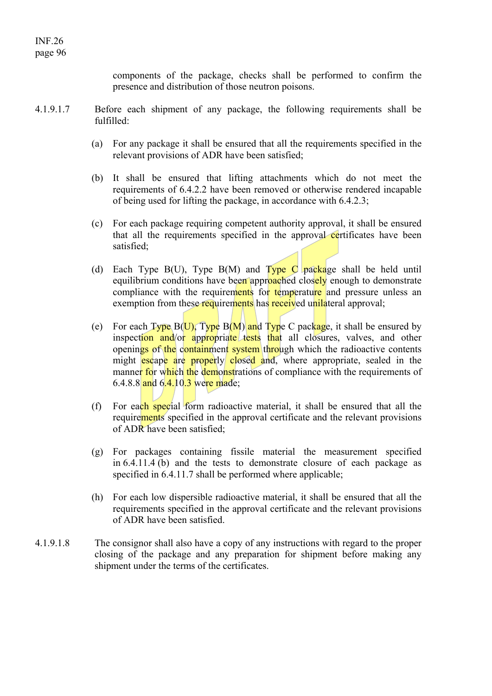> components of the package, checks shall be performed to confirm the presence and distribution of those neutron poisons.

- 4.1.9.1.7 Before each shipment of any package, the following requirements shall be fulfilled:
	- (a) For any package it shall be ensured that all the requirements specified in the relevant provisions of ADR have been satisfied;
	- (b) It shall be ensured that lifting attachments which do not meet the requirements of 6.4.2.2 have been removed or otherwise rendered incapable of being used for lifting the package, in accordance with 6.4.2.3;
	- (c) For each package requiring competent authority approval, it shall be ensured that all the requirements specified in the approval certificates have been satisfied;
	- (d) Each Type B(U), Type B(M) and Type C package shall be held until equilibrium conditions have been approached closely enough to demonstrate compliance with the requirements for temperature and pressure unless an exemption from these requirements has received unilateral approval;
	- (e) For each Type B(U), Type B(M) and Type C package, it shall be ensured by inspection and/or appropriate tests that all closures, valves, and other openings of the containment system through which the radioactive contents might escape are properly closed and, where appropriate, sealed in the manner for which the demonstrations of compliance with the requirements of 6.4.8.8 and  $6.4.10.3$  were made;
	- (f) For each special form radioactive material, it shall be ensured that all the requirements specified in the approval certificate and the relevant provisions of ADR have been satisfied;
	- (g) For packages containing fissile material the measurement specified in 6.4.11.4 (b) and the tests to demonstrate closure of each package as specified in 6.4.11.7 shall be performed where applicable;
	- (h) For each low dispersible radioactive material, it shall be ensured that all the requirements specified in the approval certificate and the relevant provisions of ADR have been satisfied.
- 4.1.9.1.8 The consignor shall also have a copy of any instructions with regard to the proper closing of the package and any preparation for shipment before making any shipment under the terms of the certificates.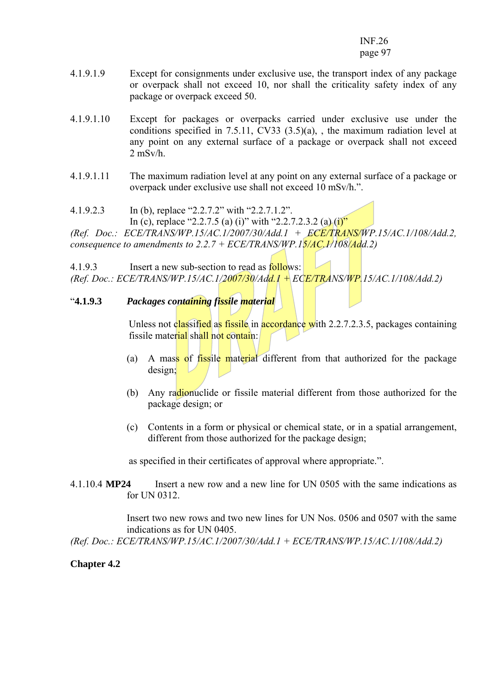- 4.1.9.1.9 Except for consignments under exclusive use, the transport index of any package or overpack shall not exceed 10, nor shall the criticality safety index of any package or overpack exceed 50.
- 4.1.9.1.10 Except for packages or overpacks carried under exclusive use under the conditions specified in 7.5.11, CV33 (3.5)(a), , the maximum radiation level at any point on any external surface of a package or overpack shall not exceed 2 mSv/h.
- 4.1.9.1.11 The maximum radiation level at any point on any external surface of a package or overpack under exclusive use shall not exceed 10 mSv/h.".

4.1.9.2.3 In (b), replace "2.2.7.2" with "2.2.7.1.2". In (c), replace "2.2.7.5 (a) (i)" with "2.2.7.2.3.2 (a)  $(i)$ " *(Ref. Doc.: ECE/TRANS/WP.15/AC.1/2007/30/Add.1 + ECE/TRANS/WP.15/AC.1/108/Add.2, consequence to amendments to 2.2.7 + ECE/TRANS/WP.15/AC.1/108/Add.2)* 

4.1.9.3 Insert a new sub-section to read as follows: *(Ref. Doc.: ECE/TRANS/WP.15/AC.1/2007/30/Add.1 + ECE/TRANS/WP.15/AC.1/108/Add.2)* 

# "**4.1.9.3** *Packages containing fissile material*

Unless not classified as fissile in accordance with 2.2.7.2.3.5, packages containing fissile material shall not contain:

- (a) A mass of fissile material different from that authorized for the package design;
- (b) Any radionuclide or fissile material different from those authorized for the package design; or
- (c) Contents in a form or physical or chemical state, or in a spatial arrangement, different from those authorized for the package design;

as specified in their certificates of approval where appropriate.".

4.1.10.4 **MP24** Insert a new row and a new line for UN 0505 with the same indications as for UN 0312.

> Insert two new rows and two new lines for UN Nos. 0506 and 0507 with the same indications as for UN 0405.

*(Ref. Doc.: ECE/TRANS/WP.15/AC.1/2007/30/Add.1 + ECE/TRANS/WP.15/AC.1/108/Add.2)* 

**Chapter 4.2**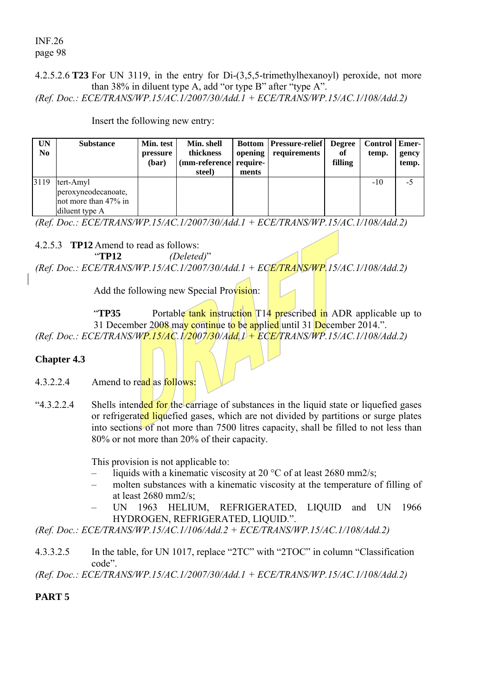4.2.5.2.6 **T23** For UN 3119, in the entry for Di-(3,5,5-trimethylhexanoyl) peroxide, not more than 38% in diluent type A, add "or type B" after "type A". *(Ref. Doc.: ECE/TRANS/WP.15/AC.1/2007/30/Add.1 + ECE/TRANS/WP.15/AC.1/108/Add.2)* 

**UN No Substance Min. test pressure (bar) Min. shell thickness (mm-reference steel) Bottom opening requirements Pressure-relief requirements Degree of filling Control temp. Emergency temp.** 3119 tert-Amyl peroxyneodecanoate, not more than 47% in diluent type A 1 -10 -5

Insert the following new entry:

*(Ref. Doc.: ECE/TRANS/WP.15/AC.1/2007/30/Add.1 + ECE/TRANS/WP.15/AC.1/108/Add.2)* 

4.2.5.3 **TP12** Amend to read as follows:

"**TP12** *(Deleted)*"

*(Ref. Doc.: ECE/TRANS/WP.15/AC.1/2007/30/Add.1 + ECE/TRANS/WP.15/AC.1/108/Add.2)* 

Add the following new Special Provision:

**TP35** Portable tank instruction T14 prescribed in ADR applicable up to 31 December 2008 may continue to be applied until 31 December 2014.". *(Ref. Doc.: ECE/TRANS/WP.15/AC.1/2007/30/Add.1 + ECE/TRANS/WP.15/AC.1/108/Add.2)* 

# **Chapter 4.3**

- 4.3.2.2.4 Amend to read as follows:
- "4.3.2.2.4 Shells intended for the carriage of substances in the liquid state or liquefied gases or refrigerated liquefied gases, which are not divided by partitions or surge plates into sections of not more than 7500 litres capacity, shall be filled to not less than 80% or not more than 20% of their capacity.

This provision is not applicable to:

- liquids with a kinematic viscosity at 20  $\degree$ C of at least 2680 mm2/s;
- molten substances with a kinematic viscosity at the temperature of filling of at least 2680 mm2/s;
- UN 1963 HELIUM, REFRIGERATED, LIQUID and UN 1966 HYDROGEN, REFRIGERATED, LIQUID.".

*(Ref. Doc.: ECE/TRANS/WP.15/AC.1/106/Add.2 + ECE/TRANS/WP.15/AC.1/108/Add.2)* 

4.3.3.2.5 In the table, for UN 1017, replace "2TC" with "2TOC" in column "Classification code".

*(Ref. Doc.: ECE/TRANS/WP.15/AC.1/2007/30/Add.1 + ECE/TRANS/WP.15/AC.1/108/Add.2)* 

# **PART 5**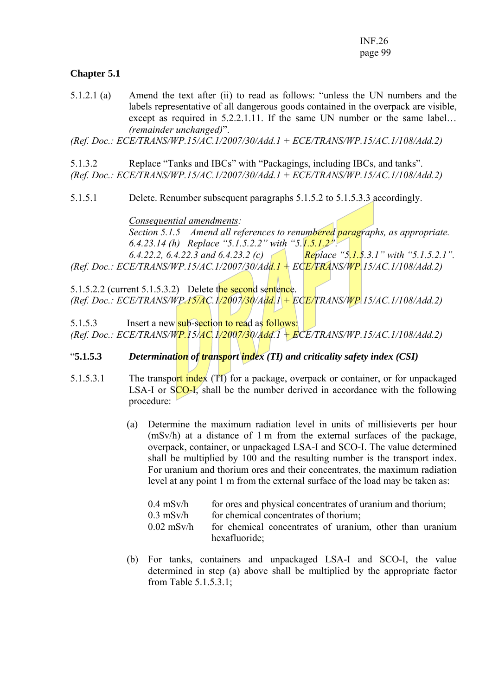# **Chapter 5.1**

5.1.2.1 (a) Amend the text after (ii) to read as follows: "unless the UN numbers and the labels representative of all dangerous goods contained in the overpack are visible, except as required in 5.2.2.1.11. If the same UN number or the same label... *(remainder unchanged)*".

*(Ref. Doc.: ECE/TRANS/WP.15/AC.1/2007/30/Add.1 + ECE/TRANS/WP.15/AC.1/108/Add.2)* 

5.1.3.2 Replace "Tanks and IBCs" with "Packagings, including IBCs, and tanks". *(Ref. Doc.: ECE/TRANS/WP.15/AC.1/2007/30/Add.1 + ECE/TRANS/WP.15/AC.1/108/Add.2)* 

5.1.5.1 Delete. Renumber subsequent paragraphs 5.1.5.2 to 5.1.5.3.3 accordingly.

*Consequential amendments: Section 5.1.5 Amend all references to renumbered paragraphs, as appropriate. 6.4.23.14 (h) Replace "5.1.5.2.2" with "5.1.5.1.2". 6.4.22.2, 6.4.22.3 and 6.4.23.2 (c) Replace "5.1.5.3.1" with "5.1.5.2.1". (Ref. Doc.: ECE/TRANS/WP.15/AC.1/2007/30/Add.1 + ECE/TRANS/WP.15/AC.1/108/Add.2)* 

5.1.5.2.2 (current  $5.1.5.3.2$ ) Delete the second sentence. *(Ref. Doc.: ECE/TRANS/WP.15/AC.1/2007/30/Add.1 + ECE/TRANS/WP.15/AC.1/108/Add.2)* 

5.1.5.3 Insert a new **sub-section to read as follows:** *(Ref. Doc.: ECE/TRANS/WP.15/AC.1/2007/30/Add.1 + ECE/TRANS/WP.15/AC.1/108/Add.2)* 

- "**5.1.5.3** *Determination of transport index (TI) and criticality safety index (CSI)*
- 5.1.5.3.1 The transport index (TI) for a package, overpack or container, or for unpackaged LSA-I or  $SCO-I$ , shall be the number derived in accordance with the following procedure:
	- (a) Determine the maximum radiation level in units of millisieverts per hour (mSv/h) at a distance of 1 m from the external surfaces of the package, overpack, container, or unpackaged LSA-I and SCO-I. The value determined shall be multiplied by 100 and the resulting number is the transport index. For uranium and thorium ores and their concentrates, the maximum radiation level at any point 1 m from the external surface of the load may be taken as:

| $0.4~\mathrm{mSv}/\mathrm{h}$ | for ores and physical concentrates of uranium and thorium;                |
|-------------------------------|---------------------------------------------------------------------------|
| $0.3 \text{ mSv/h}$           | for chemical concentrates of thorium;                                     |
| $0.02$ mSv/h                  | for chemical concentrates of uranium, other than uranium<br>hexafluoride; |

(b) For tanks, containers and unpackaged LSA-I and SCO-I, the value determined in step (a) above shall be multiplied by the appropriate factor from Table 5.1.5.3.1;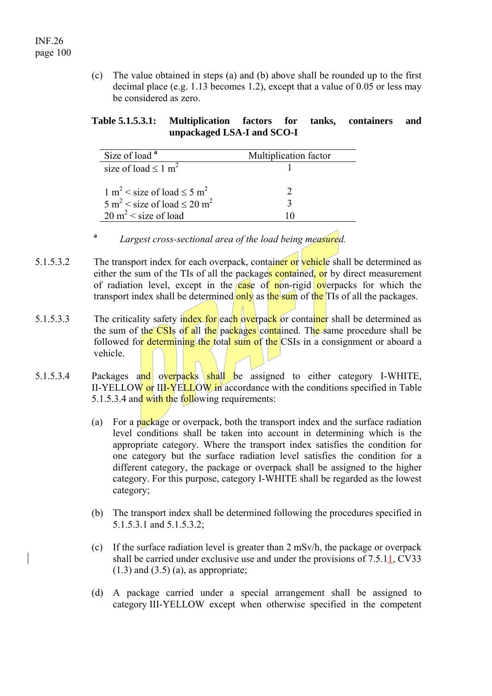(c) The value obtained in steps (a) and (b) above shall be rounded up to the first decimal place (e.g. 1.13 becomes 1.2), except that a value of 0.05 or less may be considered as zero.

# **Table 5.1.5.3.1: Multiplication factors for tanks, containers and unpackaged LSA-I and SCO-I**

| Size of load <sup>a</sup>                               | Multiplication factor |
|---------------------------------------------------------|-----------------------|
| size of load $\leq 1$ m <sup>2</sup>                    |                       |
| 1 m <sup>2</sup> < size of load $\leq$ 5 m <sup>2</sup> |                       |
| $5 \text{ m}^2$ < size of load $\leq 20 \text{ m}^2$    |                       |
| $20 \text{ m}^2$ < size of load                         |                       |

- **a** *Largest cross-sectional area of the load being measured.*
- 5.1.5.3.2 The transport index for each overpack, container or vehicle shall be determined as either the sum of the TIs of all the packages contained, or by direct measurement of radiation level, except in the case of non-rigid overpacks for which the transport index shall be determined only as the sum of the TIs of all the packages.
- 5.1.5.3.3 The criticality safety index for each overpack or container shall be determined as the sum of the CSIs of all the packages contained. The same procedure shall be followed for determining the total sum of the CSIs in a consignment or aboard a vehicle.
- 5.1.5.3.4 Packages and overpacks shall be assigned to either category I-WHITE, II-YELLOW or III-YELLOW in accordance with the conditions specified in Table 5.1.5.3.4 and with the following requirements:
	- (a) For a package or overpack, both the transport index and the surface radiation level conditions shall be taken into account in determining which is the appropriate category. Where the transport index satisfies the condition for one category but the surface radiation level satisfies the condition for a different category, the package or overpack shall be assigned to the higher category. For this purpose, category I-WHITE shall be regarded as the lowest category;
	- (b) The transport index shall be determined following the procedures specified in 5.1.5.3.1 and 5.1.5.3.2;
	- (c) If the surface radiation level is greater than 2 mSv/h, the package or overpack shall be carried under exclusive use and under the provisions of 7.5.11, CV33  $(1.3)$  and  $(3.5)$  (a), as appropriate;
	- (d) A package carried under a special arrangement shall be assigned to category III-YELLOW except when otherwise specified in the competent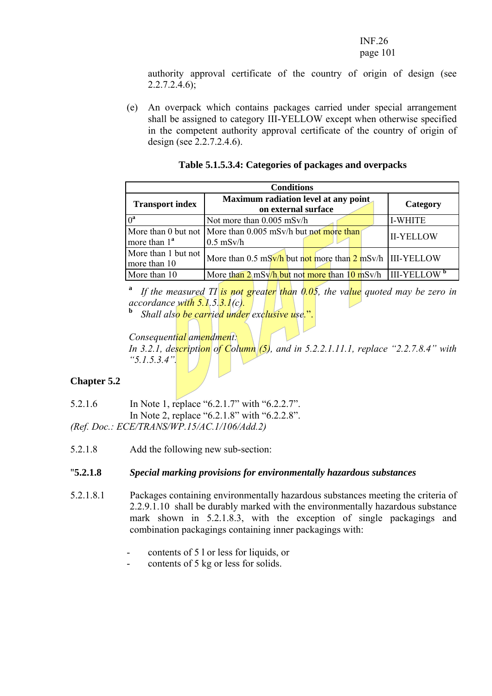authority approval certificate of the country of origin of design (see 2.2.7.2.4.6);

(e) An overpack which contains packages carried under special arrangement shall be assigned to category III-YELLOW except when otherwise specified in the competent authority approval certificate of the country of origin of design (see 2.2.7.2.4.6).

|  | Table 5.1.5.3.4: Categories of packages and overpacks |  |
|--|-------------------------------------------------------|--|
|  |                                                       |  |

| <b>Conditions</b>                                                                     |                                                                              |                  |  |  |  |  |
|---------------------------------------------------------------------------------------|------------------------------------------------------------------------------|------------------|--|--|--|--|
| Maximum radiation level at any point<br><b>Transport index</b><br>on external surface |                                                                              | Category         |  |  |  |  |
| $\theta^a$                                                                            | Not more than 0.005 mSv/h                                                    | <b>I-WHITE</b>   |  |  |  |  |
| more than $1a$                                                                        | More than 0 but not More than $0.005$ mSv/h but not more than<br>$0.5$ mSv/h | <b>II-YELLOW</b> |  |  |  |  |
| More than 1 but not<br>more than 10                                                   | More than $0.5 \text{ mSv/h}$ but not more than $2 \text{ mSv/h}$ III-YELLOW |                  |  |  |  |  |
| More than 10                                                                          | More than $2$ mSv/h but not more than $10$ mSv/h   III-YELLOW                |                  |  |  |  |  |

**a** *If the measured TI* is not greater than 0.05, the value quoted may be zero in *accordance with 5.1.5.3.1(c).* 

**b**  *Shall also be carried under exclusive use.*".

*Consequential amendment:* 

*In 3.2.1, description of Column (5), and in 5.2.2.1.11.1, replace "2.2.7.8.4" with "5.1.5.3.4".* 

### **Chapter 5.2**

5.2.1.6 In Note 1, replace "6.2.1.7" with "6.2.2.7". In Note 2, replace "6.2.1.8" with "6.2.2.8". *(Ref. Doc.: ECE/TRANS/WP.15/AC.1/106/Add.2)* 

5.2.1.8 Add the following new sub-section:

#### "**5.2.1.8** *Special marking provisions for environmentally hazardous substances*

- 5.2.1.8.1 Packages containing environmentally hazardous substances meeting the criteria of 2.2.9.1.10 shall be durably marked with the environmentally hazardous substance mark shown in 5.2.1.8.3, with the exception of single packagings and combination packagings containing inner packagings with:
	- contents of 5 l or less for liquids, or
	- contents of 5 kg or less for solids.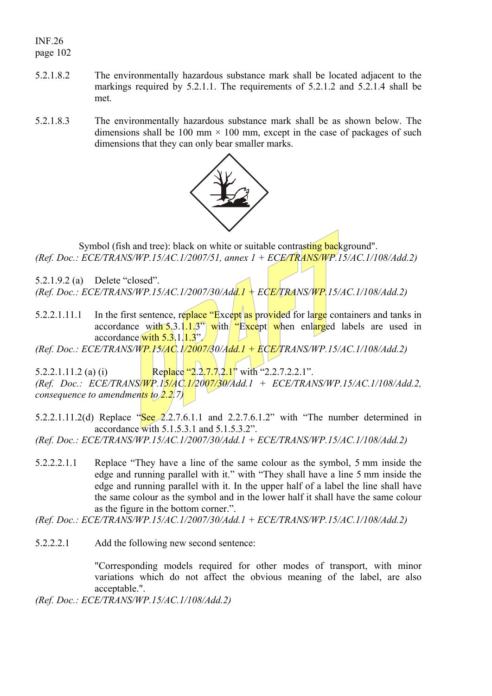- 5.2.1.8.2 The environmentally hazardous substance mark shall be located adjacent to the markings required by 5.2.1.1. The requirements of 5.2.1.2 and 5.2.1.4 shall be met.
- 5.2.1.8.3 The environmentally hazardous substance mark shall be as shown below. The dimensions shall be 100 mm  $\times$  100 mm, except in the case of packages of such dimensions that they can only bear smaller marks.



Symbol (fish and tree): black on white or suitable contrasting background". *(Ref. Doc.: ECE/TRANS/WP.15/AC.1/2007/51, annex 1 + ECE/TRANS/WP.15/AC.1/108/Add.2)* 

5.2.1.9.2 (a) Delete "closed". *(Ref. Doc.: ECE/TRANS/WP.15/AC.1/2007/30/Add.1 + ECE/TRANS/WP.15/AC.1/108/Add.2)* 

5.2.2.1.11.1 In the first sentence, replace "Except as provided for large containers and tanks in accordance with 5.3.1.1.3<sup>"</sup> with "Except when enlarged labels are used in accordance with  $5.3.1.1.3$ ".

*(Ref. Doc.: ECE/TRANS/WP.15/AC.1/2007/30/Add.1 + ECE/TRANS/WP.15/AC.1/108/Add.2)* 

5.2.2.1.11.2 (a) (i) Replace "2.2.7.7.2.1" with "2.2.7.2.2.1". *(Ref. Doc.: ECE/TRANS/WP.15/AC.1/2007/30/Add.1 + ECE/TRANS/WP.15/AC.1/108/Add.2, consequence to amendments to 2.2.7)* 

5.2.2.1.11.2(d) Replace "See  $2.2.7.6.1.1$  and 2.2.7.6.1.2" with "The number determined in accordance with 5.1.5.3.1 and 5.1.5.3.2".

*(Ref. Doc.: ECE/TRANS/WP.15/AC.1/2007/30/Add.1 + ECE/TRANS/WP.15/AC.1/108/Add.2)* 

5.2.2.2.1.1 Replace "They have a line of the same colour as the symbol, 5 mm inside the edge and running parallel with it." with "They shall have a line 5 mm inside the edge and running parallel with it. In the upper half of a label the line shall have the same colour as the symbol and in the lower half it shall have the same colour as the figure in the bottom corner.".

*(Ref. Doc.: ECE/TRANS/WP.15/AC.1/2007/30/Add.1 + ECE/TRANS/WP.15/AC.1/108/Add.2)* 

5.2.2.2.1 Add the following new second sentence:

 "Corresponding models required for other modes of transport, with minor variations which do not affect the obvious meaning of the label, are also acceptable.".

*(Ref. Doc.: ECE/TRANS/WP.15/AC.1/108/Add.2)*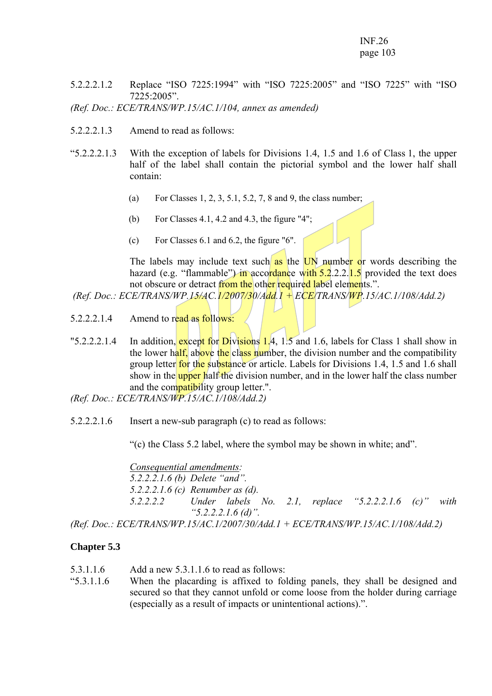5.2.2.2.1.2 Replace "ISO 7225:1994" with "ISO 7225:2005" and "ISO 7225" with "ISO 7225:2005".

*(Ref. Doc.: ECE/TRANS/WP.15/AC.1/104, annex as amended)* 

- 5.2.2.2.1.3 Amend to read as follows:
- "5.2.2.2.1.3 With the exception of labels for Divisions 1.4, 1.5 and 1.6 of Class 1, the upper half of the label shall contain the pictorial symbol and the lower half shall contain:
	- (a) For Classes 1, 2, 3, 5.1, 5.2, 7, 8 and 9, the class number;
	- (b) For Classes 4.1, 4.2 and 4.3, the figure "4";
	- (c) For Classes 6.1 and 6.2, the figure "6".

The labels may include text such  $\frac{1}{\sqrt{2}}$  as the UN number or words describing the hazard (e.g. "flammable") in accordance with  $5.2.2.2.1.5$  provided the text does not obscure or detract from the other required label elements.".

 *(Ref. Doc.: ECE/TRANS/WP.15/AC.1/2007/30/Add.1 + ECE/TRANS/WP.15/AC.1/108/Add.2)* 

- $5.2.2.2.1.4$  Amend to read as follows:
- "5.2.2.2.1.4 In addition, except for Divisions 1.4, 1.5 and 1.6, labels for Class 1 shall show in the lower half, above the class number, the division number and the compatibility group letter for the substance or article. Labels for Divisions 1.4, 1.5 and 1.6 shall show in the upper half the division number, and in the lower half the class number and the compatibility group letter.".
- *(Ref. Doc.: ECE/TRANS/WP.15/AC.1/108/Add.2)*
- 5.2.2.2.1.6 Insert a new-sub paragraph (c) to read as follows:

"(c) the Class 5.2 label, where the symbol may be shown in white; and".

*Consequential amendments: 5.2.2.2.1.6 (b) Delete "and". 5.2.2.2.1.6 (c) Renumber as (d). 5.2.2.2.2 Under labels No. 2.1, replace "5.2.2.2.1.6 (c)" with "5.2.2.2.1.6 (d)".*

*(Ref. Doc.: ECE/TRANS/WP.15/AC.1/2007/30/Add.1 + ECE/TRANS/WP.15/AC.1/108/Add.2)* 

# **Chapter 5.3**

5.3.1.1.6 Add a new 5.3.1.1.6 to read as follows: "5.3.1.1.6 When the placarding is affixed to folding panels, they shall be designed and secured so that they cannot unfold or come loose from the holder during carriage (especially as a result of impacts or unintentional actions).".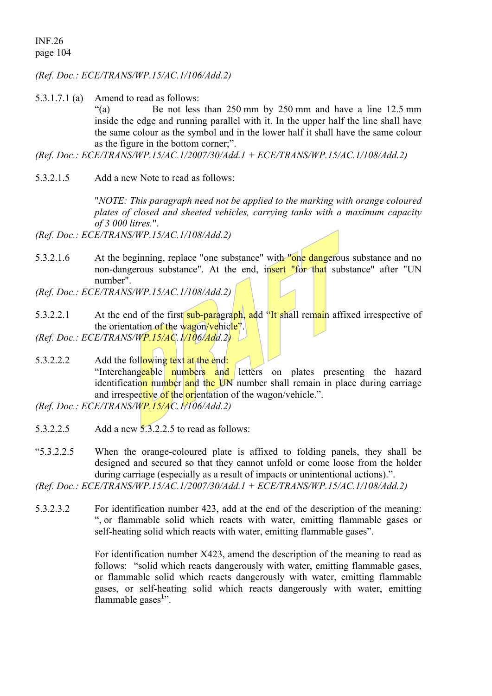*(Ref. Doc.: ECE/TRANS/WP.15/AC.1/106/Add.2)* 

5.3.1.7.1 (a) Amend to read as follows: "(a) Be not less than 250 mm by 250 mm and have a line 12.5 mm inside the edge and running parallel with it. In the upper half the line shall have the same colour as the symbol and in the lower half it shall have the same colour as the figure in the bottom corner;".

*(Ref. Doc.: ECE/TRANS/WP.15/AC.1/2007/30/Add.1 + ECE/TRANS/WP.15/AC.1/108/Add.2)* 

5.3.2.1.5 Add a new Note to read as follows:

 "*NOTE: This paragraph need not be applied to the marking with orange coloured plates of closed and sheeted vehicles, carrying tanks with a maximum capacity of 3 000 litres.*".

*(Ref. Doc.: ECE/TRANS/WP.15/AC.1/108/Add.2)* 

- 5.3.2.1.6 At the beginning, replace "one substance" with "one dangerous substance and no non-dangerous substance". At the end, insert "for that substance" after "UN number".
- *(Ref. Doc.: ECE/TRANS/WP.15/AC.1/108/Add.2)*
- 5.3.2.2.1 At the end of the first sub-paragraph, add "It shall remain affixed irrespective of the orientation of the wagon/vehicle". *(Ref. Doc.: ECE/TRANS/WP.15/AC.1/106/Add.2)*
- 5.3.2.2.2 Add the following text at the end: "Interchangeable numbers and letters on plates presenting the hazard identification number and the UN number shall remain in place during carriage and irrespective of the orientation of the wagon/vehicle.".
- *(Ref. Doc.: ECE/TRANS/WP.15/AC.1/106/Add.2)*
- 5.3.2.2.5 Add a new 5.3.2.2.5 to read as follows:
- "5.3.2.2.5 When the orange-coloured plate is affixed to folding panels, they shall be designed and secured so that they cannot unfold or come loose from the holder during carriage (especially as a result of impacts or unintentional actions).".

*(Ref. Doc.: ECE/TRANS/WP.15/AC.1/2007/30/Add.1 + ECE/TRANS/WP.15/AC.1/108/Add.2)* 

5.3.2.3.2 For identification number 423, add at the end of the description of the meaning: ", or flammable solid which reacts with water, emitting flammable gases or self-heating solid which reacts with water, emitting flammable gases".

> For identification number X423, amend the description of the meaning to read as follows: "solid which reacts dangerously with water, emitting flammable gases, or flammable solid which reacts dangerously with water, emitting flammable gases, or self-heating solid which reacts dangerously with water, emitting flammable gases<sup>1</sup>".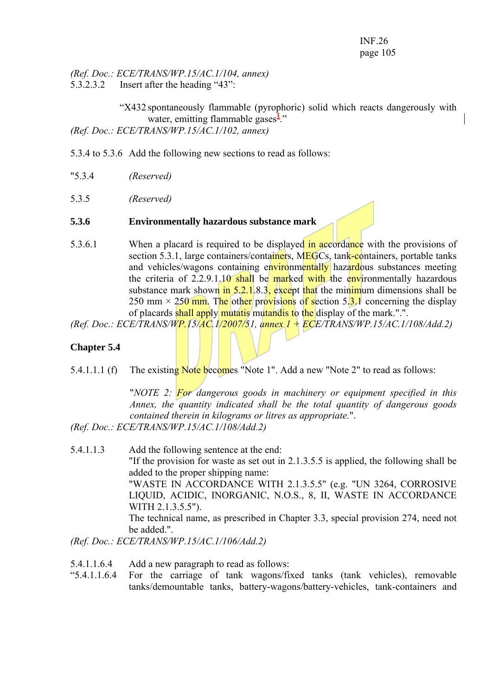*(Ref. Doc.: ECE/TRANS/WP.15/AC.1/104, annex)*  5.3.2.3.2 Insert after the heading "43":

 "X432 spontaneously flammable (pyrophoric) solid which reacts dangerously with water, emitting flammable gases<sup>1</sup>." *(Ref. Doc.: ECE/TRANS/WP.15/AC.1/102, annex)* 

- 5.3.4 to 5.3.6 Add the following new sections to read as follows:
- "5.3.4 *(Reserved)*
- 5.3.5 *(Reserved)*

### **5.3.6 Environmentally hazardous substance mark**

5.3.6.1 When a placard is required to be displayed in accordance with the provisions of section 5.3.1, large containers/containers, MEGCs, tank-containers, portable tanks and vehicles/wagons containing environmentally hazardous substances meeting the criteria of 2.2.9.1.10 shall be marked with the environmentally hazardous substance mark shown in  $5.2.1$  8.3, except that the minimum dimensions shall be 250 mm  $\times$  250 mm. The other provisions of section 5.3.1 concerning the display of placards shall apply mutatis mutandis to the display of the mark.".".

*(Ref. Doc.: ECE/TRANS/WP.15/AC.1/2007/51, annex 1 + ECE/TRANS/WP.15/AC.1/108/Add.2)* 

## **Chapter 5.4**

5.4.1.1.1 (f) The existing Note becomes "Note 1". Add a new "Note 2" to read as follows:

 "*NOTE 2: For dangerous goods in machinery or equipment specified in this Annex, the quantity indicated shall be the total quantity of dangerous goods contained therein in kilograms or litres as appropriate.*".

*(Ref. Doc.: ECE/TRANS/WP.15/AC.1/108/Add.2)* 

5.4.1.1.3 Add the following sentence at the end: "If the provision for waste as set out in 2.1.3.5.5 is applied, the following shall be added to the proper shipping name: "WASTE IN ACCORDANCE WITH 2.1.3.5.5" (e.g. "UN 3264, CORROSIVE LIQUID, ACIDIC, INORGANIC, N.O.S., 8, II, WASTE IN ACCORDANCE WITH 2.1.3.5.5"). The technical name, as prescribed in Chapter 3.3, special provision 274, need not be added.".

*(Ref. Doc.: ECE/TRANS/WP.15/AC.1/106/Add.2)* 

- 5.4.1.1.6.4 Add a new paragraph to read as follows:
- "5.4.1.1.6.4 For the carriage of tank wagons/fixed tanks (tank vehicles), removable tanks/demountable tanks, battery-wagons/battery-vehicles, tank-containers and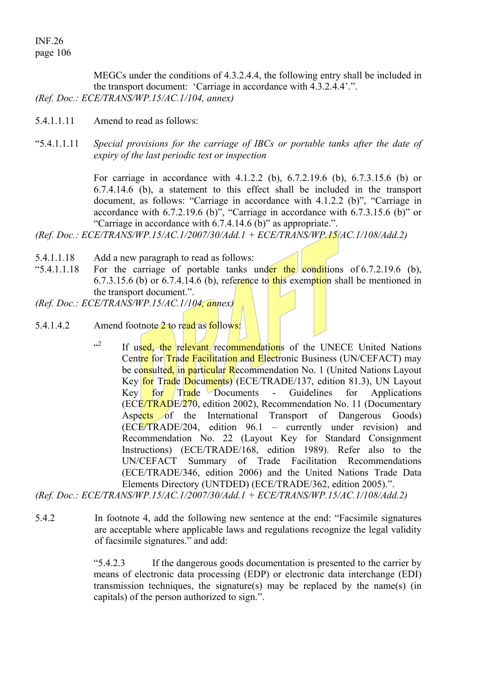> MEGCs under the conditions of 4.3.2.4.4, the following entry shall be included in the transport document: 'Carriage in accordance with 4.3.2.4.4'.".

- *(Ref. Doc.: ECE/TRANS/WP.15/AC.1/104, annex)*
- 5.4.1.1.11 Amend to read as follows:
- "5.4.1.1.11 *Special provisions for the carriage of IBCs or portable tanks after the date of expiry of the last periodic test or inspection*

 For carriage in accordance with 4.1.2.2 (b), 6.7.2.19.6 (b), 6.7.3.15.6 (b) or 6.7.4.14.6 (b), a statement to this effect shall be included in the transport document, as follows: "Carriage in accordance with 4.1.2.2 (b)", "Carriage in accordance with 6.7.2.19.6 (b)", "Carriage in accordance with 6.7.3.15.6 (b)" or "Carriage in accordance with 6.7.4.14.6 (b)" as appropriate.".

*(Ref. Doc.: ECE/TRANS/WP.15/AC.1/2007/30/Add.1 + ECE/TRANS/WP.15/AC.1/108/Add.2)* 

- 5.4.1.1.18 Add a new paragraph to read as follows:
- "5.4.1.1.18 For the carriage of portable tanks under the conditions of 6.7.2.19.6 (b), 6.7.3.15.6 (b) or 6.7.4.14.6 (b), reference to this exemption shall be mentioned in the transport document.".
- *(Ref. Doc.: ECE/TRANS/WP.15/AC.1/104, annex)*
- 5.4.1.4.2 Amend footnote 2 to read as follows:
	- $\epsilon$ <sup>2</sup> If used, the relevant recommendations of the UNECE United Nations Centre for **Trade Facilitation and Electronic Business (UN/CEFACT)** may be consulted, in particular Recommendation No. 1 (United Nations Layout Key for Trade Documents) (ECE/TRADE/137, edition 81.3), UN Layout Key for Trade Documents - Guidelines for Applications (ECE/TRADE/270, edition 2002), Recommendation No. 11 (Documentary Aspects of the International Transport of Dangerous Goods) (ECE/TRADE/204, edition 96.1 – currently under revision) and Recommendation No. 22 (Layout Key for Standard Consignment Instructions) (ECE/TRADE/168, edition 1989). Refer also to the UN/CEFACT Summary of Trade Facilitation Recommendations (ECE/TRADE/346, edition 2006) and the United Nations Trade Data Elements Directory (UNTDED) (ECE/TRADE/362, edition 2005).".

*(Ref. Doc.: ECE/TRANS/WP.15/AC.1/2007/30/Add.1 + ECE/TRANS/WP.15/AC.1/108/Add.2)* 

5.4.2 In footnote 4, add the following new sentence at the end: "Facsimile signatures are acceptable where applicable laws and regulations recognize the legal validity of facsimile signatures." and add:

> "5.4.2.3 If the dangerous goods documentation is presented to the carrier by means of electronic data processing (EDP) or electronic data interchange (EDI) transmission techniques, the signature(s) may be replaced by the name(s) (in capitals) of the person authorized to sign.".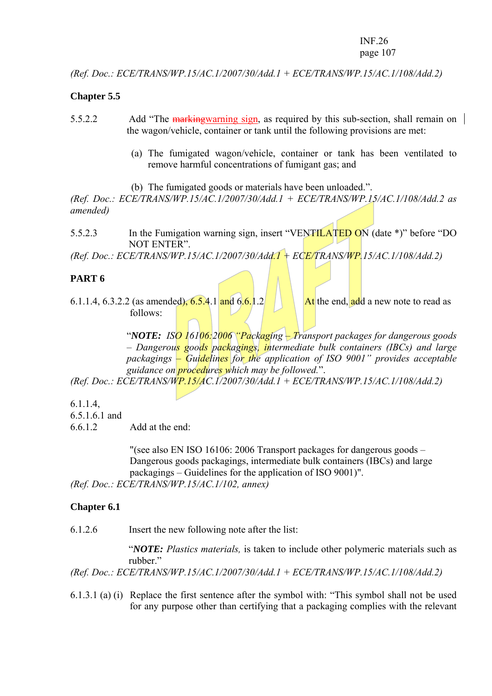*(Ref. Doc.: ECE/TRANS/WP.15/AC.1/2007/30/Add.1 + ECE/TRANS/WP.15/AC.1/108/Add.2)* 

### **Chapter 5.5**

- 5.5.2.2 Add "The markingwarning sign, as required by this sub-section, shall remain on the wagon/vehicle, container or tank until the following provisions are met:
	- (a) The fumigated wagon/vehicle, container or tank has been ventilated to remove harmful concentrations of fumigant gas; and
	- (b) The fumigated goods or materials have been unloaded.".

*(Ref. Doc.: ECE/TRANS/WP.15/AC.1/2007/30/Add.1 + ECE/TRANS/WP.15/AC.1/108/Add.2 as amended)* 

- 5.5.2.3 In the Fumigation warning sign, insert "VENTILATED ON (date \*)" before "DO NOT ENTER".
- *(Ref. Doc.: ECE/TRANS/WP.15/AC.1/2007/30/Add.1 + ECE/TRANS/WP.15/AC.1/108/Add.2)*

### **PART 6**

6.1.1.4, 6.3.2.2 (as amended), 6.5.4.1 and 6.6.1.2  $\|$  At the end, add a new note to read as follows:

> "*NOTE: ISO 16106:2006 "Packaging – Transport packages for dangerous goods – Dangerous goods packagings, intermediate bulk containers (IBCs) and large packagings – Guidelines for the application of ISO 9001" provides acceptable guidance on procedures which may be followed.*".

*(Ref. Doc.: ECE/TRANS/WP.15/AC.1/2007/30/Add.1 + ECE/TRANS/WP.15/AC.1/108/Add.2)* 

- 6.1.1.4,
- 6.5.1.6.1 and
- 6.6.1.2 Add at the end:

 "(see also EN ISO 16106: 2006 Transport packages for dangerous goods – Dangerous goods packagings, intermediate bulk containers (IBCs) and large packagings – Guidelines for the application of ISO 9001)".

*(Ref. Doc.: ECE/TRANS/WP.15/AC.1/102, annex)* 

### **Chapter 6.1**

6.1.2.6 Insert the new following note after the list:

"*NOTE: Plastics materials,* is taken to include other polymeric materials such as rubber."

*(Ref. Doc.: ECE/TRANS/WP.15/AC.1/2007/30/Add.1 + ECE/TRANS/WP.15/AC.1/108/Add.2)* 

6.1.3.1 (a) (i) Replace the first sentence after the symbol with: "This symbol shall not be used for any purpose other than certifying that a packaging complies with the relevant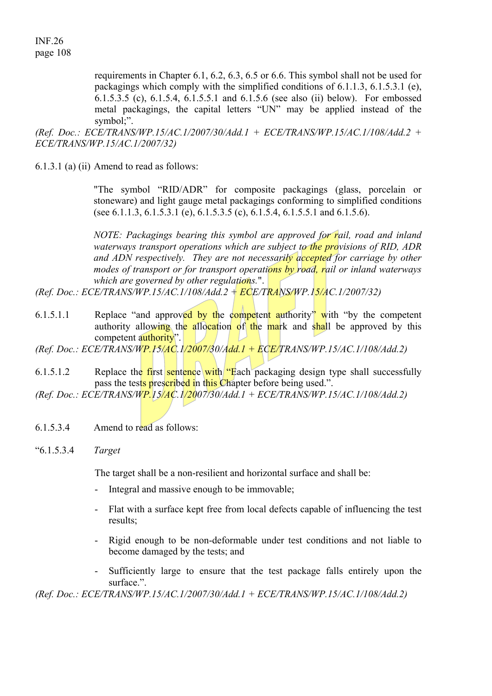requirements in Chapter 6.1, 6.2, 6.3, 6.5 or 6.6. This symbol shall not be used for packagings which comply with the simplified conditions of 6.1.1.3, 6.1.5.3.1 (e), 6.1.5.3.5 (c), 6.1.5.4, 6.1.5.5.1 and 6.1.5.6 (see also (ii) below). For embossed metal packagings, the capital letters "UN" may be applied instead of the symbol;".

*(Ref. Doc.: ECE/TRANS/WP.15/AC.1/2007/30/Add.1 + ECE/TRANS/WP.15/AC.1/108/Add.2 + ECE/TRANS/WP.15/AC.1/2007/32)* 

6.1.3.1 (a) (ii) Amend to read as follows:

"The symbol "RID/ADR" for composite packagings (glass, porcelain or stoneware) and light gauge metal packagings conforming to simplified conditions (see 6.1.1.3, 6.1.5.3.1 (e), 6.1.5.3.5 (c), 6.1.5.4, 6.1.5.5.1 and 6.1.5.6).

*NOTE: Packagings bearing this symbol are approved for rail, road and inland waterways transport operations which are subject to the provisions of RID, ADR*  and ADN respectively. They are not necessarily accepted for carriage by other *modes of transport or for transport operations by road, rail or inland waterways which are governed by other regulations.*".

*(Ref. Doc.: ECE/TRANS/WP.15/AC.1/108/Add.2 + ECE/TRANS/WP.15/AC.1/2007/32)* 

6.1.5.1.1 Replace "and approved by the competent authority" with "by the competent authority allowing the allocation of the mark and shall be approved by this competent authority".

*(Ref. Doc.: ECE/TRANS/WP.15/AC.1/2007/30/Add.1 + ECE/TRANS/WP.15/AC.1/108/Add.2)* 

6.1.5.1.2 Replace the first sentence with "Each packaging design type shall successfully pass the tests prescribed in this Chapter before being used.".

*(Ref. Doc.: ECE/TRANS/WP.15/AC.1/2007/30/Add.1 + ECE/TRANS/WP.15/AC.1/108/Add.2)* 

- 6.1.5.3.4 Amend to read as follows:
- "6.1.5.3.4 *Target*

The target shall be a non-resilient and horizontal surface and shall be:

- Integral and massive enough to be immovable;
- Flat with a surface kept free from local defects capable of influencing the test results;
- Rigid enough to be non-deformable under test conditions and not liable to become damaged by the tests; and
- Sufficiently large to ensure that the test package falls entirely upon the surface.".

*(Ref. Doc.: ECE/TRANS/WP.15/AC.1/2007/30/Add.1 + ECE/TRANS/WP.15/AC.1/108/Add.2)*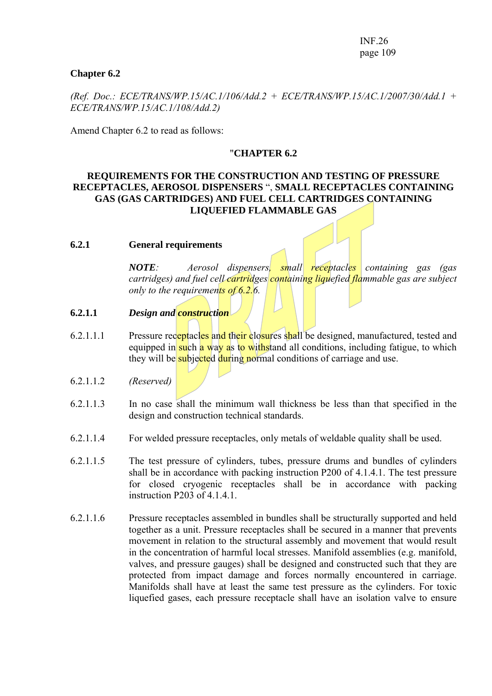## **Chapter 6.2**

*(Ref. Doc.: ECE/TRANS/WP.15/AC.1/106/Add.2 + ECE/TRANS/WP.15/AC.1/2007/30/Add.1 + ECE/TRANS/WP.15/AC.1/108/Add.2)* 

Amend Chapter 6.2 to read as follows:

#### "**CHAPTER 6.2**

# **REQUIREMENTS FOR THE CONSTRUCTION AND TESTING OF PRESSURE RECEPTACLES, AEROSOL DISPENSERS** ", **SMALL RECEPTACLES CONTAINING GAS (GAS CARTRIDGES) AND FUEL CELL CARTRIDGES CONTAINING LIQUEFIED FLAMMABLE GAS**

#### **6.2.1 General requirements**

*NOTE: Aerosol dispensers, small receptacles containing gas (gas cartridges) and fuel cell cartridges containing liquefied flammable gas are subject only to the requirements of 6.2.6.* 

## **6.2.1.1** *Design and construction*

- 6.2.1.1.1 Pressure receptacles and their closures shall be designed, manufactured, tested and equipped in such a way as to withstand all conditions, including fatigue, to which they will be subjected during normal conditions of carriage and use.
- 6.2.1.1.2 *(Reserved)*
- 6.2.1.1.3 In no case shall the minimum wall thickness be less than that specified in the design and construction technical standards.
- 6.2.1.1.4 For welded pressure receptacles, only metals of weldable quality shall be used.
- 6.2.1.1.5 The test pressure of cylinders, tubes, pressure drums and bundles of cylinders shall be in accordance with packing instruction P200 of 4.1.4.1. The test pressure for closed cryogenic receptacles shall be in accordance with packing instruction P203 of  $4.1.4.1$ .
- 6.2.1.1.6 Pressure receptacles assembled in bundles shall be structurally supported and held together as a unit. Pressure receptacles shall be secured in a manner that prevents movement in relation to the structural assembly and movement that would result in the concentration of harmful local stresses. Manifold assemblies (e.g. manifold, valves, and pressure gauges) shall be designed and constructed such that they are protected from impact damage and forces normally encountered in carriage. Manifolds shall have at least the same test pressure as the cylinders. For toxic liquefied gases, each pressure receptacle shall have an isolation valve to ensure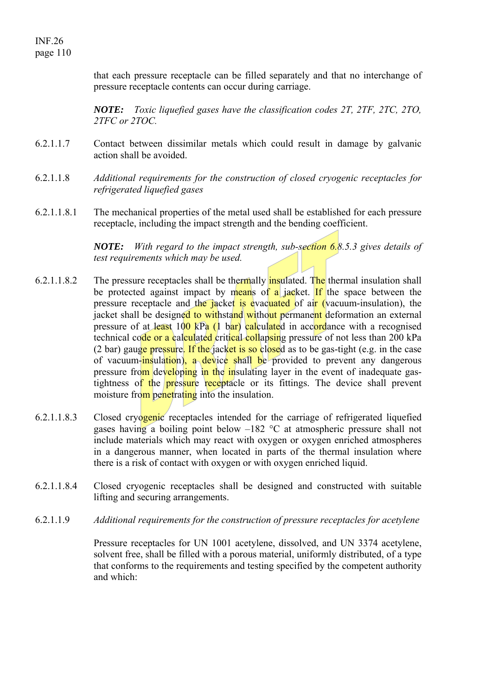that each pressure receptacle can be filled separately and that no interchange of pressure receptacle contents can occur during carriage.

*NOTE: Toxic liquefied gases have the classification codes 2T, 2TF, 2TC, 2TO, 2TFC or 2TOC.* 

- 6.2.1.1.7 Contact between dissimilar metals which could result in damage by galvanic action shall be avoided.
- 6.2.1.1.8 *Additional requirements for the construction of closed cryogenic receptacles for refrigerated liquefied gases*
- 6.2.1.1.8.1 The mechanical properties of the metal used shall be established for each pressure receptacle, including the impact strength and the bending coefficient.

*NOTE: With regard to the impact strength, sub-section 6.8.5.3 gives details of test requirements which may be used.* 

- 6.2.1.1.8.2 The pressure receptacles shall be thermally insulated. The thermal insulation shall be protected against impact by means of a jacket. If the space between the pressure receptacle and the jacket is evacuated of air (vacuum-insulation), the jacket shall be designed to withstand without permanent deformation an external pressure of at least  $100$  kPa  $(1 \text{ bar})$  calculated in accordance with a recognised technical code or a calculated critical collapsing pressure of not less than 200 kPa (2 bar) gauge pressure. If the jacket is so closed as to be gas-tight (e.g. in the case of vacuum- $\frac{in\text{sub}}{in\text{sub}}$ , a device shall be provided to prevent any dangerous pressure from developing in the insulating layer in the event of inadequate gastightness of the pressure receptacle or its fittings. The device shall prevent moisture from penetrating into the insulation.
- 6.2.1.1.8.3 Closed cryogenic receptacles intended for the carriage of refrigerated liquefied gases having a boiling point below –182 °C at atmospheric pressure shall not include materials which may react with oxygen or oxygen enriched atmospheres in a dangerous manner, when located in parts of the thermal insulation where there is a risk of contact with oxygen or with oxygen enriched liquid.
- 6.2.1.1.8.4 Closed cryogenic receptacles shall be designed and constructed with suitable lifting and securing arrangements.
- 6.2.1.1.9 *Additional requirements for the construction of pressure receptacles for acetylene*

 Pressure receptacles for UN 1001 acetylene, dissolved, and UN 3374 acetylene, solvent free, shall be filled with a porous material, uniformly distributed, of a type that conforms to the requirements and testing specified by the competent authority and which: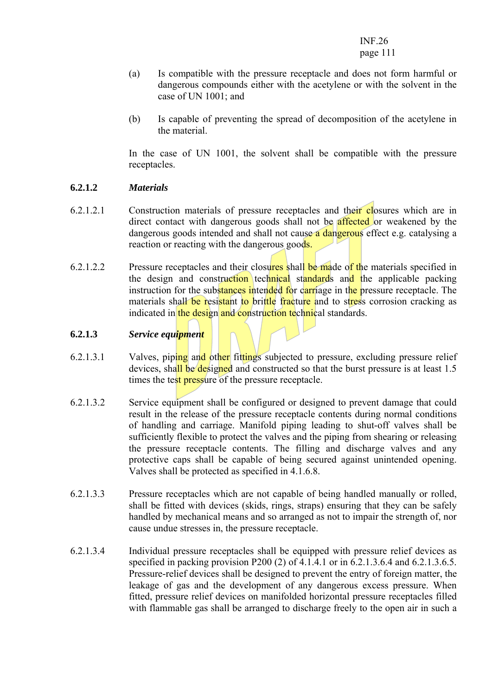- (a) Is compatible with the pressure receptacle and does not form harmful or dangerous compounds either with the acetylene or with the solvent in the case of UN 1001; and
- (b) Is capable of preventing the spread of decomposition of the acetylene in the material.

In the case of UN 1001, the solvent shall be compatible with the pressure receptacles.

# **6.2.1.2** *Materials*

- 6.2.1.2.1 Construction materials of pressure receptacles and their closures which are in direct contact with dangerous goods shall not be affected or weakened by the dangerous goods intended and shall not cause a dangerous effect e.g. catalysing a reaction or reacting with the dangerous goods.
- 6.2.1.2.2 Pressure receptacles and their closures shall be made of the materials specified in the design and construction technical standards and the applicable packing instruction for the substances intended for carriage in the pressure receptacle. The materials shall be resistant to brittle fracture and to stress corrosion cracking as indicated in the design and construction technical standards.

# **6.2.1.3** *Service equipment*

- 6.2.1.3.1 Valves, piping and other fittings subjected to pressure, excluding pressure relief devices, shall be designed and constructed so that the burst pressure is at least 1.5 times the test pressure of the pressure receptacle.
- 6.2.1.3.2 Service equipment shall be configured or designed to prevent damage that could result in the release of the pressure receptacle contents during normal conditions of handling and carriage. Manifold piping leading to shut-off valves shall be sufficiently flexible to protect the valves and the piping from shearing or releasing the pressure receptacle contents. The filling and discharge valves and any protective caps shall be capable of being secured against unintended opening. Valves shall be protected as specified in 4.1.6.8.
- 6.2.1.3.3 Pressure receptacles which are not capable of being handled manually or rolled, shall be fitted with devices (skids, rings, straps) ensuring that they can be safely handled by mechanical means and so arranged as not to impair the strength of, nor cause undue stresses in, the pressure receptacle.
- 6.2.1.3.4 Individual pressure receptacles shall be equipped with pressure relief devices as specified in packing provision P200 (2) of 4.1.4.1 or in 6.2.1.3.6.4 and 6.2.1.3.6.5. Pressure-relief devices shall be designed to prevent the entry of foreign matter, the leakage of gas and the development of any dangerous excess pressure. When fitted, pressure relief devices on manifolded horizontal pressure receptacles filled with flammable gas shall be arranged to discharge freely to the open air in such a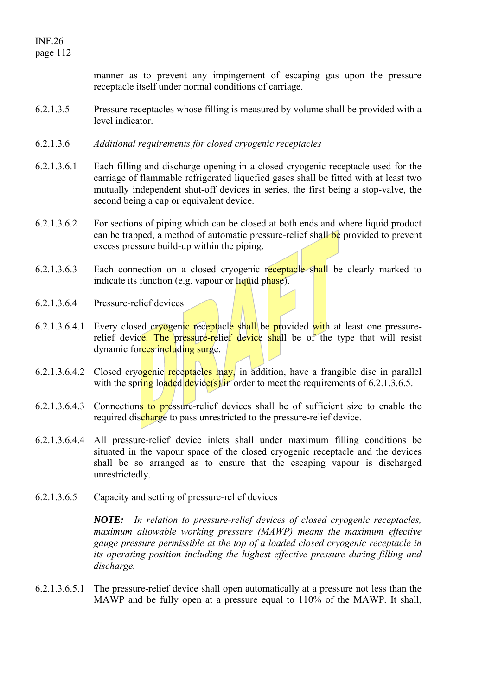manner as to prevent any impingement of escaping gas upon the pressure receptacle itself under normal conditions of carriage.

- 6.2.1.3.5 Pressure receptacles whose filling is measured by volume shall be provided with a level indicator.
- 6.2.1.3.6 *Additional requirements for closed cryogenic receptacles*
- 6.2.1.3.6.1 Each filling and discharge opening in a closed cryogenic receptacle used for the carriage of flammable refrigerated liquefied gases shall be fitted with at least two mutually independent shut-off devices in series, the first being a stop-valve, the second being a cap or equivalent device.
- 6.2.1.3.6.2 For sections of piping which can be closed at both ends and where liquid product can be trapped, a method of automatic pressure-relief shall be provided to prevent excess pressure build-up within the piping.
- 6.2.1.3.6.3 Each connection on a closed cryogenic receptacle shall be clearly marked to indicate its function (e.g. vapour or liquid phase).
- 6.2.1.3.6.4 Pressure-relief devices
- 6.2.1.3.6.4.1 Every closed cryogenic receptacle shall be provided with at least one pressurerelief device. The pressure-relief device shall be of the type that will resist dynamic forces including surge.
- 6.2.1.3.6.4.2 Closed cryogenic receptacles may, in addition, have a frangible disc in parallel with the spring loaded device(s) in order to meet the requirements of 6.2.1.3.6.5.
- 6.2.1.3.6.4.3 Connections to pressure-relief devices shall be of sufficient size to enable the required discharge to pass unrestricted to the pressure-relief device.
- 6.2.1.3.6.4.4 All pressure-relief device inlets shall under maximum filling conditions be situated in the vapour space of the closed cryogenic receptacle and the devices shall be so arranged as to ensure that the escaping vapour is discharged unrestrictedly.
- 6.2.1.3.6.5 Capacity and setting of pressure-relief devices

*NOTE: In relation to pressure-relief devices of closed cryogenic receptacles, maximum allowable working pressure (MAWP) means the maximum effective gauge pressure permissible at the top of a loaded closed cryogenic receptacle in its operating position including the highest effective pressure during filling and discharge.* 

6.2.1.3.6.5.1 The pressure-relief device shall open automatically at a pressure not less than the MAWP and be fully open at a pressure equal to 110% of the MAWP. It shall,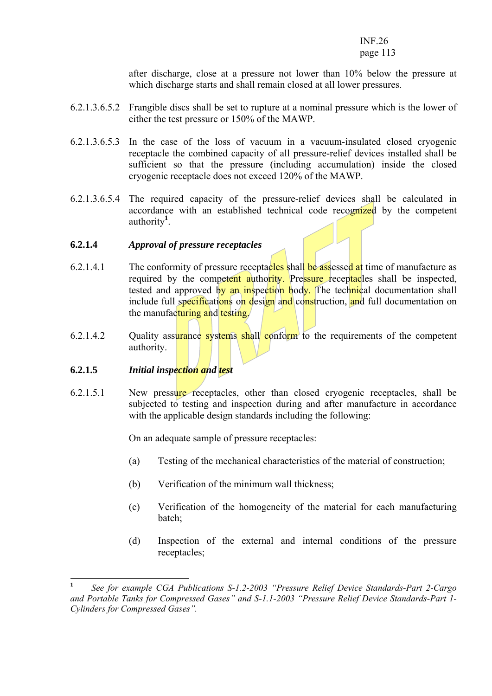after discharge, close at a pressure not lower than 10% below the pressure at which discharge starts and shall remain closed at all lower pressures.

- 6.2.1.3.6.5.2 Frangible discs shall be set to rupture at a nominal pressure which is the lower of either the test pressure or 150% of the MAWP.
- 6.2.1.3.6.5.3 In the case of the loss of vacuum in a vacuum-insulated closed cryogenic receptacle the combined capacity of all pressure-relief devices installed shall be sufficient so that the pressure (including accumulation) inside the closed cryogenic receptacle does not exceed 120% of the MAWP.
- 6.2.1.3.6.5.4 The required capacity of the pressure-relief devices shall be calculated in accordance with an established technical code recognized by the competent authority**<sup>1</sup>** .

# **6.2.1.4** *Approval of pressure receptacles*

- 6.2.1.4.1 The conformity of pressure receptacles shall be assessed at time of manufacture as required by the competent authority. Pressure receptacles shall be inspected, tested and approved by an inspection body. The technical documentation shall include full specifications on design and construction, and full documentation on the manufacturing and testing.
- 6.2.1.4.2 Quality assurance systems shall conform to the requirements of the competent authority.

# **6.2.1.5** *Initial inspection and test*

-

6.2.1.5.1 New pressure receptacles, other than closed cryogenic receptacles, shall be subjected to testing and inspection during and after manufacture in accordance with the applicable design standards including the following:

On an adequate sample of pressure receptacles:

- (a) Testing of the mechanical characteristics of the material of construction;
- (b) Verification of the minimum wall thickness;
- (c) Verification of the homogeneity of the material for each manufacturing batch;
- (d) Inspection of the external and internal conditions of the pressure receptacles;

**<sup>1</sup>** *See for example CGA Publications S-1.2-2003 "Pressure Relief Device Standards-Part 2-Cargo and Portable Tanks for Compressed Gases" and S-1.1-2003 "Pressure Relief Device Standards-Part 1- Cylinders for Compressed Gases".*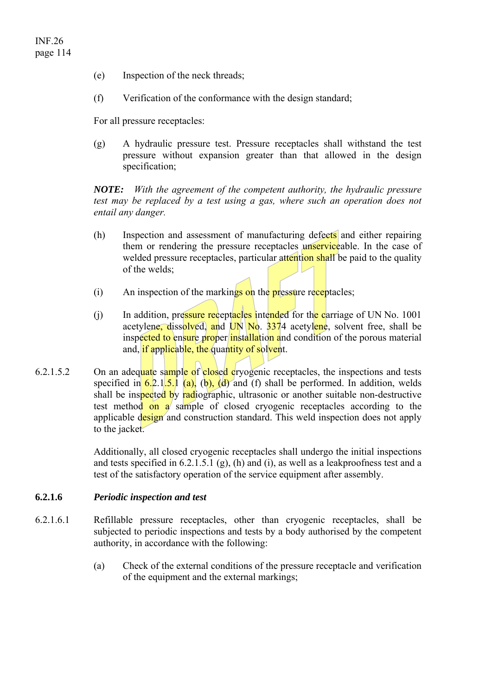- (e) Inspection of the neck threads;
- (f) Verification of the conformance with the design standard;

For all pressure receptacles:

(g) A hydraulic pressure test. Pressure receptacles shall withstand the test pressure without expansion greater than that allowed in the design specification;

*NOTE: With the agreement of the competent authority, the hydraulic pressure test may be replaced by a test using a gas, where such an operation does not entail any danger.*

- (h) Inspection and assessment of manufacturing defects and either repairing them or rendering the pressure receptacles unserviceable. In the case of welded pressure receptacles, particular attention shall be paid to the quality of the welds;
- (i) An inspection of the markings on the pressure receptacles;
- $(i)$  In addition, pressure receptacles intended for the carriage of UN No. 1001 acetylene, dissolved, and UN No. 3374 acetylene, solvent free, shall be inspected to ensure proper installation and condition of the porous material and, if applicable, the quantity of solvent.
- 6.2.1.5.2 On an adequate sample of closed cryogenic receptacles, the inspections and tests specified in  $6.2.1$ .  $5.1$  (a), (b), (d) and (f) shall be performed. In addition, welds shall be inspected by radiographic, ultrasonic or another suitable non-destructive test method on a sample of closed cryogenic receptacles according to the applicable design and construction standard. This weld inspection does not apply to the jacket.

Additionally, all closed cryogenic receptacles shall undergo the initial inspections and tests specified in  $6.2.1.5.1$  (g), (h) and (i), as well as a leakproofness test and a test of the satisfactory operation of the service equipment after assembly.

# **6.2.1.6** *Periodic inspection and test*

- 6.2.1.6.1 Refillable pressure receptacles, other than cryogenic receptacles, shall be subjected to periodic inspections and tests by a body authorised by the competent authority, in accordance with the following:
	- (a) Check of the external conditions of the pressure receptacle and verification of the equipment and the external markings;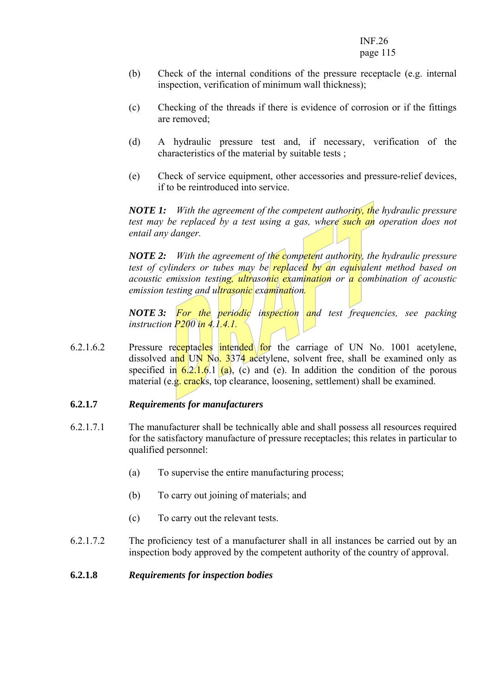- (b) Check of the internal conditions of the pressure receptacle (e.g. internal inspection, verification of minimum wall thickness);
- (c) Checking of the threads if there is evidence of corrosion or if the fittings are removed;
- (d) A hydraulic pressure test and, if necessary, verification of the characteristics of the material by suitable tests ;
- (e) Check of service equipment, other accessories and pressure-relief devices, if to be reintroduced into service.

*NOTE 1: With the agreement of the competent authority, the hydraulic pressure test may be replaced by a test using a gas, where such an operation does not entail any danger.* 

*NOTE 2: With the agreement of the competent authority, the hydraulic pressure test of cylinders or tubes may be replaced by an equivalent method based on acoustic emission testing, ultrasonic examination or a combination of acoustic emission testing and ultrasonic examination.* 

*NOTE 3: For the periodic inspection and test frequencies, see packing instruction P200 in 4.1.4.1.* 

6.2.1.6.2 Pressure receptacles intended for the carriage of UN No. 1001 acetylene, dissolved and UN No. 3374 acetylene, solvent free, shall be examined only as specified in  $6.2(1.6.1)$  (a), (c) and (e). In addition the condition of the porous material (e.g. cracks, top clearance, loosening, settlement) shall be examined.

# **6.2.1.7** *Requirements for manufacturers*

- 6.2.1.7.1 The manufacturer shall be technically able and shall possess all resources required for the satisfactory manufacture of pressure receptacles; this relates in particular to qualified personnel:
	- (a) To supervise the entire manufacturing process;
	- (b) To carry out joining of materials; and
	- (c) To carry out the relevant tests.
- 6.2.1.7.2 The proficiency test of a manufacturer shall in all instances be carried out by an inspection body approved by the competent authority of the country of approval.

#### **6.2.1.8** *Requirements for inspection bodies*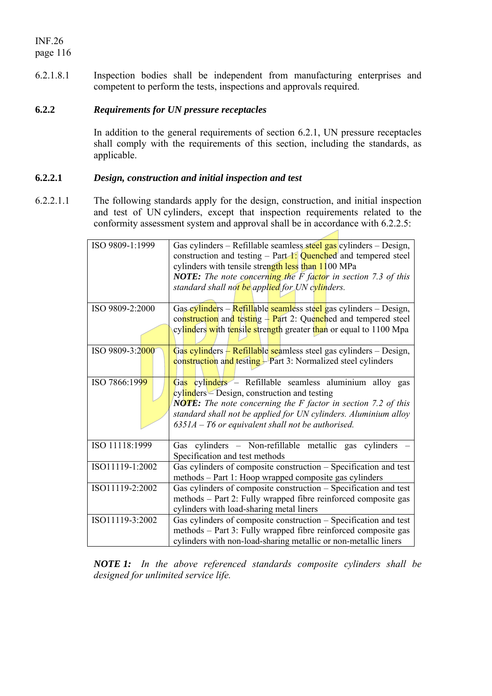6.2.1.8.1 Inspection bodies shall be independent from manufacturing enterprises and competent to perform the tests, inspections and approvals required.

## **6.2.2** *Requirements for UN pressure receptacles*

In addition to the general requirements of section 6.2.1, UN pressure receptacles shall comply with the requirements of this section, including the standards, as applicable.

# **6.2.2.1** *Design, construction and initial inspection and test*

6.2.2.1.1 The following standards apply for the design, construction, and initial inspection and test of UN cylinders, except that inspection requirements related to the conformity assessment system and approval shall be in accordance with 6.2.2.5:

| ISO 9809-1:1999 | Gas cylinders – Refillable seamless steel gas cylinders – Design,<br>construction and testing $-$ Part 1: Quenched and tempered steel<br>cylinders with tensile strength less than 1100 MPa |  |  |  |  |  |
|-----------------|---------------------------------------------------------------------------------------------------------------------------------------------------------------------------------------------|--|--|--|--|--|
|                 | NOTE: The note concerning the F factor in section 7.3 of this                                                                                                                               |  |  |  |  |  |
|                 | standard shall not be applied for UN cylinders.                                                                                                                                             |  |  |  |  |  |
|                 |                                                                                                                                                                                             |  |  |  |  |  |
| ISO 9809-2:2000 | Gas cylinders – Refillable seamless steel gas cylinders – Design,                                                                                                                           |  |  |  |  |  |
|                 | construction and testing $-$ Part 2: Quenched and tempered steel                                                                                                                            |  |  |  |  |  |
|                 | cylinders with tensile strength greater than or equal to 1100 Mpa                                                                                                                           |  |  |  |  |  |
|                 |                                                                                                                                                                                             |  |  |  |  |  |
| ISO 9809-3:2000 | Gas cylinders $\frac{\text{f}}{\text{f}}$ Refillable seamless steel gas cylinders – Design,                                                                                                 |  |  |  |  |  |
|                 | construction and testing - Part 3: Normalized steel cylinders                                                                                                                               |  |  |  |  |  |
|                 |                                                                                                                                                                                             |  |  |  |  |  |
| ISO 7866:1999   | Gas cylinders – Refillable seamless aluminium alloy gas                                                                                                                                     |  |  |  |  |  |
|                 | cylinders – Design, construction and testing                                                                                                                                                |  |  |  |  |  |
|                 | <b>NOTE:</b> The note concerning the F factor in section 7.2 of this                                                                                                                        |  |  |  |  |  |
|                 | standard shall not be applied for UN cylinders. Aluminium alloy                                                                                                                             |  |  |  |  |  |
|                 | $6351A - T6$ or equivalent shall not be authorised.                                                                                                                                         |  |  |  |  |  |
|                 |                                                                                                                                                                                             |  |  |  |  |  |
| ISO 11118:1999  | Gas cylinders - Non-refillable metallic gas cylinders                                                                                                                                       |  |  |  |  |  |
|                 | Specification and test methods                                                                                                                                                              |  |  |  |  |  |
| ISO11119-1:2002 | Gas cylinders of composite construction – Specification and test                                                                                                                            |  |  |  |  |  |
|                 | methods – Part 1: Hoop wrapped composite gas cylinders                                                                                                                                      |  |  |  |  |  |
| ISO11119-2:2002 | Gas cylinders of composite construction - Specification and test                                                                                                                            |  |  |  |  |  |
|                 | methods – Part 2: Fully wrapped fibre reinforced composite gas                                                                                                                              |  |  |  |  |  |
|                 | cylinders with load-sharing metal liners                                                                                                                                                    |  |  |  |  |  |
| ISO11119-3:2002 | Gas cylinders of composite construction - Specification and test                                                                                                                            |  |  |  |  |  |
|                 | methods - Part 3: Fully wrapped fibre reinforced composite gas                                                                                                                              |  |  |  |  |  |
|                 | cylinders with non-load-sharing metallic or non-metallic liners                                                                                                                             |  |  |  |  |  |

*NOTE 1: In the above referenced standards composite cylinders shall be designed for unlimited service life.*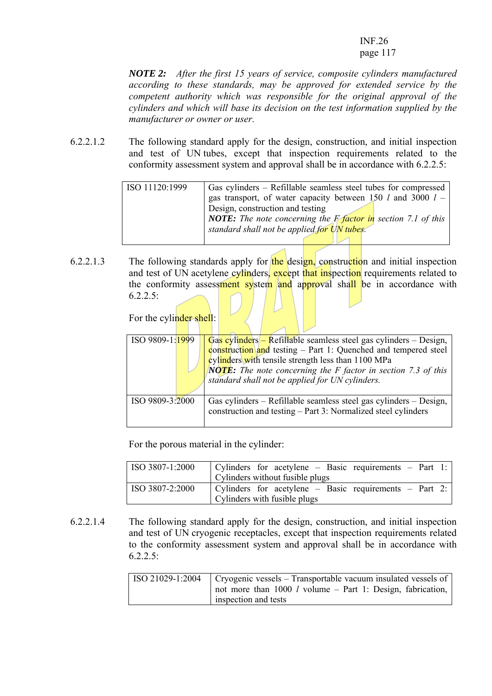*NOTE 2: After the first 15 years of service, composite cylinders manufactured according to these standards, may be approved for extended service by the competent authority which was responsible for the original approval of the cylinders and which will base its decision on the test information supplied by the manufacturer or owner or user.* 

6.2.2.1.2 The following standard apply for the design, construction, and initial inspection and test of UN tubes, except that inspection requirements related to the conformity assessment system and approval shall be in accordance with 6.2.2.5:

| ISO 11120:1999 | Gas cylinders – Refillable seamless steel tubes for compressed         |  |  |  |  |  |
|----------------|------------------------------------------------------------------------|--|--|--|--|--|
|                | gas transport, of water capacity between 150 $l$ and 3000 $l -$        |  |  |  |  |  |
|                | Design, construction and testing                                       |  |  |  |  |  |
|                | <b>NOTE:</b> The note concerning the $F$ factor in section 7.1 of this |  |  |  |  |  |
|                | standard shall not be applied for UN tubes.                            |  |  |  |  |  |
|                |                                                                        |  |  |  |  |  |

6.2.2.1.3 The following standards apply for the design, construction and initial inspection and test of UN acetylene cylinders, except that inspection requirements related to the conformity assessment system and approval shall be in accordance with  $6.2.2.5$ 

For the cylinder shell:

| ISO 9809-1:1999 | $\frac{1}{x}$ Gas cylinders – Refillable seamless steel gas cylinders – Design, |  |  |  |  |  |
|-----------------|---------------------------------------------------------------------------------|--|--|--|--|--|
|                 | construction and testing - Part 1: Quenched and tempered steel                  |  |  |  |  |  |
|                 | cylinders with tensile strength less than 1100 MPa                              |  |  |  |  |  |
|                 | <b>NOTE:</b> The note concerning the F factor in section 7.3 of this            |  |  |  |  |  |
|                 | standard shall not be applied for UN cylinders.                                 |  |  |  |  |  |
|                 |                                                                                 |  |  |  |  |  |
| ISO 9809-3:2000 | Gas cylinders – Refillable seamless steel gas cylinders – Design,               |  |  |  |  |  |
|                 | construction and testing – Part 3: Normalized steel cylinders                   |  |  |  |  |  |
|                 |                                                                                 |  |  |  |  |  |

For the porous material in the cylinder:

| ISO 3807-1:2000 | Cylinders for acetylene $-$ Basic requirements $-$ Part 1: |  |  |  |  |  |
|-----------------|------------------------------------------------------------|--|--|--|--|--|
|                 | Cylinders without fusible plugs                            |  |  |  |  |  |
| ISO 3807-2:2000 | Cylinders for acetylene $-$ Basic requirements $-$ Part 2: |  |  |  |  |  |
|                 | Cylinders with fusible plugs                               |  |  |  |  |  |

6.2.2.1.4 The following standard apply for the design, construction, and initial inspection and test of UN cryogenic receptacles, except that inspection requirements related to the conformity assessment system and approval shall be in accordance with  $6.2.2.5$ :

| ISO 21029-1:2004 | Cryogenic vessels – Transportable vacuum insulated vessels of |  |  |  |  |  |
|------------------|---------------------------------------------------------------|--|--|--|--|--|
|                  | not more than 1000 $l$ volume – Part 1: Design, fabrication,  |  |  |  |  |  |
|                  | inspection and tests                                          |  |  |  |  |  |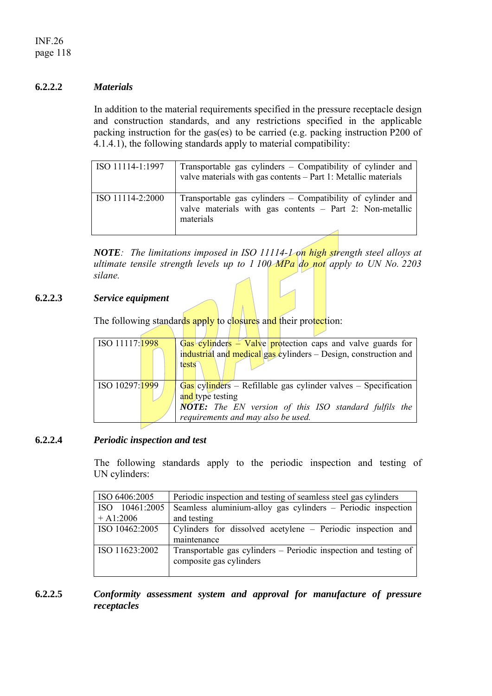# **6.2.2.2** *Materials*

In addition to the material requirements specified in the pressure receptacle design and construction standards, and any restrictions specified in the applicable packing instruction for the gas(es) to be carried (e.g. packing instruction P200 of 4.1.4.1), the following standards apply to material compatibility:

| ISO 11114-1:1997 | Transportable gas cylinders – Compatibility of cylinder and<br>valve materials with gas contents – Part 1: Metallic materials        |  |  |  |  |
|------------------|--------------------------------------------------------------------------------------------------------------------------------------|--|--|--|--|
| ISO 11114-2:2000 | Transportable gas cylinders – Compatibility of cylinder and<br>valve materials with gas contents - Part 2: Non-metallic<br>materials |  |  |  |  |

*NOTE: The limitations imposed in ISO 11114-1 on high strength steel alloys at ultimate tensile strength levels up to 1 100 MPa do not apply to UN No. 2203 silane.*

#### **6.2.2.3** *Service equipment*

The following standards apply to closures and their protection:

| ISO 11117:1998 | Gas cylinders – Valve protection caps and valve guards for                      |
|----------------|---------------------------------------------------------------------------------|
|                | industrial and medical gas cylinders - Design, construction and                 |
|                | tests                                                                           |
|                |                                                                                 |
| ISO 10297:1999 | $\frac{1}{\sqrt{3}}$ cylinders – Refillable gas cylinder valves – Specification |
|                | and type testing                                                                |
|                | <b>NOTE:</b> The EN version of this ISO standard fulfils the                    |
|                | requirements and may also be used.                                              |

## **6.2.2.4** *Periodic inspection and test*

The following standards apply to the periodic inspection and testing of UN cylinders:

| ISO 6406:2005      | Periodic inspection and testing of seamless steel gas cylinders                             |  |  |  |  |
|--------------------|---------------------------------------------------------------------------------------------|--|--|--|--|
| 10461:2005<br>ISO. | Seamless aluminium-alloy gas cylinders – Periodic inspection                                |  |  |  |  |
| $+A1:2006$         | and testing                                                                                 |  |  |  |  |
| ISO 10462:2005     | Cylinders for dissolved acetylene – Periodic inspection and                                 |  |  |  |  |
|                    | maintenance                                                                                 |  |  |  |  |
| ISO 11623:2002     | Transportable gas cylinders – Periodic inspection and testing of<br>composite gas cylinders |  |  |  |  |

# **6.2.2.5** *Conformity assessment system and approval for manufacture of pressure receptacles*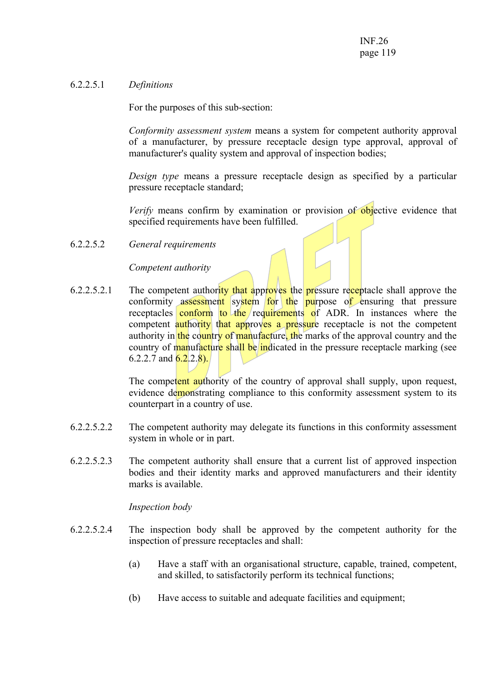## 6.2.2.5.1 *Definitions*

For the purposes of this sub-section:

*Conformity assessment system* means a system for competent authority approval of a manufacturer, by pressure receptacle design type approval, approval of manufacturer's quality system and approval of inspection bodies;

*Design type* means a pressure receptacle design as specified by a particular pressure receptacle standard;

*Verify* means confirm by examination or provision of objective evidence that specified requirements have been fulfilled.

6.2.2.5.2 *General requirements* 

# *Competent authority*

6.2.2.5.2.1 The competent authority that approves the pressure receptacle shall approve the conformity assessment system for the purpose of ensuring that pressure receptacles conform to the requirements of ADR. In instances where the competent authority that approves a pressure receptacle is not the competent authority in the country of manufacture, the marks of the approval country and the country of manufacture shall be indicated in the pressure receptacle marking (see 6.2.2.7 and  $6.2$  2.8).

> The competent authority of the country of approval shall supply, upon request, evidence demonstrating compliance to this conformity assessment system to its counterpart in a country of use.

- 6.2.2.5.2.2 The competent authority may delegate its functions in this conformity assessment system in whole or in part.
- 6.2.2.5.2.3 The competent authority shall ensure that a current list of approved inspection bodies and their identity marks and approved manufacturers and their identity marks is available.

#### *Inspection body*

- 6.2.2.5.2.4 The inspection body shall be approved by the competent authority for the inspection of pressure receptacles and shall:
	- (a) Have a staff with an organisational structure, capable, trained, competent, and skilled, to satisfactorily perform its technical functions;
	- (b) Have access to suitable and adequate facilities and equipment;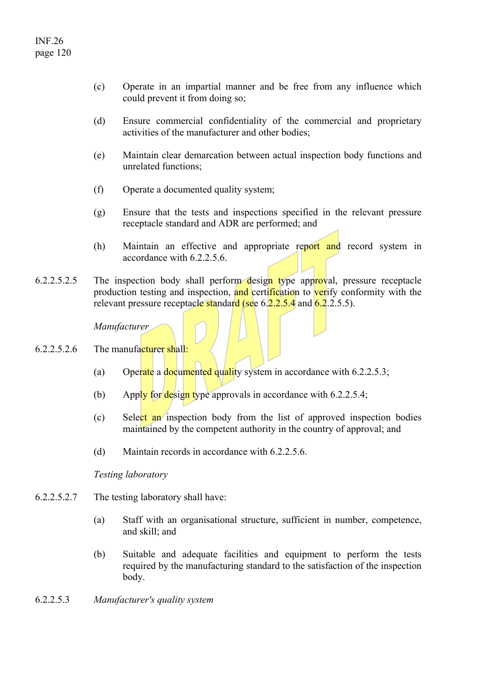- (c) Operate in an impartial manner and be free from any influence which could prevent it from doing so;
- (d) Ensure commercial confidentiality of the commercial and proprietary activities of the manufacturer and other bodies;
- (e) Maintain clear demarcation between actual inspection body functions and unrelated functions;
- (f) Operate a documented quality system;
- (g) Ensure that the tests and inspections specified in the relevant pressure receptacle standard and ADR are performed; and
- (h) Maintain an effective and appropriate report and record system in accordance with 6.2.2.5.6.
- 6.2.2.5.2.5 The inspection body shall perform design type approval, pressure receptacle production testing and inspection, and certification to verify conformity with the relevant pressure receptacle standard (see 6.2.2.5.4 and  $6.2$ .2.5.5).

 *Manufacturer* 

- $6.2.2.5.2.6$  The manufacturer shall:
	- (a) Operate a documented quality system in accordance with  $6.2.2.5.3$ ;
	- (b) Apply for design type approvals in accordance with  $6.2.2.5.4$ ;
	- (c) Select an inspection body from the list of approved inspection bodies maintained by the competent authority in the country of approval; and
	- (d) Maintain records in accordance with 6.2.2.5.6.

 *Testing laboratory* 

- 6.2.2.5.2.7 The testing laboratory shall have:
	- (a) Staff with an organisational structure, sufficient in number, competence, and skill; and
	- (b) Suitable and adequate facilities and equipment to perform the tests required by the manufacturing standard to the satisfaction of the inspection body.
- 6.2.2.5.3 *Manufacturer's quality system*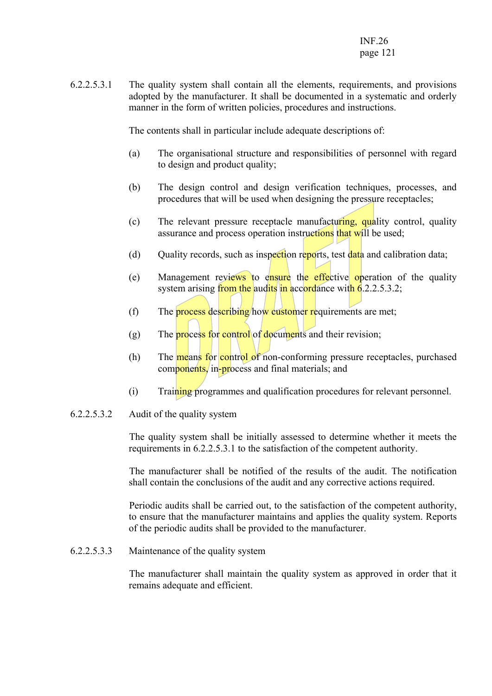6.2.2.5.3.1 The quality system shall contain all the elements, requirements, and provisions adopted by the manufacturer. It shall be documented in a systematic and orderly manner in the form of written policies, procedures and instructions.

The contents shall in particular include adequate descriptions of:

- (a) The organisational structure and responsibilities of personnel with regard to design and product quality;
- (b) The design control and design verification techniques, processes, and procedures that will be used when designing the pressure receptacles;
- (c) The relevant pressure receptacle manufacturing, quality control, quality assurance and process operation instructions that will be used:
- (d) Quality records, such as inspection reports, test data and calibration data;
- (e) Management reviews to ensure the effective operation of the quality system arising from the audits in accordance with  $6.2.2.5.3.2$ ;
- (f) The **process** describing how customer requirements are met;
- (g) The **process for control of documents** and their revision;
- (h) The  $\frac{m_{\text{e}}}{m_{\text{e}}}$  for  $\frac{m_{\text{e}}}{m_{\text{e}}}$  control of non-conforming pressure receptacles, purchased components, in-process and final materials; and
- (i) Training programmes and qualification procedures for relevant personnel.
- 6.2.2.5.3.2 Audit of the quality system

The quality system shall be initially assessed to determine whether it meets the requirements in 6.2.2.5.3.1 to the satisfaction of the competent authority.

The manufacturer shall be notified of the results of the audit. The notification shall contain the conclusions of the audit and any corrective actions required.

Periodic audits shall be carried out, to the satisfaction of the competent authority, to ensure that the manufacturer maintains and applies the quality system. Reports of the periodic audits shall be provided to the manufacturer.

6.2.2.5.3.3 Maintenance of the quality system

The manufacturer shall maintain the quality system as approved in order that it remains adequate and efficient.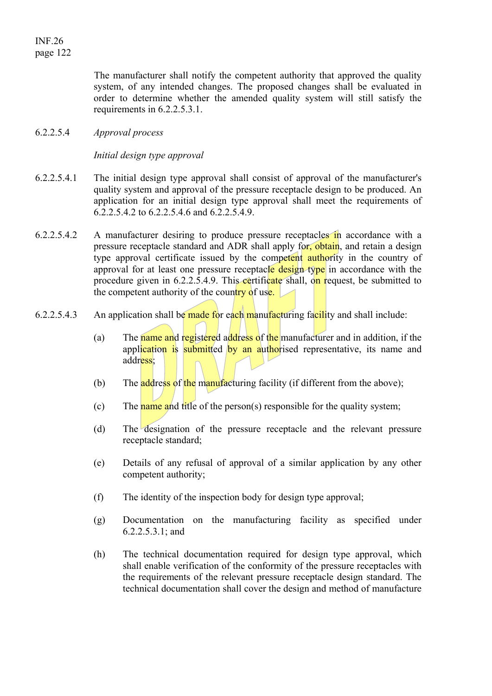> The manufacturer shall notify the competent authority that approved the quality system, of any intended changes. The proposed changes shall be evaluated in order to determine whether the amended quality system will still satisfy the requirements in 6.2.2.5.3.1.

6.2.2.5.4 *Approval process*

 *Initial design type approval* 

- 6.2.2.5.4.1 The initial design type approval shall consist of approval of the manufacturer's quality system and approval of the pressure receptacle design to be produced. An application for an initial design type approval shall meet the requirements of 6.2.2.5.4.2 to 6.2.2.5.4.6 and 6.2.2.5.4.9.
- 6.2.2.5.4.2 A manufacturer desiring to produce pressure receptacles in accordance with a pressure receptacle standard and ADR shall apply for, obtain, and retain a design type approval certificate issued by the competent authority in the country of approval for at least one pressure receptacle design type in accordance with the procedure given in  $6.2.2.5.4.9$ . This certificate shall, on request, be submitted to the competent authority of the country of use.
- 6.2.2.5.4.3 An application shall be made for each manufacturing facility and shall include:
	- (a) The name and registered address of the manufacturer and in addition, if the application is submitted by an authorised representative, its name and address;
	- (b) The **address of the manufacturing facility** (if different from the above);
	- (c) The name and title of the person(s) responsible for the quality system;
	- (d) The designation of the pressure receptacle and the relevant pressure receptacle standard;
	- (e) Details of any refusal of approval of a similar application by any other competent authority;
	- (f) The identity of the inspection body for design type approval;
	- (g) Documentation on the manufacturing facility as specified under 6.2.2.5.3.1; and
	- (h) The technical documentation required for design type approval, which shall enable verification of the conformity of the pressure receptacles with the requirements of the relevant pressure receptacle design standard. The technical documentation shall cover the design and method of manufacture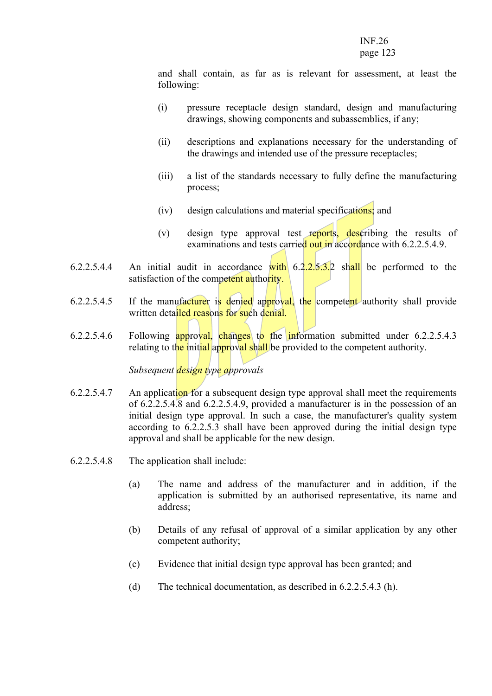and shall contain, as far as is relevant for assessment, at least the following:

- (i) pressure receptacle design standard, design and manufacturing drawings, showing components and subassemblies, if any;
- (ii) descriptions and explanations necessary for the understanding of the drawings and intended use of the pressure receptacles;
- (iii) a list of the standards necessary to fully define the manufacturing process;
- (iv) design calculations and material specifications; and
- (v) design type approval test reports, describing the results of examinations and tests carried out in accordance with 6.2.2.5.4.9.
- 6.2.2.5.4.4 An initial audit in accordance with  $6.2.2.5.3.2$  shall be performed to the satisfaction of the competent authority.
- 6.2.2.5.4.5 If the manufacturer is denied approval, the competent authority shall provide written detailed reasons for such denial.
- 6.2.2.5.4.6 Following **approval, changes to the information submitted under 6.2.2.5.4.3** relating to the initial approval shall be provided to the competent authority.

# *Subsequent design type approvals*

- 6.2.2.5.4.7 An application for a subsequent design type approval shall meet the requirements of 6.2.2.5.4.8 and 6.2.2.5.4.9, provided a manufacturer is in the possession of an initial design type approval. In such a case, the manufacturer's quality system according to 6.2.2.5.3 shall have been approved during the initial design type approval and shall be applicable for the new design.
- 6.2.2.5.4.8 The application shall include:
	- (a) The name and address of the manufacturer and in addition, if the application is submitted by an authorised representative, its name and address;
	- (b) Details of any refusal of approval of a similar application by any other competent authority;
	- (c) Evidence that initial design type approval has been granted; and
	- (d) The technical documentation, as described in 6.2.2.5.4.3 (h).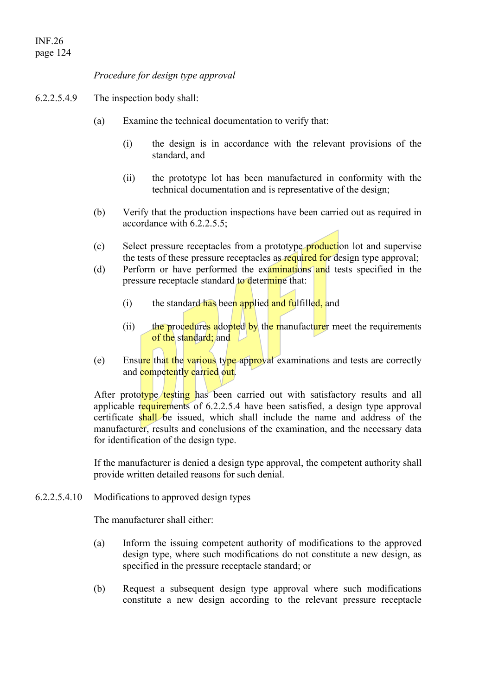# *Procedure for design type approval*

- 6.2.2.5.4.9 The inspection body shall:
	- (a) Examine the technical documentation to verify that:
		- (i) the design is in accordance with the relevant provisions of the standard, and
		- (ii) the prototype lot has been manufactured in conformity with the technical documentation and is representative of the design;
	- (b) Verify that the production inspections have been carried out as required in accordance with 6.2.2.5.5;
	- (c) Select pressure receptacles from a prototype production lot and supervise the tests of these pressure receptacles as required for design type approval;
	- (d) Perform or have performed the examinations and tests specified in the pressure receptacle standard to determine that:
		- $(i)$  the standard has been applied and fulfilled, and
		- (ii) the procedures adopted by the manufacturer meet the requirements of the standard; and  $\Box$
	- (e) Ensure that the various type approval examinations and tests are correctly and competently carried out.

After prototype testing has been carried out with satisfactory results and all applicable requirements of 6.2.2.5.4 have been satisfied, a design type approval certificate shall be issued, which shall include the name and address of the manufacturer, results and conclusions of the examination, and the necessary data for identification of the design type.

If the manufacturer is denied a design type approval, the competent authority shall provide written detailed reasons for such denial.

6.2.2.5.4.10 Modifications to approved design types

The manufacturer shall either:

- (a) Inform the issuing competent authority of modifications to the approved design type, where such modifications do not constitute a new design, as specified in the pressure receptacle standard; or
- (b) Request a subsequent design type approval where such modifications constitute a new design according to the relevant pressure receptacle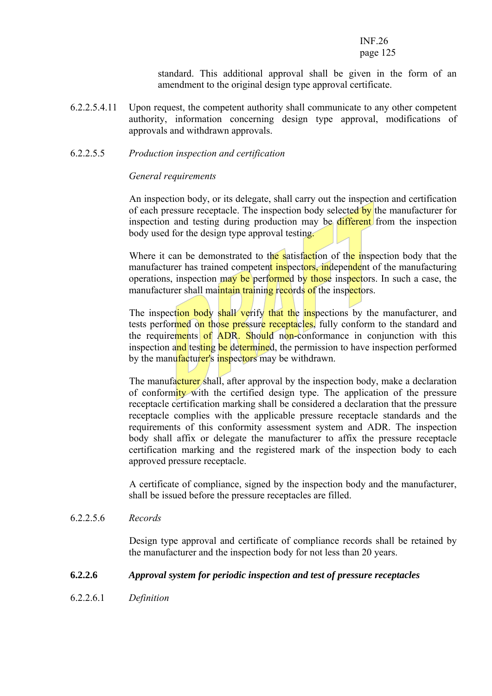standard. This additional approval shall be given in the form of an amendment to the original design type approval certificate.

6.2.2.5.4.11 Upon request, the competent authority shall communicate to any other competent authority, information concerning design type approval, modifications of approvals and withdrawn approvals.

# 6.2.2.5.5 *Production inspection and certification*

#### *General requirements*

An inspection body, or its delegate, shall carry out the inspection and certification of each pressure receptacle. The inspection body selected by the manufacturer for inspection and testing during production may be different from the inspection body used for the design type approval testing.

Where it can be demonstrated to the satisfaction of the inspection body that the manufacturer has trained competent inspectors, independent of the manufacturing operations, inspection may be performed by those inspectors. In such a case, the manufacturer shall maintain training records of the inspectors.

The inspection body shall verify that the inspections by the manufacturer, and tests performed on those pressure receptacles, fully conform to the standard and the requirements of ADR. Should non-conformance in conjunction with this inspection and testing be determined, the permission to have inspection performed by the manufacturer's inspectors may be withdrawn.

The manufacturer shall, after approval by the inspection body, make a declaration of conformity with the certified design type. The application of the pressure receptacle certification marking shall be considered a declaration that the pressure receptacle complies with the applicable pressure receptacle standards and the requirements of this conformity assessment system and ADR. The inspection body shall affix or delegate the manufacturer to affix the pressure receptacle certification marking and the registered mark of the inspection body to each approved pressure receptacle.

A certificate of compliance, signed by the inspection body and the manufacturer, shall be issued before the pressure receptacles are filled.

#### 6.2.2.5.6 *Records*

Design type approval and certificate of compliance records shall be retained by the manufacturer and the inspection body for not less than 20 years.

## **6.2.2.6** *Approval system for periodic inspection and test of pressure receptacles*

6.2.2.6.1 *Definition*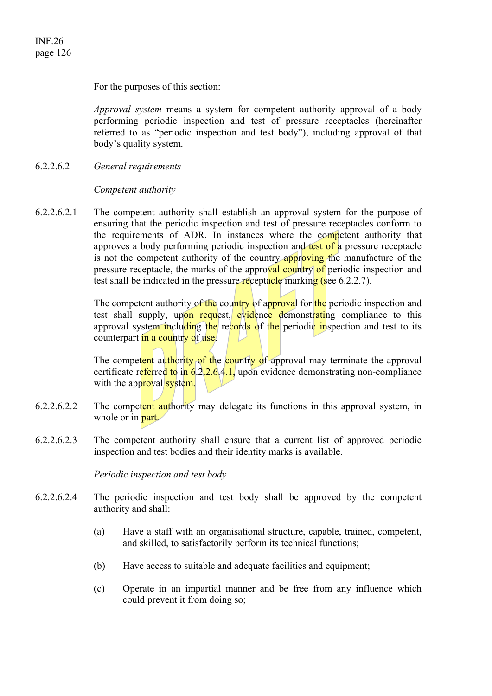For the purposes of this section:

*Approval system* means a system for competent authority approval of a body performing periodic inspection and test of pressure receptacles (hereinafter referred to as "periodic inspection and test body"), including approval of that body's quality system.

6.2.2.6.2 *General requirements* 

 *Competent authority*

6.2.2.6.2.1 The competent authority shall establish an approval system for the purpose of ensuring that the periodic inspection and test of pressure receptacles conform to the requirements of ADR. In instances where the competent authority that approves a body performing periodic inspection and test of a pressure receptacle is not the competent authority of the country approving the manufacture of the pressure receptacle, the marks of the approval country of periodic inspection and test shall be indicated in the pressure receptacle marking (see 6.2.2.7).

> The competent authority of the country of approval for the periodic inspection and test shall supply, upon request, evidence demonstrating compliance to this approval system including the records of the periodic inspection and test to its counterpart in a country of use.

> The competent authority of the country of approval may terminate the approval certificate referred to in  $6.2, 2.6, 4.1$ , upon evidence demonstrating non-compliance with the approval system.

- 6.2.2.6.2.2 The competent authority may delegate its functions in this approval system, in whole or in  $part.$
- 6.2.2.6.2.3 The competent authority shall ensure that a current list of approved periodic inspection and test bodies and their identity marks is available.

 *Periodic inspection and test body* 

- 6.2.2.6.2.4 The periodic inspection and test body shall be approved by the competent authority and shall:
	- (a) Have a staff with an organisational structure, capable, trained, competent, and skilled, to satisfactorily perform its technical functions;
	- (b) Have access to suitable and adequate facilities and equipment;
	- (c) Operate in an impartial manner and be free from any influence which could prevent it from doing so;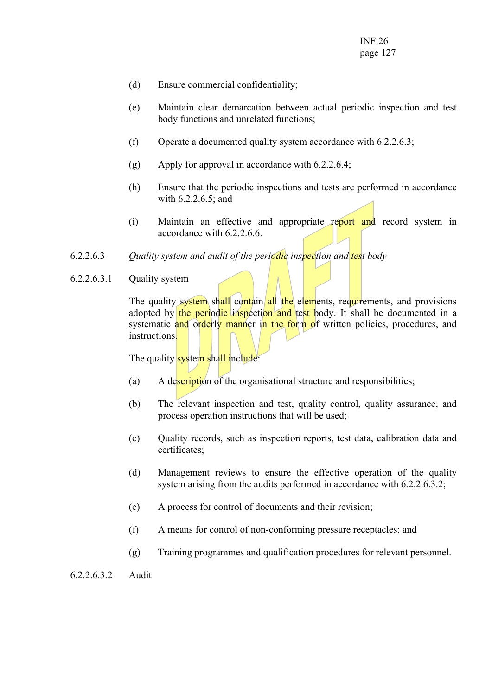- (d) Ensure commercial confidentiality;
- (e) Maintain clear demarcation between actual periodic inspection and test body functions and unrelated functions;
- (f) Operate a documented quality system accordance with 6.2.2.6.3;
- (g) Apply for approval in accordance with 6.2.2.6.4;
- (h) Ensure that the periodic inspections and tests are performed in accordance with 6.2.2.6.5; and
- (i) Maintain an effective and appropriate report and record system in accordance with 6.2.2.6.6
- 6.2.2.6.3 *Quality system and audit of the periodic inspection and test body*
- 6.2.2.6.3.1 Quality system

The quality system shall contain all the elements, requirements, and provisions adopted by the periodic inspection and test body. It shall be documented in a systematic and orderly manner in the form of written policies, procedures, and instructions.

The quality **system shall include**:

- (a) A description of the organisational structure and responsibilities;
- (b) The relevant inspection and test, quality control, quality assurance, and process operation instructions that will be used;
- (c) Quality records, such as inspection reports, test data, calibration data and certificates;
- (d) Management reviews to ensure the effective operation of the quality system arising from the audits performed in accordance with 6.2.2.6.3.2;
- (e) A process for control of documents and their revision;
- (f) A means for control of non-conforming pressure receptacles; and
- (g) Training programmes and qualification procedures for relevant personnel.
- 6.2.2.6.3.2 Audit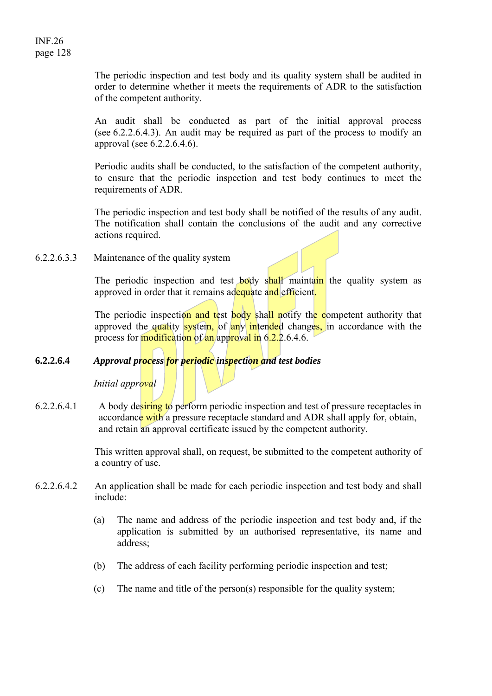The periodic inspection and test body and its quality system shall be audited in order to determine whether it meets the requirements of ADR to the satisfaction of the competent authority.

 An audit shall be conducted as part of the initial approval process (see 6.2.2.6.4.3). An audit may be required as part of the process to modify an approval (see 6.2.2.6.4.6).

 Periodic audits shall be conducted, to the satisfaction of the competent authority, to ensure that the periodic inspection and test body continues to meet the requirements of ADR.

 The periodic inspection and test body shall be notified of the results of any audit. The notification shall contain the conclusions of the audit and any corrective actions required.

6.2.2.6.3.3 Maintenance of the quality system

The periodic inspection and test body shall maintain the quality system as approved in order that it remains adequate and efficient.

The periodic inspection and test body shall notify the competent authority that approved the quality system, of any intended changes, in accordance with the process for modification of an approval in  $6.2.2.6.4.6$ .

# **6.2.2.6.4** *Approval process for periodic inspection and test bodies*

 *Initial approval* 

6.2.2.6.4.1 A body desiring to perform periodic inspection and test of pressure receptacles in accordance with a pressure receptacle standard and ADR shall apply for, obtain, and retain an approval certificate issued by the competent authority.

> This written approval shall, on request, be submitted to the competent authority of a country of use.

- 6.2.2.6.4.2 An application shall be made for each periodic inspection and test body and shall include:
	- (a) The name and address of the periodic inspection and test body and, if the application is submitted by an authorised representative, its name and address;
	- (b) The address of each facility performing periodic inspection and test;
	- (c) The name and title of the person(s) responsible for the quality system;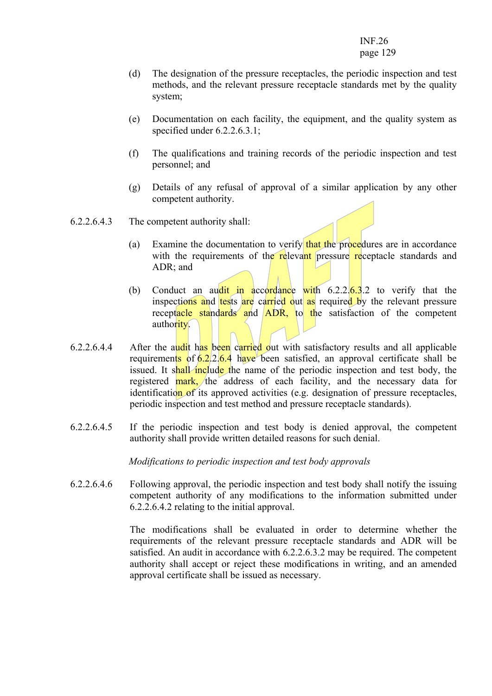- (d) The designation of the pressure receptacles, the periodic inspection and test methods, and the relevant pressure receptacle standards met by the quality system;
- (e) Documentation on each facility, the equipment, and the quality system as specified under 6.2.2.6.3.1;
- (f) The qualifications and training records of the periodic inspection and test personnel; and
- (g) Details of any refusal of approval of a similar application by any other competent authority.
- 6.2.2.6.4.3 The competent authority shall:
	- (a) Examine the documentation to verify that the procedures are in accordance with the requirements of the relevant pressure receptacle standards and ADR; and
	- (b) Conduct an audit in accordance with  $6.2.2 \cdot 6.3.2$  to verify that the inspections and tests are carried out as required by the relevant pressure receptacle standards and ADR, to the satisfaction of the competent authority.
- 6.2.2.6.4.4 After the audit has been carried out with satisfactory results and all applicable requirements of  $6.2/2.6.4$  have been satisfied, an approval certificate shall be issued. It shall include the name of the periodic inspection and test body, the registered **mark**, the address of each facility, and the necessary data for identification of its approved activities (e.g. designation of pressure receptacles, periodic inspection and test method and pressure receptacle standards).
- 6.2.2.6.4.5 If the periodic inspection and test body is denied approval, the competent authority shall provide written detailed reasons for such denial.

 *Modifications to periodic inspection and test body approvals* 

6.2.2.6.4.6 Following approval, the periodic inspection and test body shall notify the issuing competent authority of any modifications to the information submitted under 6.2.2.6.4.2 relating to the initial approval.

> The modifications shall be evaluated in order to determine whether the requirements of the relevant pressure receptacle standards and ADR will be satisfied. An audit in accordance with 6.2.2.6.3.2 may be required. The competent authority shall accept or reject these modifications in writing, and an amended approval certificate shall be issued as necessary.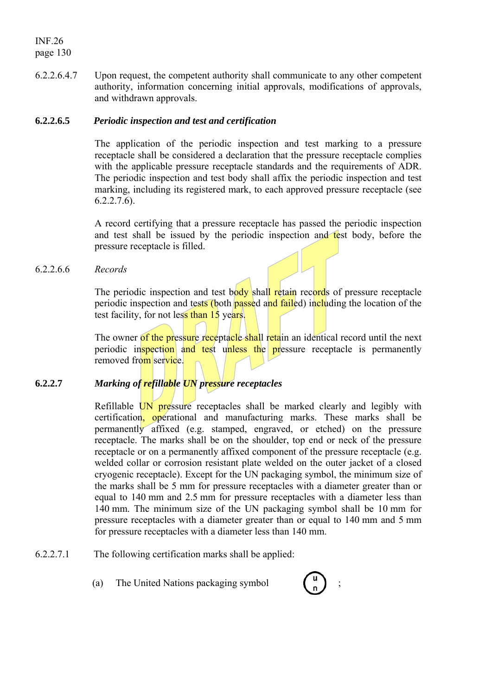6.2.2.6.4.7 Upon request, the competent authority shall communicate to any other competent authority, information concerning initial approvals, modifications of approvals, and withdrawn approvals.

# **6.2.2.6.5** *Periodic inspection and test and certification*

 The application of the periodic inspection and test marking to a pressure receptacle shall be considered a declaration that the pressure receptacle complies with the applicable pressure receptacle standards and the requirements of ADR. The periodic inspection and test body shall affix the periodic inspection and test marking, including its registered mark, to each approved pressure receptacle (see 6.2.2.7.6).

 A record certifying that a pressure receptacle has passed the periodic inspection and test shall be issued by the periodic inspection and test body, before the pressure receptacle is filled.

6.2.2.6.6 *Records* 

The periodic inspection and test body shall retain records of pressure receptacle periodic inspection and tests (both passed and failed) including the location of the test facility, for not less than 15 years.

The owner of the pressure receptacle shall retain an identical record until the next periodic inspection and test unless the pressure receptacle is permanently removed from service.

# **6.2.2.7** *Marking of refillable UN pressure receptacles*

Refillable UN pressure receptacles shall be marked clearly and legibly with certification, operational and manufacturing marks. These marks shall be permanently affixed (e.g. stamped, engraved, or etched) on the pressure receptacle. The marks shall be on the shoulder, top end or neck of the pressure receptacle or on a permanently affixed component of the pressure receptacle (e.g. welded collar or corrosion resistant plate welded on the outer jacket of a closed cryogenic receptacle). Except for the UN packaging symbol, the minimum size of the marks shall be 5 mm for pressure receptacles with a diameter greater than or equal to 140 mm and 2.5 mm for pressure receptacles with a diameter less than 140 mm. The minimum size of the UN packaging symbol shall be 10 mm for pressure receptacles with a diameter greater than or equal to 140 mm and 5 mm for pressure receptacles with a diameter less than 140 mm.

- 6.2.2.7.1 The following certification marks shall be applied:
	- (a) The United Nations packaging symbol

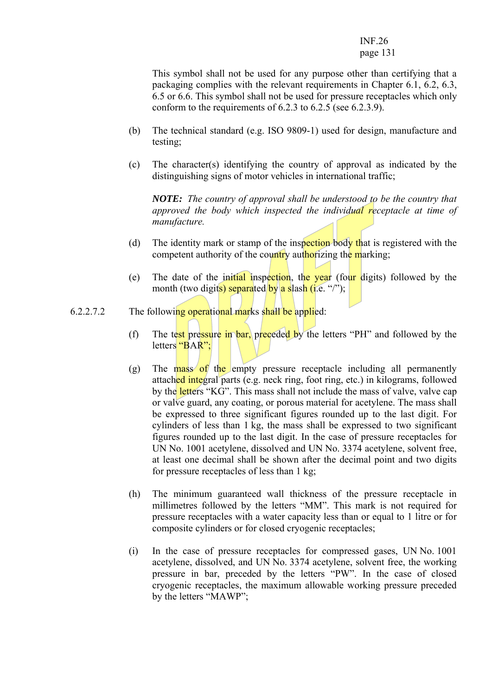This symbol shall not be used for any purpose other than certifying that a packaging complies with the relevant requirements in Chapter 6.1, 6.2, 6.3, 6.5 or 6.6. This symbol shall not be used for pressure receptacles which only conform to the requirements of 6.2.3 to 6.2.5 (see 6.2.3.9).

- (b) The technical standard (e.g. ISO 9809-1) used for design, manufacture and testing;
- (c) The character(s) identifying the country of approval as indicated by the distinguishing signs of motor vehicles in international traffic;

*NOTE: The country of approval shall be understood to be the country that approved the body which inspected the individual receptacle at time of manufacture.* 

- (d) The identity mark or stamp of the inspection body that is registered with the competent authority of the country authorizing the marking;
- (e) The date of the initial inspection, the year (four digits) followed by the month (two digits) separated by a slash (i.e. "/");
- 6.2.2.7.2 The following operational marks shall be applied:
	- (f) The test pressure in bar, preceded by the letters "PH" and followed by the letters "BAR";
	- (g) The  $\frac{mass}{of}$  the empty pressure receptacle including all permanently attached integral parts (e.g. neck ring, foot ring, etc.) in kilograms, followed by the letters "KG". This mass shall not include the mass of valve, valve cap or valve guard, any coating, or porous material for acetylene. The mass shall be expressed to three significant figures rounded up to the last digit. For cylinders of less than 1 kg, the mass shall be expressed to two significant figures rounded up to the last digit. In the case of pressure receptacles for UN No. 1001 acetylene, dissolved and UN No. 3374 acetylene, solvent free, at least one decimal shall be shown after the decimal point and two digits for pressure receptacles of less than 1 kg;
	- (h) The minimum guaranteed wall thickness of the pressure receptacle in millimetres followed by the letters "MM". This mark is not required for pressure receptacles with a water capacity less than or equal to 1 litre or for composite cylinders or for closed cryogenic receptacles;
	- (i) In the case of pressure receptacles for compressed gases, UN No. 1001 acetylene, dissolved, and UN No. 3374 acetylene, solvent free, the working pressure in bar, preceded by the letters "PW". In the case of closed cryogenic receptacles, the maximum allowable working pressure preceded by the letters "MAWP";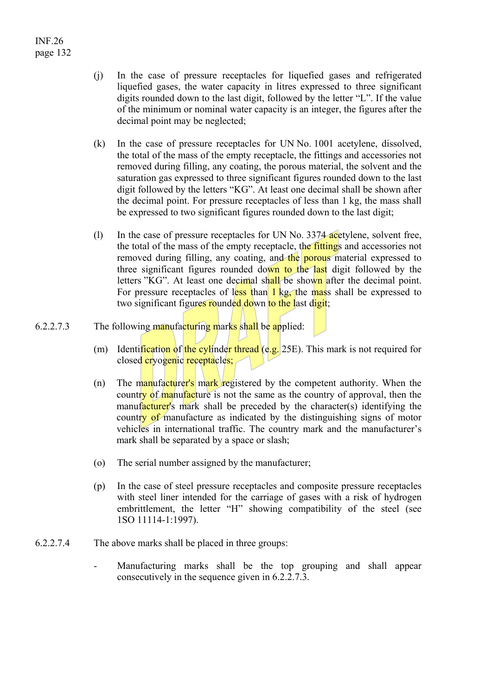- (j) In the case of pressure receptacles for liquefied gases and refrigerated liquefied gases, the water capacity in litres expressed to three significant digits rounded down to the last digit, followed by the letter "L". If the value of the minimum or nominal water capacity is an integer, the figures after the decimal point may be neglected;
- (k) In the case of pressure receptacles for UN No. 1001 acetylene, dissolved, the total of the mass of the empty receptacle, the fittings and accessories not removed during filling, any coating, the porous material, the solvent and the saturation gas expressed to three significant figures rounded down to the last digit followed by the letters "KG". At least one decimal shall be shown after the decimal point. For pressure receptacles of less than 1 kg, the mass shall be expressed to two significant figures rounded down to the last digit;
- (l) In the case of pressure receptacles for UN No.  $3374$  acetylene, solvent free, the total of the mass of the empty receptacle, the fittings and accessories not removed during filling, any coating, and the porous material expressed to three significant figures rounded down to the last digit followed by the letters "KG". At least one decimal shall be shown after the decimal point. For pressure receptacles of less than  $1 \text{ kg}$ , the mass shall be expressed to two significant figures rounded down to the last digit;
- 6.2.2.7.3 The following manufacturing marks shall be applied:
	- (m) Identification of the cylinder thread  $(e.g. 25E)$ . This mark is not required for closed cryogenic receptacles;
	- (n) The manufacturer's mark registered by the competent authority. When the country of manufacture is not the same as the country of approval, then the manufacturer's mark shall be preceded by the character(s) identifying the country of manufacture as indicated by the distinguishing signs of motor vehicles in international traffic. The country mark and the manufacturer's mark shall be separated by a space or slash;
	- (o) The serial number assigned by the manufacturer;
	- (p) In the case of steel pressure receptacles and composite pressure receptacles with steel liner intended for the carriage of gases with a risk of hydrogen embrittlement, the letter "H" showing compatibility of the steel (see 1SO 11114-1:1997).
- 6.2.2.7.4 The above marks shall be placed in three groups:
	- Manufacturing marks shall be the top grouping and shall appear consecutively in the sequence given in 6.2.2.7.3.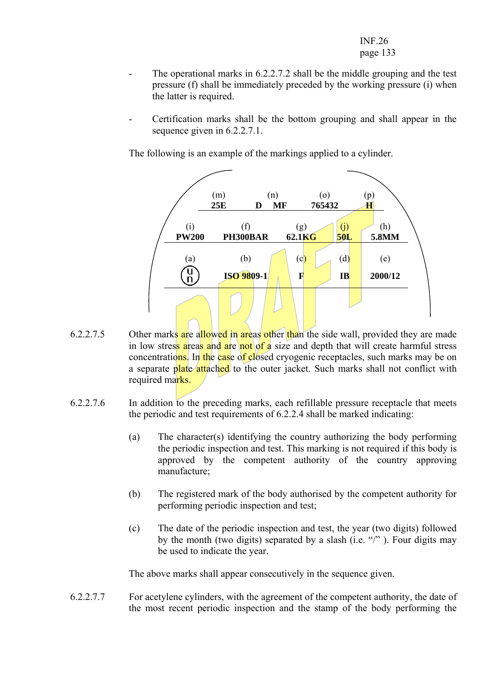- The operational marks in 6.2.2.7.2 shall be the middle grouping and the test pressure (f) shall be immediately preceded by the working pressure (i) when the latter is required.
- Certification marks shall be the bottom grouping and shall appear in the sequence given in 6.2.2.7.1.

The following is an example of the markings applied to a cylinder.



- 6.2.2.7.5 Other marks are allowed in areas other than the side wall, provided they are made in low stress areas and are not of a size and depth that will create harmful stress concentrations. In the case of closed cryogenic receptacles, such marks may be on a separate plate attached to the outer jacket. Such marks shall not conflict with required marks.
- 6.2.2.7.6 In addition to the preceding marks, each refillable pressure receptacle that meets the periodic and test requirements of 6.2.2.4 shall be marked indicating:
	- (a) The character(s) identifying the country authorizing the body performing the periodic inspection and test. This marking is not required if this body is approved by the competent authority of the country approving manufacture;
	- (b) The registered mark of the body authorised by the competent authority for performing periodic inspection and test;
	- (c) The date of the periodic inspection and test, the year (two digits) followed by the month (two digits) separated by a slash (i.e. "/" ). Four digits may be used to indicate the year.

The above marks shall appear consecutively in the sequence given.

6.2.2.7.7 For acetylene cylinders, with the agreement of the competent authority, the date of the most recent periodic inspection and the stamp of the body performing the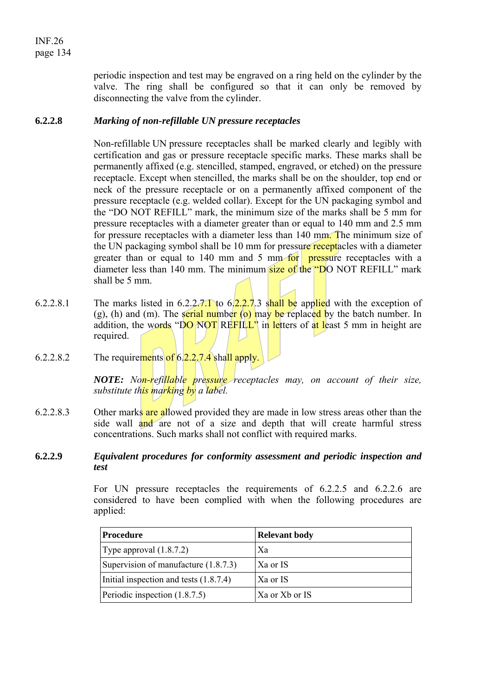> periodic inspection and test may be engraved on a ring held on the cylinder by the valve. The ring shall be configured so that it can only be removed by disconnecting the valve from the cylinder.

# **6.2.2.8** *Marking of non-refillable UN pressure receptacles*

Non-refillable UN pressure receptacles shall be marked clearly and legibly with certification and gas or pressure receptacle specific marks. These marks shall be permanently affixed (e.g. stencilled, stamped, engraved, or etched) on the pressure receptacle. Except when stencilled, the marks shall be on the shoulder, top end or neck of the pressure receptacle or on a permanently affixed component of the pressure receptacle (e.g. welded collar). Except for the UN packaging symbol and the "DO NOT REFILL" mark, the minimum size of the marks shall be 5 mm for pressure receptacles with a diameter greater than or equal to 140 mm and 2.5 mm for pressure receptacles with a diameter less than 140 mm. The minimum size of the UN packaging symbol shall be 10 mm for pressure receptacles with a diameter greater than or equal to 140 mm and 5 mm for pressure receptacles with a diameter less than 140 mm. The minimum size of the "DO NOT REFILL" mark shall be 5 mm.

- 6.2.2.8.1 The marks listed in 6.2.2.7.1 to 6.2.2.7.3 shall be applied with the exception of (g), (h) and (m). The serial number (o) may be replaced by the batch number. In addition, the words "DO NOT REFILL" in letters of at least 5 mm in height are required.
- 6.2.2.8.2 The requirements of  $6.2.2.7.4$  shall apply.

*NOTE: Non-refillable pressure receptacles may, on account of their size, substitute this marking by a label.*

6.2.2.8.3 Other marks are allowed provided they are made in low stress areas other than the side wall and are not of a size and depth that will create harmful stress concentrations. Such marks shall not conflict with required marks.

#### **6.2.2.9** *Equivalent procedures for conformity assessment and periodic inspection and test*

For UN pressure receptacles the requirements of 6.2.2.5 and 6.2.2.6 are considered to have been complied with when the following procedures are applied:

| <b>Procedure</b>                         | <b>Relevant body</b> |
|------------------------------------------|----------------------|
| Type approval $(1.8.7.2)$                | Xa                   |
| Supervision of manufacture $(1.8.7.3)$   | Xa or IS             |
| Initial inspection and tests $(1.8.7.4)$ | Xa or IS             |
| Periodic inspection (1.8.7.5)            | Xa or Xb or IS       |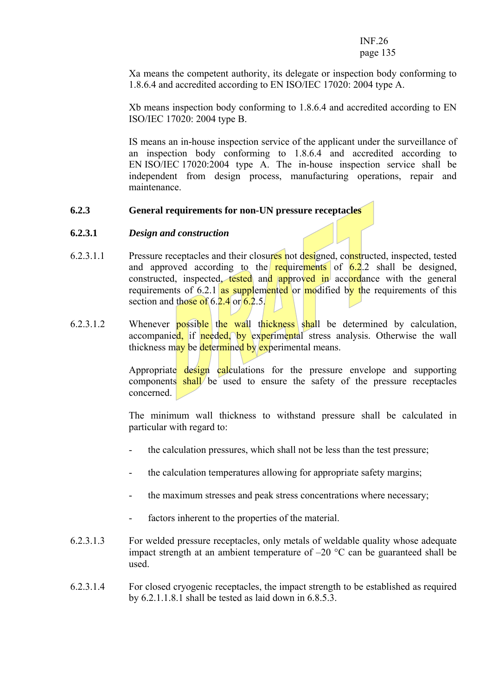Xa means the competent authority, its delegate or inspection body conforming to 1.8.6.4 and accredited according to EN ISO/IEC 17020: 2004 type A.

Xb means inspection body conforming to 1.8.6.4 and accredited according to EN ISO/IEC 17020: 2004 type B.

IS means an in-house inspection service of the applicant under the surveillance of an inspection body conforming to 1.8.6.4 and accredited according to EN ISO/IEC 17020:2004 type A. The in-house inspection service shall be independent from design process, manufacturing operations, repair and maintenance.

#### **6.2.3 General requirements for non-UN pressure receptacles**

#### **6.2.3.1** *Design and construction*

- 6.2.3.1.1 Pressure receptacles and their closures not designed, constructed, inspected, tested and approved according to the requirements of  $6.2$ . a shall be designed, constructed, inspected, tested and approved in accordance with the general requirements of 6.2.1 as supplemented or modified by the requirements of this section and those of  $6.2.4$  or  $6.2.5$ .
- 6.2.3.1.2 Whenever **possible** the wall thickness shall be determined by calculation. accompanied, if needed, by experimental stress analysis. Otherwise the wall thickness may be determined by experimental means.

Appropriate design calculations for the pressure envelope and supporting components shall be used to ensure the safety of the pressure receptacles concerned.

The minimum wall thickness to withstand pressure shall be calculated in particular with regard to:

- the calculation pressures, which shall not be less than the test pressure;
- the calculation temperatures allowing for appropriate safety margins;
- the maximum stresses and peak stress concentrations where necessary;
- factors inherent to the properties of the material.
- 6.2.3.1.3 For welded pressure receptacles, only metals of weldable quality whose adequate impact strength at an ambient temperature of  $-20$  °C can be guaranteed shall be used.
- 6.2.3.1.4 For closed cryogenic receptacles, the impact strength to be established as required by 6.2.1.1.8.1 shall be tested as laid down in 6.8.5.3.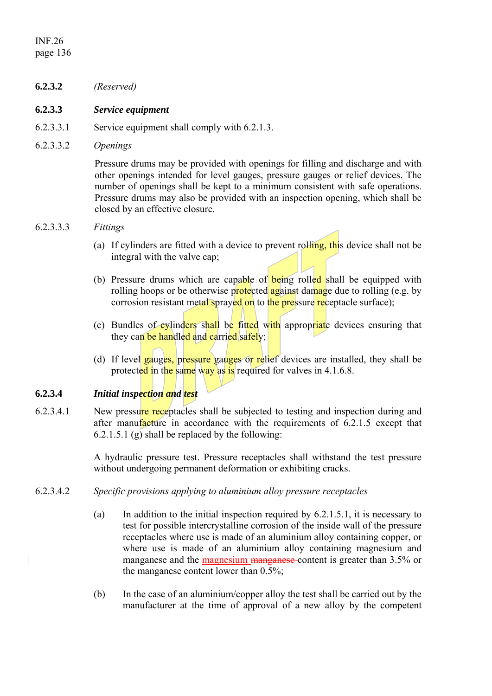- **6.2.3.2** *(Reserved)*
- **6.2.3.3** *Service equipment*
- 6.2.3.3.1 Service equipment shall comply with 6.2.1.3.
- 6.2.3.3.2 *Openings*

Pressure drums may be provided with openings for filling and discharge and with other openings intended for level gauges, pressure gauges or relief devices. The number of openings shall be kept to a minimum consistent with safe operations. Pressure drums may also be provided with an inspection opening, which shall be closed by an effective closure.

### 6.2.3.3.3 *Fittings*

- (a) If cylinders are fitted with a device to prevent rolling, this device shall not be integral with the valve cap;
- (b) Pressure drums which are capable of being rolled shall be equipped with rolling hoops or be otherwise protected against damage due to rolling (e.g. by corrosion resistant metal sprayed on to the pressure receptacle surface);
- (c) Bundles of cylinders shall be fitted with appropriate devices ensuring that they can be handled and carried safely;
- (d) If level **gauges**, pressure gauges or relief devices are installed, they shall be protected in the same way as is required for valves in 4.1.6.8.

# **6.2.3.4** *Initial inspection and test*

6.2.3.4.1 New pressure receptacles shall be subjected to testing and inspection during and after manufacture in accordance with the requirements of 6.2.1.5 except that 6.2.1.5.1  $(g)$  shall be replaced by the following:

> A hydraulic pressure test. Pressure receptacles shall withstand the test pressure without undergoing permanent deformation or exhibiting cracks.

- 6.2.3.4.2 *Specific provisions applying to aluminium alloy pressure receptacles* 
	- (a) In addition to the initial inspection required by  $6.2.1.5.1$ , it is necessary to test for possible intercrystalline corrosion of the inside wall of the pressure receptacles where use is made of an aluminium alloy containing copper, or where use is made of an aluminium alloy containing magnesium and manganese and the magnesium manganese-content is greater than 3.5% or the manganese content lower than 0.5%;
	- (b) In the case of an aluminium/copper alloy the test shall be carried out by the manufacturer at the time of approval of a new alloy by the competent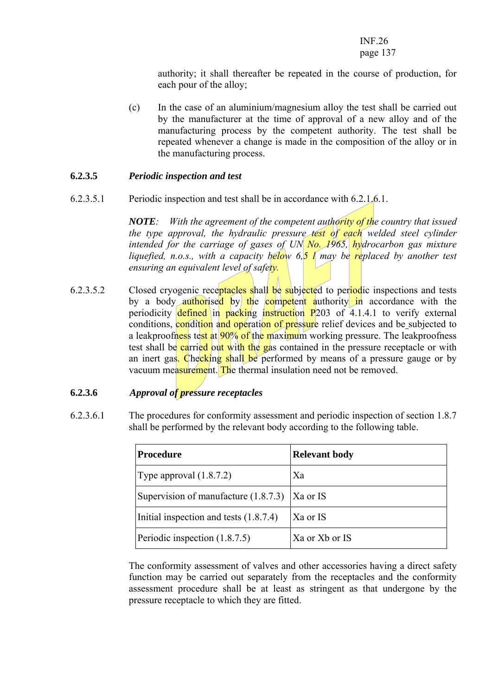authority; it shall thereafter be repeated in the course of production, for each pour of the alloy;

(c) In the case of an aluminium/magnesium alloy the test shall be carried out by the manufacturer at the time of approval of a new alloy and of the manufacturing process by the competent authority. The test shall be repeated whenever a change is made in the composition of the alloy or in the manufacturing process.

## **6.2.3.5** *Periodic inspection and test*

6.2.3.5.1 Periodic inspection and test shall be in accordance with 6.2.1.6.1.

*NOTE: With the agreement of the competent authority of the country that issued the type approval, the hydraulic pressure test of each welded steel cylinder intended for the carriage of gases of UN No. 1965, hydrocarbon gas mixture liquefied, n.o.s., with a capacity below 6,5 I may be replaced by another test ensuring an equivalent level of safety.*

6.2.3.5.2 Closed cryogenic receptacles shall be subjected to periodic inspections and tests by a body authorised by the competent authority in accordance with the periodicity defined in packing instruction P203 of 4.1.4.1 to verify external conditions, condition and operation of pressure relief devices and be subjected to a leakproofness test at 90% of the maximum working pressure. The leakproofness test shall be carried out with the gas contained in the pressure receptacle or with an inert gas. Checking shall be performed by means of a pressure gauge or by vacuum measurement. The thermal insulation need not be removed.

# **6.2.3.6** *Approval of pressure receptacles*

6.2.3.6.1 The procedures for conformity assessment and periodic inspection of section 1.8.7 shall be performed by the relevant body according to the following table.

| <b>Procedure</b>                         | <b>Relevant body</b> |
|------------------------------------------|----------------------|
| Type approval $(1.8.7.2)$                | Xa                   |
| Supervision of manufacture $(1.8.7.3)$   | Xa or IS             |
| Initial inspection and tests $(1.8.7.4)$ | Xa or IS             |
| Periodic inspection (1.8.7.5)            | Xa or Xb or IS       |

The conformity assessment of valves and other accessories having a direct safety function may be carried out separately from the receptacles and the conformity assessment procedure shall be at least as stringent as that undergone by the pressure receptacle to which they are fitted.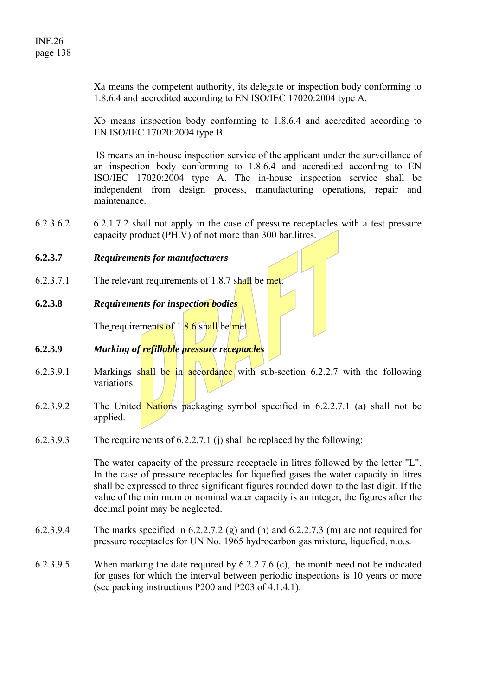Xa means the competent authority, its delegate or inspection body conforming to 1.8.6.4 and accredited according to EN ISO/IEC 17020:2004 type A.

Xb means inspection body conforming to 1.8.6.4 and accredited according to EN ISO/IEC 17020:2004 type B

 IS means an in-house inspection service of the applicant under the surveillance of an inspection body conforming to 1.8.6.4 and accredited according to EN ISO/IEC 17020:2004 type A. The in-house inspection service shall be independent from design process, manufacturing operations, repair and maintenance.

6.2.3.6.2 6.2.1.7.2 shall not apply in the case of pressure receptacles with a test pressure capacity product (PH.V) of not more than 300 bar.litres.

# **6.2.3.7** *Requirements for manufacturers*

- 6.2.3.7.1 The relevant requirements of 1.8.7 shall be met.
- **6.2.3.8** *Requirements for inspection bodies*

The requirements of  $1.8.6$  shall be met.

- **6.2.3.9** *Marking of refillable pressure receptacles*
- 6.2.3.9.1 Markings shall be in accordance with sub-section 6.2.2.7 with the following variations.
- 6.2.3.9.2 The United Nations packaging symbol specified in 6.2.2.7.1 (a) shall not be applied.
- 6.2.3.9.3 The requirements of 6.2.2.7.1 (j) shall be replaced by the following:

The water capacity of the pressure receptacle in litres followed by the letter "L". In the case of pressure receptacles for liquefied gases the water capacity in litres shall be expressed to three significant figures rounded down to the last digit. If the value of the minimum or nominal water capacity is an integer, the figures after the decimal point may be neglected.

- 6.2.3.9.4 The marks specified in 6.2.2.7.2 (g) and (h) and 6.2.2.7.3 (m) are not required for pressure receptacles for UN No. 1965 hydrocarbon gas mixture, liquefied, n.o.s.
- 6.2.3.9.5 When marking the date required by 6.2.2.7.6 (c), the month need not be indicated for gases for which the interval between periodic inspections is 10 years or more (see packing instructions P200 and P203 of 4.1.4.1).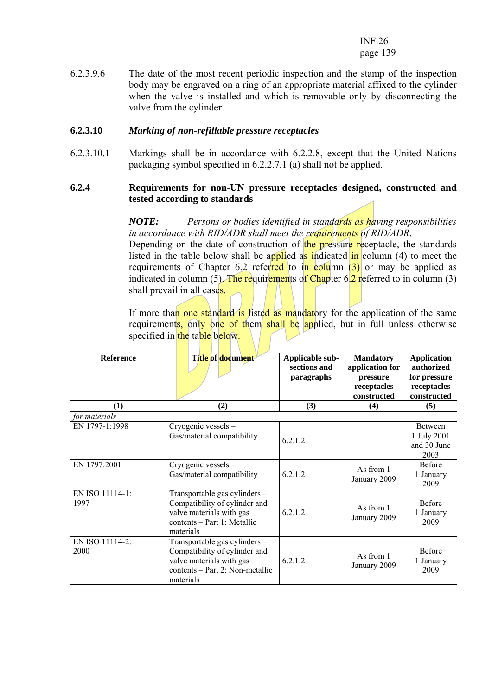6.2.3.9.6 The date of the most recent periodic inspection and the stamp of the inspection body may be engraved on a ring of an appropriate material affixed to the cylinder when the valve is installed and which is removable only by disconnecting the valve from the cylinder.

# **6.2.3.10** *Marking of non-refillable pressure receptacles*

6.2.3.10.1 Markings shall be in accordance with 6.2.2.8, except that the United Nations packaging symbol specified in 6.2.2.7.1 (a) shall not be applied.

## **6.2.4 Requirements for non-UN pressure receptacles designed, constructed and tested according to standards**

*NOTE: Persons or bodies identified in standards as having responsibilities in accordance with RID/ADR shall meet the requirements of RID/ADR*.

Depending on the date of construction of the pressure receptacle, the standards listed in the table below shall be applied as indicated in column  $(4)$  to meet the requirements of Chapter 6.2 referred to in column  $(3)$  or may be applied as indicated in column (5). The requirements of Chapter  $6.2$  referred to in column (3) shall prevail in all cases.

If more than one standard is listed as mandatory for the application of the same requirements, only one of them shall be applied, but in full unless otherwise specified in the table below.

| <b>Reference</b>        | Title of document                                                                                                                          | Applicable sub-<br>sections and<br>paragraphs | <b>Mandatory</b><br>application for<br>pressure<br>receptacles<br>constructed | <b>Application</b><br>authorized<br>for pressure<br>receptacles<br>constructed |
|-------------------------|--------------------------------------------------------------------------------------------------------------------------------------------|-----------------------------------------------|-------------------------------------------------------------------------------|--------------------------------------------------------------------------------|
| (1)                     | (2)                                                                                                                                        | (3)                                           | (4)                                                                           | (5)                                                                            |
| for materials           |                                                                                                                                            |                                               |                                                                               |                                                                                |
| EN 1797-1:1998          | Cryogenic vessels -<br>Gas/material compatibility                                                                                          | 6.2.1.2                                       |                                                                               | <b>Between</b><br>1 July 2001<br>and 30 June<br>2003                           |
| EN 1797:2001            | Cryogenic vessels -<br>Gas/material compatibility                                                                                          | 6.2.1.2                                       | As from 1<br>January 2009                                                     | <b>Before</b><br>1 January<br>2009                                             |
| EN ISO 11114-1:<br>1997 | Transportable gas cylinders -<br>Compatibility of cylinder and<br>valve materials with gas<br>contents – Part 1: Metallic<br>materials     | 6.2.1.2                                       | As from 1<br>January 2009                                                     | <b>Before</b><br>1 January<br>2009                                             |
| EN ISO 11114-2:<br>2000 | Transportable gas cylinders -<br>Compatibility of cylinder and<br>valve materials with gas<br>contents – Part 2: Non-metallic<br>materials | 6.2.1.2                                       | As from 1<br>January 2009                                                     | <b>Before</b><br>1 January<br>2009                                             |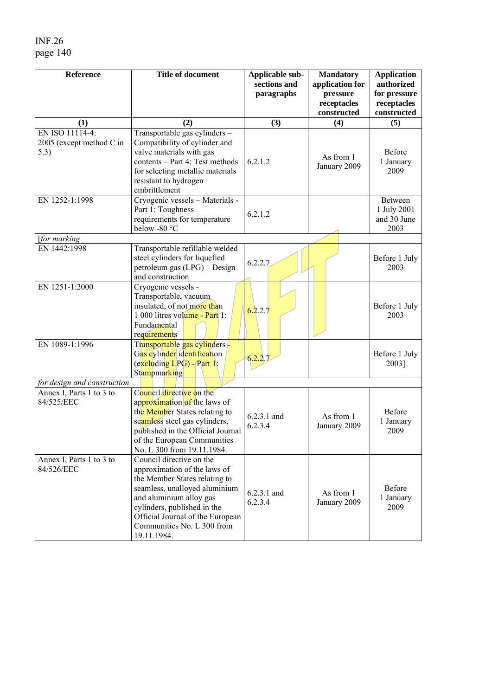| <b>Reference</b>                                    | <b>Title of document</b>                                                                                                                                                                                                                                              | Applicable sub-<br>sections and<br>paragraphs | <b>Mandatory</b><br>application for<br>pressure<br>receptacles<br>constructed | <b>Application</b><br>authorized<br>for pressure<br>receptacles<br>constructed |
|-----------------------------------------------------|-----------------------------------------------------------------------------------------------------------------------------------------------------------------------------------------------------------------------------------------------------------------------|-----------------------------------------------|-------------------------------------------------------------------------------|--------------------------------------------------------------------------------|
| (1)                                                 | (2)                                                                                                                                                                                                                                                                   | (3)                                           | (4)                                                                           | (5)                                                                            |
| EN ISO 11114-4:<br>2005 (except method C in<br>5.3) | Transportable gas cylinders -<br>Compatibility of cylinder and<br>valve materials with gas<br>contents - Part 4: Test methods<br>for selecting metallic materials<br>resistant to hydrogen<br>embrittlement                                                           | 6.2.1.2                                       | As from 1<br>January 2009                                                     | Before<br>1 January<br>2009                                                    |
| EN 1252-1:1998                                      | Cryogenic vessels - Materials -<br>Part 1: Toughness<br>requirements for temperature<br>below -80 °C                                                                                                                                                                  | 6.2.1.2                                       |                                                                               | Between<br>1 July 2001<br>and 30 June<br>2003                                  |
| [for marking                                        |                                                                                                                                                                                                                                                                       |                                               |                                                                               |                                                                                |
| EN 1442:1998                                        | Transportable refillable welded<br>steel cylinders for liquefied<br>petroleum gas (LPG) – Design<br>and construction                                                                                                                                                  | 6.2.2.7                                       |                                                                               | Before 1 July<br>2003                                                          |
| EN 1251-1:2000                                      | Cryogenic vessels -<br>Transportable, vacuum<br>insulated, of not more than<br>$1000$ litres volume - Part 1:<br>Fundamental<br>requirements                                                                                                                          | 6.2.2.7                                       |                                                                               | Before 1 July<br>2003                                                          |
| EN 1089-1:1996                                      | Transportable gas cylinders-<br>Gas cylinder identification<br>$\text{(excluding LPG)}$ - Part 1:<br>Stampmarking                                                                                                                                                     | 6.2.2.7                                       |                                                                               | Before 1 July<br>2003]                                                         |
| for design and construction                         |                                                                                                                                                                                                                                                                       |                                               |                                                                               |                                                                                |
| Annex I, Parts 1 to 3 to<br>84/525/EEC              | Council directive on the<br>approximation of the laws of<br>the Member States relating to<br>seamless steel gas cylinders,<br>published in the Official Journal<br>of the European Communities<br>No. L 300 from 19.11.1984.                                          | 6.2.3.1 and<br>6.2.3.4                        | As from 1<br>January 2009                                                     | Before<br>1 January<br>2009                                                    |
| Annex I, Parts 1 to 3 to<br>84/526/EEC              | Council directive on the<br>approximation of the laws of<br>the Member States relating to<br>seamless, unalloyed aluminium<br>and aluminium alloy gas<br>cylinders, published in the<br>Official Journal of the European<br>Communities No. L 300 from<br>19.11.1984. | 6.2.3.1 and<br>6.2.3.4                        | As from 1<br>January 2009                                                     | Before<br>1 January<br>2009                                                    |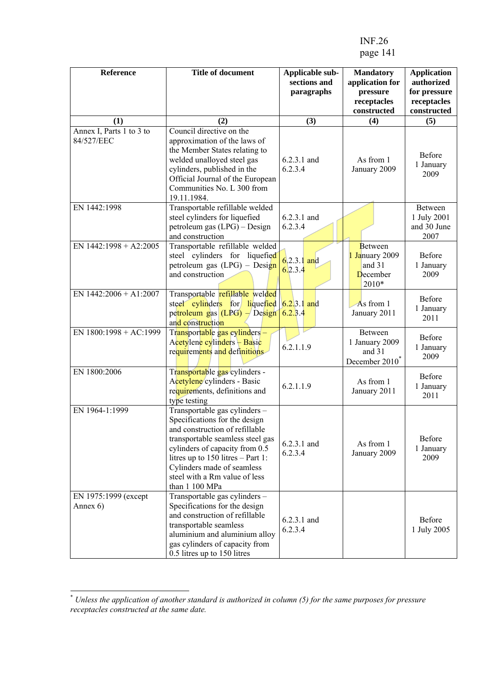INF.26

**Application** 

|           |                          |                                                      | page 141                                        |  |
|-----------|--------------------------|------------------------------------------------------|-------------------------------------------------|--|
| Reference | <b>Title of document</b> | Applicable sub-<br>sections and<br><i>paragraphs</i> | <b>Mandatory</b><br>application for<br>pressure |  |

|                          |                                                                 | sections and  | application for          | authorized        |
|--------------------------|-----------------------------------------------------------------|---------------|--------------------------|-------------------|
|                          |                                                                 | paragraphs    | pressure                 | for pressure      |
|                          |                                                                 |               | receptacles              | receptacles       |
|                          |                                                                 |               | constructed              | constructed       |
| (1)                      | (2)                                                             | (3)           | (4)                      | (5)               |
| Annex I, Parts 1 to 3 to | Council directive on the                                        |               |                          |                   |
| 84/527/EEC               | approximation of the laws of                                    |               |                          |                   |
|                          | the Member States relating to<br>welded unalloyed steel gas     | 6.2.3.1 and   | As from 1                | Before            |
|                          | cylinders, published in the                                     | 6.2.3.4       | January 2009             | 1 January         |
|                          | Official Journal of the European                                |               |                          | 2009              |
|                          | Communities No. L 300 from                                      |               |                          |                   |
|                          | 19.11.1984.                                                     |               |                          |                   |
| EN 1442:1998             | Transportable refillable welded                                 |               |                          | Between           |
|                          | steel cylinders for liquefied                                   | 6.2.3.1 and   |                          | 1 July 2001       |
|                          | petroleum gas (LPG) – Design                                    | 6.2.3.4       |                          | and 30 June       |
|                          | and construction                                                |               |                          | 2007              |
| EN $1442:1998 + A2:2005$ | Transportable refillable welded                                 |               | Between                  |                   |
|                          | steel cylinders for liquefied                                   | $6,2.3.1$ and | 1 January 2009<br>and 31 | Before            |
|                          | petroleum gas (LPG) - Design<br>and construction                | 6.2.3.4       | <b>D</b> ecember         | 1 January<br>2009 |
|                          |                                                                 |               | 2010*                    |                   |
| EN $1442:2006 + A1:2007$ | Transportable refillable welded                                 |               |                          |                   |
|                          | steel cylinders for liquefied $6.2.3.1$ and                     |               | $\overline{A}$ s from 1  | Before            |
|                          | petroleum gas $(LPG)$ – Design                                  | 6.2.3.4       | January 2011             | 1 January         |
|                          | and construction                                                |               |                          | 2011              |
| EN 1800:1998 + AC:1999   | Transportable gas cylinders -                                   |               | Between                  |                   |
|                          | Acetylene cylinders - Basic                                     | 6.2.1.1.9     | 1 January 2009           | Before            |
|                          | requirements and definitions                                    |               | and 31                   | 1 January<br>2009 |
|                          |                                                                 |               | December 2010*           |                   |
| EN 1800:2006             | Transportable gas cylinders -                                   |               |                          | Before            |
|                          | Acetylene cylinders - Basic                                     | 6.2.1.1.9     | As from 1                | 1 January         |
|                          | requirements, definitions and                                   |               | January 2011             | 2011              |
|                          | type testing                                                    |               |                          |                   |
| EN 1964-1:1999           | Transportable gas cylinders -                                   |               |                          |                   |
|                          | Specifications for the design<br>and construction of refillable |               |                          |                   |
|                          | transportable seamless steel gas                                |               |                          | Before            |
|                          | cylinders of capacity from 0.5                                  | 6.2.3.1 and   | As from 1                | 1 January         |
|                          | litres up to $150$ litres - Part 1:                             | 6.2.3.4       | January 2009             | 2009              |
|                          | Cylinders made of seamless                                      |               |                          |                   |
|                          | steel with a Rm value of less                                   |               |                          |                   |
|                          | than 1 100 MPa                                                  |               |                          |                   |
| EN 1975:1999 (except     | Transportable gas cylinders -                                   |               |                          |                   |
| Annex 6)                 | Specifications for the design                                   |               |                          |                   |
|                          | and construction of refillable                                  | 6.2.3.1 and   |                          | Before            |
|                          | transportable seamless                                          | 6.2.3.4       |                          | 1 July 2005       |
|                          | aluminium and aluminium alloy                                   |               |                          |                   |
|                          | gas cylinders of capacity from                                  |               |                          |                   |
|                          | 0.5 litres up to 150 litres                                     |               |                          |                   |

<sup>\*</sup> *Unless the application of another standard is authorized in column (5) for the same purposes for pressure receptacles constructed at the same date.*

1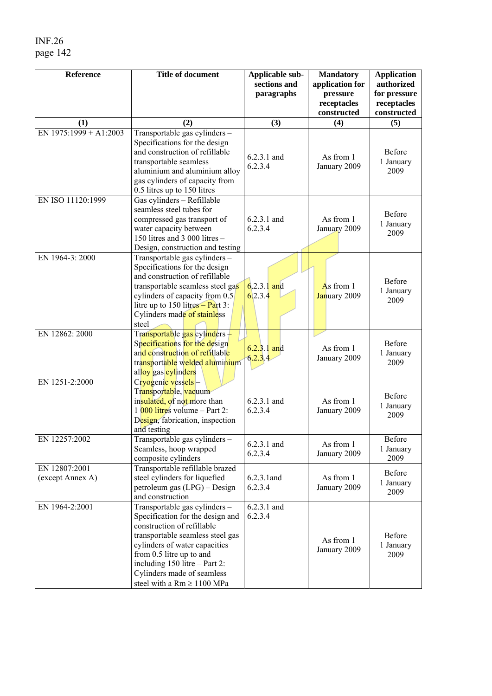| Reference              | <b>Title of document</b>                                          | Applicable sub- | <b>Mandatory</b> | <b>Application</b> |
|------------------------|-------------------------------------------------------------------|-----------------|------------------|--------------------|
|                        |                                                                   | sections and    | application for  | authorized         |
|                        |                                                                   | paragraphs      | pressure         | for pressure       |
|                        |                                                                   |                 | receptacles      | receptacles        |
|                        |                                                                   |                 | constructed      | constructed        |
| (1)                    | (2)                                                               | (3)             | (4)              | (5)                |
| EN 1975:1999 + A1:2003 | Transportable gas cylinders -                                     |                 |                  |                    |
|                        | Specifications for the design                                     |                 |                  |                    |
|                        | and construction of refillable<br>transportable seamless          | 6.2.3.1 and     | As from 1        | Before             |
|                        | aluminium and aluminium alloy                                     | 6.2.3.4         | January 2009     | 1 January<br>2009  |
|                        | gas cylinders of capacity from                                    |                 |                  |                    |
|                        | 0.5 litres up to 150 litres                                       |                 |                  |                    |
| EN ISO 11120:1999      | Gas cylinders - Refillable                                        |                 |                  |                    |
|                        | seamless steel tubes for                                          |                 |                  |                    |
|                        | compressed gas transport of                                       | 6.2.3.1 and     | As from 1        | Before             |
|                        | water capacity between                                            | 6.2.3.4         | January 2009     | 1 January          |
|                        | 150 litres and 3 000 litres $-$                                   |                 |                  | 2009               |
|                        | Design, construction and testing                                  |                 |                  |                    |
| EN 1964-3: 2000        | Transportable gas cylinders -                                     |                 |                  |                    |
|                        | Specifications for the design                                     |                 |                  |                    |
|                        | and construction of refillable                                    |                 |                  | Before             |
|                        | transportable seamless steel gas                                  | $6.2.3.1$ and   | As from $1$      | 1 January          |
|                        | cylinders of capacity from $0.5$                                  | 6.2.3.4         | January 2009     | 2009               |
|                        | litre up to $150$ litres - Part 3:<br>Cylinders made of stainless |                 |                  |                    |
|                        | steel                                                             |                 |                  |                    |
| EN 12862: 2000         | Transportable gas cylinders -                                     |                 |                  |                    |
|                        | Specifications for the design                                     |                 |                  | Before             |
|                        | and construction of refillable                                    | $6.2.3.1$ and   | As from 1        | 1 January          |
|                        | transportable welded aluminium                                    | 6.2.3.4         | January 2009     | 2009               |
|                        | alloy gas cylinders                                               |                 |                  |                    |
| EN 1251-2:2000         | Cryogenic vessels-                                                |                 |                  |                    |
|                        | Transportable, vacuum                                             |                 |                  | <b>Before</b>      |
|                        | insulated, of not more than                                       | 6.2.3.1 and     | As from 1        | 1 January          |
|                        | $1000$ litres volume – Part 2:                                    | 6.2.3.4         | January 2009     | 2009               |
|                        | Design, fabrication, inspection                                   |                 |                  |                    |
|                        | and testing                                                       |                 |                  |                    |
| EN 12257:2002          | Transportable gas cylinders                                       | 6.2.3.1 and     | As from 1        | Before             |
|                        | Seamless, hoop wrapped                                            | 6.2.3.4         | January 2009     | 1 January<br>2009  |
| EN 12807:2001          | composite cylinders<br>Transportable refillable brazed            |                 |                  |                    |
| (except Annex A)       | steel cylinders for liquefied                                     | 6.2.3.1 and     | As from 1        | Before             |
|                        | petroleum gas (LPG) – Design                                      | 6.2.3.4         | January 2009     | 1 January          |
|                        | and construction                                                  |                 |                  | 2009               |
| EN 1964-2:2001         | Transportable gas cylinders -                                     | 6.2.3.1 and     |                  |                    |
|                        | Specification for the design and                                  | 6.2.3.4         |                  |                    |
|                        | construction of refillable                                        |                 |                  |                    |
|                        | transportable seamless steel gas                                  |                 | As from 1        | Before             |
|                        | cylinders of water capacities                                     |                 | January 2009     | 1 January          |
|                        | from 0.5 litre up to and                                          |                 |                  | 2009               |
|                        | including 150 litre - Part 2:                                     |                 |                  |                    |
|                        | Cylinders made of seamless                                        |                 |                  |                    |
|                        | steel with a $Rm \ge 1100 MPa$                                    |                 |                  |                    |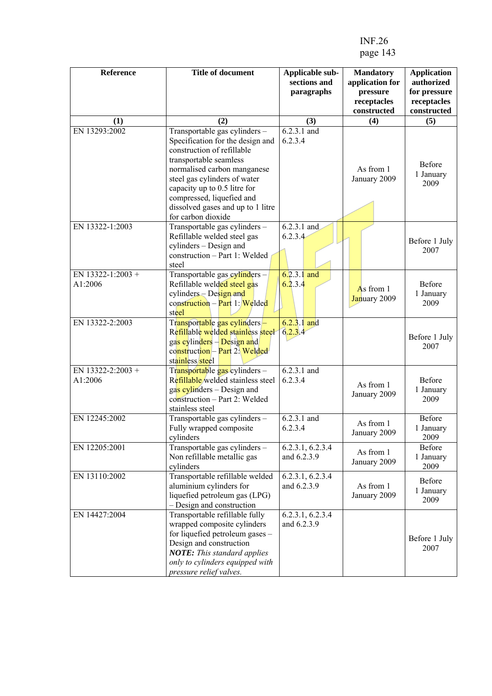| Reference                    | <b>Title of document</b>                                                                                                                                                                                                                                                                                         | Applicable sub-<br>sections and<br>paragraphs | <b>Mandatory</b><br>application for<br>pressure<br>receptacles<br>constructed | <b>Application</b><br>authorized<br>for pressure<br>receptacles<br>constructed |
|------------------------------|------------------------------------------------------------------------------------------------------------------------------------------------------------------------------------------------------------------------------------------------------------------------------------------------------------------|-----------------------------------------------|-------------------------------------------------------------------------------|--------------------------------------------------------------------------------|
| (1)                          | (2)                                                                                                                                                                                                                                                                                                              | (3)                                           | (4)                                                                           | (5)                                                                            |
| EN 13293:2002                | Transportable gas cylinders -<br>Specification for the design and<br>construction of refillable<br>transportable seamless<br>normalised carbon manganese<br>steel gas cylinders of water<br>capacity up to 0.5 litre for<br>compressed, liquefied and<br>dissolved gases and up to 1 litre<br>for carbon dioxide | 6.2.3.1 and<br>6.2.3.4                        | As from 1<br>January 2009                                                     | Before<br>1 January<br>2009                                                    |
| EN 13322-1:2003              | Transportable gas cylinders -<br>Refillable welded steel gas<br>cylinders - Design and<br>construction - Part 1: Welded<br>steel                                                                                                                                                                                 | 6.2.3.1 and<br>6.2.3.4                        |                                                                               | Before 1 July<br>2007                                                          |
| EN 13322-1:2003 +<br>A1:2006 | Transportable gas cylinders -<br>Refillable welded steel gas<br>cylinders - Design and<br>construction $-$ Part 1: Welded<br>steel                                                                                                                                                                               | $6.2.3.1$ and<br>6.2.3.4                      | As from $1$<br>January 2009                                                   | Before<br>1 January<br>2009                                                    |
| EN 13322-2:2003              | Transportable gas cylinders-<br>Refillable welded stainless steel<br>gas cylinders - Design and<br>construction – Part 2. Welded<br>stainless/steel                                                                                                                                                              | $6.2.3.1$ and<br>6.2.34                       |                                                                               | Before 1 July<br>2007                                                          |
| EN 13322-2:2003 +<br>A1:2006 | Transportable gas cylinders -<br>Refillable welded stainless steel<br>gas cylinders – Design and<br>construction - Part 2: Welded<br>stainless steel                                                                                                                                                             | 6.2.3.1 and<br>6.2.3.4                        | As from 1<br>January 2009                                                     | Before<br>1 January<br>2009                                                    |
| EN 12245:2002                | Transportable gas cylinders -<br>Fully wrapped composite<br>cylinders                                                                                                                                                                                                                                            | 6.2.3.1 and<br>6.2.3.4                        | As from 1<br>January 2009                                                     | Before<br>1 January<br>2009                                                    |
| EN 12205:2001                | Transportable gas cylinders -<br>Non refillable metallic gas<br>cylinders                                                                                                                                                                                                                                        | 6.2.3.1, 6.2.3.4<br>and 6.2.3.9               | As from 1<br>January 2009                                                     | <b>Before</b><br>1 January<br>2009                                             |
| EN 13110:2002                | Transportable refillable welded<br>aluminium cylinders for<br>liquefied petroleum gas (LPG)<br>- Design and construction                                                                                                                                                                                         | 6.2.3.1, 6.2.3.4<br>and 6.2.3.9               | As from 1<br>January 2009                                                     | Before<br>1 January<br>2009                                                    |
| EN 14427:2004                | Transportable refillable fully<br>wrapped composite cylinders<br>for liquefied petroleum gases -<br>Design and construction<br><b>NOTE:</b> This standard applies<br>only to cylinders equipped with<br>pressure relief valves.                                                                                  | 6.2.3.1, 6.2.3.4<br>and 6.2.3.9               |                                                                               | Before 1 July<br>2007                                                          |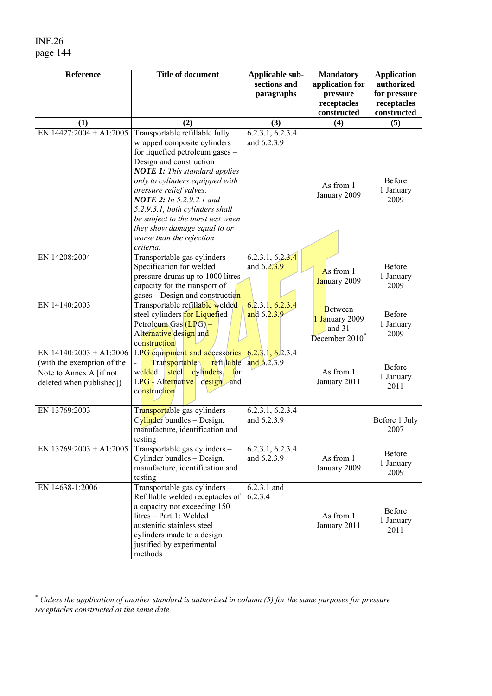l

| Reference                  | <b>Title of document</b>                                          | Applicable sub-<br>sections and | <b>Mandatory</b><br>application for | <b>Application</b><br>authorized |
|----------------------------|-------------------------------------------------------------------|---------------------------------|-------------------------------------|----------------------------------|
|                            |                                                                   | paragraphs                      | pressure                            | for pressure                     |
|                            |                                                                   |                                 | receptacles<br>constructed          | receptacles<br>constructed       |
| (1)                        | (2)                                                               | (3)                             | (4)                                 | (5)                              |
| EN $14427:2004 + A1:2005$  | Transportable refillable fully                                    | 6.2.3.1, 6.2.3.4                |                                     |                                  |
|                            | wrapped composite cylinders                                       | and 6.2.3.9                     |                                     |                                  |
|                            | for liquefied petroleum gases -                                   |                                 |                                     |                                  |
|                            | Design and construction                                           |                                 |                                     |                                  |
|                            | <b>NOTE 1:</b> This standard applies                              |                                 |                                     |                                  |
|                            | only to cylinders equipped with                                   |                                 | As from 1                           | Before                           |
|                            | pressure relief valves.                                           |                                 | January 2009                        | 1 January                        |
|                            | <b>NOTE 2:</b> In 5.2.9.2.1 and                                   |                                 |                                     | 2009                             |
|                            | 5.2.9.3.1, both cylinders shall                                   |                                 |                                     |                                  |
|                            | be subject to the burst test when<br>they show damage equal to or |                                 |                                     |                                  |
|                            | worse than the rejection                                          |                                 |                                     |                                  |
|                            | criteria.                                                         |                                 |                                     |                                  |
| EN 14208:2004              | Transportable gas cylinders -                                     | 6.2.3.1, 6.2.3.4                |                                     |                                  |
|                            | Specification for welded                                          | and 6.2.3.9                     |                                     | Before                           |
|                            | pressure drums up to 1000 litres                                  |                                 | As from 1<br>January 2009           | 1 January                        |
|                            | capacity for the transport of                                     |                                 |                                     | 2009                             |
|                            | gases – Design and construction                                   |                                 |                                     |                                  |
| EN 14140:2003              | Transportable refillable welded                                   | 6.2.3.1, 6.2.3.4                | <b>Between</b>                      |                                  |
|                            | steel cylinders for Liquefied                                     | and 6.2.3.9                     | 1 January 2009                      | Before                           |
|                            | Petroleum Gas $(LPG)$ –                                           |                                 | and 31                              | 1 January                        |
|                            | Alternative design and<br>construction                            |                                 | December 2010                       | 2009                             |
| EN $14140:2003 + A1:2006$  | LPG equipment and accessories                                     | 6.2.3.1, 6.2.3.4                |                                     |                                  |
| (with the exemption of the | refillable<br>Transportable                                       | and 6.2.3.9                     |                                     |                                  |
| Note to Annex A [if not    | welded<br>cylinders<br>for<br>steel                               |                                 | As from 1                           | Before                           |
| deleted when published])   | LPG - Alternative<br>$design$ and                                 |                                 | January 2011                        | 1 January                        |
|                            | construction                                                      |                                 |                                     | 2011                             |
|                            |                                                                   |                                 |                                     |                                  |
| EN 13769:2003              | Transportable gas cylinders -                                     | 6.2.3.1, 6.2.3.4                |                                     |                                  |
|                            | Cylinder bundles - Design,                                        | and 6.2.3.9                     |                                     | Before 1 July                    |
|                            | manufacture, identification and                                   |                                 |                                     | 2007                             |
|                            | testing                                                           |                                 |                                     |                                  |
| EN 13769:2003 + A1:2005    | Transportable gas cylinders -<br>Cylinder bundles - Design,       | 6.2.3.1, 6.2.3.4<br>and 6.2.3.9 | As from 1                           | Before                           |
|                            | manufacture, identification and                                   |                                 | January 2009                        | 1 January                        |
|                            | testing                                                           |                                 |                                     | 2009                             |
| EN 14638-1:2006            | Transportable gas cylinders -                                     | 6.2.3.1 and                     |                                     |                                  |
|                            | Refillable welded receptacles of                                  | 6.2.3.4                         |                                     |                                  |
|                            | a capacity not exceeding 150                                      |                                 |                                     | Before                           |
|                            | litres - Part 1: Welded                                           |                                 | As from 1                           | 1 January                        |
|                            | austenitic stainless steel                                        |                                 | January 2011                        | 2011                             |
|                            | cylinders made to a design                                        |                                 |                                     |                                  |
|                            | justified by experimental                                         |                                 |                                     |                                  |
|                            | methods                                                           |                                 |                                     |                                  |

<sup>\*</sup> *Unless the application of another standard is authorized in column (5) for the same purposes for pressure receptacles constructed at the same date.*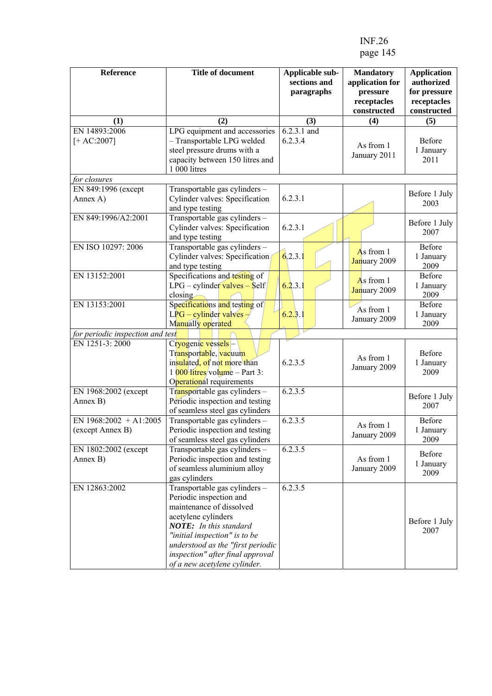| Reference                                    | <b>Title of document</b>                                                                                                                                                                                                                                                               | Applicable sub-<br>sections and<br>paragraphs | <b>Mandatory</b><br>application for<br>pressure<br>receptacles<br>constructed | <b>Application</b><br>authorized<br>for pressure<br>receptacles<br>constructed |
|----------------------------------------------|----------------------------------------------------------------------------------------------------------------------------------------------------------------------------------------------------------------------------------------------------------------------------------------|-----------------------------------------------|-------------------------------------------------------------------------------|--------------------------------------------------------------------------------|
| (1)                                          | (2)                                                                                                                                                                                                                                                                                    | (3)                                           | (4)                                                                           | (5)                                                                            |
| EN 14893:2006<br>$[+ AC:2007]$               | LPG equipment and accessories<br>- Transportable LPG welded<br>steel pressure drums with a<br>capacity between 150 litres and<br>1 000 litres                                                                                                                                          | 6.2.3.1 and<br>6.2.3.4                        | As from 1<br>January 2011                                                     | Before<br>1 January<br>2011                                                    |
| for closures                                 |                                                                                                                                                                                                                                                                                        |                                               |                                                                               |                                                                                |
| $\overline{EN}$ 849:1996 (except<br>Annex A) | Transportable gas cylinders -<br>Cylinder valves: Specification<br>and type testing                                                                                                                                                                                                    | 6.2.3.1                                       |                                                                               | Before 1 July<br>2003                                                          |
| EN 849:1996/A2:2001                          | Transportable gas cylinders -<br>Cylinder valves: Specification<br>and type testing                                                                                                                                                                                                    | 6.2.3.1                                       |                                                                               | Before 1 July<br>2007                                                          |
| EN ISO 10297: 2006                           | Transportable gas cylinders -<br>Cylinder valves: Specification<br>and type testing                                                                                                                                                                                                    | 6.2.3.1                                       | As from 1<br>January 2009                                                     | Before<br>1 January<br>2009                                                    |
| EN 13152:2001                                | Specifications and testing of<br>$LPG$ – cylinder valves – Self<br>closing                                                                                                                                                                                                             | 6.2.3.1                                       | As from 1<br>January 2009                                                     | Before<br>1 January<br>2009                                                    |
| EN 13153:2001                                | Specifications and testing of<br>$LPG$ – cylinder valves –<br>Manually operated                                                                                                                                                                                                        | 6.2.3.1                                       | As from 1<br>January 2009                                                     | Before<br>1 January<br>2009                                                    |
| for periodic inspection and test             |                                                                                                                                                                                                                                                                                        |                                               |                                                                               |                                                                                |
| EN 1251-3:2000                               | Cryogenic vessels-<br>Transportable, vacuum<br>insulated, of not more than<br>$1000$ litres volume – Part 3:<br>Operational requirements                                                                                                                                               | 6.2.3.5                                       | As from 1<br>January 2009                                                     | Before<br>1 January<br>2009                                                    |
| EN 1968:2002 (except<br>Annex B)             | Transportable gas cylinders -<br>Periodic inspection and testing<br>of seamless steel gas cylinders                                                                                                                                                                                    | 6.2.3.5                                       |                                                                               | Before 1 July<br>2007                                                          |
| EN 1968:2002 + A1:2005<br>(except Annex B)   | Transportable gas cylinders -<br>Periodic inspection and testing<br>of seamless steel gas cylinders                                                                                                                                                                                    | 6.2.3.5                                       | As from 1<br>January 2009                                                     | Before<br>1 January<br>2009                                                    |
| EN 1802:2002 (except<br>Annex B)             | Transportable gas cylinders -<br>Periodic inspection and testing<br>of seamless aluminium alloy<br>gas cylinders                                                                                                                                                                       | 6.2.3.5                                       | As from 1<br>January 2009                                                     | Before<br>1 January<br>2009                                                    |
| EN 12863:2002                                | Transportable gas cylinders -<br>Periodic inspection and<br>maintenance of dissolved<br>acetylene cylinders<br><b>NOTE:</b> In this standard<br>"initial inspection" is to be<br>understood as the "first periodic<br>inspection" after final approval<br>of a new acetylene cylinder. | 6.2.3.5                                       |                                                                               | Before 1 July<br>2007                                                          |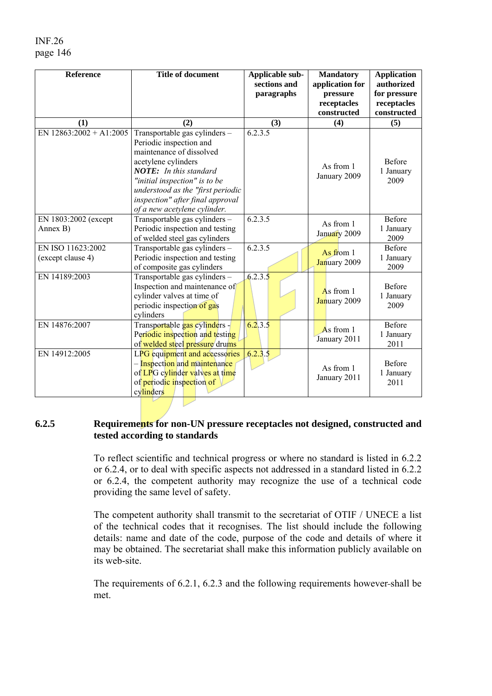| <b>Reference</b><br>(1)   | <b>Title of document</b><br>(2)                                                                                                                                                                                                                                                 | Applicable sub-<br>sections and<br>paragraphs<br>(3) | <b>Mandatory</b><br>application for<br>pressure<br>receptacles<br>constructed | <b>Application</b><br>authorized<br>for pressure<br>receptacles<br>constructed |
|---------------------------|---------------------------------------------------------------------------------------------------------------------------------------------------------------------------------------------------------------------------------------------------------------------------------|------------------------------------------------------|-------------------------------------------------------------------------------|--------------------------------------------------------------------------------|
|                           |                                                                                                                                                                                                                                                                                 |                                                      | (4)                                                                           | (5)                                                                            |
| EN $12863:2002 + A1:2005$ | Transportable gas cylinders -<br>Periodic inspection and<br>maintenance of dissolved<br>acetylene cylinders<br>NOTE: In this standard<br>"initial inspection" is to be<br>understood as the "first periodic<br>inspection" after final approval<br>of a new acetylene cylinder. | 6.2.3.5                                              | As from 1<br>January 2009                                                     | Before<br>1 January<br>2009                                                    |
| EN 1803:2002 (except      | Transportable gas cylinders -                                                                                                                                                                                                                                                   | 6.2.3.5                                              | As from 1                                                                     | Before                                                                         |
| Annex B)                  | Periodic inspection and testing<br>of welded steel gas cylinders                                                                                                                                                                                                                |                                                      | January 2009                                                                  | 1 January<br>2009                                                              |
| EN ISO 11623:2002         | Transportable gas cylinders -                                                                                                                                                                                                                                                   | 6.2.3.5                                              | As from 1                                                                     | Before                                                                         |
| (except clause 4)         | Periodic inspection and testing<br>of composite gas cylinders                                                                                                                                                                                                                   |                                                      | January 2009                                                                  | 1 January<br>2009                                                              |
| EN 14189:2003             | Transportable gas cylinders -<br>Inspection and maintenance of<br>cylinder valves at time of<br>periodic inspection of gas<br>cylinders                                                                                                                                         | 6.2.3.5                                              | As from $1$<br>January 2009                                                   | <b>Before</b><br>1 January<br>2009                                             |
| EN 14876:2007             | Transportable gas cylinders -<br>Periodic inspection and testing<br>of welded steel pressure drums                                                                                                                                                                              | 6.2.3.5                                              | As from 1<br>January 2011                                                     | Before<br>1 January<br>2011                                                    |
| EN 14912:2005             | LPG equipment and accessories<br>- Inspection and maintenance<br>of LPG cylinder valves at time<br>of periodic inspection of<br>cylinders                                                                                                                                       | 6.2.3.5                                              | As from 1<br>January 2011                                                     | Before<br>1 January<br>2011                                                    |

#### **6.2.5 Requirements for non-UN pressure receptacles not designed, constructed and tested according to standards**

To reflect scientific and technical progress or where no standard is listed in 6.2.2 or 6.2.4, or to deal with specific aspects not addressed in a standard listed in 6.2.2 or 6.2.4, the competent authority may recognize the use of a technical code providing the same level of safety.

The competent authority shall transmit to the secretariat of OTIF / UNECE a list of the technical codes that it recognises. The list should include the following details: name and date of the code, purpose of the code and details of where it may be obtained. The secretariat shall make this information publicly available on its web-site.

The requirements of 6.2.1, 6.2.3 and the following requirements however shall be met.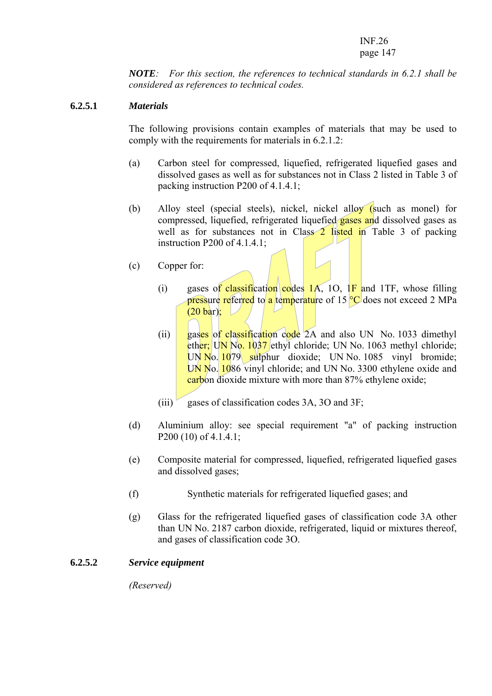*NOTE: For this section, the references to technical standards in 6.2.1 shall be considered as references to technical codes.* 

## **6.2.5.1** *Materials*

The following provisions contain examples of materials that may be used to comply with the requirements for materials in 6.2.1.2:

- (a) Carbon steel for compressed, liquefied, refrigerated liquefied gases and dissolved gases as well as for substances not in Class 2 listed in Table 3 of packing instruction P200 of 4.1.4.1;
- (b) Alloy steel (special steels), nickel, nickel alloy (such as monel) for compressed, liquefied, refrigerated liquefied **gases and dissolved** gases as well as for substances not in Class  $\hat{2}$  listed in Table 3 of packing instruction P200 of 4.1.4.1;
- (c) Copper for:
	- (i) gases of classification codes  $1A$ , 10, 1F and 1TF, whose filling pressure referred to a temperature of 15 °C does not exceed 2 MPa  $(20 \text{ bar})$ ;
	- (ii) gases of classification code 2A and also UN No. 1033 dimethyl ether; UN No. 1037 ethyl chloride; UN No. 1063 methyl chloride; UN No. 1079 sulphur dioxide; UN No. 1085 vinyl bromide; UN No. 1086 vinyl chloride; and UN No. 3300 ethylene oxide and carbon dioxide mixture with more than 87% ethylene oxide;
	- (iii) gases of classification codes 3A, 3O and 3F;
- (d) Aluminium alloy: see special requirement "a" of packing instruction P200 (10) of 4.1.4.1;
- (e) Composite material for compressed, liquefied, refrigerated liquefied gases and dissolved gases;
- (f) Synthetic materials for refrigerated liquefied gases; and
- (g) Glass for the refrigerated liquefied gases of classification code 3A other than UN No. 2187 carbon dioxide, refrigerated, liquid or mixtures thereof, and gases of classification code 3O.

## **6.2.5.2** *Service equipment*

*(Reserved)*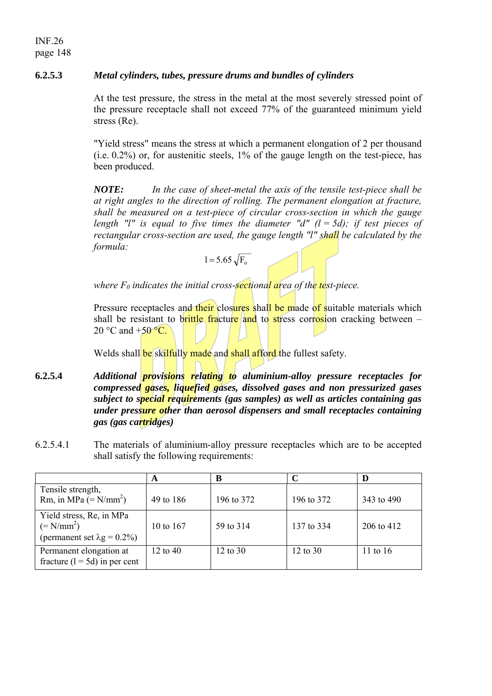## **6.2.5.3** *Metal cylinders, tubes, pressure drums and bundles of cylinders*

At the test pressure, the stress in the metal at the most severely stressed point of the pressure receptacle shall not exceed 77% of the guaranteed minimum yield stress (Re).

"Yield stress" means the stress at which a permanent elongation of 2 per thousand  $(i.e. 0.2\%)$  or, for austenitic steels,  $1\%$  of the gauge length on the test-piece, has been produced.

*NOTE: In the case of sheet-metal the axis of the tensile test-piece shall be at right angles to the direction of rolling. The permanent elongation at fracture, shall be measured on a test-piece of circular cross-section in which the gauge length "l" is equal to five times the diameter "d"*  $(l = 5d)$ *; if test pieces of rectangular cross-section are used, the gauge length "l" shall be calculated by the formula:* 



*where F0 indicates the initial cross-sectional area of the test-piece.*

Pressure receptacles and their closures shall be made of suitable materials which shall be resistant to brittle fracture and to stress corrosion cracking between  $20^{\circ}$ C and  $+50^{\circ}$ C.

Welds shall be skilfully made and shall afford the fullest safety.

- **6.2.5.4** *Additional provisions relating to aluminium-alloy pressure receptacles for compressed gases, liquefied gases, dissolved gases and non pressurized gases subject to special requirements (gas samples) as well as articles containing gas under pressure other than aerosol dispensers and small receptacles containing gas (gas cartridges)*
- 6.2.5.4.1 The materials of aluminium-alloy pressure receptacles which are to be accepted shall satisfy the following requirements:

|                                                                                | A            |            | C                   |            |
|--------------------------------------------------------------------------------|--------------|------------|---------------------|------------|
| Tensile strength,<br>Rm, in MPa $(= N/mm^2)$                                   | 49 to 186    | 196 to 372 | 196 to 372          | 343 to 490 |
| Yield stress, Re, in MPa<br>$(= N/mm^2)$<br>(permanent set $\lambda$ g = 0.2%) | 10 to 167    | 59 to 314  | 137 to 334          | 206 to 412 |
| Permanent elongation at<br>fracture $(l = 5d)$ in per cent                     | $12$ to $40$ | 12 to 30   | $12 \text{ to } 30$ | 11 to $16$ |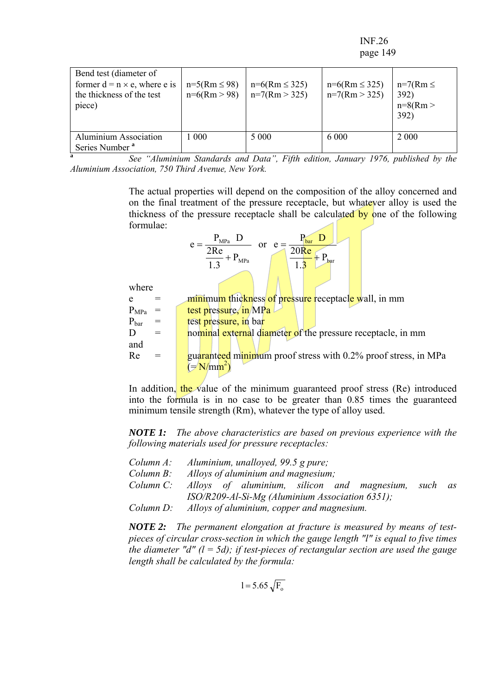INF.26 page 149

| Bend test (diameter of<br>former $d = n \times e$ , where e is<br>the thickness of the test<br>piece) | $n=5$ (Rm $\leq 98$ )<br>$n=6$ (Rm > 98) | $n=6$ (Rm $\leq$ 325)<br>$n=7$ (Rm > 325) | $n=6$ (Rm $\leq$ 325)<br>$n=7$ (Rm > 325) | $n=7$ (Rm $\leq$<br>392)<br>$n=8$ (Rm ><br>392) |
|-------------------------------------------------------------------------------------------------------|------------------------------------------|-------------------------------------------|-------------------------------------------|-------------------------------------------------|
| <b>Aluminium Association</b><br>Series Number <sup>a</sup>                                            | $000\,$                                  | 5 0 0 0                                   | 6 0 0 0                                   | 2 0 0 0                                         |

**<sup>a</sup>***See "Aluminium Standards and Data", Fifth edition, January 1976, published by the Aluminium Association, 750 Third Avenue, New York.*

> The actual properties will depend on the composition of the alloy concerned and on the final treatment of the pressure receptacle, but whatever alloy is used the thickness of the pressure receptacle shall be calculated by one of the following formulae:



In addition, the value of the minimum guaranteed proof stress (Re) introduced into the formula is in no case to be greater than 0.85 times the guaranteed minimum tensile strength (Rm), whatever the type of alloy used.

*NOTE 1: The above characteristics are based on previous experience with the following materials used for pressure receptacles:* 

| Column A: |  |  | Aluminium, unalloyed, 99.5 g pure; |
|-----------|--|--|------------------------------------|
|-----------|--|--|------------------------------------|

*Column B: Alloys of aluminium and magnesium;* 

*Column C: Alloys of aluminium, silicon and magnesium, such as ISO/R209-Al-Si-Mg (Aluminium Association 6351);* 

*Column D: Alloys of aluminium, copper and magnesium.* 

*NOTE 2: The permanent elongation at fracture is measured by means of testpieces of circular cross-section in which the gauge length "l" is equal to five times the diameter "d"*  $(l = 5d)$ *; if test-pieces of rectangular section are used the gauge length shall be calculated by the formula:* 

 $l = 5.65 \sqrt{F_{o}}$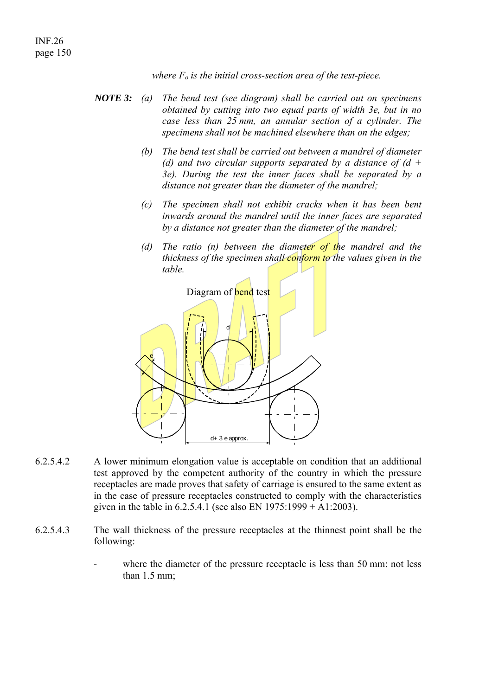*where*  $F<sub>o</sub>$  *is the initial cross-section area of the test-piece.* 

- *NOTE 3: (a) The bend test (see diagram) shall be carried out on specimens obtained by cutting into two equal parts of width 3e, but in no case less than 25 mm, an annular section of a cylinder. The specimens shall not be machined elsewhere than on the edges;* 
	- *(b) The bend test shall be carried out between a mandrel of diameter (d) and two circular supports separated by a distance of (d + 3e). During the test the inner faces shall be separated by a distance not greater than the diameter of the mandrel;*
	- *(c) The specimen shall not exhibit cracks when it has been bent inwards around the mandrel until the inner faces are separated by a distance not greater than the diameter of the mandrel;*
	- *(d) The ratio (n) between the diameter of the mandrel and the thickness of the specimen shall conform to the values given in the table.*



- 6.2.5.4.2 A lower minimum elongation value is acceptable on condition that an additional test approved by the competent authority of the country in which the pressure receptacles are made proves that safety of carriage is ensured to the same extent as in the case of pressure receptacles constructed to comply with the characteristics given in the table in 6.2.5.4.1 (see also EN 1975:1999 + A1:2003).
- 6.2.5.4.3 The wall thickness of the pressure receptacles at the thinnest point shall be the following:
	- where the diameter of the pressure receptacle is less than 50 mm: not less than 1.5 mm;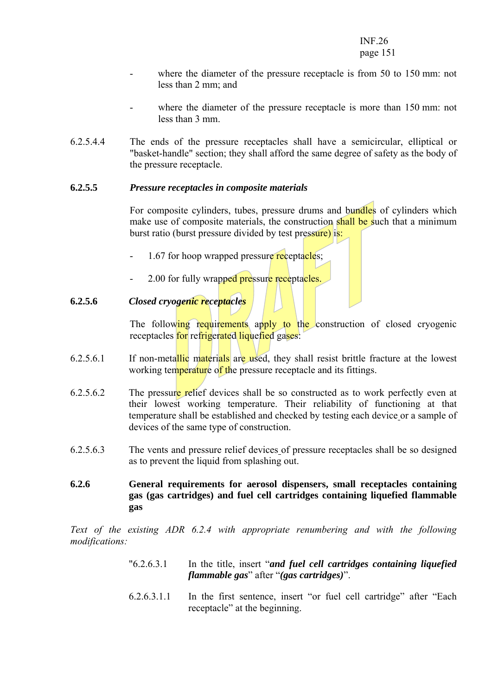- where the diameter of the pressure receptacle is from 50 to 150 mm: not less than 2 mm; and
- where the diameter of the pressure receptacle is more than 150 mm: not less than 3 mm.
- 6.2.5.4.4 The ends of the pressure receptacles shall have a semicircular, elliptical or "basket-handle" section; they shall afford the same degree of safety as the body of the pressure receptacle.

## **6.2.5.5** *Pressure receptacles in composite materials*

For composite cylinders, tubes, pressure drums and bundles of cylinders which make use of composite materials, the construction shall be such that a minimum burst ratio (burst pressure divided by test pressure) is:

- 1.67 for hoop wrapped pressure receptacles;
- 2.00 for fully wrapped pressure receptacles.

# **6.2.5.6** *Closed cryogenic receptacles*

The following requirements apply to the construction of closed cryogenic receptacles for refrigerated liquefied gases:

- 6.2.5.6.1 If non-metallic materials are used, they shall resist brittle fracture at the lowest working temperature of the pressure receptacle and its fittings.
- 6.2.5.6.2 The pressure relief devices shall be so constructed as to work perfectly even at their lowest working temperature. Their reliability of functioning at that temperature shall be established and checked by testing each device or a sample of devices of the same type of construction.
- 6.2.5.6.3 The vents and pressure relief devices of pressure receptacles shall be so designed as to prevent the liquid from splashing out.
- **6.2.6 General requirements for aerosol dispensers, small receptacles containing gas (gas cartridges) and fuel cell cartridges containing liquefied flammable gas**

*Text of the existing ADR 6.2.4 with appropriate renumbering and with the following modifications:* 

- "6.2.6.3.1 In the title, insert "*and fuel cell cartridges containing liquefied flammable gas*" after "*(gas cartridges)*".
- 6.2.6.3.1.1 In the first sentence, insert "or fuel cell cartridge" after "Each receptacle" at the beginning.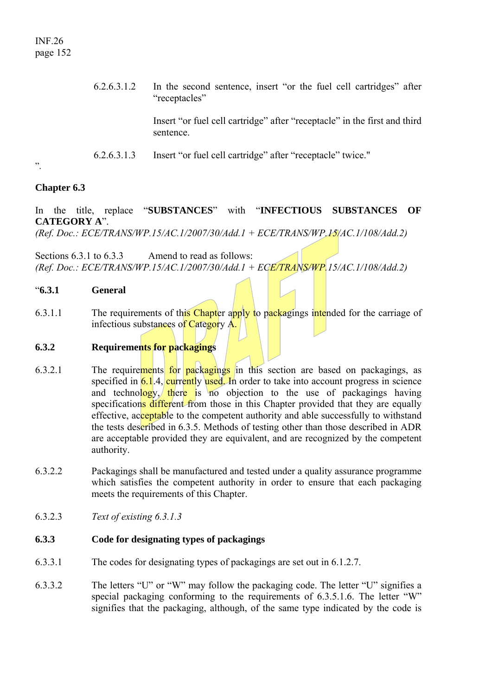- 6.2.6.3.1.2 In the second sentence, insert "or the fuel cell cartridges" after "receptacles" Insert "or fuel cell cartridge" after "receptacle" in the first and third sentence.
	- 6.2.6.3.1.3 Insert "or fuel cell cartridge" after "receptacle" twice."

## **Chapter 6.3**

".

In the title, replace "**SUBSTANCES**" with "**INFECTIOUS SUBSTANCES OF CATEGORY A**".

*(Ref. Doc.: ECE/TRANS/WP.15/AC.1/2007/30/Add.1 + ECE/TRANS/WP.15/AC.1/108/Add.2)* 

Sections 6.3.1 to 6.3.3 Amend to read as follows: *(Ref. Doc.: ECE/TRANS/WP.15/AC.1/2007/30/Add.1 + ECE/TRANS/WP.15/AC.1/108/Add.2)* 

#### "**6.3.1 General**

6.3.1.1 The requirements of this Chapter apply to packagings intended for the carriage of infectious substances of Category A.

## **6.3.2 Requirements for packagings**

- 6.3.2.1 The requirements for packagings in this section are based on packagings, as specified in  $6.1$ .4, currently used. In order to take into account progress in science and technology, there is no objection to the use of packagings having specifications different from those in this Chapter provided that they are equally effective, acceptable to the competent authority and able successfully to withstand the tests described in 6.3.5. Methods of testing other than those described in ADR are acceptable provided they are equivalent, and are recognized by the competent authority.
- 6.3.2.2 Packagings shall be manufactured and tested under a quality assurance programme which satisfies the competent authority in order to ensure that each packaging meets the requirements of this Chapter.
- 6.3.2.3 *Text of existing 6.3.1.3*

## **6.3.3 Code for designating types of packagings**

- 6.3.3.1 The codes for designating types of packagings are set out in 6.1.2.7.
- 6.3.3.2 The letters "U" or "W" may follow the packaging code. The letter "U" signifies a special packaging conforming to the requirements of 6.3.5.1.6. The letter "W" signifies that the packaging, although, of the same type indicated by the code is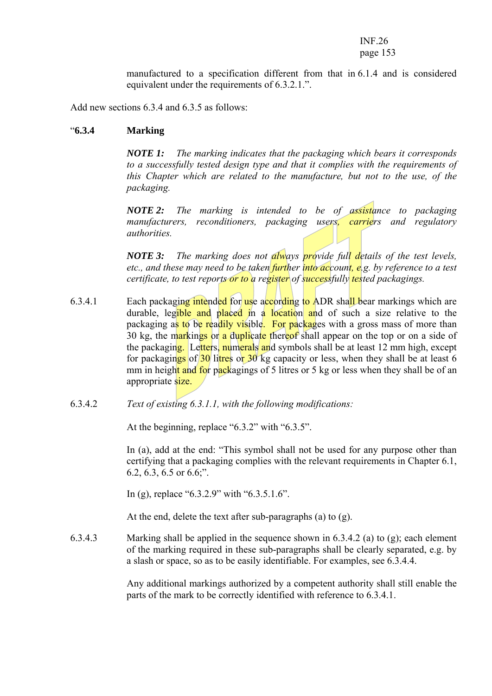manufactured to a specification different from that in 6.1.4 and is considered equivalent under the requirements of 6.3.2.1.".

Add new sections 6.3.4 and 6.3.5 as follows:

#### "**6.3.4 Marking**

*NOTE 1: The marking indicates that the packaging which bears it corresponds to a successfully tested design type and that it complies with the requirements of this Chapter which are related to the manufacture, but not to the use, of the packaging.* 

*NOTE 2: The marking is intended to be of assistance to packaging manufacturers, reconditioners, packaging users, carriers and regulatory authorities.* 

*NOTE 3: The marking does not always provide full details of the test levels, etc., and these may need to be taken further into account, e.g. by reference to a test certificate, to test reports or to a register of successfully tested packagings.*

- 6.3.4.1 Each packaging intended for use according to ADR shall bear markings which are durable, legible and placed in a location and of such a size relative to the packaging as to be readily visible. For packages with a gross mass of more than 30 kg, the markings or a duplicate thereof shall appear on the top or on a side of the packaging. Letters, numerals and symbols shall be at least 12 mm high, except for packagings of 30 litres or 30 kg capacity or less, when they shall be at least 6 mm in height and for packagings of 5 litres or 5 kg or less when they shall be of an appropriate size.
- 6.3.4.2 *Text of existing 6.3.1.1, with the following modifications:*

At the beginning, replace "6.3.2" with "6.3.5".

 In (a), add at the end: "This symbol shall not be used for any purpose other than certifying that a packaging complies with the relevant requirements in Chapter 6.1, 6.2, 6.3, 6.5 or 6.6;".

In (g), replace "6.3.2.9" with "6.3.5.1.6".

At the end, delete the text after sub-paragraphs (a) to (g).

6.3.4.3 Marking shall be applied in the sequence shown in 6.3.4.2 (a) to (g); each element of the marking required in these sub-paragraphs shall be clearly separated, e.g. by a slash or space, so as to be easily identifiable. For examples, see 6.3.4.4.

> Any additional markings authorized by a competent authority shall still enable the parts of the mark to be correctly identified with reference to 6.3.4.1.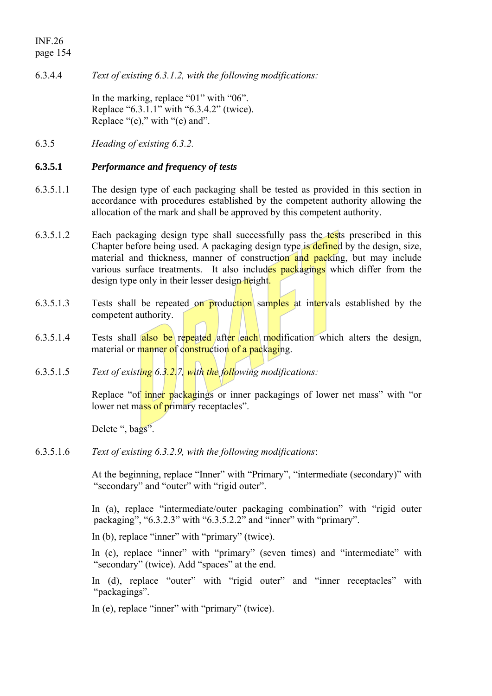6.3.4.4 *Text of existing 6.3.1.2, with the following modifications:*

 In the marking, replace "01" with "06". Replace "6.3.1.1" with "6.3.4.2" (twice). Replace "(e)," with "(e) and".

- 6.3.5 *Heading of existing 6.3.2.*
- **6.3.5.1** *Performance and frequency of tests*
- 6.3.5.1.1 The design type of each packaging shall be tested as provided in this section in accordance with procedures established by the competent authority allowing the allocation of the mark and shall be approved by this competent authority.
- 6.3.5.1.2 Each packaging design type shall successfully pass the tests prescribed in this Chapter before being used. A packaging design type is defined by the design, size, material and thickness, manner of construction and packing, but may include various surface treatments. It also includes packagings which differ from the design type only in their lesser design height.
- 6.3.5.1.3 Tests shall be repeated on production samples at intervals established by the competent authority.
- 6.3.5.1.4 Tests shall also be repeated after each modification which alters the design, material or manner of construction of a packaging.
- 6.3.5.1.5 *Text of existing 6.3.2.7, with the following modifications:*

Replace "of **inner packagings** or inner packagings of lower net mass" with "or lower net mass of primary receptacles".

Delete ", bags".

6.3.5.1.6 *Text of existing 6.3.2.9, with the following modifications*:

 At the beginning, replace "Inner" with "Primary", "intermediate (secondary)" with "secondary" and "outer" with "rigid outer".

 In (a), replace "intermediate/outer packaging combination" with "rigid outer packaging", "6.3.2.3" with "6.3.5.2.2" and "inner" with "primary".

In (b), replace "inner" with "primary" (twice).

In (c), replace "inner" with "primary" (seven times) and "intermediate" with "secondary" (twice). Add "spaces" at the end.

In (d), replace "outer" with "rigid outer" and "inner receptacles" with "packagings".

In (e), replace "inner" with "primary" (twice).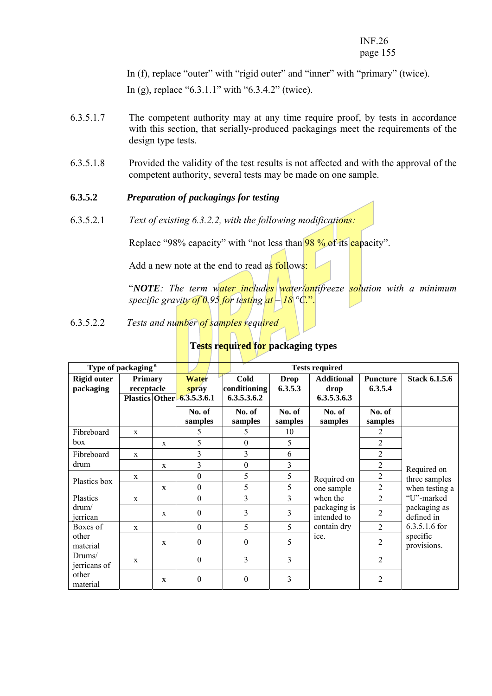In (f), replace "outer" with "rigid outer" and "inner" with "primary" (twice). In (g), replace "6.3.1.1" with "6.3.4.2" (twice).

- 6.3.5.1.7 The competent authority may at any time require proof, by tests in accordance with this section, that serially-produced packagings meet the requirements of the design type tests.
- 6.3.5.1.8 Provided the validity of the test results is not affected and with the approval of the competent authority, several tests may be made on one sample.

## **6.3.5.2** *Preparation of packagings for testing*

6.3.5.2.1 *Text of existing 6.3.2.2, with the following modifications:*

Replace "98% capacity" with "not less than **98 % of its capacity**".

Add a new note at the end to read as follows:

"*NOTE: The term water includes water/antifreeze solution with a minimum specific gravity of 0.95 for testing at – 18 °C.*".

6.3.5.2.2 *Tests and number of samples required*

| Type of packaging <sup>a</sup>  |                              |              |                            | <b>Tests required</b> |                   |                             |                            |                            |
|---------------------------------|------------------------------|--------------|----------------------------|-----------------------|-------------------|-----------------------------|----------------------------|----------------------------|
| <b>Rigid outer</b><br>packaging | <b>Primary</b><br>receptacle |              | Water<br>spray             | Cold<br>conditioning  | Drop<br>6.3.5.3   | <b>Additional</b><br>drop   | <b>Puncture</b><br>6.3.5.4 | <b>Stack 6.1.5.6</b>       |
|                                 |                              |              | Plastics Other 6.3.5.3.6.1 | 6.3.5.3.6.2           |                   | 6.3.5.3.6.3                 |                            |                            |
|                                 |                              |              | No. of<br>samples          | No. of<br>samples     | No. of<br>samples | No. of<br>samples           | No. of<br>samples          |                            |
| Fibreboard                      | $\mathbf{x}$                 |              | 5                          | 5                     | 10                |                             | 2                          |                            |
| box                             |                              | X            | 5                          | $\theta$              | 5                 |                             | $\overline{2}$             |                            |
| Fibreboard                      | X                            |              | $\overline{3}$             | $\overline{3}$        | 6                 |                             | $\overline{2}$             |                            |
| drum                            |                              | $\mathbf X$  | $\overline{3}$             | $\boldsymbol{0}$      | 3                 |                             | $\overline{2}$             | Required on                |
| Plastics box                    | X                            |              | $\boldsymbol{0}$           | 5                     | 5                 | Required on                 | $\mathfrak{2}$             | three samples              |
|                                 |                              | X            | $\overline{0}$             | 5                     | 5                 | one sample                  | $\overline{2}$             | when testing a             |
| Plastics                        | X                            |              | $\theta$                   | $\overline{3}$        | 3                 | when the                    | $\overline{2}$             | "U"-marked                 |
| drum/<br>jerrican               |                              | $\mathbf{x}$ | $\mathbf{0}$               | 3                     | 3                 | packaging is<br>intended to | 2                          | packaging as<br>defined in |
| Boxes of                        | $\mathbf{x}$                 |              | $\theta$                   | 5                     | 5                 | contain dry                 | $\overline{2}$             | $6.3.5.1.6$ for            |
| other<br>material               |                              | X            | $\theta$                   | $\theta$              | 5                 | ice.                        | 2                          | specific<br>provisions.    |
| Drums/<br>jerricans of          | X                            |              | $\mathbf{0}$               | 3                     | 3                 |                             | $\overline{2}$             |                            |
| other<br>material               |                              | X            | $\boldsymbol{0}$           | $\boldsymbol{0}$      | 3                 |                             | 2                          |                            |

# **Tests required for packaging types**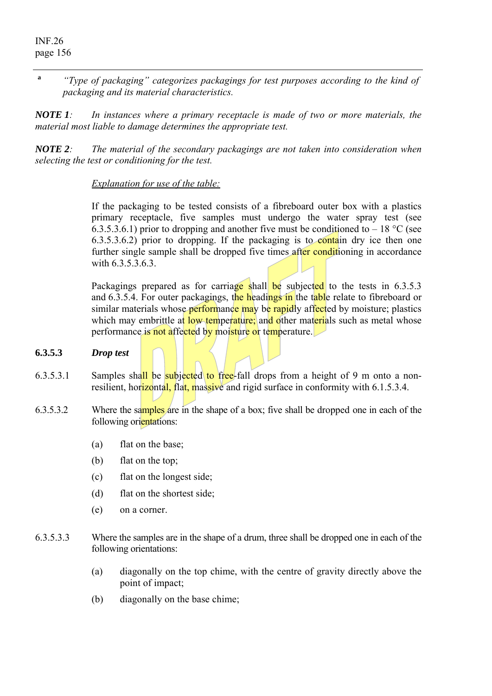**<sup>a</sup>** *"Type of packaging" categorizes packagings for test purposes according to the kind of packaging and its material characteristics.*

*NOTE 1: In instances where a primary receptacle is made of two or more materials, the material most liable to damage determines the appropriate test.*

*NOTE 2: The material of the secondary packagings are not taken into consideration when selecting the test or conditioning for the test.*

#### *Explanation for use of the table:*

If the packaging to be tested consists of a fibreboard outer box with a plastics primary receptacle, five samples must undergo the water spray test (see 6.3.5.3.6.1) prior to dropping and another five must be conditioned to – 18  $^{\circ}$ C (see  $6.3.5.3.6.2$ ) prior to dropping. If the packaging is to contain dry ice then one further single sample shall be dropped five times after conditioning in accordance with 6.3.5.3.6.3.

Packagings prepared as for carriage shall be subjected to the tests in 6.3.5.3 and 6.3.5.4. For outer packagings, the headings in the table relate to fibreboard or similar materials whose **performance may** be rapidly affected by moisture; plastics which may embrittle at low temperature; and other materials such as metal whose performance is not affected by moisture or temperature.

#### **6.3.5.3** *Drop test*

- 6.3.5.3.1 Samples shall be subjected to free-fall drops from a height of 9 m onto a nonresilient, horizontal, flat, massive and rigid surface in conformity with 6.1.5.3.4.
- 6.3.5.3.2 Where the samples are in the shape of a box; five shall be dropped one in each of the following orientations:
	- (a) flat on the base;
	- (b) flat on the top;
	- (c) flat on the longest side;
	- (d) flat on the shortest side;
	- (e) on a corner.
- 6.3.5.3.3 Where the samples are in the shape of a drum, three shall be dropped one in each of the following orientations:
	- (a) diagonally on the top chime, with the centre of gravity directly above the point of impact;
	- (b) diagonally on the base chime;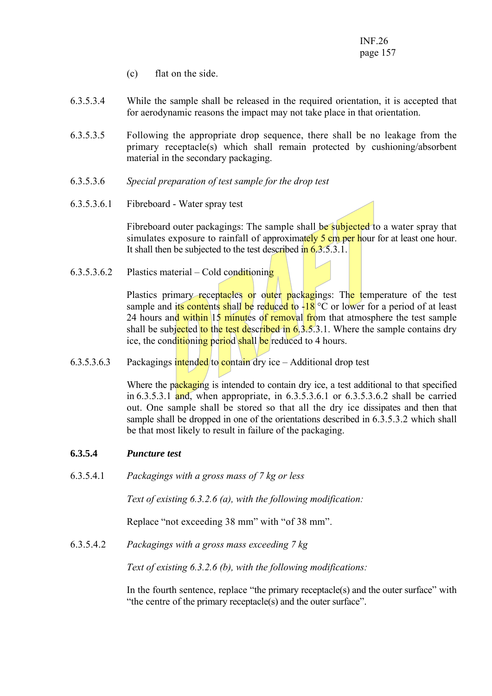- (c) flat on the side.
- 6.3.5.3.4 While the sample shall be released in the required orientation, it is accepted that for aerodynamic reasons the impact may not take place in that orientation.
- 6.3.5.3.5 Following the appropriate drop sequence, there shall be no leakage from the primary receptacle(s) which shall remain protected by cushioning/absorbent material in the secondary packaging.
- 6.3.5.3.6 *Special preparation of test sample for the drop test*
- 6.3.5.3.6.1 Fibreboard Water spray test

Fibreboard outer packagings: The sample shall be subjected to a water spray that simulates exposure to rainfall of approximately 5 cm per hour for at least one hour. It shall then be subjected to the test described in  $6.3.5.3.1$ .

6.3.5.3.6.2 Plastics material – Cold conditioning

Plastics primary receptacles or outer packagings: The temperature of the test sample and its contents shall be reduced to  $-18$  °C or lower for a period of at least 24 hours and within 15 minutes of removal from that atmosphere the test sample shall be subjected to the test described in  $6.3.5.3.1$ . Where the sample contains dry ice, the conditioning period shall be reduced to 4 hours.

6.3.5.3.6.3 Packagings intended to contain dry ice – Additional drop test

Where the packaging is intended to contain dry ice, a test additional to that specified in 6.3.5.3.1 and, when appropriate, in 6.3.5.3.6.1 or 6.3.5.3.6.2 shall be carried out. One sample shall be stored so that all the dry ice dissipates and then that sample shall be dropped in one of the orientations described in 6.3.5.3.2 which shall be that most likely to result in failure of the packaging.

#### **6.3.5.4** *Puncture test*

6.3.5.4.1 *Packagings with a gross mass of 7 kg or less* 

 *Text of existing 6.3.2.6 (a), with the following modification:* 

Replace "not exceeding 38 mm" with "of 38 mm".

6.3.5.4.2 *Packagings with a gross mass exceeding 7 kg*

*Text of existing 6.3.2.6 (b), with the following modifications:* 

 In the fourth sentence, replace "the primary receptacle(s) and the outer surface" with "the centre of the primary receptacle(s) and the outer surface".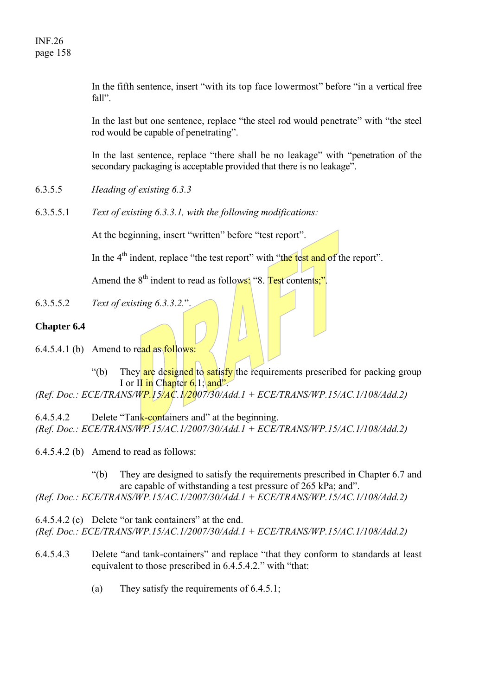In the fifth sentence, insert "with its top face lowermost" before "in a vertical free fall".

 In the last but one sentence, replace "the steel rod would penetrate" with "the steel rod would be capable of penetrating".

 In the last sentence, replace "there shall be no leakage" with "penetration of the secondary packaging is acceptable provided that there is no leakage".

- 6.3.5.5 *Heading of existing 6.3.3*
- 6.3.5.5.1 *Text of existing 6.3.3.1, with the following modifications:*

At the beginning, insert "written" before "test report".

In the  $4<sup>th</sup>$  indent, replace "the test report" with "the test and of the report".

Amend the  $8<sup>th</sup>$  indent to read as follows: "8. Test contents;".

6.3.5.5.2 *Text of existing 6.3.3.2.*".

## **Chapter 6.4**

6.4.5.4.1 (b) Amend to read as follows:

"(b) They are designed to satisfy the requirements prescribed for packing group I or II in Chapter 6.1; and<sup>"</sup>.

*(Ref. Doc.: ECE/TRANS/WP.15/AC.1/2007/30/Add.1 + ECE/TRANS/WP.15/AC.1/108/Add.2)* 

6.4.5.4.2 Delete "Tank-containers and" at the beginning. *(Ref. Doc.: ECE/TRANS/WP.15/AC.1/2007/30/Add.1 + ECE/TRANS/WP.15/AC.1/108/Add.2)* 

6.4.5.4.2 (b) Amend to read as follows:

 "(b) They are designed to satisfy the requirements prescribed in Chapter 6.7 and are capable of withstanding a test pressure of 265 kPa; and". *(Ref. Doc.: ECE/TRANS/WP.15/AC.1/2007/30/Add.1 + ECE/TRANS/WP.15/AC.1/108/Add.2)* 

6.4.5.4.2 (c) Delete "or tank containers" at the end. *(Ref. Doc.: ECE/TRANS/WP.15/AC.1/2007/30/Add.1 + ECE/TRANS/WP.15/AC.1/108/Add.2)* 

- 6.4.5.4.3 Delete "and tank-containers" and replace "that they conform to standards at least equivalent to those prescribed in 6.4.5.4.2." with "that:
	- (a) They satisfy the requirements of 6.4.5.1;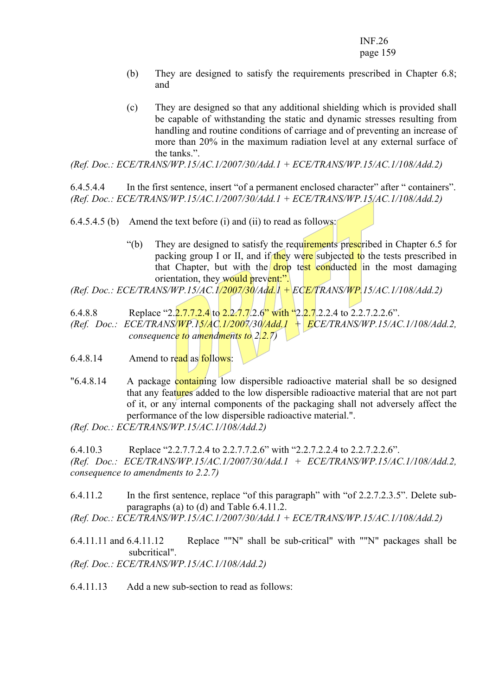- (b) They are designed to satisfy the requirements prescribed in Chapter 6.8; and
- (c) They are designed so that any additional shielding which is provided shall be capable of withstanding the static and dynamic stresses resulting from handling and routine conditions of carriage and of preventing an increase of more than 20% in the maximum radiation level at any external surface of the tanks.".

*(Ref. Doc.: ECE/TRANS/WP.15/AC.1/2007/30/Add.1 + ECE/TRANS/WP.15/AC.1/108/Add.2)* 

6.4.5.4.4 In the first sentence, insert "of a permanent enclosed character" after " containers". *(Ref. Doc.: ECE/TRANS/WP.15/AC.1/2007/30/Add.1 + ECE/TRANS/WP.15/AC.1/108/Add.2)* 

- 6.4.5.4.5 (b) Amend the text before (i) and (ii) to read as follows:
	- "(b) They are designed to satisfy the requirements prescribed in Chapter 6.5 for packing group I or II, and if they were subjected to the tests prescribed in that Chapter, but with the  $\frac{d_{\text{rop}}}{d_{\text{rop}}}$  test conducted in the most damaging orientation, they would prevent:".
- *(Ref. Doc.: ECE/TRANS/WP.15/AC.1/2007/30/Add.1 + ECE/TRANS/WP.15/AC.1/108/Add.2)*
- 6.4.8.8 Replace "2.2.7.7.2.4 to  $2.2.7.7/2.6$ " with "2.2.7.2.2.4 to  $2.2.7.2.2.6$ ".
- *(Ref. Doc.: ECE/TRANS/WP.15/AC.1/2007/30/Add.1 + ECE/TRANS/WP.15/AC.1/108/Add.2, consequence to amendments to 2.2.7)*
- 6.4.8.14 Amend to read as follows:
- "6.4.8.14 A package containing low dispersible radioactive material shall be so designed that any features added to the low dispersible radioactive material that are not part of it, or any internal components of the packaging shall not adversely affect the performance of the low dispersible radioactive material.".

*(Ref. Doc.: ECE/TRANS/WP.15/AC.1/108/Add.2)* 

6.4.10.3 Replace "2.2.7.7.2.4 to 2.2.7.7.2.6" with "2.2.7.2.2.4 to 2.2.7.2.2.6". *(Ref. Doc.: ECE/TRANS/WP.15/AC.1/2007/30/Add.1 + ECE/TRANS/WP.15/AC.1/108/Add.2, consequence to amendments to 2.2.7)* 

6.4.11.2 In the first sentence, replace "of this paragraph" with "of 2.2.7.2.3.5". Delete subparagraphs (a) to (d) and Table 6.4.11.2.

*(Ref. Doc.: ECE/TRANS/WP.15/AC.1/2007/30/Add.1 + ECE/TRANS/WP.15/AC.1/108/Add.2)* 

6.4.11.11 and 6.4.11.12 Replace ""N" shall be sub-critical" with ""N" packages shall be subcritical". *(Ref. Doc.: ECE/TRANS/WP.15/AC.1/108/Add.2)* 

6.4.11.13 Add a new sub-section to read as follows: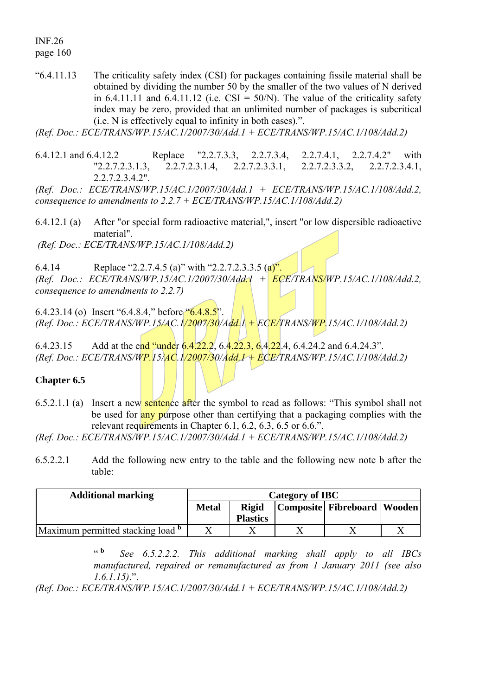"6.4.11.13 The criticality safety index (CSI) for packages containing fissile material shall be obtained by dividing the number 50 by the smaller of the two values of N derived in 6.4.11.11 and 6.4.11.12 (i.e.  $CSI = 50/N$ ). The value of the criticality safety index may be zero, provided that an unlimited number of packages is subcritical (i.e. N is effectively equal to infinity in both cases).".

*(Ref. Doc.: ECE/TRANS/WP.15/AC.1/2007/30/Add.1 + ECE/TRANS/WP.15/AC.1/108/Add.2)* 

6.4.12.1 and 6.4.12.2 Replace "2.2.7.3.3, 2.2.7.3.4, 2.2.7.4.1, 2.2.7.4.2" with "2.2.7.2.3.1.3, 2.2.7.2.3.1.4, 2.2.7.2.3.3.1, 2.2.7.2.3.3.2, 2.2.7.2.3.4.1, 2.2.7.2.3.4.2".

*(Ref. Doc.: ECE/TRANS/WP.15/AC.1/2007/30/Add.1 + ECE/TRANS/WP.15/AC.1/108/Add.2, consequence to amendments to 2.2.7 + ECE/TRANS/WP.15/AC.1/108/Add.2)* 

6.4.12.1 (a) After "or special form radioactive material,", insert "or low dispersible radioactive material".  *(Ref. Doc.: ECE/TRANS/WP.15/AC.1/108/Add.2)* 

6.4.14 Replace "2.2.7.4.5 (a)" with "2.2.7.2.3.3.5 (a)".

*(Ref. Doc.: ECE/TRANS/WP.15/AC.1/2007/30/Add.1 + ECE/TRANS/WP.15/AC.1/108/Add.2, consequence to amendments to 2.2.7)* 

6.4.23.14 (o) Insert "6.4.8.4," before "6.4.8.5". *(Ref. Doc.: ECE/TRANS/WP.15/AC.1/2007/30/Add.1 + ECE/TRANS/WP.15/AC.1/108/Add.2)* 

6.4.23.15 Add at the end "under  $6.4.22.2$ ,  $6.4.22.3$ ,  $6.4.22.4$ ,  $6.4.24.2$  and  $6.4.24.3$ ". *(Ref. Doc.: ECE/TRANS/WP.15/AC.1/2007/30/Add.1 + ECE/TRANS/WP.15/AC.1/108/Add.2)* 

# **Chapter 6.5**

6.5.2.1.1 (a) Insert a new sentence after the symbol to read as follows: "This symbol shall not be used for any purpose other than certifying that a packaging complies with the relevant requirements in Chapter 6.1, 6.2, 6.3, 6.5 or 6.6.".

*(Ref. Doc.: ECE/TRANS/WP.15/AC.1/2007/30/Add.1 + ECE/TRANS/WP.15/AC.1/108/Add.2)* 

6.5.2.2.1 Add the following new entry to the table and the following new note b after the table:

| <b>Additional marking</b>                    | <b>Category of IBC</b> |                 |  |                                 |  |
|----------------------------------------------|------------------------|-----------------|--|---------------------------------|--|
|                                              | <b>Metal</b>           | <b>Rigid</b>    |  | Composite   Fibreboard   Wooden |  |
|                                              |                        | <b>Plastics</b> |  |                                 |  |
| Maximum permitted stacking load <sup>b</sup> |                        |                 |  |                                 |  |

" **<sup>b</sup>** *See 6.5.2.2.2. This additional marking shall apply to all IBCs manufactured, repaired or remanufactured as from 1 January 2011 (see also 1.6.1.15)*.".

*(Ref. Doc.: ECE/TRANS/WP.15/AC.1/2007/30/Add.1 + ECE/TRANS/WP.15/AC.1/108/Add.2)*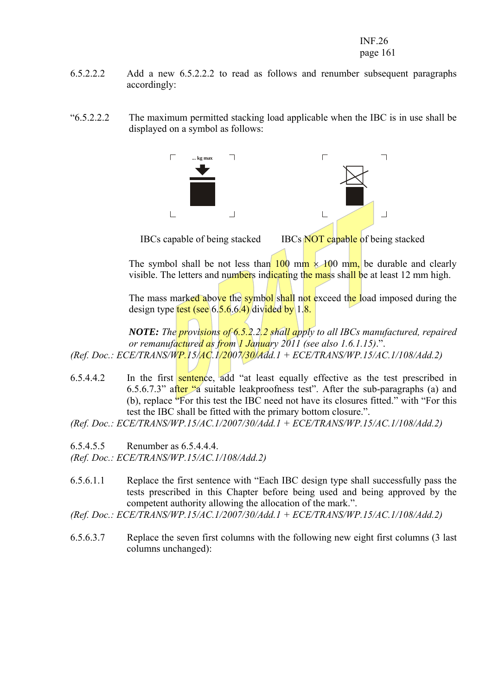- 6.5.2.2.2 Add a new 6.5.2.2.2 to read as follows and renumber subsequent paragraphs accordingly:
- "6.5.2.2.2 The maximum permitted stacking load applicable when the IBC is in use shall be displayed on a symbol as follows:



IBCs capable of being stacked IBCs NOT capable of being stacked

The symbol shall be not less than 100 mm  $\times$  100 mm, be durable and clearly visible. The letters and numbers indicating the mass shall be at least 12 mm high.

The mass marked above the symbol shall not exceed the load imposed during the design type test (see  $6.5.6.6.4$ ) divided by 1.8.

*NOTE: The provisions of 6.5.2.2.2 shall apply to all IBCs manufactured, repaired or remanufactured as from 1 January 2011 (see also 1.6.1.15)*.". *(Ref. Doc.: ECE/TRANS/WP.15/AC.1/2007/30/Add.1 + ECE/TRANS/WP.15/AC.1/108/Add.2)* 

6.5.4.4.2 In the first sentence, add "at least equally effective as the test prescribed in 6.5.6.7.3" after "a suitable leakproofness test". After the sub-paragraphs (a) and (b), replace "For this test the IBC need not have its closures fitted." with "For this test the IBC shall be fitted with the primary bottom closure.".

*(Ref. Doc.: ECE/TRANS/WP.15/AC.1/2007/30/Add.1 + ECE/TRANS/WP.15/AC.1/108/Add.2)* 

6.5.4.5.5 Renumber as 6.5.4.4.4. *(Ref. Doc.: ECE/TRANS/WP.15/AC.1/108/Add.2)* 

- 6.5.6.1.1 Replace the first sentence with "Each IBC design type shall successfully pass the tests prescribed in this Chapter before being used and being approved by the competent authority allowing the allocation of the mark.".
- *(Ref. Doc.: ECE/TRANS/WP.15/AC.1/2007/30/Add.1 + ECE/TRANS/WP.15/AC.1/108/Add.2)*
- 6.5.6.3.7 Replace the seven first columns with the following new eight first columns (3 last columns unchanged):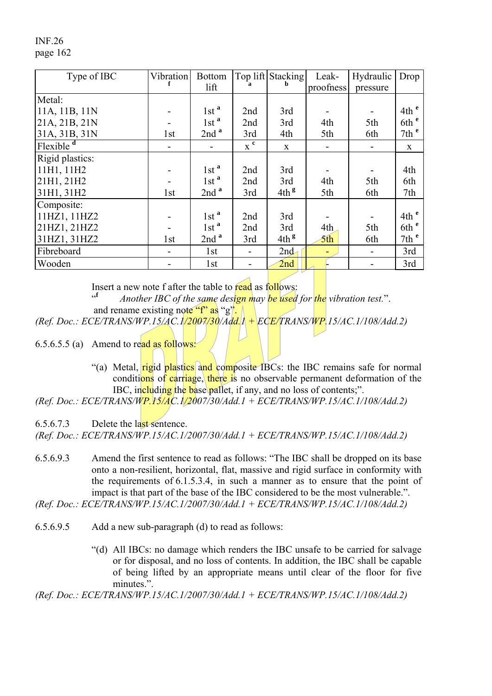| Type of IBC               | Vibration | <b>Bottom</b>    |                  | Top lift Stacking | Leak-     | Hydraulic | Drop               |
|---------------------------|-----------|------------------|------------------|-------------------|-----------|-----------|--------------------|
|                           |           | lift             | а                | <sub>b</sub>      | proofness | pressure  |                    |
| Metal:                    |           |                  |                  |                   |           |           |                    |
| 11A, 11B, 11N             |           | 1st <sup>a</sup> | 2nd              | 3rd               |           |           | $4th$ <sup>e</sup> |
| 21A, 21B, 21N             |           | 1st <sup>a</sup> | 2nd              | 3rd               | 4th       | 5th       | $6th$ <sup>e</sup> |
| 31A, 31B, 31N             | 1st       | 2nd <sup>a</sup> | 3rd              | 4th               | 5th       | 6th       | $7th$ <sup>e</sup> |
| $Flexible^{\overline{d}}$ |           |                  | $\overline{X}^c$ | X                 |           |           | $\mathbf{X}$       |
| Rigid plastics:           |           |                  |                  |                   |           |           |                    |
| 11H1, 11H2                |           | 1st <sup>a</sup> | 2nd              | 3rd               |           |           | 4th                |
| 21H1, 21H2                |           | 1st <sup>a</sup> | 2nd              | 3rd               | 4th       | 5th       | 6th                |
| 31H1, 31H2                | 1st       | 2nd <sup>a</sup> | 3rd              | 4th <sup>g</sup>  | 5th       | 6th       | 7th                |
| Composite:                |           |                  |                  |                   |           |           |                    |
| 11HZ1, 11HZ2              |           | 1st <sup>a</sup> | 2nd              | 3rd               |           |           | $4th$ <sup>e</sup> |
| 21HZ1, 21HZ2              |           | 1st <sup>a</sup> | 2nd              | 3rd               | 4th       | 5th       | $6th$ <sup>e</sup> |
| 31HZ1, 31HZ2              | 1st       | 2nd <sup>a</sup> | 3rd              | 4th <sup>g</sup>  | 5th       | 6th       | $7th$ <sup>e</sup> |
| Fibreboard                |           | 1 <sub>st</sub>  | $\blacksquare$   | 2nd               | $\sim$    |           | 3rd                |
| Wooden                    |           | 1 <sub>st</sub>  |                  | 2nd               |           |           | 3rd                |

Insert a new note f after the table to **read** as follows:

 $\ddot{\phantom{0}}$ **f** *Another IBC of the same design may be used for the vibration test.*".

and rename existing note " $f''$  as "g".

*(Ref. Doc.: ECE/TRANS/WP.15/AC.1/2007/30/Add.1 + ECE/TRANS/WP.15/AC.1/108/Add.2)* 

6.5.6.5.5 (a) Amend to read as  $\frac{follows!}{100}$ 

"(a) Metal, **rigid plastics and composite IBCs**: the IBC remains safe for normal conditions of carriage, there is no observable permanent deformation of the IBC, including the base pallet, if any, and no loss of contents;".

*(Ref. Doc.: ECE/TRANS/WP.15/AC.1/2007/30/Add.1 + ECE/TRANS/WP.15/AC.1/108/Add.2)* 

6.5.6.7.3 Delete the last sentence.

*(Ref. Doc.: ECE/TRANS/WP.15/AC.1/2007/30/Add.1 + ECE/TRANS/WP.15/AC.1/108/Add.2)* 

- 6.5.6.9.3 Amend the first sentence to read as follows: "The IBC shall be dropped on its base onto a non-resilient, horizontal, flat, massive and rigid surface in conformity with the requirements of 6.1.5.3.4, in such a manner as to ensure that the point of impact is that part of the base of the IBC considered to be the most vulnerable.".
- *(Ref. Doc.: ECE/TRANS/WP.15/AC.1/2007/30/Add.1 + ECE/TRANS/WP.15/AC.1/108/Add.2)*
- 6.5.6.9.5 Add a new sub-paragraph (d) to read as follows:
	- "(d) All IBCs: no damage which renders the IBC unsafe to be carried for salvage or for disposal, and no loss of contents. In addition, the IBC shall be capable of being lifted by an appropriate means until clear of the floor for five minutes.".

*(Ref. Doc.: ECE/TRANS/WP.15/AC.1/2007/30/Add.1 + ECE/TRANS/WP.15/AC.1/108/Add.2)*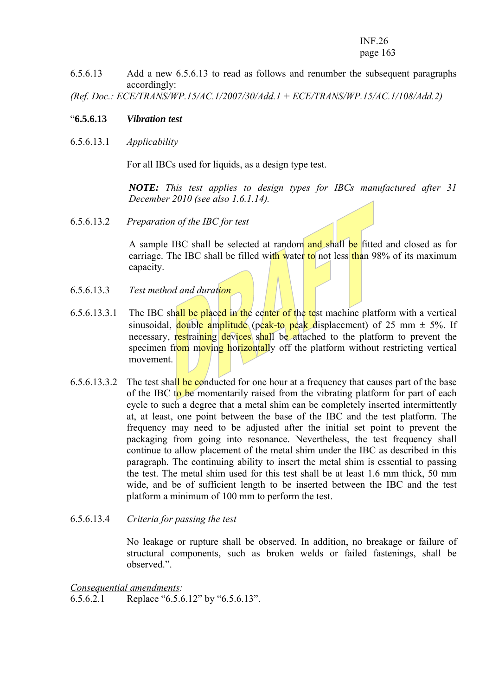6.5.6.13 Add a new 6.5.6.13 to read as follows and renumber the subsequent paragraphs accordingly:

*(Ref. Doc.: ECE/TRANS/WP.15/AC.1/2007/30/Add.1 + ECE/TRANS/WP.15/AC.1/108/Add.2)* 

#### "**6.5.6.13** *Vibration test*

6.5.6.13.1 *Applicability*

For all IBCs used for liquids, as a design type test.

*NOTE: This test applies to design types for IBCs manufactured after 31 December 2010 (see also 1.6.1.14).* 

6.5.6.13.2 *Preparation of the IBC for test* 

A sample IBC shall be selected at random and shall be fitted and closed as for carriage. The IBC shall be filled with water to not less than 98% of its maximum capacity.

- 6.5.6.13.3 *Test method and duration*
- 6.5.6.13.3.1 The IBC shall be placed in the center of the test machine platform with a vertical sinusoidal, **double amplitude** (peak-to peak displacement) of 25 mm  $\pm$  5%. If necessary, restraining devices shall be attached to the platform to prevent the specimen from moving horizontally off the platform without restricting vertical movement.
- 6.5.6.13.3.2 The test shall be conducted for one hour at a frequency that causes part of the base of the IBC to be momentarily raised from the vibrating platform for part of each cycle to such a degree that a metal shim can be completely inserted intermittently at, at least, one point between the base of the IBC and the test platform. The frequency may need to be adjusted after the initial set point to prevent the packaging from going into resonance. Nevertheless, the test frequency shall continue to allow placement of the metal shim under the IBC as described in this paragraph. The continuing ability to insert the metal shim is essential to passing the test. The metal shim used for this test shall be at least 1.6 mm thick, 50 mm wide, and be of sufficient length to be inserted between the IBC and the test platform a minimum of 100 mm to perform the test.

## 6.5.6.13.4 *Criteria for passing the test*

No leakage or rupture shall be observed. In addition, no breakage or failure of structural components, such as broken welds or failed fastenings, shall be observed.".

*Consequential amendments:*  6.5.6.2.1 Replace "6.5.6.12" by "6.5.6.13".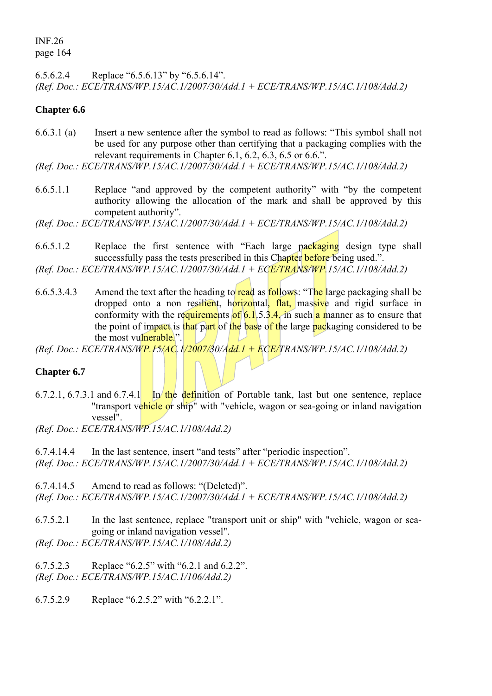6.5.6.2.4 Replace "6.5.6.13" by "6.5.6.14". *(Ref. Doc.: ECE/TRANS/WP.15/AC.1/2007/30/Add.1 + ECE/TRANS/WP.15/AC.1/108/Add.2)* 

#### **Chapter 6.6**

- 6.6.3.1 (a) Insert a new sentence after the symbol to read as follows: "This symbol shall not be used for any purpose other than certifying that a packaging complies with the relevant requirements in Chapter 6.1, 6.2, 6.3, 6.5 or 6.6.".
- *(Ref. Doc.: ECE/TRANS/WP.15/AC.1/2007/30/Add.1 + ECE/TRANS/WP.15/AC.1/108/Add.2)*
- 6.6.5.1.1 Replace "and approved by the competent authority" with "by the competent authority allowing the allocation of the mark and shall be approved by this competent authority".

*(Ref. Doc.: ECE/TRANS/WP.15/AC.1/2007/30/Add.1 + ECE/TRANS/WP.15/AC.1/108/Add.2)* 

6.6.5.1.2 Replace the first sentence with "Each large packaging design type shall successfully pass the tests prescribed in this Chapter before being used.".

*(Ref. Doc.: ECE/TRANS/WP.15/AC.1/2007/30/Add.1 + ECE/TRANS/WP.15/AC.1/108/Add.2)* 

6.6.5.3.4.3 Amend the text after the heading to read as  $\frac{\text{follows}}{\text{follows}}$ : "The large packaging shall be dropped onto a non resilient, horizontal, flat, massive and rigid surface in conformity with the requirements of 6.1.5.3.4, in such a manner as to ensure that the point of impact is that part of the base of the large packaging considered to be the most vulnerable.".

*(Ref. Doc.: ECE/TRANS/WP.15/AC.1/2007/30/Add.1 + ECE/TRANS/WP.15/AC.1/108/Add.2)* 

## **Chapter 6.7**

6.7.2.1, 6.7.3.1 and 6.7.4.1 In the definition of Portable tank, last but one sentence, replace "transport vehicle or ship" with "vehicle, wagon or sea-going or inland navigation vessel".

*(Ref. Doc.: ECE/TRANS/WP.15/AC.1/108/Add.2)* 

6.7.4.14.4 In the last sentence, insert "and tests" after "periodic inspection". *(Ref. Doc.: ECE/TRANS/WP.15/AC.1/2007/30/Add.1 + ECE/TRANS/WP.15/AC.1/108/Add.2)* 

6.7.4.14.5 Amend to read as follows: "(Deleted)". *(Ref. Doc.: ECE/TRANS/WP.15/AC.1/2007/30/Add.1 + ECE/TRANS/WP.15/AC.1/108/Add.2)* 

6.7.5.2.1 In the last sentence, replace "transport unit or ship" with "vehicle, wagon or seagoing or inland navigation vessel". *(Ref. Doc.: ECE/TRANS/WP.15/AC.1/108/Add.2)* 

6.7.5.2.3 Replace "6.2.5" with "6.2.1 and 6.2.2". *(Ref. Doc.: ECE/TRANS/WP.15/AC.1/106/Add.2)* 

6.7.5.2.9 Replace "6.2.5.2" with "6.2.2.1".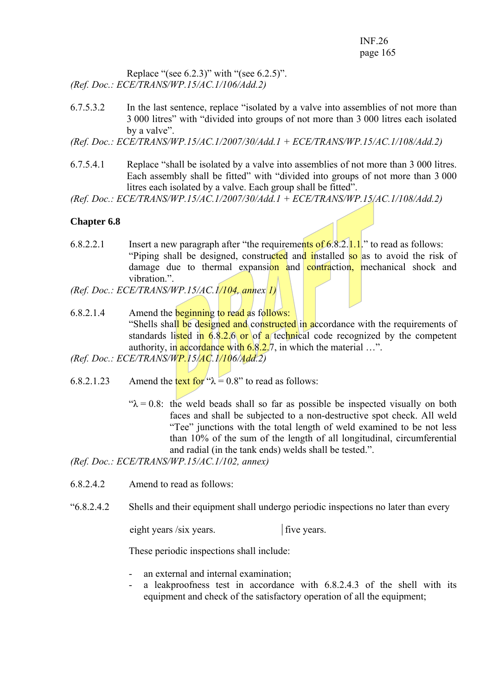Replace "(see 6.2.3)" with "(see 6.2.5)". *(Ref. Doc.: ECE/TRANS/WP.15/AC.1/106/Add.2)* 

- 6.7.5.3.2 In the last sentence, replace "isolated by a valve into assemblies of not more than 3 000 litres" with "divided into groups of not more than 3 000 litres each isolated by a valve".
- *(Ref. Doc.: ECE/TRANS/WP.15/AC.1/2007/30/Add.1 + ECE/TRANS/WP.15/AC.1/108/Add.2)*
- 6.7.5.4.1 Replace "shall be isolated by a valve into assemblies of not more than 3 000 litres. Each assembly shall be fitted" with "divided into groups of not more than 3 000 litres each isolated by a valve. Each group shall be fitted".
- *(Ref. Doc.: ECE/TRANS/WP.15/AC.1/2007/30/Add.1 + ECE/TRANS/WP.15/AC.1/108/Add.2)*

#### **Chapter 6.8**

- 6.8.2.2.1 Insert a new paragraph after "the requirements of  $6.8.2.1.1$ ." to read as follows: "Piping shall be designed, constructed and installed so as to avoid the risk of damage due to thermal expansion and contraction, mechanical shock and vibration.".
- *(Ref. Doc.: ECE/TRANS/WP.15/AC.1/104, annex 1)*
- 6.8.2.1.4 Amend the beginning to read as follows: "Shells shall be designed and constructed in accordance with the requirements of standards listed in  $6.8.2.6$  or of a technical code recognized by the competent authority, in accordance with  $6.8.2.7$ , in which the material ...".
- *(Ref. Doc.: ECE/TRANS/WP.15/AC.1/106/Add.2)*
- 6.8.2.1.23 Amend the text for " $\lambda = 0.8$ " to read as follows:
	- " $\lambda$  = 0.8: the weld beads shall so far as possible be inspected visually on both faces and shall be subjected to a non-destructive spot check. All weld "Tee" junctions with the total length of weld examined to be not less than 10% of the sum of the length of all longitudinal, circumferential and radial (in the tank ends) welds shall be tested.".

*(Ref. Doc.: ECE/TRANS/WP.15/AC.1/102, annex)* 

- 6.8.2.4.2 Amend to read as follows:
- "6.8.2.4.2 Shells and their equipment shall undergo periodic inspections no later than every

eight years /six years.  $\int$  five years.

These periodic inspections shall include:

- an external and internal examination;
- a leakproofness test in accordance with 6.8.2.4.3 of the shell with its equipment and check of the satisfactory operation of all the equipment;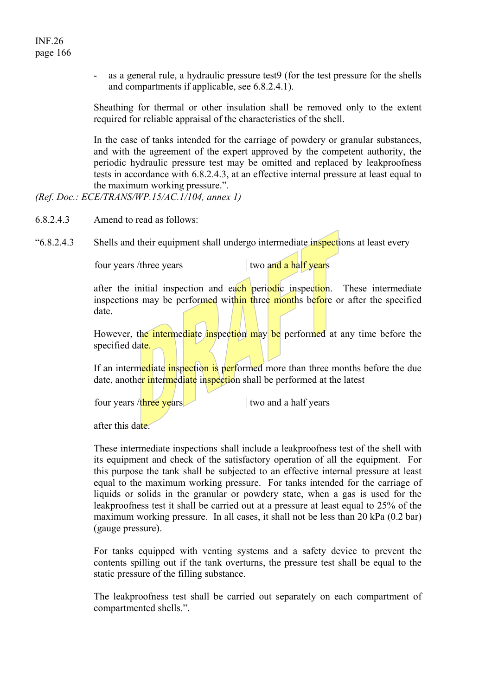- as a general rule, a hydraulic pressure test9 (for the test pressure for the shells and compartments if applicable, see 6.8.2.4.1).

 Sheathing for thermal or other insulation shall be removed only to the extent required for reliable appraisal of the characteristics of the shell.

 In the case of tanks intended for the carriage of powdery or granular substances, and with the agreement of the expert approved by the competent authority, the periodic hydraulic pressure test may be omitted and replaced by leakproofness tests in accordance with 6.8.2.4.3, at an effective internal pressure at least equal to the maximum working pressure.".

*(Ref. Doc.: ECE/TRANS/WP.15/AC.1/104, annex 1)* 

6.8.2.4.3 Amend to read as follows:

"6.8.2.4.3 Shells and their equipment shall undergo intermediate inspections at least every

four years /three years two and a half years

after the initial inspection and each periodic inspection. These intermediate inspections may be performed within three months before or after the specified date.

However, the intermediate inspection may be performed at any time before the specified date.

If an intermediate inspection is performed more than three months before the due date, another intermediate inspection shall be performed at the latest

four years /three years two and a half years

after this date

 These intermediate inspections shall include a leakproofness test of the shell with its equipment and check of the satisfactory operation of all the equipment. For this purpose the tank shall be subjected to an effective internal pressure at least equal to the maximum working pressure. For tanks intended for the carriage of liquids or solids in the granular or powdery state, when a gas is used for the leakproofness test it shall be carried out at a pressure at least equal to 25% of the maximum working pressure. In all cases, it shall not be less than 20 kPa (0.2 bar) (gauge pressure).

 For tanks equipped with venting systems and a safety device to prevent the contents spilling out if the tank overturns, the pressure test shall be equal to the static pressure of the filling substance.

 The leakproofness test shall be carried out separately on each compartment of compartmented shells.".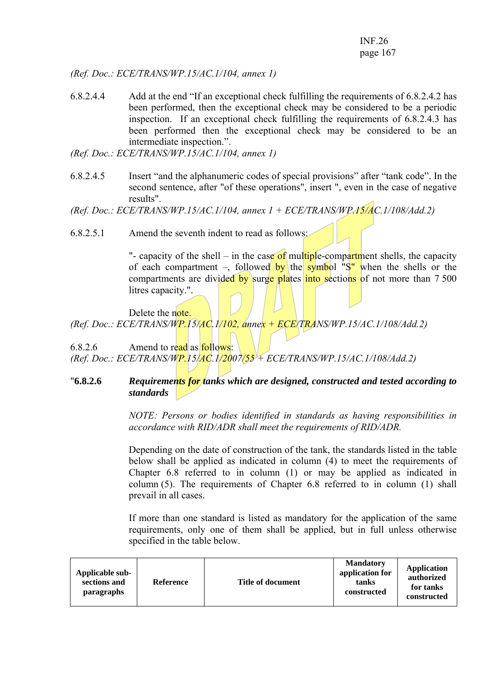*(Ref. Doc.: ECE/TRANS/WP.15/AC.1/104, annex 1)* 

6.8.2.4.4 Add at the end "If an exceptional check fulfilling the requirements of 6.8.2.4.2 has been performed, then the exceptional check may be considered to be a periodic inspection. If an exceptional check fulfilling the requirements of 6.8.2.4.3 has been performed then the exceptional check may be considered to be an intermediate inspection.".

*(Ref. Doc.: ECE/TRANS/WP.15/AC.1/104, annex 1)* 

6.8.2.4.5 Insert "and the alphanumeric codes of special provisions" after "tank code". In the second sentence, after "of these operations", insert ", even in the case of negative results".

*(Ref. Doc.: ECE/TRANS/WP.15/AC.1/104, annex 1 + ECE/TRANS/WP.15/AC.1/108/Add.2)* 

6.8.2.5.1 Amend the seventh indent to read as follows:

"- capacity of the shell – in the case of multiple-compartment shells, the capacity of each compartment –, followed by the symbol "S" when the shells or the compartments are divided by surge plates into sections of not more than 7 500 litres capacity.".

Delete the note.

*(Ref. Doc.: ECE/TRANS/WP.15/AC.1/102, annex + ECE/TRANS/WP.15/AC.1/108/Add.2)* 

6.8.2.6 Amend to read as  $\frac{1}{10}$  follows:

*(Ref. Doc.: ECE/TRANS/WP.15/AC.1/2007/55 + ECE/TRANS/WP.15/AC.1/108/Add.2)* 

## "**6.8.2.6** *Requirements for tanks which are designed, constructed and tested according to standards*

*NOTE: Persons or bodies identified in standards as having responsibilities in accordance with RID/ADR shall meet the requirements of RID/ADR.* 

 Depending on the date of construction of the tank, the standards listed in the table below shall be applied as indicated in column (4) to meet the requirements of Chapter 6.8 referred to in column (1) or may be applied as indicated in column (5). The requirements of Chapter 6.8 referred to in column (1) shall prevail in all cases.

 If more than one standard is listed as mandatory for the application of the same requirements, only one of them shall be applied, but in full unless otherwise specified in the table below.

| Applicable sub-<br>sections and<br>paragraphs | <b>Reference</b> | <b>Title of document</b> | <b>Mandatory</b><br>application for<br>tanks<br>constructed | Application<br>authorized<br>for tanks<br>constructed |
|-----------------------------------------------|------------------|--------------------------|-------------------------------------------------------------|-------------------------------------------------------|
|-----------------------------------------------|------------------|--------------------------|-------------------------------------------------------------|-------------------------------------------------------|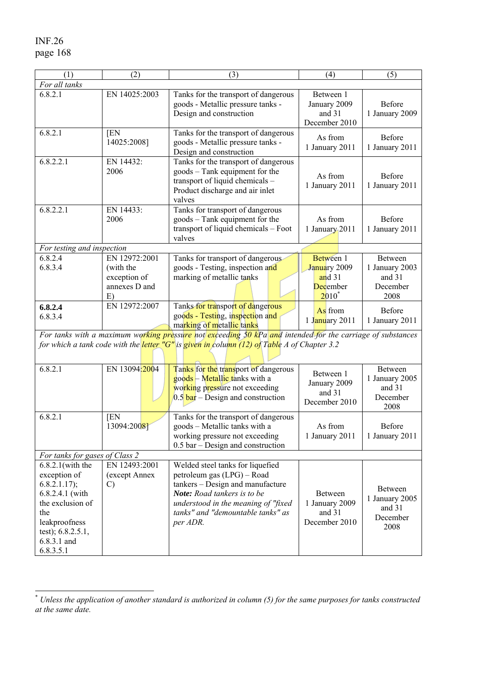| (1)                                                                                                                                                                   | (2)                                                               | (3)                                                                                                                                                                                                                       | (4)                                                                | (5)                                                            |
|-----------------------------------------------------------------------------------------------------------------------------------------------------------------------|-------------------------------------------------------------------|---------------------------------------------------------------------------------------------------------------------------------------------------------------------------------------------------------------------------|--------------------------------------------------------------------|----------------------------------------------------------------|
| For all tanks                                                                                                                                                         |                                                                   |                                                                                                                                                                                                                           |                                                                    |                                                                |
| 6.8.2.1                                                                                                                                                               | EN 14025:2003                                                     | Tanks for the transport of dangerous<br>goods - Metallic pressure tanks -<br>Design and construction                                                                                                                      | Between 1<br>January 2009<br>and 31<br>December 2010               | Before<br>1 January 2009                                       |
| 6.8.2.1                                                                                                                                                               | <b>[EN</b><br>14025:2008]                                         | Tanks for the transport of dangerous<br>goods - Metallic pressure tanks -<br>Design and construction                                                                                                                      | As from<br>1 January 2011                                          | Before<br>1 January 2011                                       |
| 6.8.2.2.1                                                                                                                                                             | EN 14432:<br>2006                                                 | Tanks for the transport of dangerous<br>goods – Tank equipment for the<br>transport of liquid chemicals -<br>Product discharge and air inlet<br>valves                                                                    | As from<br>1 January 2011                                          | Before<br>1 January 2011                                       |
| 6.8.2.2.1                                                                                                                                                             | EN 14433:<br>2006                                                 | Tanks for transport of dangerous<br>goods – Tank equipment for the<br>transport of liquid chemicals - Foot<br>valves                                                                                                      | As from<br>1 January 2011                                          | Before<br>1 January 2011                                       |
| For testing and inspection                                                                                                                                            |                                                                   |                                                                                                                                                                                                                           |                                                                    |                                                                |
| 6.8.2.4<br>6.8.3.4                                                                                                                                                    | EN 12972:2001<br>(with the<br>exception of<br>annexes D and<br>E) | Tanks for transport of dangerous<br>goods - Testing, inspection and<br>marking of metallic tanks                                                                                                                          | Between 1<br>January 2009<br>and 31<br><b>December</b><br>$2010^*$ | Between<br>1 January 2003<br>and 31<br>December<br>2008        |
| 6.8.2.4<br>6.8.3.4                                                                                                                                                    | EN 12972:2007                                                     | Tanks for transport of dangerous<br>goods - Testing, inspection and<br>marking of metallic tanks                                                                                                                          | As from<br>1 January 2011                                          | Before<br>1 January 2011                                       |
|                                                                                                                                                                       |                                                                   | For tanks with a maximum working pressure not exceeding 50 kPa and intended for the carriage of substances<br>for which a tank code with the letter "G" is given in column (12) of Table A of Chapter 3.2                 |                                                                    |                                                                |
| 6.8.2.1                                                                                                                                                               | EN 13094:2004                                                     | Tanks for the transport of dangerous<br>goods – Metallic tanks with a<br>working pressure not exceeding<br>$0.5$ bar – Design and construction                                                                            | Between 1<br>January 2009<br>and 31<br>December 2010               | <b>Between</b><br>1 January 2005<br>and 31<br>December<br>2008 |
| 6.8.2.1                                                                                                                                                               | <b>[EN</b><br>13094:2008]                                         | Tanks for the transport of dangerous<br>goods - Metallic tanks with a<br>working pressure not exceeding<br>0.5 bar – Design and construction                                                                              | As from<br>1 January 2011                                          | Before<br>1 January 2011                                       |
| For tanks for gases of Class 2                                                                                                                                        |                                                                   |                                                                                                                                                                                                                           |                                                                    |                                                                |
| $6.8.2.1$ (with the<br>exception of<br>$6.8.2.1.17$ ;<br>6.8.2.4.1 (with<br>the exclusion of<br>the<br>leakproofness<br>test); 6.8.2.5.1,<br>6.8.3.1 and<br>6.8.3.5.1 | EN 12493:2001<br>(except Annex<br>$\mathcal{C}$                   | Welded steel tanks for liquefied<br>petroleum gas (LPG) - Road<br>tankers - Design and manufacture<br>Note: Road tankers is to be<br>understood in the meaning of "fixed<br>tanks" and "demountable tanks" as<br>per ADR. | Between<br>1 January 2009<br>and 31<br>December 2010               | Between<br>1 January 2005<br>and 31<br>December<br>2008        |

l

<sup>\*</sup> *Unless the application of another standard is authorized in column (5) for the same purposes for tanks constructed at the same date.*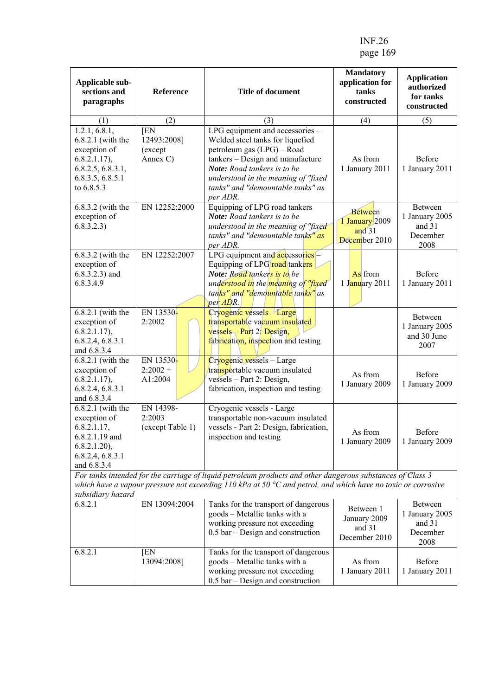INF.26

# page 169

| Applicable sub-<br>sections and<br>paragraphs                                                                                   | Reference                                 | Title of document                                                                                                                                                                                                                                            | <b>Mandatory</b><br>application for<br>tanks<br>constructed   | <b>Application</b><br>authorized<br>for tanks<br>constructed |
|---------------------------------------------------------------------------------------------------------------------------------|-------------------------------------------|--------------------------------------------------------------------------------------------------------------------------------------------------------------------------------------------------------------------------------------------------------------|---------------------------------------------------------------|--------------------------------------------------------------|
| (1)                                                                                                                             | (2)                                       | (3)                                                                                                                                                                                                                                                          | (4)                                                           | (5)                                                          |
| 1.2.1, 6.8.1,<br>$6.8.2.1$ (with the<br>exception of<br>$6.8.2.1.17$ ,<br>6.8.2.5, 6.8.3.1,<br>6.8.3.5, 6.8.5.1<br>to $6.8.5.3$ | [EN<br>12493:2008]<br>(except<br>Annex C) | LPG equipment and accessories -<br>Welded steel tanks for liquefied<br>petroleum gas (LPG) - Road<br>tankers - Design and manufacture<br>Note: Road tankers is to be<br>understood in the meaning of "fixed<br>tanks" and "demountable tanks" as<br>per ADR. | As from<br>1 January 2011                                     | Before<br>1 January 2011                                     |
| 6.8.3.2 (with the<br>exception of<br>6.8.3.2.3)                                                                                 | EN 12252:2000                             | Equipping of LPG road tankers<br>Note: Road tankers is to be<br>understood in the meaning of "fixed"<br>tanks" and "demountable tanks" as<br>per ADR.                                                                                                        | <b>Between</b><br>1 January 2009<br>and $31$<br>December 2010 | Between<br>1 January 2005<br>and 31<br>December<br>2008      |
| 6.8.3.2 (with the<br>exception of<br>$6.8.3.2.3$ ) and<br>6.8.3.4.9                                                             | EN 12252:2007                             | LPG equipment and $\frac{acc}{esc}$<br>Equipping of LPG road tankers<br>Note: Road tankers is to be<br>understood in the meaning of "fixed<br>tanks" and "demountable tanks" as<br>per ADR.                                                                  | As from<br>1 January 2011                                     | Before<br>1 January 2011                                     |
| 6.8.2.1 (with the<br>exception of<br>$6.8.2.1.17$ ,<br>6.8.2.4, 6.8.3.1<br>and 6.8.3.4                                          | EN 13530-<br>2:2002                       | Cryogenic vessels - Large<br>transportable vacuum insulated<br>$vessels$ – Part 2: Design,<br>fabrication, inspection and testing                                                                                                                            |                                                               | Between<br>1 January 2005<br>and 30 June<br>2007             |
| $6.8.2.1$ (with the<br>exception of<br>$6.8.2.1.17$ ,<br>6.8.2.4, 6.8.3.1<br>and 6.8.3.4                                        | EN 13530-<br>$2:2002 +$<br>A1:2004        | Cryogenic vessels - Large<br>transportable vacuum insulated<br>vessels - Part 2: Design,<br>fabrication, inspection and testing                                                                                                                              | As from<br>1 January 2009                                     | Before<br>1 January 2009                                     |
| 6.8.2.1 (with the<br>exception of<br>6.8.2.1.17,<br>6.8.2.1.19 and<br>$6.8.2.1.20$ ,<br>6.8.2.4, 6.8.3.1<br>and 6.8.3.4         | EN 14398-<br>2:2003<br>(except Table 1)   | Cryogenic vessels - Large<br>transportable non-vacuum insulated<br>vessels - Part 2: Design, fabrication,<br>inspection and testing                                                                                                                          | As from<br>1 January 2009                                     | Before<br>1 January 2009                                     |
| subsidiary hazard                                                                                                               |                                           | For tanks intended for the carriage of liquid petroleum products and other dangerous substances of Class 3<br>which have a vapour pressure not exceeding 110 kPa at 50 $\degree$ C and petrol, and which have no toxic or corrosive                          |                                                               |                                                              |
| 6.8.2.1                                                                                                                         | EN 13094:2004                             | Tanks for the transport of dangerous<br>goods - Metallic tanks with a<br>working pressure not exceeding<br>0.5 bar – Design and construction                                                                                                                 | Between 1<br>January 2009<br>and 31<br>December 2010          | Between<br>1 January 2005<br>and 31<br>December<br>2008      |
| 6.8.2.1                                                                                                                         | [EN<br>13094:2008]                        | Tanks for the transport of dangerous<br>goods - Metallic tanks with a<br>working pressure not exceeding<br>$0.5$ bar – Design and construction                                                                                                               | As from<br>1 January 2011                                     | Before<br>1 January 2011                                     |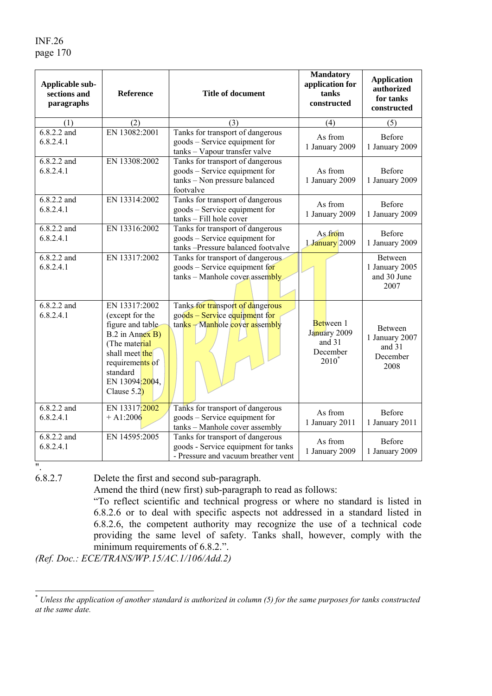| Applicable sub-<br>sections and<br>paragraphs | <b>Reference</b>                                                                                                                                                                   | <b>Title of document</b>                                                                                        | <b>Mandatory</b><br>application for<br>tanks<br>constructed | <b>Application</b><br>authorized<br>for tanks<br>constructed |
|-----------------------------------------------|------------------------------------------------------------------------------------------------------------------------------------------------------------------------------------|-----------------------------------------------------------------------------------------------------------------|-------------------------------------------------------------|--------------------------------------------------------------|
| (1)                                           | (2)                                                                                                                                                                                | (3)                                                                                                             | (4)                                                         | (5)                                                          |
| $6.8.2.2$ and<br>6.8.2.4.1                    | EN 13082:2001                                                                                                                                                                      | Tanks for transport of dangerous<br>goods – Service equipment for<br>tanks - Vapour transfer valve              | As from<br>1 January 2009                                   | Before<br>1 January 2009                                     |
| $6.8.2.2$ and<br>6.8.2.4.1                    | EN 13308:2002                                                                                                                                                                      | Tanks for transport of dangerous<br>goods – Service equipment for<br>tanks - Non pressure balanced<br>footvalve | As from<br>1 January 2009                                   | Before<br>1 January 2009                                     |
| 6.8.2.2 and<br>6.8.2.4.1                      | EN 13314:2002                                                                                                                                                                      | Tanks for transport of dangerous<br>goods – Service equipment for<br>tanks - Fill hole cover                    | As from<br>1 January 2009                                   | Before<br>1 January 2009                                     |
| 6.8.2.2 and<br>6.8.2.4.1                      | EN 13316:2002                                                                                                                                                                      | Tanks for transport of dangerous<br>goods – Service equipment for<br>tanks-Pressure balanced footvalve          | As from<br>1 January 2009                                   | Before<br>1 January 2009                                     |
| 6.8.2.2 and<br>6.8.2.4.1                      | EN 13317:2002                                                                                                                                                                      | Tanks for transport of dangerous<br>goods - Service equipment for<br>tanks – Manhole cover assembly             |                                                             | Between<br>1 January 2005<br>and 30 June<br>2007             |
| 6.8.2.2 and<br>6.8.2.4.1                      | EN 13317:2002<br>(except for the<br>figure and table<br>$B.2$ in Annex $B$ )<br>(The material<br>shall meet the<br>requirements of<br>standard<br>EN 13094:2004,<br>Clause $5.2$ ) | Tanks for transport of dangerous<br>goods – Service equipment for<br>$tanks - Manhole$ cover assembly           | Between 1<br>January 2009<br>and 31<br>December<br>$2010^*$ | Between<br>1 January 2007<br>and 31<br>December<br>2008      |
| 6.8.2.2 and<br>6.8.2.4.1                      | EN 13317:2002<br>$+A1:2006$                                                                                                                                                        | Tanks for transport of dangerous<br>goods – Service equipment for<br>tanks - Manhole cover assembly             | As from<br>1 January 2011                                   | Before<br>1 January 2011                                     |
| 6.8.2.2 and<br>6.8.2.4.1                      | EN 14595:2005                                                                                                                                                                      | Tanks for transport of dangerous<br>goods - Service equipment for tanks<br>- Pressure and vacuum breather vent  | As from<br>1 January 2009                                   | Before<br>1 January 2009                                     |

 $6.8.2.7$ Delete the first and second sub-paragraph.

Amend the third (new first) sub-paragraph to read as follows:

 "To reflect scientific and technical progress or where no standard is listed in 6.8.2.6 or to deal with specific aspects not addressed in a standard listed in 6.8.2.6, the competent authority may recognize the use of a technical code providing the same level of safety. Tanks shall, however, comply with the minimum requirements of 6.8.2.".

*(Ref. Doc.: ECE/TRANS/WP.15/AC.1/106/Add.2)* 

l

<sup>\*</sup> *Unless the application of another standard is authorized in column (5) for the same purposes for tanks constructed at the same date.*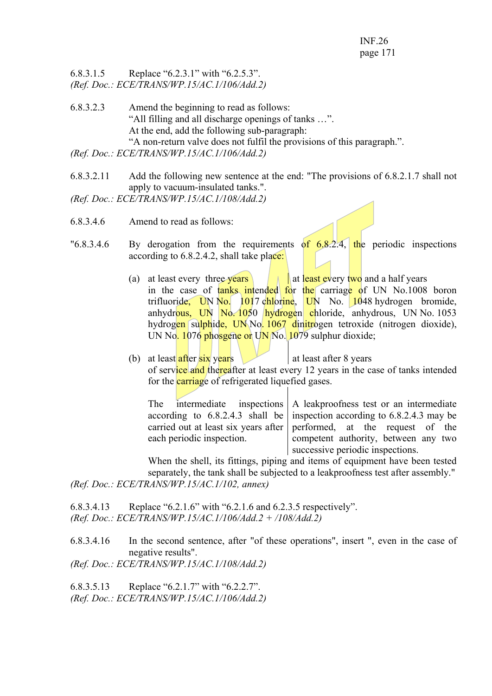- 6.8.3.1.5 Replace "6.2.3.1" with "6.2.5.3". *(Ref. Doc.: ECE/TRANS/WP.15/AC.1/106/Add.2)*
- 6.8.3.2.3 Amend the beginning to read as follows: "All filling and all discharge openings of tanks …". At the end, add the following sub-paragraph: "A non-return valve does not fulfil the provisions of this paragraph.".
- *(Ref. Doc.: ECE/TRANS/WP.15/AC.1/106/Add.2)*
- 6.8.3.2.11 Add the following new sentence at the end: "The provisions of 6.8.2.1.7 shall not apply to vacuum-insulated tanks.". *(Ref. Doc.: ECE/TRANS/WP.15/AC.1/108/Add.2)*
- 6.8.3.4.6 Amend to read as follows:
- "6.8.3.4.6 By derogation from the requirements of  $6.8.2$ .4, the periodic inspections according to  $6.8.2.4.2$ , shall take place:
	- (a) at least every three years  $\| \cdot \|$  at least every two and a half years in the case of tanks intended for the carriage of UN No.1008 boron trifluoride, UN No. 1017 chlorine, UN No. 1048 hydrogen bromide, anhydrous, UN No. 1050 hydrogen chloride, anhydrous, UN No. 1053 hydrogen sulphide, UN No. 1067 dinitrogen tetroxide (nitrogen dioxide), UN No. 1076 phosgene or UN No. 1079 sulphur dioxide;
	- (b) at least after six years  $\vert$  at least after 8 years of service and thereafter at least every 12 years in the case of tanks intended for the **carriage** of refrigerated liquefied gases.

The intermediate inspections according to 6.8.2.4.3 shall be carried out at least six years after each periodic inspection.

A leakproofness test or an intermediate inspection according to 6.8.2.4.3 may be performed, at the request of the competent authority, between any two successive periodic inspections.

 When the shell, its fittings, piping and items of equipment have been tested separately, the tank shall be subjected to a leakproofness test after assembly." *(Ref. Doc.: ECE/TRANS/WP.15/AC.1/102, annex)* 

6.8.3.4.13 Replace "6.2.1.6" with "6.2.1.6 and 6.2.3.5 respectively". *(Ref. Doc.: ECE/TRANS/WP.15/AC.1/106/Add.2 + /108/Add.2)* 

6.8.3.4.16 In the second sentence, after "of these operations", insert ", even in the case of negative results".

*(Ref. Doc.: ECE/TRANS/WP.15/AC.1/108/Add.2)* 

6.8.3.5.13 Replace "6.2.1.7" with "6.2.2.7". *(Ref. Doc.: ECE/TRANS/WP.15/AC.1/106/Add.2)*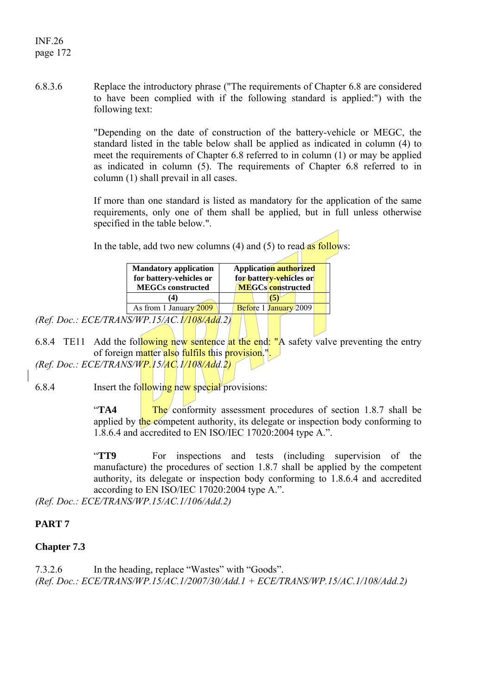6.8.3.6 Replace the introductory phrase ("The requirements of Chapter 6.8 are considered to have been complied with if the following standard is applied:") with the following text:

> "Depending on the date of construction of the battery-vehicle or MEGC, the standard listed in the table below shall be applied as indicated in column (4) to meet the requirements of Chapter 6.8 referred to in column (1) or may be applied as indicated in column (5). The requirements of Chapter 6.8 referred to in column (1) shall prevail in all cases.

> If more than one standard is listed as mandatory for the application of the same requirements, only one of them shall be applied, but in full unless otherwise specified in the table below.".

In the table, add two new columns  $(4)$  and  $(5)$  to read as follows:

| <b>Mandatory application</b> | <b>Application authorized</b> |
|------------------------------|-------------------------------|
| for battery-vehicles or      | for battery-vehicles or       |
| <b>MEGCs</b> constructed     | <b>MEGCs</b> constructed      |
| $\vert 4 \vert$              |                               |
| As from 1 January 2009       | Before 1 January 2009         |
|                              |                               |

*(Ref. Doc.: ECE/TRANS/WP.15/AC.1/108/Add.2)* 

6.8.4 TE11 Add the following new sentence at the end: "A safety valve preventing the entry of foreign matter also fulfils this provision.".

*(Ref. Doc.: ECE/TRANS/WP.15/AC.1/108/Add.2)* 

6.8.4 Insert the following new special provisions:

**TA4** The conformity assessment procedures of section 1.8.7 shall be applied by the competent authority, its delegate or inspection body conforming to 1.8.6.4 and accredited to EN ISO/IEC 17020:2004 type A.".

"**TT9** For inspections and tests (including supervision of the manufacture) the procedures of section 1.8.7 shall be applied by the competent authority, its delegate or inspection body conforming to 1.8.6.4 and accredited according to EN ISO/IEC 17020:2004 type A.".

*(Ref. Doc.: ECE/TRANS/WP.15/AC.1/106/Add.2)* 

# **PART 7**

# **Chapter 7.3**

7.3.2.6 In the heading, replace "Wastes" with "Goods". *(Ref. Doc.: ECE/TRANS/WP.15/AC.1/2007/30/Add.1 + ECE/TRANS/WP.15/AC.1/108/Add.2)*